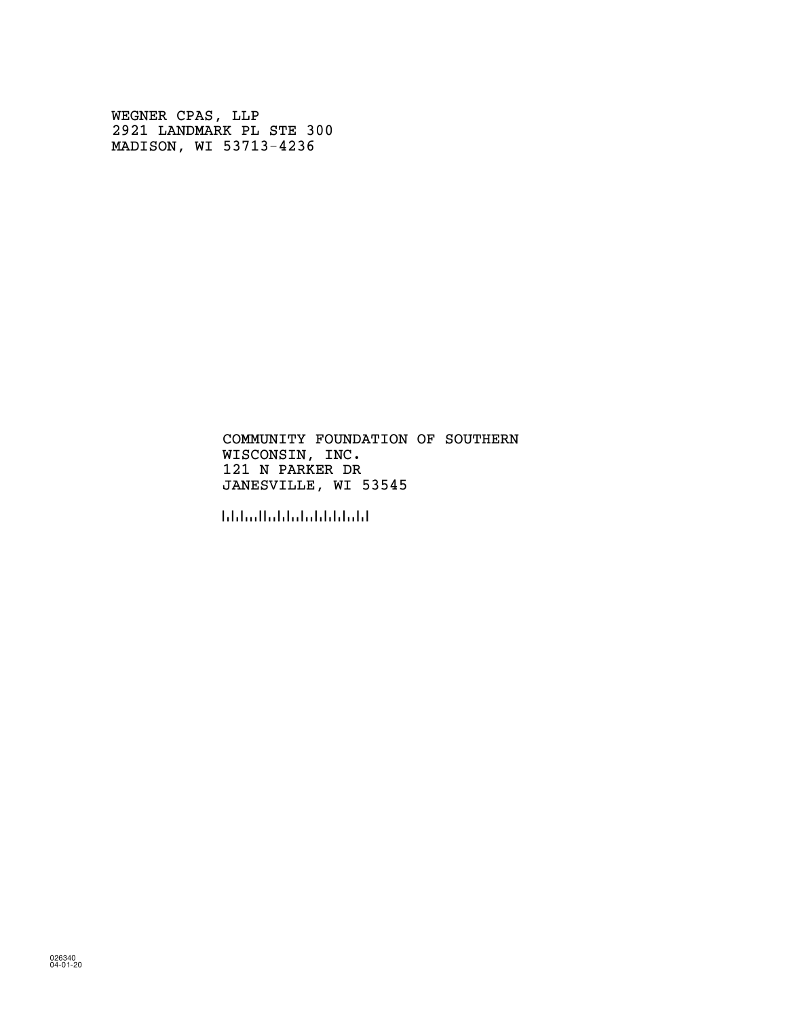WEGNER CPAS, LLP 2921 LANDMARK PL STE 300 MADISON, WI 53713-4236

> COMMUNITY FOUNDATION OF SOUTHERN WISCONSIN, INC. 121 N PARKER DR JANESVILLE, WI 53545

!535458!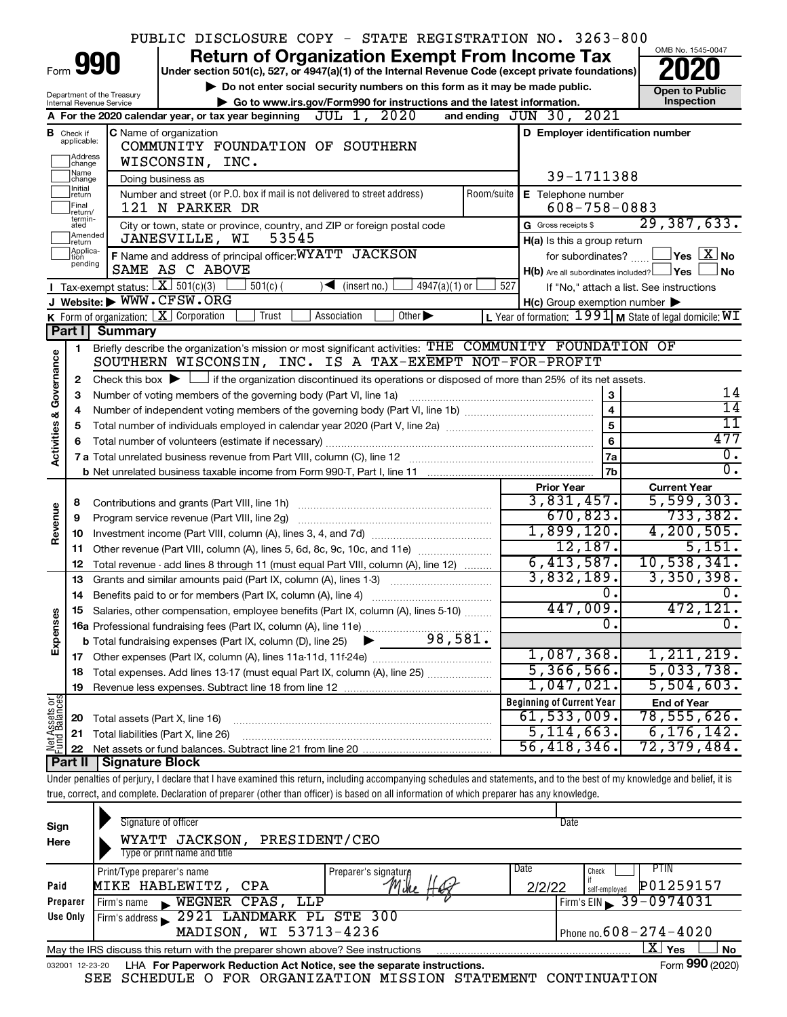|                         |                         |                                               | PUBLIC DISCLOSURE COPY - STATE REGISTRATION NO. 3263-800                                                                                                                   |                                                             |                                          |  |
|-------------------------|-------------------------|-----------------------------------------------|----------------------------------------------------------------------------------------------------------------------------------------------------------------------------|-------------------------------------------------------------|------------------------------------------|--|
|                         |                         | 990                                           | <b>Return of Organization Exempt From Income Tax</b>                                                                                                                       |                                                             | OMB No. 1545-0047                        |  |
|                         |                         |                                               | Under section 501(c), 527, or 4947(a)(1) of the Internal Revenue Code (except private foundations)                                                                         |                                                             |                                          |  |
|                         |                         | Department of the Treasury                    | Do not enter social security numbers on this form as it may be made public.                                                                                                |                                                             | <b>Open to Public</b>                    |  |
|                         |                         | Internal Revenue Service                      | Go to www.irs.gov/Form990 for instructions and the latest information.<br>JUL 1, 2020                                                                                      | and ending JUN 30, 2021                                     | Inspection                               |  |
|                         |                         |                                               | A For the 2020 calendar year, or tax year beginning                                                                                                                        |                                                             |                                          |  |
| в                       | Check if<br>applicable: |                                               | C Name of organization<br>COMMUNITY FOUNDATION OF SOUTHERN                                                                                                                 | D Employer identification number                            |                                          |  |
|                         | ]Address<br>]change     |                                               | WISCONSIN, INC.                                                                                                                                                            |                                                             |                                          |  |
|                         | Name<br>change          |                                               | Doing business as                                                                                                                                                          | 39-1711388                                                  |                                          |  |
|                         | Initial<br>return       |                                               | Number and street (or P.O. box if mail is not delivered to street address)<br>Room/suite                                                                                   | E Telephone number                                          |                                          |  |
|                         | Final<br>return/        |                                               | 121 N PARKER DR                                                                                                                                                            | $608 - 758 - 0883$                                          |                                          |  |
|                         | termin-<br>ated         |                                               | City or town, state or province, country, and ZIP or foreign postal code                                                                                                   | G Gross receipts \$                                         | 29, 387, 633.                            |  |
|                         | Amended<br>Ireturn      |                                               | 53545<br>JANESVILLE, WI                                                                                                                                                    | H(a) Is this a group return                                 |                                          |  |
|                         | Applica-<br>Ition       |                                               | F Name and address of principal officer: WYATT JACKSON                                                                                                                     | for subordinates?                                           | $\,$ Yes $\,$ $\,$ $\rm X$ $\,$ No $\,$  |  |
|                         | pending                 |                                               | SAME AS C ABOVE                                                                                                                                                            | $H(b)$ Are all subordinates included? $\Box$ Yes            | ∫No                                      |  |
|                         |                         | Tax-exempt status: $X \overline{3}$ 501(c)(3) | $501(c)$ (<br>$\mathcal{A}$ (insert no.)<br>$4947(a)(1)$ or                                                                                                                | 527                                                         | If "No," attach a list. See instructions |  |
|                         |                         |                                               | J Website: WWW.CFSW.ORG                                                                                                                                                    | $H(c)$ Group exemption number $\blacktriangleright$         |                                          |  |
|                         |                         |                                               | K Form of organization:   X Corporation<br>Trust<br>Association<br>Other $\blacktriangleright$                                                                             | L Year of formation: $1991$ M State of legal domicile: $WT$ |                                          |  |
|                         |                         | Part I Summary                                |                                                                                                                                                                            |                                                             |                                          |  |
|                         | 1                       |                                               | Briefly describe the organization's mission or most significant activities: THE COMMUNITY FOUNDATION OF<br>SOUTHERN WISCONSIN, INC. IS A TAX-EXEMPT NOT-FOR-PROFIT         |                                                             |                                          |  |
|                         | 2                       |                                               | Check this box $\blacktriangleright$ $\Box$ if the organization discontinued its operations or disposed of more than 25% of its net assets.                                |                                                             |                                          |  |
| Governance              | 3                       |                                               | Number of voting members of the governing body (Part VI, line 1a)                                                                                                          | $\mathbf{3}$                                                | 14                                       |  |
|                         | 4                       |                                               |                                                                                                                                                                            | $\overline{\mathbf{4}}$                                     | $\overline{14}$                          |  |
|                         | 5                       |                                               | 11                                                                                                                                                                         |                                                             |                                          |  |
|                         | 6                       |                                               |                                                                                                                                                                            | $6\phantom{a}$                                              | 477                                      |  |
| <b>Activities &amp;</b> |                         |                                               |                                                                                                                                                                            | <b>7a</b>                                                   | Ο.                                       |  |
|                         |                         |                                               |                                                                                                                                                                            | 7b                                                          | σ.                                       |  |
|                         |                         |                                               |                                                                                                                                                                            | <b>Prior Year</b>                                           | <b>Current Year</b>                      |  |
|                         | 8                       |                                               | Contributions and grants (Part VIII, line 1h)                                                                                                                              | 3,831,457.                                                  | 5, 599, 303.                             |  |
| Revenue                 | 9                       |                                               | Program service revenue (Part VIII, line 2g)                                                                                                                               | 670,823.                                                    | 733,382.                                 |  |
|                         | 10                      |                                               |                                                                                                                                                                            | 1,899,120.<br>12,187.                                       | 4, 200, 505.<br>5,151.                   |  |
|                         | 11                      |                                               |                                                                                                                                                                            | 6,413,587.                                                  | 10,538,341.                              |  |
|                         | 12<br>13                |                                               | Total revenue - add lines 8 through 11 (must equal Part VIII, column (A), line 12)                                                                                         | 3,832,189.                                                  | 3,350,398.                               |  |
|                         | 14                      |                                               | Grants and similar amounts paid (Part IX, column (A), lines 1-3) <i>manual community</i>                                                                                   | 0.                                                          | υ.                                       |  |
|                         |                         |                                               | Salaries, other compensation, employee benefits (Part IX, column (A), lines 5-10)                                                                                          | 447,009.                                                    | 472,121.                                 |  |
|                         |                         |                                               | 16a Professional fundraising fees (Part IX, column (A), line 11e)                                                                                                          | 0                                                           | о.                                       |  |
| Expenses                |                         |                                               | 98,581.<br><b>b</b> Total fundraising expenses (Part IX, column (D), line 25)                                                                                              |                                                             |                                          |  |
|                         |                         |                                               |                                                                                                                                                                            | 1,087,368.                                                  | 1, 211, 219.                             |  |
|                         | 18                      |                                               | Total expenses. Add lines 13-17 (must equal Part IX, column (A), line 25) [                                                                                                | 5,366,566.                                                  | 5,033,738.                               |  |
|                         | 19                      |                                               |                                                                                                                                                                            | 1,047,021.                                                  | 5,504,603.                               |  |
| Net Assets or           |                         |                                               |                                                                                                                                                                            | <b>Beginning of Current Year</b>                            | <b>End of Year</b>                       |  |
|                         | 20                      | Total assets (Part X, line 16)                |                                                                                                                                                                            | 61, 533, 009.                                               | 78,555,626 <b>.</b>                      |  |
|                         | 21                      |                                               | Total liabilities (Part X, line 26)                                                                                                                                        | 5,114,663.                                                  | 6, 176, 142.                             |  |
|                         | 22                      |                                               |                                                                                                                                                                            | 56,418,346                                                  | 72,379,484.                              |  |
|                         | Part II                 | <b>Signature Block</b>                        | Under penalties of perjury, I declare that I have examined this return, including accompanying schedules and statements, and to the best of my knowledge and belief, it is |                                                             |                                          |  |
|                         |                         |                                               | true, correct, and complete. Declaration of preparer (other than officer) is based on all information of which preparer has any knowledge.                                 |                                                             |                                          |  |
|                         |                         |                                               |                                                                                                                                                                            |                                                             |                                          |  |

| Sign<br>Here | Signature of officer<br>PRESIDENT/CEO<br>WYATT JACKSON,<br>Type or print name and title                      |                      | Date           |                                              |  |  |  |  |  |  |  |
|--------------|--------------------------------------------------------------------------------------------------------------|----------------------|----------------|----------------------------------------------|--|--|--|--|--|--|--|
| Paid         | Print/Type preparer's name<br>MIKE HABLEWITZ, CPA                                                            | Preparer's signature | Date<br>2/2/22 | PTIN.<br>Check<br>P01259157<br>self-emploved |  |  |  |  |  |  |  |
| Preparer     | WEGNER CPAS,<br>LLP<br>Firm's name<br>$\blacksquare$                                                         |                      |                | $Firm's EIN = 39 - 0974031$                  |  |  |  |  |  |  |  |
| Use Only     | Firm's address 2921 LANDMARK PL STE 300                                                                      |                      |                |                                              |  |  |  |  |  |  |  |
|              | MADISON, WI 53713-4236                                                                                       |                      |                | Phone no. $608 - 274 - 4020$                 |  |  |  |  |  |  |  |
|              | $\mathbf{X}$ Yes<br>No<br>May the IRS discuss this return with the preparer shown above? See instructions    |                      |                |                                              |  |  |  |  |  |  |  |
|              | Form 990 (2020)<br>LHA For Paperwork Reduction Act Notice, see the separate instructions.<br>032001 12-23-20 |                      |                |                                              |  |  |  |  |  |  |  |

SEE SCHEDULE O FOR ORGANIZATION MISSION STATEMENT CONTINUATION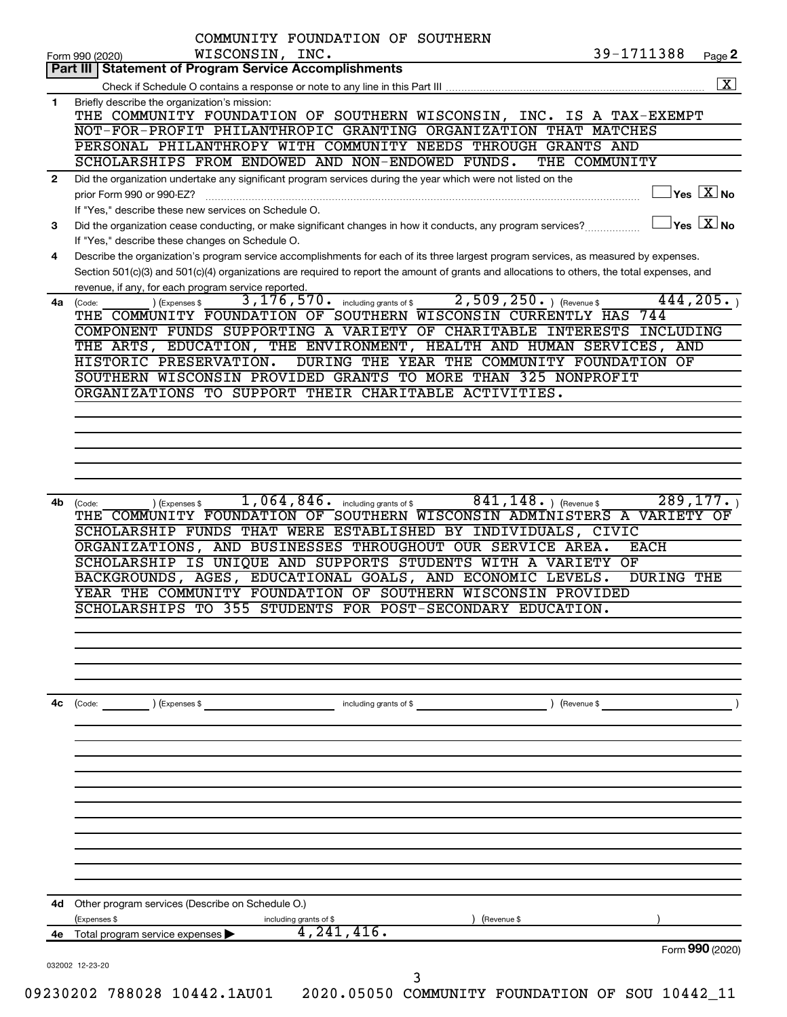|              | COMMUNITY FOUNDATION OF SOUTHERN<br>WISCONSIN, INC.<br>Form 990 (2020)                                                                                                                                                                                                                                                                                                                                   | 39-1711388                                                       | Page 2          |
|--------------|----------------------------------------------------------------------------------------------------------------------------------------------------------------------------------------------------------------------------------------------------------------------------------------------------------------------------------------------------------------------------------------------------------|------------------------------------------------------------------|-----------------|
|              | Part III   Statement of Program Service Accomplishments                                                                                                                                                                                                                                                                                                                                                  |                                                                  |                 |
|              |                                                                                                                                                                                                                                                                                                                                                                                                          |                                                                  |                 |
| 1.           | Briefly describe the organization's mission:                                                                                                                                                                                                                                                                                                                                                             |                                                                  |                 |
|              | THE COMMUNITY FOUNDATION OF SOUTHERN WISCONSIN, INC. IS A TAX-EXEMPT                                                                                                                                                                                                                                                                                                                                     |                                                                  |                 |
|              | NOT-FOR-PROFIT PHILANTHROPIC GRANTING ORGANIZATION THAT MATCHES                                                                                                                                                                                                                                                                                                                                          |                                                                  |                 |
|              | PERSONAL PHILANTHROPY WITH COMMUNITY NEEDS THROUGH GRANTS AND                                                                                                                                                                                                                                                                                                                                            |                                                                  |                 |
|              | SCHOLARSHIPS FROM ENDOWED AND NON-ENDOWED FUNDS.<br>THE COMMUNITY                                                                                                                                                                                                                                                                                                                                        |                                                                  |                 |
| $\mathbf{2}$ | Did the organization undertake any significant program services during the year which were not listed on the                                                                                                                                                                                                                                                                                             |                                                                  |                 |
|              | prior Form 990 or 990-EZ?                                                                                                                                                                                                                                                                                                                                                                                | $ {\mathsf Y}{\mathsf e}{\mathsf s} \ \overline{{\mathsf X}}$ No |                 |
|              | If "Yes," describe these new services on Schedule O.                                                                                                                                                                                                                                                                                                                                                     |                                                                  |                 |
| 3            | Did the organization cease conducting, or make significant changes in how it conducts, any program services?                                                                                                                                                                                                                                                                                             | $\vert$ Yes $\vert$ $\mathrm{X}\vert$ No                         |                 |
|              | If "Yes," describe these changes on Schedule O.                                                                                                                                                                                                                                                                                                                                                          |                                                                  |                 |
| 4            | Describe the organization's program service accomplishments for each of its three largest program services, as measured by expenses.                                                                                                                                                                                                                                                                     |                                                                  |                 |
|              | Section 501(c)(3) and 501(c)(4) organizations are required to report the amount of grants and allocations to others, the total expenses, and                                                                                                                                                                                                                                                             |                                                                  |                 |
|              | revenue, if any, for each program service reported.                                                                                                                                                                                                                                                                                                                                                      |                                                                  |                 |
| 4a           | $2,509,250.$ (Revenue \$)<br>3, 176, 570.<br>including grants of \$<br>(Expenses \$<br>(Code:                                                                                                                                                                                                                                                                                                            | 444, 205.                                                        |                 |
|              | SOUTHERN WISCONSIN CURRENTLY HAS<br>THE COMMUNITY FOUNDATION OF                                                                                                                                                                                                                                                                                                                                          | 744                                                              |                 |
|              | COMPONENT FUNDS SUPPORTING A VARIETY OF CHARITABLE INTERESTS                                                                                                                                                                                                                                                                                                                                             | INCLUDING                                                        |                 |
|              | THE ARTS, EDUCATION, THE ENVIRONMENT, HEALTH AND HUMAN SERVICES,                                                                                                                                                                                                                                                                                                                                         | AND                                                              |                 |
|              | HISTORIC PRESERVATION.<br>DURING THE YEAR THE COMMUNITY FOUNDATION OF                                                                                                                                                                                                                                                                                                                                    |                                                                  |                 |
|              | SOUTHERN WISCONSIN PROVIDED GRANTS TO MORE THAN 325 NONPROFIT                                                                                                                                                                                                                                                                                                                                            |                                                                  |                 |
|              | ORGANIZATIONS TO SUPPORT THEIR CHARITABLE ACTIVITIES.                                                                                                                                                                                                                                                                                                                                                    |                                                                  |                 |
|              |                                                                                                                                                                                                                                                                                                                                                                                                          |                                                                  |                 |
|              |                                                                                                                                                                                                                                                                                                                                                                                                          |                                                                  |                 |
|              |                                                                                                                                                                                                                                                                                                                                                                                                          |                                                                  |                 |
|              |                                                                                                                                                                                                                                                                                                                                                                                                          |                                                                  |                 |
|              |                                                                                                                                                                                                                                                                                                                                                                                                          |                                                                  |                 |
|              | $841, 148.$ (Revenue \$                                                                                                                                                                                                                                                                                                                                                                                  |                                                                  |                 |
| (Code:       | THE COMMUNITY FOUNDATION OF SOUTHERN WISCONSIN ADMINISTERS A VARIETY                                                                                                                                                                                                                                                                                                                                     |                                                                  |                 |
|              | SCHOLARSHIP FUNDS THAT WERE ESTABLISHED BY INDIVIDUALS, CIVIC<br>ORGANIZATIONS, AND BUSINESSES THROUGHOUT OUR SERVICE AREA.<br>SCHOLARSHIP IS UNIQUE AND SUPPORTS STUDENTS WITH A<br><b>VARIETY OF</b><br>BACKGROUNDS, AGES, EDUCATIONAL GOALS, AND ECONOMIC LEVELS.<br>YEAR THE COMMUNITY FOUNDATION OF SOUTHERN WISCONSIN PROVIDED<br>355 STUDENTS FOR POST-SECONDARY EDUCATION.<br>SCHOLARSHIPS<br>TО | <b>EACH</b><br><b>DURING THE</b>                                 |                 |
|              |                                                                                                                                                                                                                                                                                                                                                                                                          |                                                                  |                 |
|              | (Expenses \$<br>including grants of \$<br>) (Revenue \$                                                                                                                                                                                                                                                                                                                                                  |                                                                  |                 |
|              |                                                                                                                                                                                                                                                                                                                                                                                                          |                                                                  |                 |
|              |                                                                                                                                                                                                                                                                                                                                                                                                          |                                                                  |                 |
|              |                                                                                                                                                                                                                                                                                                                                                                                                          |                                                                  |                 |
|              |                                                                                                                                                                                                                                                                                                                                                                                                          |                                                                  |                 |
|              |                                                                                                                                                                                                                                                                                                                                                                                                          |                                                                  |                 |
|              |                                                                                                                                                                                                                                                                                                                                                                                                          |                                                                  |                 |
|              |                                                                                                                                                                                                                                                                                                                                                                                                          |                                                                  |                 |
| 4c<br>4d     | Other program services (Describe on Schedule O.)                                                                                                                                                                                                                                                                                                                                                         |                                                                  | 289, 177.<br>OF |
|              | (Expenses \$<br>including grants of \$<br>(Revenue \$                                                                                                                                                                                                                                                                                                                                                    |                                                                  |                 |
| 4e           | 4, 241, 416.<br>Total program service expenses                                                                                                                                                                                                                                                                                                                                                           | Form 990 (2020)                                                  |                 |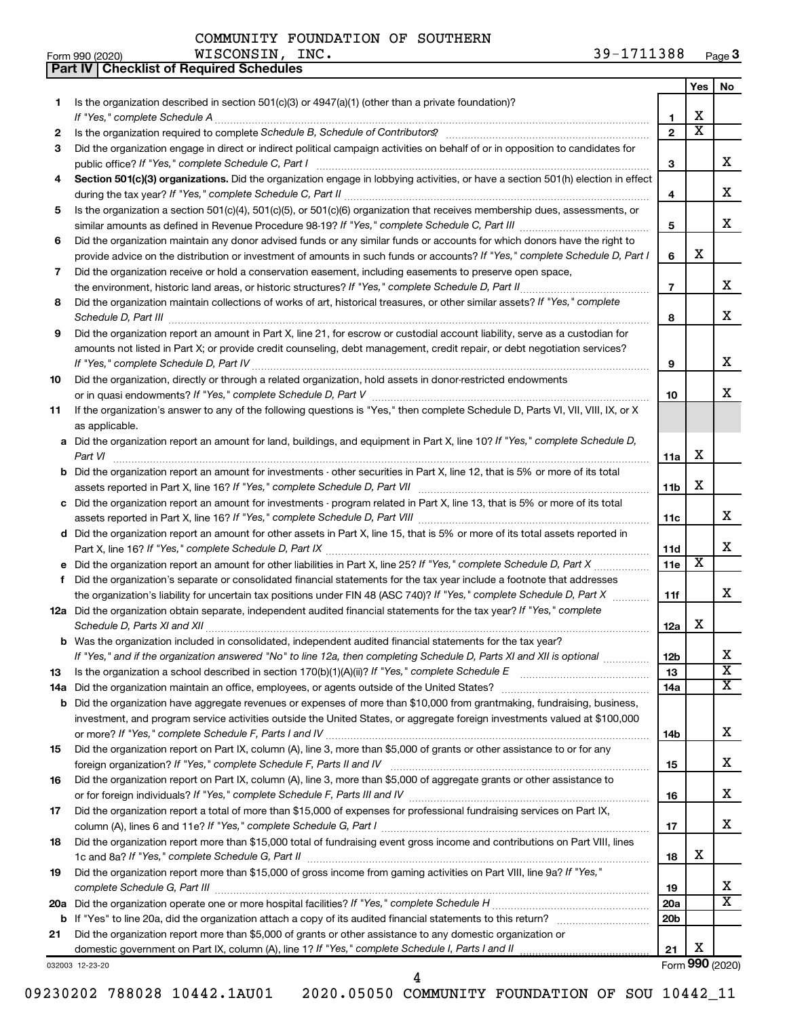WISCONSIN, INC.

**Part IV Checklist of Required Schedules**

|     |                                                                                                                                                                 |                 | Yes                     | No                         |
|-----|-----------------------------------------------------------------------------------------------------------------------------------------------------------------|-----------------|-------------------------|----------------------------|
| 1   | Is the organization described in section $501(c)(3)$ or $4947(a)(1)$ (other than a private foundation)?                                                         |                 |                         |                            |
|     | If "Yes," complete Schedule A                                                                                                                                   | 1               | х                       |                            |
| 2   | Is the organization required to complete Schedule B, Schedule of Contributors? [11] the organization required to complete Schedule B, Schedule of Contributors? | $\overline{2}$  | $\overline{\textbf{x}}$ |                            |
| З   | Did the organization engage in direct or indirect political campaign activities on behalf of or in opposition to candidates for                                 |                 |                         |                            |
|     |                                                                                                                                                                 | З               |                         | x                          |
| 4   | Section 501(c)(3) organizations. Did the organization engage in lobbying activities, or have a section 501(h) election in effect                                |                 |                         |                            |
|     |                                                                                                                                                                 | 4               |                         | х                          |
| 5   | Is the organization a section 501(c)(4), 501(c)(5), or 501(c)(6) organization that receives membership dues, assessments, or                                    |                 |                         |                            |
|     |                                                                                                                                                                 | 5               |                         | x                          |
| 6   | Did the organization maintain any donor advised funds or any similar funds or accounts for which donors have the right to                                       |                 |                         |                            |
|     | provide advice on the distribution or investment of amounts in such funds or accounts? If "Yes," complete Schedule D, Part I                                    | 6               | х                       |                            |
| 7   | Did the organization receive or hold a conservation easement, including easements to preserve open space,                                                       |                 |                         |                            |
|     |                                                                                                                                                                 | $\overline{7}$  |                         | х                          |
| 8   | Did the organization maintain collections of works of art, historical treasures, or other similar assets? If "Yes," complete                                    |                 |                         |                            |
|     |                                                                                                                                                                 | 8               |                         | x                          |
| 9   | Did the organization report an amount in Part X, line 21, for escrow or custodial account liability, serve as a custodian for                                   |                 |                         |                            |
|     | amounts not listed in Part X; or provide credit counseling, debt management, credit repair, or debt negotiation services?                                       |                 |                         |                            |
|     |                                                                                                                                                                 | 9               |                         | х                          |
| 10  | Did the organization, directly or through a related organization, hold assets in donor-restricted endowments                                                    |                 |                         |                            |
|     |                                                                                                                                                                 | 10              |                         | х                          |
| 11  | If the organization's answer to any of the following questions is "Yes," then complete Schedule D, Parts VI, VII, VIII, IX, or X                                |                 |                         |                            |
|     | as applicable.                                                                                                                                                  |                 |                         |                            |
|     | a Did the organization report an amount for land, buildings, and equipment in Part X, line 10? If "Yes," complete Schedule D,                                   |                 |                         |                            |
|     | Part VI                                                                                                                                                         | 11a             | х                       |                            |
|     | <b>b</b> Did the organization report an amount for investments - other securities in Part X, line 12, that is 5% or more of its total                           |                 |                         |                            |
|     |                                                                                                                                                                 | 11 <sub>b</sub> | х                       |                            |
|     | c Did the organization report an amount for investments - program related in Part X, line 13, that is 5% or more of its total                                   |                 |                         |                            |
|     |                                                                                                                                                                 | 11c             |                         | х                          |
|     | d Did the organization report an amount for other assets in Part X, line 15, that is 5% or more of its total assets reported in                                 |                 |                         |                            |
|     |                                                                                                                                                                 | 11d             |                         | х                          |
|     |                                                                                                                                                                 | 11e             | х                       |                            |
| f   | Did the organization's separate or consolidated financial statements for the tax year include a footnote that addresses                                         |                 |                         |                            |
|     | the organization's liability for uncertain tax positions under FIN 48 (ASC 740)? If "Yes," complete Schedule D, Part X                                          | 11f             |                         | х                          |
|     | 12a Did the organization obtain separate, independent audited financial statements for the tax year? If "Yes," complete                                         |                 |                         |                            |
|     | Schedule D, Parts XI and XII                                                                                                                                    | 12a             | x                       |                            |
|     | <b>b</b> Was the organization included in consolidated, independent audited financial statements for the tax year?                                              |                 |                         |                            |
|     | If "Yes," and if the organization answered "No" to line 12a, then completing Schedule D, Parts XI and XII is optional www.                                      | 12 <sub>b</sub> |                         | Χ                          |
| 13  |                                                                                                                                                                 | 13              |                         | $\overline{\textbf{x}}$    |
| 14a |                                                                                                                                                                 | 14a             |                         | $\overline{\texttt{X}}$    |
|     | <b>b</b> Did the organization have aggregate revenues or expenses of more than \$10,000 from grantmaking, fundraising, business,                                |                 |                         |                            |
|     | investment, and program service activities outside the United States, or aggregate foreign investments valued at \$100,000                                      |                 |                         |                            |
|     |                                                                                                                                                                 | 14b             |                         | x                          |
| 15  | Did the organization report on Part IX, column (A), line 3, more than \$5,000 of grants or other assistance to or for any                                       |                 |                         |                            |
|     |                                                                                                                                                                 | 15              |                         | x                          |
| 16  | Did the organization report on Part IX, column (A), line 3, more than \$5,000 of aggregate grants or other assistance to                                        |                 |                         |                            |
|     |                                                                                                                                                                 | 16              |                         | x                          |
| 17  | Did the organization report a total of more than \$15,000 of expenses for professional fundraising services on Part IX,                                         |                 |                         |                            |
|     |                                                                                                                                                                 | 17              |                         | x                          |
| 18  | Did the organization report more than \$15,000 total of fundraising event gross income and contributions on Part VIII, lines                                    |                 | х                       |                            |
|     |                                                                                                                                                                 | 18              |                         |                            |
| 19  | Did the organization report more than \$15,000 of gross income from gaming activities on Part VIII, line 9a? If "Yes,"                                          |                 |                         |                            |
|     |                                                                                                                                                                 | 19              |                         | x<br>$\overline{\text{x}}$ |
|     |                                                                                                                                                                 | 20a             |                         |                            |
|     | <b>b</b> If "Yes" to line 20a, did the organization attach a copy of its audited financial statements to this return?                                           | 20 <sub>b</sub> |                         |                            |
| 21  | Did the organization report more than \$5,000 of grants or other assistance to any domestic organization or                                                     | 21              | х                       |                            |
|     | domestic government on Part IX, column (A), line 1? If "Yes," complete Schedule I, Parts I and II                                                               |                 |                         | Form 990 (2020)            |
|     | 032003 12-23-20                                                                                                                                                 |                 |                         |                            |

09230202 788028 10442.1AU01 2020.05050 COMMUNITY FOUNDATION OF SOU 10442\_11

4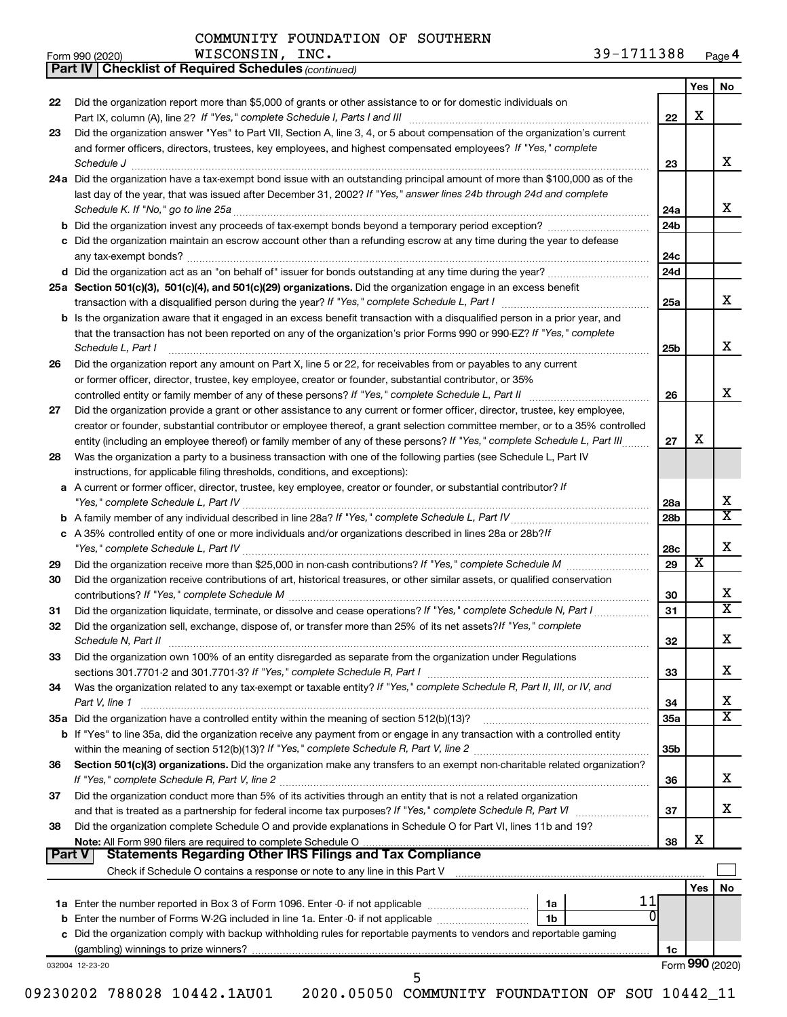|        | 39-1711388<br>WISCONSIN, INC.<br>Form 990 (2020)                                                                                                                                                                                    |                 |     | Page 4                  |
|--------|-------------------------------------------------------------------------------------------------------------------------------------------------------------------------------------------------------------------------------------|-----------------|-----|-------------------------|
|        | <b>Part IV   Checklist of Required Schedules (continued)</b>                                                                                                                                                                        |                 |     |                         |
|        |                                                                                                                                                                                                                                     |                 | Yes | No                      |
| 22     | Did the organization report more than \$5,000 of grants or other assistance to or for domestic individuals on                                                                                                                       |                 |     |                         |
|        |                                                                                                                                                                                                                                     | 22              | х   |                         |
| 23     | Did the organization answer "Yes" to Part VII, Section A, line 3, 4, or 5 about compensation of the organization's current                                                                                                          |                 |     |                         |
|        | and former officers, directors, trustees, key employees, and highest compensated employees? If "Yes," complete                                                                                                                      |                 |     |                         |
|        | Schedule J <b>Execute Discoverse Construction Construction</b> Construction Construction Construction Construction Construction Construction Construction Construction Construction Construction Construction Construction Construc | 23              |     | x                       |
|        | 24a Did the organization have a tax-exempt bond issue with an outstanding principal amount of more than \$100,000 as of the                                                                                                         |                 |     |                         |
|        | last day of the year, that was issued after December 31, 2002? If "Yes," answer lines 24b through 24d and complete                                                                                                                  |                 |     |                         |
|        |                                                                                                                                                                                                                                     | 24a             |     | x                       |
|        |                                                                                                                                                                                                                                     | 24 <sub>b</sub> |     |                         |
|        | c Did the organization maintain an escrow account other than a refunding escrow at any time during the year to defease                                                                                                              |                 |     |                         |
|        |                                                                                                                                                                                                                                     | 24c             |     |                         |
|        |                                                                                                                                                                                                                                     | 24 <sub>d</sub> |     |                         |
|        | 25a Section 501(c)(3), 501(c)(4), and 501(c)(29) organizations. Did the organization engage in an excess benefit                                                                                                                    |                 |     |                         |
|        |                                                                                                                                                                                                                                     | 25a             |     | x                       |
|        | <b>b</b> Is the organization aware that it engaged in an excess benefit transaction with a disqualified person in a prior year, and                                                                                                 |                 |     |                         |
|        | that the transaction has not been reported on any of the organization's prior Forms 990 or 990-EZ? If "Yes," complete                                                                                                               |                 |     |                         |
|        | Schedule L, Part I                                                                                                                                                                                                                  | 25b             |     | х                       |
| 26     | Did the organization report any amount on Part X, line 5 or 22, for receivables from or payables to any current                                                                                                                     |                 |     |                         |
|        | or former officer, director, trustee, key employee, creator or founder, substantial contributor, or 35%                                                                                                                             |                 |     |                         |
|        | controlled entity or family member of any of these persons? If "Yes," complete Schedule L, Part II manufactured and the set of these persons? If "Yes," complete Schedule L, Part II                                                | 26              |     | x                       |
| 27     | Did the organization provide a grant or other assistance to any current or former officer, director, trustee, key employee,                                                                                                         |                 |     |                         |
|        | creator or founder, substantial contributor or employee thereof, a grant selection committee member, or to a 35% controlled                                                                                                         |                 |     |                         |
|        | entity (including an employee thereof) or family member of any of these persons? If "Yes," complete Schedule L, Part III                                                                                                            | 27              | х   |                         |
| 28     | Was the organization a party to a business transaction with one of the following parties (see Schedule L, Part IV                                                                                                                   |                 |     |                         |
|        | instructions, for applicable filing thresholds, conditions, and exceptions):                                                                                                                                                        |                 |     |                         |
|        | a A current or former officer, director, trustee, key employee, creator or founder, or substantial contributor? If                                                                                                                  |                 |     |                         |
|        |                                                                                                                                                                                                                                     | 28a             |     | х                       |
|        |                                                                                                                                                                                                                                     | 28 <sub>b</sub> |     | $\overline{\mathtt{x}}$ |
|        | c A 35% controlled entity of one or more individuals and/or organizations described in lines 28a or 28b?If                                                                                                                          |                 |     |                         |
|        |                                                                                                                                                                                                                                     | 28c             |     | х                       |
| 29     |                                                                                                                                                                                                                                     | 29              | X   |                         |
| 30     | Did the organization receive contributions of art, historical treasures, or other similar assets, or qualified conservation                                                                                                         |                 |     |                         |
|        |                                                                                                                                                                                                                                     | 30              |     | x                       |
| 31     |                                                                                                                                                                                                                                     | 31              |     | $\overline{\mathtt{x}}$ |
| 32     | Did the organization sell, exchange, dispose of, or transfer more than 25% of its net assets? If "Yes," complete                                                                                                                    |                 |     |                         |
|        | Schedule N, Part II                                                                                                                                                                                                                 | 32              |     | х                       |
| 33     | Did the organization own 100% of an entity disregarded as separate from the organization under Regulations                                                                                                                          |                 |     |                         |
|        |                                                                                                                                                                                                                                     | 33              |     | х                       |
| 34     | Was the organization related to any tax-exempt or taxable entity? If "Yes," complete Schedule R, Part II, III, or IV, and                                                                                                           |                 |     |                         |
|        | Part V, line 1                                                                                                                                                                                                                      | 34              |     | х                       |
|        |                                                                                                                                                                                                                                     | 35a             |     | $\overline{\text{x}}$   |
|        | b If "Yes" to line 35a, did the organization receive any payment from or engage in any transaction with a controlled entity                                                                                                         |                 |     |                         |
|        |                                                                                                                                                                                                                                     | 35 <sub>b</sub> |     |                         |
| 36     | Section 501(c)(3) organizations. Did the organization make any transfers to an exempt non-charitable related organization?                                                                                                          |                 |     |                         |
|        |                                                                                                                                                                                                                                     | 36              |     | x                       |
| 37     | Did the organization conduct more than 5% of its activities through an entity that is not a related organization                                                                                                                    |                 |     |                         |
|        |                                                                                                                                                                                                                                     | 37              |     | х                       |
| 38     | Did the organization complete Schedule O and provide explanations in Schedule O for Part VI, lines 11b and 19?                                                                                                                      |                 |     |                         |
|        |                                                                                                                                                                                                                                     | 38              | х   |                         |
| Part V | <b>Statements Regarding Other IRS Filings and Tax Compliance</b>                                                                                                                                                                    |                 |     |                         |
|        | Check if Schedule O contains a response or note to any line in this Part V [11] [12] Check if Schedule O contains a response or note to any line in this Part V                                                                     |                 |     |                         |
|        |                                                                                                                                                                                                                                     |                 | Yes | No                      |
|        | 11<br>1a                                                                                                                                                                                                                            |                 |     |                         |
|        | <b>b</b> Enter the number of Forms W-2G included in line 1a. Enter -0- if not applicable<br>1b                                                                                                                                      |                 |     |                         |
|        |                                                                                                                                                                                                                                     |                 |     |                         |

**c** Did the organization comply with backup withholding rules for reportable payments to vendors and reportable gaming (gambling) winnings to prize winners?

032004 12-23-20

**26**

09230202 788028 10442.1AU01 2020.05050 COMMUNITY FOUNDATION OF SOU 10442\_11

5

Form (2020) **990**

**1c**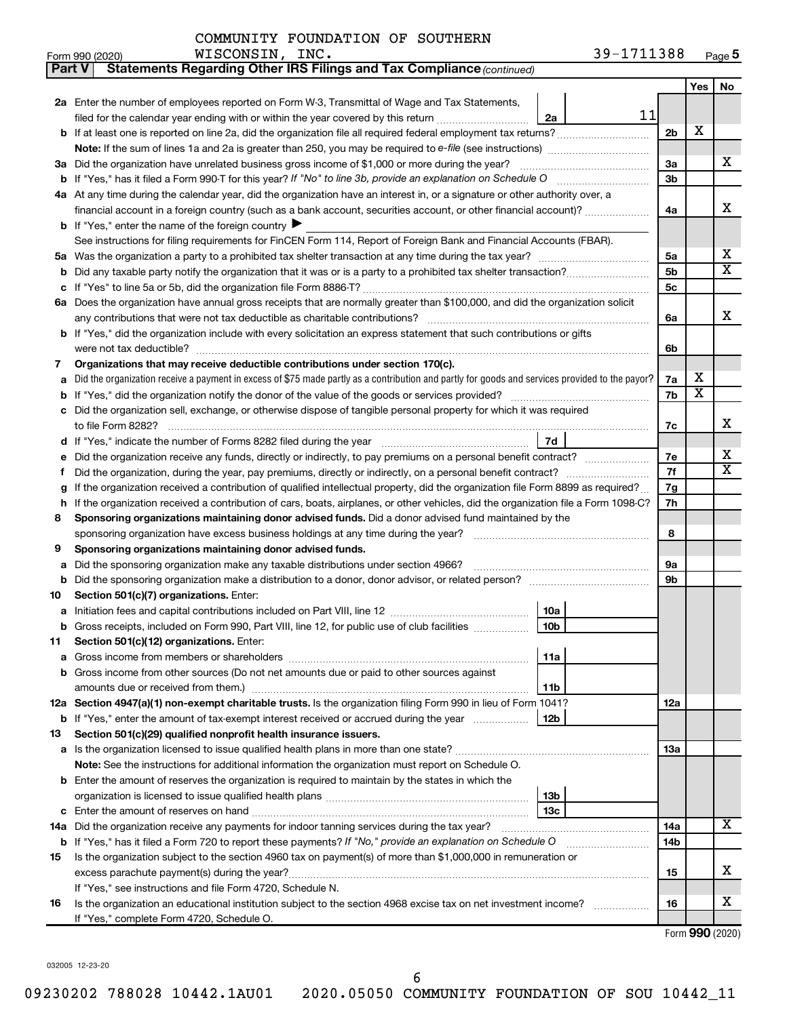| Part V | Statements Regarding Other IRS Filings and Tax Compliance (continued)                                                                           |                |                         |    |  |  |  |  |  |
|--------|-------------------------------------------------------------------------------------------------------------------------------------------------|----------------|-------------------------|----|--|--|--|--|--|
|        |                                                                                                                                                 |                | Yes                     | No |  |  |  |  |  |
|        | 2a Enter the number of employees reported on Form W-3, Transmittal of Wage and Tax Statements,                                                  |                |                         |    |  |  |  |  |  |
|        | 11<br>filed for the calendar year ending with or within the year covered by this return<br>2a                                                   |                |                         |    |  |  |  |  |  |
|        |                                                                                                                                                 | 2 <sub>b</sub> | X                       |    |  |  |  |  |  |
|        | Note: If the sum of lines 1a and 2a is greater than 250, you may be required to e-file (see instructions) <i>managereroum</i>                   |                |                         |    |  |  |  |  |  |
|        | 3a Did the organization have unrelated business gross income of \$1,000 or more during the year?                                                |                |                         |    |  |  |  |  |  |
| b      | If "Yes," has it filed a Form 990-T for this year? If "No" to line 3b, provide an explanation on Schedule O manumum                             |                |                         |    |  |  |  |  |  |
|        | 4a At any time during the calendar year, did the organization have an interest in, or a signature or other authority over, a                    |                |                         |    |  |  |  |  |  |
|        | financial account in a foreign country (such as a bank account, securities account, or other financial account)?                                | 4a             |                         | x  |  |  |  |  |  |
|        | <b>b</b> If "Yes," enter the name of the foreign country ▶                                                                                      |                |                         |    |  |  |  |  |  |
|        | See instructions for filing requirements for FinCEN Form 114, Report of Foreign Bank and Financial Accounts (FBAR).                             |                |                         |    |  |  |  |  |  |
| 5a     |                                                                                                                                                 | 5a             |                         | x  |  |  |  |  |  |
| b      |                                                                                                                                                 | 5b             |                         | X  |  |  |  |  |  |
| с      |                                                                                                                                                 | 5c             |                         |    |  |  |  |  |  |
|        | 6a Does the organization have annual gross receipts that are normally greater than \$100,000, and did the organization solicit                  |                |                         |    |  |  |  |  |  |
|        |                                                                                                                                                 | 6a             |                         | x  |  |  |  |  |  |
|        | <b>b</b> If "Yes," did the organization include with every solicitation an express statement that such contributions or gifts                   |                |                         |    |  |  |  |  |  |
|        |                                                                                                                                                 | 6b             |                         |    |  |  |  |  |  |
| 7      | Organizations that may receive deductible contributions under section 170(c).                                                                   |                |                         |    |  |  |  |  |  |
| а      | Did the organization receive a payment in excess of \$75 made partly as a contribution and partly for goods and services provided to the payor? | 7a             | х                       |    |  |  |  |  |  |
| b      |                                                                                                                                                 | 7b             | $\overline{\textbf{x}}$ |    |  |  |  |  |  |
|        | c Did the organization sell, exchange, or otherwise dispose of tangible personal property for which it was required                             |                |                         |    |  |  |  |  |  |
|        |                                                                                                                                                 | 7c             |                         | х  |  |  |  |  |  |
|        | <b>7d</b>                                                                                                                                       | 7е             |                         | x  |  |  |  |  |  |
| е      |                                                                                                                                                 |                |                         |    |  |  |  |  |  |
| f.     |                                                                                                                                                 |                |                         |    |  |  |  |  |  |
| g      | If the organization received a contribution of qualified intellectual property, did the organization file Form 8899 as required?                |                |                         |    |  |  |  |  |  |
| h      | If the organization received a contribution of cars, boats, airplanes, or other vehicles, did the organization file a Form 1098-C?              |                |                         |    |  |  |  |  |  |
| 8      | Sponsoring organizations maintaining donor advised funds. Did a donor advised fund maintained by the                                            |                |                         |    |  |  |  |  |  |
|        |                                                                                                                                                 |                |                         |    |  |  |  |  |  |
| 9      | Sponsoring organizations maintaining donor advised funds.                                                                                       |                |                         |    |  |  |  |  |  |
| а      | Did the sponsoring organization make any taxable distributions under section 4966?                                                              | 9а<br>9b       |                         |    |  |  |  |  |  |
| b      |                                                                                                                                                 |                |                         |    |  |  |  |  |  |
| 10     | Section 501(c)(7) organizations. Enter:<br>10a                                                                                                  |                |                         |    |  |  |  |  |  |
| а      | 10 <sub>b</sub><br>b Gross receipts, included on Form 990, Part VIII, line 12, for public use of club facilities                                |                |                         |    |  |  |  |  |  |
| 11     | Section 501(c)(12) organizations. Enter:                                                                                                        |                |                         |    |  |  |  |  |  |
| а      | 11a                                                                                                                                             |                |                         |    |  |  |  |  |  |
|        | b Gross income from other sources (Do not net amounts due or paid to other sources against                                                      |                |                         |    |  |  |  |  |  |
|        | 11b                                                                                                                                             |                |                         |    |  |  |  |  |  |
|        | 12a Section 4947(a)(1) non-exempt charitable trusts. Is the organization filing Form 990 in lieu of Form 1041?                                  | 12a            |                         |    |  |  |  |  |  |
|        | 12 <sub>b</sub><br><b>b</b> If "Yes," enter the amount of tax-exempt interest received or accrued during the year                               |                |                         |    |  |  |  |  |  |
| 13     | Section 501(c)(29) qualified nonprofit health insurance issuers.                                                                                |                |                         |    |  |  |  |  |  |
| а      | Is the organization licensed to issue qualified health plans in more than one state?                                                            | 1За            |                         |    |  |  |  |  |  |
|        | <b>Note:</b> See the instructions for additional information the organization must report on Schedule O.                                        |                |                         |    |  |  |  |  |  |
|        | <b>b</b> Enter the amount of reserves the organization is required to maintain by the states in which the                                       |                |                         |    |  |  |  |  |  |
|        | 13 <sub>b</sub>                                                                                                                                 |                |                         |    |  |  |  |  |  |
| с      | 13с                                                                                                                                             |                |                         |    |  |  |  |  |  |
|        | 14a Did the organization receive any payments for indoor tanning services during the tax year?                                                  | 14a            |                         | x  |  |  |  |  |  |
| b      | If "Yes," has it filed a Form 720 to report these payments? If "No," provide an explanation on Schedule O                                       | 14b            |                         |    |  |  |  |  |  |
| 15     | Is the organization subject to the section 4960 tax on payment(s) of more than \$1,000,000 in remuneration or                                   |                |                         |    |  |  |  |  |  |
|        |                                                                                                                                                 | 15             |                         | х  |  |  |  |  |  |
|        | If "Yes," see instructions and file Form 4720, Schedule N.                                                                                      |                |                         |    |  |  |  |  |  |
| 16     | Is the organization an educational institution subject to the section 4968 excise tax on net investment income?                                 | 16             |                         | х  |  |  |  |  |  |
|        | If "Yes," complete Form 4720, Schedule O.                                                                                                       |                |                         |    |  |  |  |  |  |

Form (2020) **990**

032005 12-23-20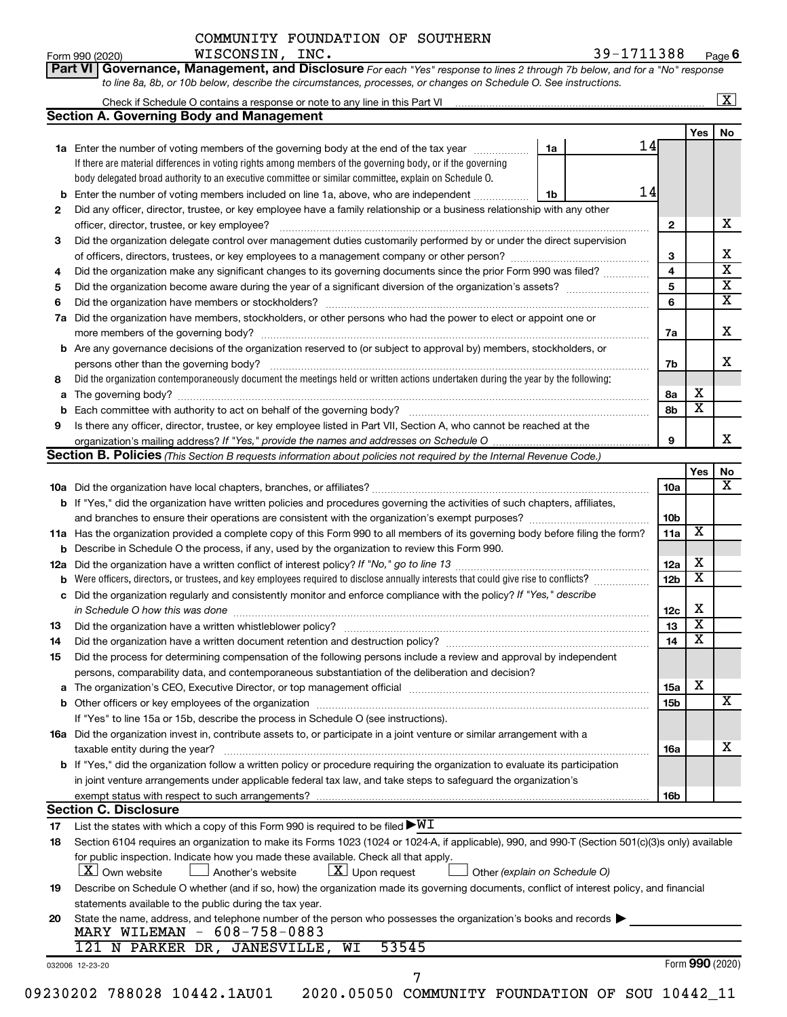|  |  |  | Part VI   Governance, Management, and Disclosure For each "Yes" response to lines 2 through 7b below, and for a "No" response |  |  |
|--|--|--|-------------------------------------------------------------------------------------------------------------------------------|--|--|
|  |  |  | to line 8a, 8b, or 10b below, describe the circumstances, processes, or changes on Schedule O. See instructions.              |  |  |

|     | <b>Section A. Governing Body and Management</b>                                                                                                  |                 |                         |    |  |  |  |  |  |  |
|-----|--------------------------------------------------------------------------------------------------------------------------------------------------|-----------------|-------------------------|----|--|--|--|--|--|--|
|     |                                                                                                                                                  |                 | Yes                     | No |  |  |  |  |  |  |
|     | 14<br>1a Enter the number of voting members of the governing body at the end of the tax year<br>1a                                               |                 |                         |    |  |  |  |  |  |  |
|     | If there are material differences in voting rights among members of the governing body, or if the governing                                      |                 |                         |    |  |  |  |  |  |  |
|     | body delegated broad authority to an executive committee or similar committee, explain on Schedule O.                                            |                 |                         |    |  |  |  |  |  |  |
| b   | 14<br>Enter the number of voting members included on line 1a, above, who are independent<br>1b                                                   |                 |                         |    |  |  |  |  |  |  |
| 2   | Did any officer, director, trustee, or key employee have a family relationship or a business relationship with any other                         |                 |                         |    |  |  |  |  |  |  |
|     | officer, director, trustee, or key employee?                                                                                                     | $\mathbf{2}$    |                         |    |  |  |  |  |  |  |
| 3   | Did the organization delegate control over management duties customarily performed by or under the direct supervision                            |                 |                         |    |  |  |  |  |  |  |
|     |                                                                                                                                                  | 3               |                         |    |  |  |  |  |  |  |
| 4   | Did the organization make any significant changes to its governing documents since the prior Form 990 was filed?                                 | $\overline{4}$  |                         |    |  |  |  |  |  |  |
| 5   |                                                                                                                                                  | 5               |                         |    |  |  |  |  |  |  |
| 6   |                                                                                                                                                  | 6               |                         |    |  |  |  |  |  |  |
| 7a  | Did the organization have members, stockholders, or other persons who had the power to elect or appoint one or                                   |                 |                         |    |  |  |  |  |  |  |
|     |                                                                                                                                                  |                 |                         |    |  |  |  |  |  |  |
|     |                                                                                                                                                  | 7a              |                         |    |  |  |  |  |  |  |
| b   | Are any governance decisions of the organization reserved to (or subject to approval by) members, stockholders, or                               |                 |                         |    |  |  |  |  |  |  |
|     | persons other than the governing body?                                                                                                           | 7b              |                         |    |  |  |  |  |  |  |
| 8   | Did the organization contemporaneously document the meetings held or written actions undertaken during the year by the following:                |                 |                         |    |  |  |  |  |  |  |
| a   |                                                                                                                                                  | 8a              | х                       |    |  |  |  |  |  |  |
| b   |                                                                                                                                                  | 8b              | $\overline{\mathbf{X}}$ |    |  |  |  |  |  |  |
| 9   | Is there any officer, director, trustee, or key employee listed in Part VII, Section A, who cannot be reached at the                             |                 |                         |    |  |  |  |  |  |  |
|     |                                                                                                                                                  | 9               |                         |    |  |  |  |  |  |  |
|     | Section B. Policies (This Section B requests information about policies not required by the Internal Revenue Code.)                              |                 |                         |    |  |  |  |  |  |  |
|     |                                                                                                                                                  |                 | Yes                     |    |  |  |  |  |  |  |
|     |                                                                                                                                                  | <b>10a</b>      |                         |    |  |  |  |  |  |  |
| b   | If "Yes," did the organization have written policies and procedures governing the activities of such chapters, affiliates,                       |                 |                         |    |  |  |  |  |  |  |
|     |                                                                                                                                                  | 10 <sub>b</sub> |                         |    |  |  |  |  |  |  |
|     |                                                                                                                                                  |                 | $\overline{\mathbf{X}}$ |    |  |  |  |  |  |  |
|     | 11a Has the organization provided a complete copy of this Form 990 to all members of its governing body before filing the form?                  | 11a             |                         |    |  |  |  |  |  |  |
| b   | Describe in Schedule O the process, if any, used by the organization to review this Form 990.                                                    |                 |                         |    |  |  |  |  |  |  |
| 12a |                                                                                                                                                  | 12a             | х                       |    |  |  |  |  |  |  |
| b   | Were officers, directors, or trustees, and key employees required to disclose annually interests that could give rise to conflicts?              | 12 <sub>b</sub> | $\overline{\mathbf{X}}$ |    |  |  |  |  |  |  |
| с   | Did the organization regularly and consistently monitor and enforce compliance with the policy? If "Yes," describe                               |                 |                         |    |  |  |  |  |  |  |
|     | in Schedule O how this was done                                                                                                                  | 12c             | х                       |    |  |  |  |  |  |  |
| 13  |                                                                                                                                                  | 13              | $\overline{\mathbf{X}}$ |    |  |  |  |  |  |  |
| 14  | Did the organization have a written document retention and destruction policy? [11] manufaction manufaction in                                   | 14              | X                       |    |  |  |  |  |  |  |
| 15  | Did the process for determining compensation of the following persons include a review and approval by independent                               |                 |                         |    |  |  |  |  |  |  |
|     | persons, comparability data, and contemporaneous substantiation of the deliberation and decision?                                                |                 |                         |    |  |  |  |  |  |  |
| а   |                                                                                                                                                  | 15a             | х                       |    |  |  |  |  |  |  |
|     |                                                                                                                                                  | 15b             |                         |    |  |  |  |  |  |  |
|     |                                                                                                                                                  |                 |                         |    |  |  |  |  |  |  |
|     | If "Yes" to line 15a or 15b, describe the process in Schedule O (see instructions).                                                              |                 |                         |    |  |  |  |  |  |  |
|     | 16a Did the organization invest in, contribute assets to, or participate in a joint venture or similar arrangement with a                        |                 |                         |    |  |  |  |  |  |  |
|     | taxable entity during the year?                                                                                                                  | 16a             |                         |    |  |  |  |  |  |  |
|     | <b>b</b> If "Yes," did the organization follow a written policy or procedure requiring the organization to evaluate its participation            |                 |                         |    |  |  |  |  |  |  |
|     | in joint venture arrangements under applicable federal tax law, and take steps to safeguard the organization's                                   |                 |                         |    |  |  |  |  |  |  |
|     | exempt status with respect to such arrangements?                                                                                                 | 16b             |                         |    |  |  |  |  |  |  |
|     | <b>Section C. Disclosure</b>                                                                                                                     |                 |                         |    |  |  |  |  |  |  |
| 17  | List the states with which a copy of this Form 990 is required to be filed $\blacktriangleright\texttt{WI}$                                      |                 |                         |    |  |  |  |  |  |  |
| 18  | Section 6104 requires an organization to make its Forms 1023 (1024 or 1024-A, if applicable), 990, and 990-T (Section 501(c)(3)s only) available |                 |                         |    |  |  |  |  |  |  |
|     | for public inspection. Indicate how you made these available. Check all that apply.                                                              |                 |                         |    |  |  |  |  |  |  |
|     | $X$ Own website<br>$ \mathbf{X} $ Upon request<br>Another's website<br>Other (explain on Schedule O)                                             |                 |                         |    |  |  |  |  |  |  |
| 19  | Describe on Schedule O whether (and if so, how) the organization made its governing documents, conflict of interest policy, and financial        |                 |                         |    |  |  |  |  |  |  |
|     |                                                                                                                                                  |                 |                         |    |  |  |  |  |  |  |
|     | statements available to the public during the tax year.                                                                                          |                 |                         |    |  |  |  |  |  |  |
|     | State the name, address, and telephone number of the person who possesses the organization's books and records<br>MARY WILEMAN - 608-758-0883    |                 |                         |    |  |  |  |  |  |  |
| 20  |                                                                                                                                                  |                 |                         |    |  |  |  |  |  |  |
|     |                                                                                                                                                  |                 |                         |    |  |  |  |  |  |  |
|     | 53545<br>121 N PARKER DR, JANESVILLE, WI                                                                                                         |                 | Form 990 (2020)         |    |  |  |  |  |  |  |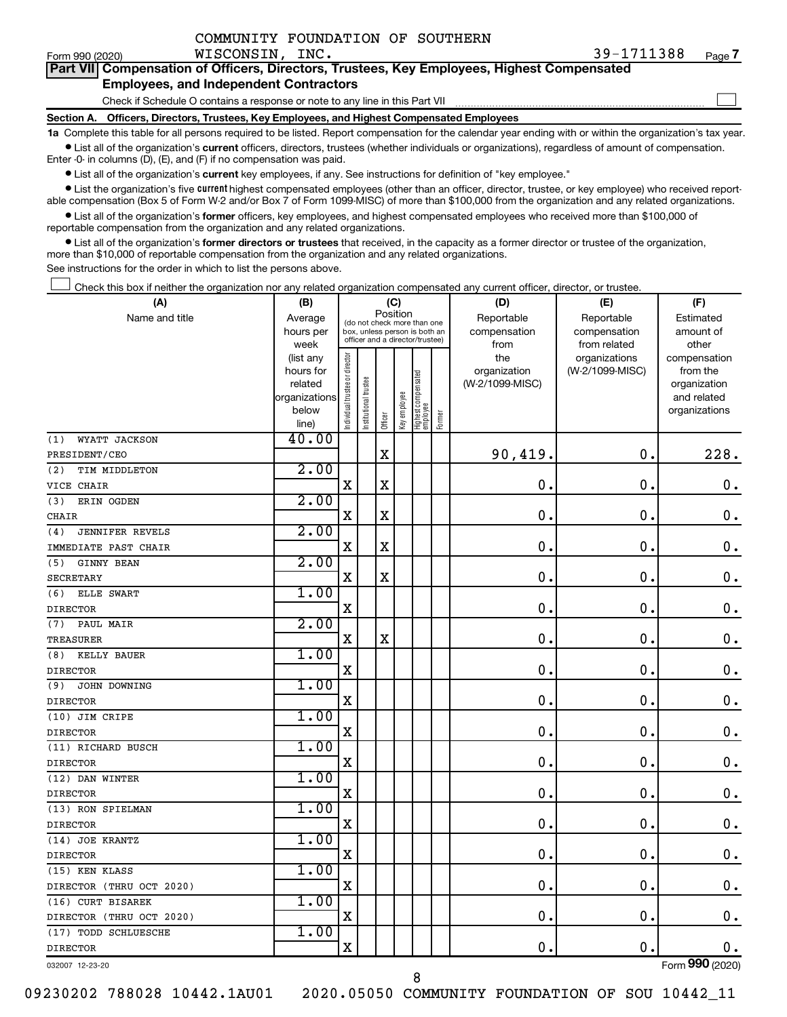|  | COMMUNITY FOUNDATION OF SOUTHERN |  |  |
|--|----------------------------------|--|--|
|--|----------------------------------|--|--|

 $\Box$ 

| Part VII Compensation of Officers, Directors, Trustees, Key Employees, Highest Compensated |  |
|--------------------------------------------------------------------------------------------|--|
| <b>Employees, and Independent Contractors</b>                                              |  |

Check if Schedule O contains a response or note to any line in this Part VII

**Section A. Officers, Directors, Trustees, Key Employees, and Highest Compensated Employees**

**1a**  Complete this table for all persons required to be listed. Report compensation for the calendar year ending with or within the organization's tax year.  $\bullet$  List all of the organization's current officers, directors, trustees (whether individuals or organizations), regardless of amount of compensation.

Enter -0- in columns (D), (E), and (F) if no compensation was paid.

**•** List all of the organization's current key employees, if any. See instructions for definition of "key employee."

• List the organization's five *current* highest compensated employees (other than an officer, director, trustee, or key employee) who received reportable compensation (Box 5 of Form W-2 and/or Box 7 of Form 1099-MISC) of more than \$100,000 from the organization and any related organizations.

 $\bullet$  List all of the organization's former officers, key employees, and highest compensated employees who received more than \$100,000 of reportable compensation from the organization and any related organizations.

**•** List all of the organization's former directors or trustees that received, in the capacity as a former director or trustee of the organization, more than \$10,000 of reportable compensation from the organization and any related organizations.

See instructions for the order in which to list the persons above.

Check this box if neither the organization nor any related organization compensated any current officer, director, or trustee.  $\Box$ 

| (A)                           | (B)                    |                               |                                                                  | (C)                     |              |                                 |        | (D)                 | (E)                              | (F)                      |
|-------------------------------|------------------------|-------------------------------|------------------------------------------------------------------|-------------------------|--------------|---------------------------------|--------|---------------------|----------------------------------|--------------------------|
| Name and title                | Average                |                               | (do not check more than one                                      |                         | Position     |                                 |        | Reportable          | Reportable                       | Estimated                |
|                               | hours per              |                               | box, unless person is both an<br>officer and a director/trustee) |                         |              |                                 |        | compensation        | compensation                     | amount of                |
|                               | week                   |                               |                                                                  |                         |              |                                 |        | from                | from related                     | other                    |
|                               | (list any<br>hours for |                               |                                                                  |                         |              |                                 |        | the<br>organization | organizations<br>(W-2/1099-MISC) | compensation<br>from the |
|                               | related                |                               | trustee                                                          |                         |              |                                 |        | (W-2/1099-MISC)     |                                  | organization             |
|                               | organizations          |                               |                                                                  |                         |              |                                 |        |                     |                                  | and related              |
|                               | below                  | ndividual trustee or director | Institutional t                                                  |                         | Key employee | Highest compensated<br>employee |        |                     |                                  | organizations            |
|                               | line)                  |                               |                                                                  | Officer                 |              |                                 | Former |                     |                                  |                          |
| WYATT JACKSON<br>(1)          | 40.00                  |                               |                                                                  |                         |              |                                 |        |                     |                                  |                          |
| PRESIDENT/CEO                 |                        |                               |                                                                  | $\mathbf X$             |              |                                 |        | 90,419.             | $\mathbf 0$ .                    | 228.                     |
| TIM MIDDLETON<br>(2)          | 2.00                   |                               |                                                                  |                         |              |                                 |        |                     |                                  |                          |
| VICE CHAIR                    |                        | $\mathbf X$                   |                                                                  | $\overline{\mathbf{X}}$ |              |                                 |        | $\mathbf 0$ .       | $\mathbf 0$ .                    | $\boldsymbol{0}$ .       |
| ERIN OGDEN<br>(3)             | 2.00                   |                               |                                                                  |                         |              |                                 |        |                     |                                  |                          |
| <b>CHAIR</b>                  |                        | $\mathbf X$                   |                                                                  | $\mathbf X$             |              |                                 |        | $\mathbf 0$ .       | $\mathbf 0$ .                    | $\mathbf 0$ .            |
| <b>JENNIFER REVELS</b><br>(4) | 2.00                   |                               |                                                                  |                         |              |                                 |        |                     |                                  |                          |
| IMMEDIATE PAST CHAIR          |                        | $\mathbf X$                   |                                                                  | $\mathbf X$             |              |                                 |        | 0.                  | $\mathbf 0$ .                    | $\mathbf 0$ .            |
| <b>GINNY BEAN</b><br>(5)      | 2.00                   |                               |                                                                  |                         |              |                                 |        |                     |                                  |                          |
| <b>SECRETARY</b>              |                        | $\mathbf X$                   |                                                                  | $\mathbf X$             |              |                                 |        | $\mathbf 0$ .       | $\mathbf 0$ .                    | $\mathbf 0$ .            |
| ELLE SWART<br>(6)             | 1.00                   |                               |                                                                  |                         |              |                                 |        |                     |                                  |                          |
| <b>DIRECTOR</b>               |                        | X                             |                                                                  |                         |              |                                 |        | $\mathbf 0$ .       | $\mathbf 0$ .                    | $\mathbf 0$ .            |
| PAUL MAIR<br>(7)              | 2.00                   |                               |                                                                  |                         |              |                                 |        |                     |                                  |                          |
| <b>TREASURER</b>              |                        | X                             |                                                                  | $\mathbf X$             |              |                                 |        | $\mathbf 0$ .       | $\mathbf 0$ .                    | $\mathbf 0$ .            |
| (8)<br>KELLY BAUER            | 1.00                   |                               |                                                                  |                         |              |                                 |        |                     |                                  |                          |
| <b>DIRECTOR</b>               |                        | $\mathbf X$                   |                                                                  |                         |              |                                 |        | $\mathbf 0$ .       | $\mathbf 0$ .                    | $\mathbf 0$ .            |
| JOHN DOWNING<br>(9)           | 1.00                   |                               |                                                                  |                         |              |                                 |        |                     |                                  |                          |
| <b>DIRECTOR</b>               |                        | $\mathbf X$                   |                                                                  |                         |              |                                 |        | $\mathbf 0$ .       | $\mathbf 0$ .                    | $\mathbf 0$ .            |
| (10) JIM CRIPE                | 1.00                   |                               |                                                                  |                         |              |                                 |        |                     |                                  |                          |
| <b>DIRECTOR</b>               |                        | $\mathbf X$                   |                                                                  |                         |              |                                 |        | $\mathbf{0}$ .      | $\mathbf 0$ .                    | $\mathbf 0$ .            |
| (11) RICHARD BUSCH            | 1.00                   |                               |                                                                  |                         |              |                                 |        |                     |                                  |                          |
| <b>DIRECTOR</b>               |                        | X                             |                                                                  |                         |              |                                 |        | $\mathbf 0$ .       | $\mathbf 0$ .                    | $\mathbf 0$ .            |
| (12) DAN WINTER               | 1.00                   |                               |                                                                  |                         |              |                                 |        |                     |                                  |                          |
| <b>DIRECTOR</b>               |                        | $\mathbf X$                   |                                                                  |                         |              |                                 |        | 0.                  | $\mathbf 0$ .                    | $\mathbf 0$ .            |
| (13) RON SPIELMAN             | 1.00                   |                               |                                                                  |                         |              |                                 |        |                     |                                  |                          |
| <b>DIRECTOR</b>               |                        | Χ                             |                                                                  |                         |              |                                 |        | $\mathbf 0$ .       | $\mathbf 0$ .                    | $\mathbf 0$ .            |
| (14) JOE KRANTZ               | 1.00                   |                               |                                                                  |                         |              |                                 |        |                     |                                  |                          |
| <b>DIRECTOR</b>               |                        | $\mathbf X$                   |                                                                  |                         |              |                                 |        | 0.                  | $\mathbf 0$ .                    | $0$ .                    |
| (15) KEN KLASS                | 1.00                   |                               |                                                                  |                         |              |                                 |        |                     |                                  |                          |
| DIRECTOR (THRU OCT 2020)      |                        | $\mathbf X$                   |                                                                  |                         |              |                                 |        | 0.                  | $\mathbf 0$ .                    | $\mathbf 0$ .            |
| (16) CURT BISAREK             | 1.00                   |                               |                                                                  |                         |              |                                 |        |                     |                                  |                          |
| DIRECTOR (THRU OCT 2020)      |                        | $\mathbf X$                   |                                                                  |                         |              |                                 |        | 0.                  | $\mathbf 0$ .                    | $\mathbf 0$ .            |
| (17) TODD SCHLUESCHE          | 1.00                   |                               |                                                                  |                         |              |                                 |        |                     |                                  |                          |
| <b>DIRECTOR</b>               |                        | $\mathbf X$                   |                                                                  |                         |              |                                 |        | 0.                  | $\mathbf 0$ .                    | 0.                       |
|                               |                        |                               |                                                                  |                         |              |                                 |        |                     |                                  |                          |

032007 12-23-20

09230202 788028 10442.1AU01 2020.05050 COMMUNITY FOUNDATION OF SOU 10442\_11

8

Form (2020) **990**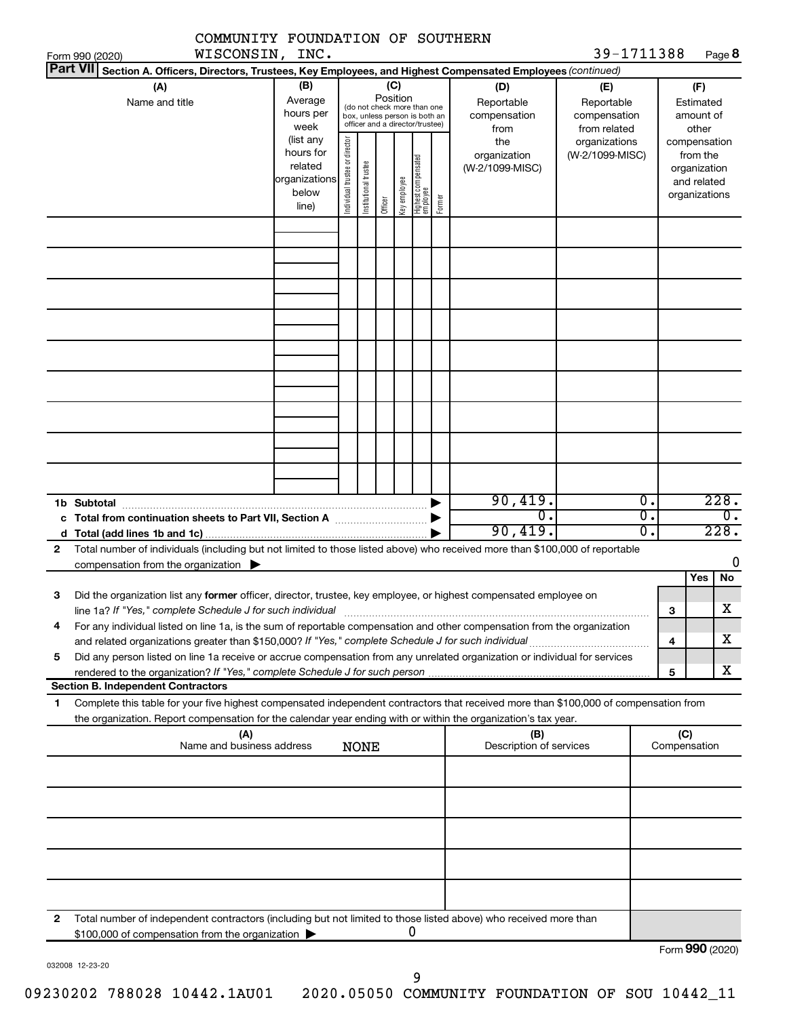| COMMUNITY FOUNDATION OF SOUTHERN                                                                                                                                                                                                                            |                                                         |                                |                                                                                                                    |         |              |                                           |                                                  |                                                                    |                     |                                                          |
|-------------------------------------------------------------------------------------------------------------------------------------------------------------------------------------------------------------------------------------------------------------|---------------------------------------------------------|--------------------------------|--------------------------------------------------------------------------------------------------------------------|---------|--------------|-------------------------------------------|--------------------------------------------------|--------------------------------------------------------------------|---------------------|----------------------------------------------------------|
| WISCONSIN, INC.<br>Form 990 (2020)                                                                                                                                                                                                                          |                                                         |                                |                                                                                                                    |         |              |                                           |                                                  | 39-1711388                                                         |                     | Page 8                                                   |
| Part VII Section A. Officers, Directors, Trustees, Key Employees, and Highest Compensated Employees (continued)                                                                                                                                             |                                                         |                                |                                                                                                                    |         |              |                                           |                                                  |                                                                    |                     |                                                          |
| (A)<br>Name and title                                                                                                                                                                                                                                       | (B)<br>Average<br>hours per<br>week<br>(list any        |                                | (C)<br>Position<br>(do not check more than one<br>box, unless person is both an<br>officer and a director/trustee) |         |              |                                           | (D)<br>Reportable<br>compensation<br>from<br>the | (E)<br>Reportable<br>compensation<br>from related<br>organizations |                     | (F)<br>Estimated<br>amount of<br>other<br>compensation   |
|                                                                                                                                                                                                                                                             | hours for<br>related<br>organizations<br>below<br>line) | Individual trustee or director | Institutional trustee                                                                                              | Officer | Key employee | Highest compensated<br>employee<br>Former | organization<br>(W-2/1099-MISC)                  | (W-2/1099-MISC)                                                    |                     | from the<br>organization<br>and related<br>organizations |
|                                                                                                                                                                                                                                                             |                                                         |                                |                                                                                                                    |         |              |                                           |                                                  |                                                                    |                     |                                                          |
|                                                                                                                                                                                                                                                             |                                                         |                                |                                                                                                                    |         |              |                                           |                                                  |                                                                    |                     |                                                          |
|                                                                                                                                                                                                                                                             |                                                         |                                |                                                                                                                    |         |              |                                           |                                                  |                                                                    |                     |                                                          |
|                                                                                                                                                                                                                                                             |                                                         |                                |                                                                                                                    |         |              |                                           |                                                  |                                                                    |                     |                                                          |
|                                                                                                                                                                                                                                                             |                                                         |                                |                                                                                                                    |         |              |                                           |                                                  |                                                                    |                     |                                                          |
|                                                                                                                                                                                                                                                             |                                                         |                                |                                                                                                                    |         |              |                                           |                                                  |                                                                    |                     |                                                          |
|                                                                                                                                                                                                                                                             |                                                         |                                |                                                                                                                    |         |              |                                           |                                                  |                                                                    |                     |                                                          |
| 1b Subtotal                                                                                                                                                                                                                                                 |                                                         |                                |                                                                                                                    |         |              |                                           | 90,419.                                          | $\overline{0}$ .                                                   |                     | 228.                                                     |
|                                                                                                                                                                                                                                                             |                                                         |                                |                                                                                                                    |         |              |                                           | σ.<br>90,419.                                    | σ.<br>σ.                                                           |                     | 0.<br>228.                                               |
| Total number of individuals (including but not limited to those listed above) who received more than \$100,000 of reportable<br>$\mathbf{2}$                                                                                                                |                                                         |                                |                                                                                                                    |         |              |                                           |                                                  |                                                                    |                     |                                                          |
| compensation from the organization $\blacktriangleright$                                                                                                                                                                                                    |                                                         |                                |                                                                                                                    |         |              |                                           |                                                  |                                                                    |                     | 0                                                        |
|                                                                                                                                                                                                                                                             |                                                         |                                |                                                                                                                    |         |              |                                           |                                                  |                                                                    |                     | Yes<br>No                                                |
| Did the organization list any former officer, director, trustee, key employee, or highest compensated employee on<br>З<br>line 1a? If "Yes," complete Schedule J for such individual                                                                        |                                                         |                                |                                                                                                                    |         |              |                                           |                                                  |                                                                    | З                   | $\overline{\text{X}}$                                    |
| For any individual listed on line 1a, is the sum of reportable compensation and other compensation from the organization<br>4                                                                                                                               |                                                         |                                |                                                                                                                    |         |              |                                           |                                                  |                                                                    | 4                   | x                                                        |
| Did any person listed on line 1a receive or accrue compensation from any unrelated organization or individual for services<br>5                                                                                                                             |                                                         |                                |                                                                                                                    |         |              |                                           |                                                  |                                                                    |                     |                                                          |
|                                                                                                                                                                                                                                                             |                                                         |                                |                                                                                                                    |         |              |                                           |                                                  |                                                                    | 5                   | X                                                        |
| <b>Section B. Independent Contractors</b>                                                                                                                                                                                                                   |                                                         |                                |                                                                                                                    |         |              |                                           |                                                  |                                                                    |                     |                                                          |
| Complete this table for your five highest compensated independent contractors that received more than \$100,000 of compensation from<br>1<br>the organization. Report compensation for the calendar year ending with or within the organization's tax year. |                                                         |                                |                                                                                                                    |         |              |                                           |                                                  |                                                                    |                     |                                                          |
| (A)<br>Name and business address                                                                                                                                                                                                                            |                                                         |                                | <b>NONE</b>                                                                                                        |         |              |                                           | (B)<br>Description of services                   |                                                                    | (C)<br>Compensation |                                                          |
|                                                                                                                                                                                                                                                             |                                                         |                                |                                                                                                                    |         |              |                                           |                                                  |                                                                    |                     |                                                          |
|                                                                                                                                                                                                                                                             |                                                         |                                |                                                                                                                    |         |              |                                           |                                                  |                                                                    |                     |                                                          |
|                                                                                                                                                                                                                                                             |                                                         |                                |                                                                                                                    |         |              |                                           |                                                  |                                                                    |                     |                                                          |
|                                                                                                                                                                                                                                                             |                                                         |                                |                                                                                                                    |         |              |                                           |                                                  |                                                                    |                     |                                                          |
| Total number of independent contractors (including but not limited to those listed above) who received more than<br>2<br>\$100,000 of compensation from the organization                                                                                    |                                                         |                                |                                                                                                                    |         | 0            |                                           |                                                  |                                                                    |                     |                                                          |
|                                                                                                                                                                                                                                                             |                                                         |                                |                                                                                                                    |         |              |                                           |                                                  |                                                                    |                     | Form 990 (2020)                                          |

032008 12-23-20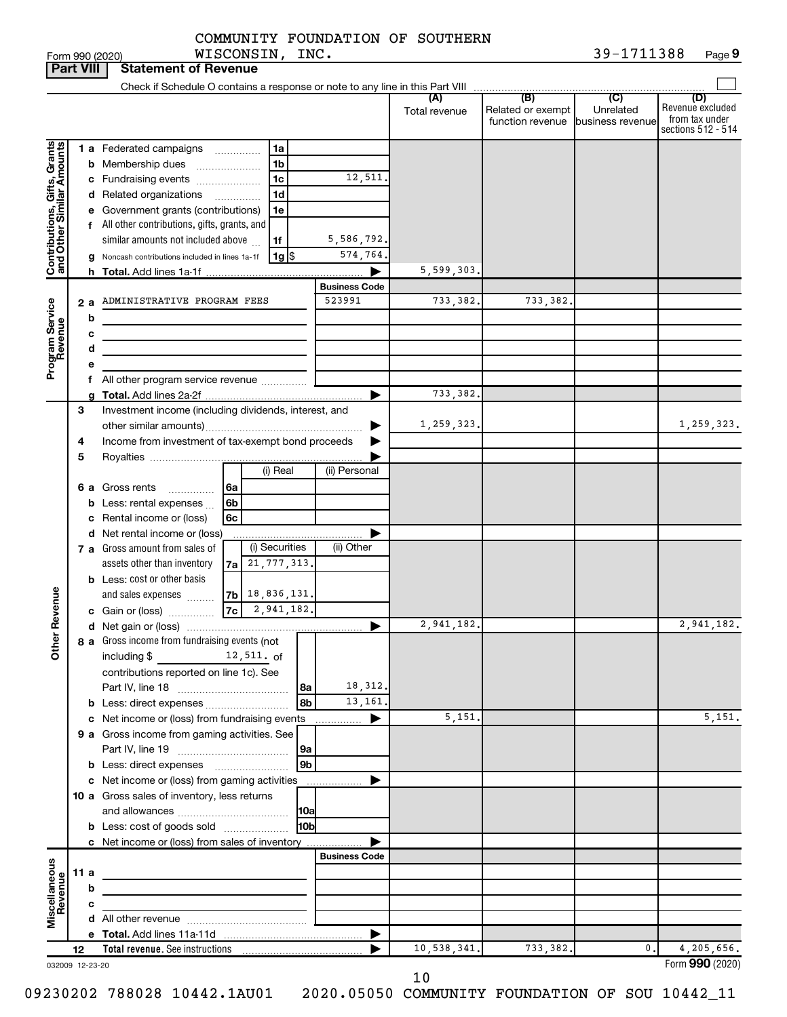$\frac{1}{90}$  Form 990 (2020) WISCONSIN, INC.  $\frac{1}{2}$  and  $\frac{1}{2}$   $\frac{1}{2}$   $\frac{1}{2}$   $\frac{1}{2}$   $\frac{1}{2}$   $\frac{1}{2}$   $\frac{1}{2}$ **9** WISCONSIN, INC. 39-1711388

| <b>Part VIII</b>                                          |      |        | <b>Statement of Revenue</b>                                                |                                         |                |                      |                      |                                              |                                                 |                                                                 |
|-----------------------------------------------------------|------|--------|----------------------------------------------------------------------------|-----------------------------------------|----------------|----------------------|----------------------|----------------------------------------------|-------------------------------------------------|-----------------------------------------------------------------|
|                                                           |      |        |                                                                            |                                         |                |                      |                      |                                              |                                                 |                                                                 |
|                                                           |      |        |                                                                            |                                         |                |                      | (A)<br>Total revenue | (B)<br>Related or exempt<br>function revenue | $\overline{C}$<br>Unrelated<br>business revenue | (D)<br>Revenue excluded<br>from tax under<br>sections 512 - 514 |
|                                                           |      |        | 1 a Federated campaigns                                                    |                                         | 1a             |                      |                      |                                              |                                                 |                                                                 |
| Contributions, Gifts, Grants<br>and Other Similar Amounts |      |        | <b>b</b> Membership dues                                                   |                                         | 1 <sub>b</sub> |                      |                      |                                              |                                                 |                                                                 |
|                                                           |      |        | c Fundraising events                                                       |                                         | 1 <sub>c</sub> | 12,511.              |                      |                                              |                                                 |                                                                 |
|                                                           |      |        | d Related organizations                                                    | .                                       | 1 <sub>d</sub> |                      |                      |                                              |                                                 |                                                                 |
|                                                           |      |        | e Government grants (contributions)                                        |                                         | 1e             |                      |                      |                                              |                                                 |                                                                 |
|                                                           |      |        | f All other contributions, gifts, grants, and                              |                                         |                |                      |                      |                                              |                                                 |                                                                 |
|                                                           |      |        | similar amounts not included above                                         |                                         | 1f             | 5,586,792.           |                      |                                              |                                                 |                                                                 |
|                                                           |      |        | g Noncash contributions included in lines 1a-1f                            |                                         | $1g$ \$        | 574,764.             |                      |                                              |                                                 |                                                                 |
|                                                           |      |        |                                                                            |                                         |                |                      | 5,599,303.           |                                              |                                                 |                                                                 |
|                                                           |      |        |                                                                            |                                         |                | <b>Business Code</b> |                      |                                              |                                                 |                                                                 |
| Program Service<br>Revenue                                | 2a   |        | ADMINISTRATIVE PROGRAM FEES                                                |                                         |                | 523991               | 733,382.             | 733,382.                                     |                                                 |                                                                 |
|                                                           |      | b      |                                                                            |                                         |                |                      |                      |                                              |                                                 |                                                                 |
|                                                           |      | с      |                                                                            |                                         |                |                      |                      |                                              |                                                 |                                                                 |
|                                                           |      | d<br>е | the control of the control of the control of the control of                |                                         |                |                      |                      |                                              |                                                 |                                                                 |
|                                                           |      |        | f All other program service revenue                                        |                                         |                |                      |                      |                                              |                                                 |                                                                 |
|                                                           |      |        |                                                                            |                                         |                |                      | 733,382.             |                                              |                                                 |                                                                 |
|                                                           | 3    |        | Investment income (including dividends, interest, and                      |                                         |                |                      |                      |                                              |                                                 |                                                                 |
|                                                           |      |        |                                                                            |                                         |                |                      | 1,259,323.           |                                              |                                                 | 1,259,323.                                                      |
|                                                           | 4    |        | Income from investment of tax-exempt bond proceeds                         |                                         |                |                      |                      |                                              |                                                 |                                                                 |
|                                                           | 5    |        |                                                                            |                                         |                |                      |                      |                                              |                                                 |                                                                 |
|                                                           |      |        |                                                                            |                                         | (i) Real       | (ii) Personal        |                      |                                              |                                                 |                                                                 |
|                                                           |      |        | 6 a Gross rents                                                            | l 6a                                    |                |                      |                      |                                              |                                                 |                                                                 |
|                                                           |      |        | <b>b</b> Less: rental expenses $\ldots$                                    | 6 <sub>b</sub>                          |                |                      |                      |                                              |                                                 |                                                                 |
|                                                           |      |        | c Rental income or (loss)                                                  | 6c                                      |                |                      |                      |                                              |                                                 |                                                                 |
|                                                           |      |        | d Net rental income or (loss)<br>7 a Gross amount from sales of            |                                         | (i) Securities | (ii) Other           |                      |                                              |                                                 |                                                                 |
|                                                           |      |        | assets other than inventory                                                | 7a                                      | 21, 777, 313.  |                      |                      |                                              |                                                 |                                                                 |
|                                                           |      |        | <b>b</b> Less: cost or other basis                                         |                                         |                |                      |                      |                                              |                                                 |                                                                 |
|                                                           |      |        | and sales expenses                                                         | $ 7b $ 18,836,131.                      |                |                      |                      |                                              |                                                 |                                                                 |
| Revenue                                                   |      |        | c Gain or (loss)                                                           | $ 7c $ 2,941,182.                       |                |                      |                      |                                              |                                                 |                                                                 |
|                                                           |      |        |                                                                            |                                         |                |                      | 2,941,182.           |                                              |                                                 | 2,941,182.                                                      |
|                                                           |      |        | 8 a Gross income from fundraising events (not                              |                                         |                |                      |                      |                                              |                                                 |                                                                 |
| $\check{\epsilon}$                                        |      |        | including \$                                                               | $12,511.$ of                            |                |                      |                      |                                              |                                                 |                                                                 |
|                                                           |      |        | contributions reported on line 1c). See                                    |                                         |                |                      |                      |                                              |                                                 |                                                                 |
|                                                           |      |        |                                                                            |                                         | l 8a           | 18,312.              |                      |                                              |                                                 |                                                                 |
|                                                           |      |        | <b>b</b> Less: direct expenses                                             |                                         | 8b             | 13,161.              |                      |                                              |                                                 |                                                                 |
|                                                           |      |        | c Net income or (loss) from fundraising events                             |                                         |                | ▶<br>.               | 5,151.               |                                              |                                                 | 5,151.                                                          |
|                                                           |      |        | 9 a Gross income from gaming activities. See                               |                                         | 9a             |                      |                      |                                              |                                                 |                                                                 |
|                                                           |      |        | <b>b</b> Less: direct expenses <b>manually</b>                             |                                         | 9 <sub>b</sub> |                      |                      |                                              |                                                 |                                                                 |
|                                                           |      |        | c Net income or (loss) from gaming activities                              |                                         |                | .                    |                      |                                              |                                                 |                                                                 |
|                                                           |      |        | 10 a Gross sales of inventory, less returns                                |                                         |                |                      |                      |                                              |                                                 |                                                                 |
|                                                           |      |        |                                                                            |                                         | 10a            |                      |                      |                                              |                                                 |                                                                 |
|                                                           |      |        | <b>b</b> Less: cost of goods sold                                          |                                         | 10bl           |                      |                      |                                              |                                                 |                                                                 |
|                                                           |      |        | c Net income or (loss) from sales of inventory                             |                                         |                |                      |                      |                                              |                                                 |                                                                 |
|                                                           |      |        |                                                                            |                                         |                | <b>Business Code</b> |                      |                                              |                                                 |                                                                 |
|                                                           | 11 a |        | the control of the control of the control of the control of the control of |                                         |                |                      |                      |                                              |                                                 |                                                                 |
|                                                           |      | b      |                                                                            |                                         |                |                      |                      |                                              |                                                 |                                                                 |
| Miscellaneous<br>Revenue                                  |      | с      |                                                                            | <u> 1980 - Johann Barbara, martin a</u> |                |                      |                      |                                              |                                                 |                                                                 |
|                                                           |      |        |                                                                            |                                         |                | ▶                    |                      |                                              |                                                 |                                                                 |
|                                                           | 12   |        |                                                                            |                                         |                |                      | 10,538,341.          | 733,382.                                     | 0.                                              | 4,205,656.                                                      |
| 032009 12-23-20                                           |      |        |                                                                            |                                         |                |                      |                      |                                              |                                                 | Form 990 (2020)                                                 |

10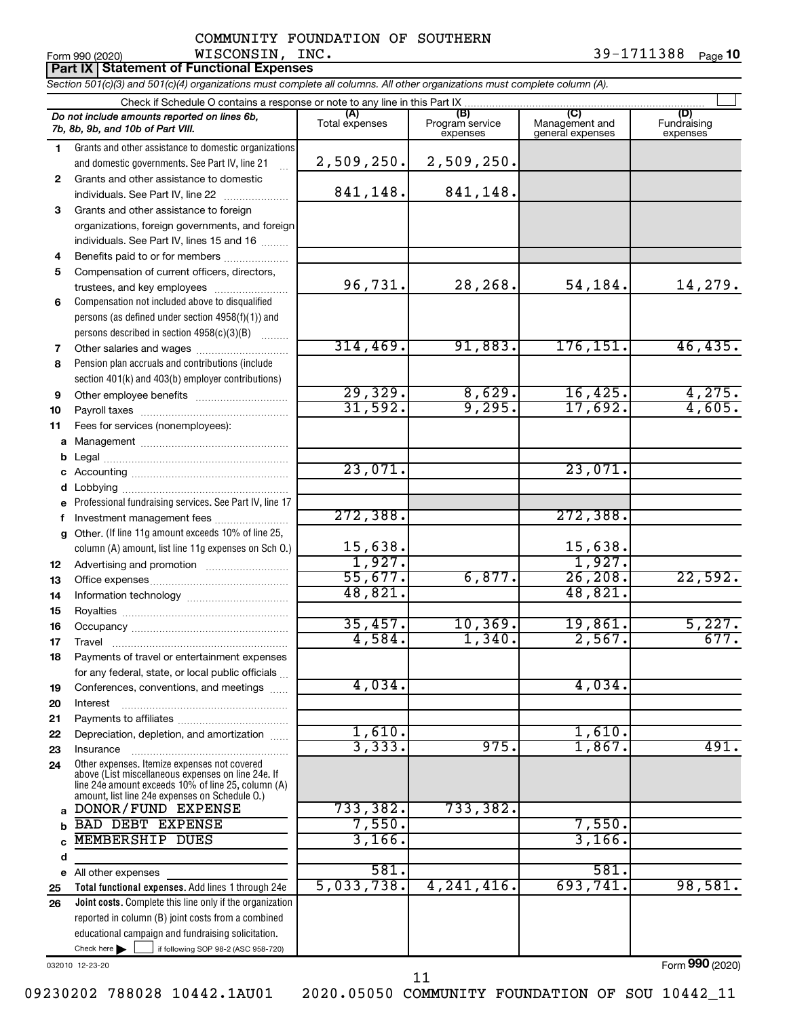| Form 990 (2020)                                                                   | WISCONSIN,                                                                                                                 | INC.                  |                                    |                                           | 39-1711388                     | Page 10 |
|-----------------------------------------------------------------------------------|----------------------------------------------------------------------------------------------------------------------------|-----------------------|------------------------------------|-------------------------------------------|--------------------------------|---------|
|                                                                                   | <b>Part IX Statement of Functional Expenses</b>                                                                            |                       |                                    |                                           |                                |         |
|                                                                                   | Section 501(c)(3) and 501(c)(4) organizations must complete all columns. All other organizations must complete column (A). |                       |                                    |                                           |                                |         |
|                                                                                   | Check if Schedule O contains a response or note to any line in this Part IX                                                |                       |                                    |                                           |                                |         |
| Do not include amounts reported on lines 6b,<br>7b, 8b, 9b, and 10b of Part VIII. |                                                                                                                            | (A)<br>Total expenses | (B)<br>Program service<br>expenses | (C)<br>Management and<br>general expenses | (D)<br>Fundraising<br>expenses |         |
|                                                                                   | Grants and other assistance to domestic organizations<br>and domestic governments. See Part IV, line 21                    | 2,509,250.            | 2,509,250.                         |                                           |                                |         |
| 2<br>individuals. See Part IV, line 22                                            | Grants and other assistance to domestic                                                                                    | 841, 148.             | 841, 148.                          |                                           |                                |         |

**3** Grants and other assistance to foreign organizations, foreign governments, and foreign individuals. See Part IV, lines 15 and 16  $\ldots$ 

**4 5 6** Compensation not included above to disqualified Benefits paid to or for members ................... Compensation of current officers, directors, trustees, and key employees ........................

persons (as defined under section 4958(f)(1)) and persons described in section  $4958(c)(3)(B)$   $\ldots$ 

**7 8 9** Pension plan accruals and contributions (include section 401(k) and 403(b) employer contributions) Other salaries and wages ~~~~~~~~~~ Other employee benefits ~~~~~~~~~~

**10 11** Payroll taxes ~~~~~~~~~~~~~~~~ Fees for services (nonemployees):

**a** Management ~~~~~~~~~~~~~~~~ **b** Legal ~~~~~~~~~~~~~~~~~~~~

**c d e f g** Professional fundraising services. See Part IV, line 17 Other. (If line 11g amount exceeds 10% of line 25, Accounting ~~~~~~~~~~~~~~~~~ Lobbying ~~~~~~~~~~~~~~~~~~ Investment management fees .......................

**12 13 14** Advertising and promotion ........................... Office expenses ~~~~~~~~~~~~~~~ Information technology ~~~~~~~~~~~

**15 16 17 18 19 20** Royalties ~~~~~~~~~~~~~~~~~~ Occupancy ~~~~~~~~~~~~~~~~~ Travel ~~~~~~~~~~~~~~~~~~~ Payments of travel or entertainment expenses for any federal, state, or local public officials ... Conferences, conventions, and meetings

**21 22 23 24 a** Other expenses. Itemize expenses not covered above (List miscellaneous expenses on line 24e. If line 24e amount exceeds 10% of line 25, column (A) amount, list line 24e expenses on Schedule O.) Payments to affiliates ~~~~~~~~~~~~ Depreciation, depletion, and amortization ...... Insurance ~~~~~~~~~~~~~~~~~

**Total functional expenses.**  Add lines 1 through 24e **b c d e 25** All other expenses BAD DEBT EXPENSE 7,550. 7 7,550. MEMBERSHIP DUES 3,166.

23,071. 23,071. 272,388. 272,388.

column (A) amount, list line 11g expenses on Sch O.)

Interest ~~~~~~~~~~~~~~~~~~

DONOR/FUND EXPENSE 733,382. 733,382.

**Joint costs.** Complete this line only if the organization reported in column (B) joint costs from a combined 581. 581. 5,033,738. 4,241,416. 693,741. 98,581.

032010 12-23-20

**26**

Form (2020) **990**

Check here if following SOP 98-2 (ASC 958-720)

educational campaign and fundraising solicitation.

11

09230202 788028 10442.1AU01 2020.05050 COMMUNITY FOUNDATION OF SOU 10442\_11

96,731. 28,268. 54,184. 14,279.

314,469. 91,883. 176,151. 46,435.

29,329. 8,629. 16,425. 4,275. 31,592. 9,295. 17,692. 4,605.

55,677. 6,877. 26,208. 22,592.

35,457. 10,369. 19,861. 5,227. 4,584. 1,340. 2,567. 677.

3,333. 975. 1,867. 491.

15,638. 15,638. 1,927. 1,927.

48,821. 48,821.

4,034. 4,034.

1,610.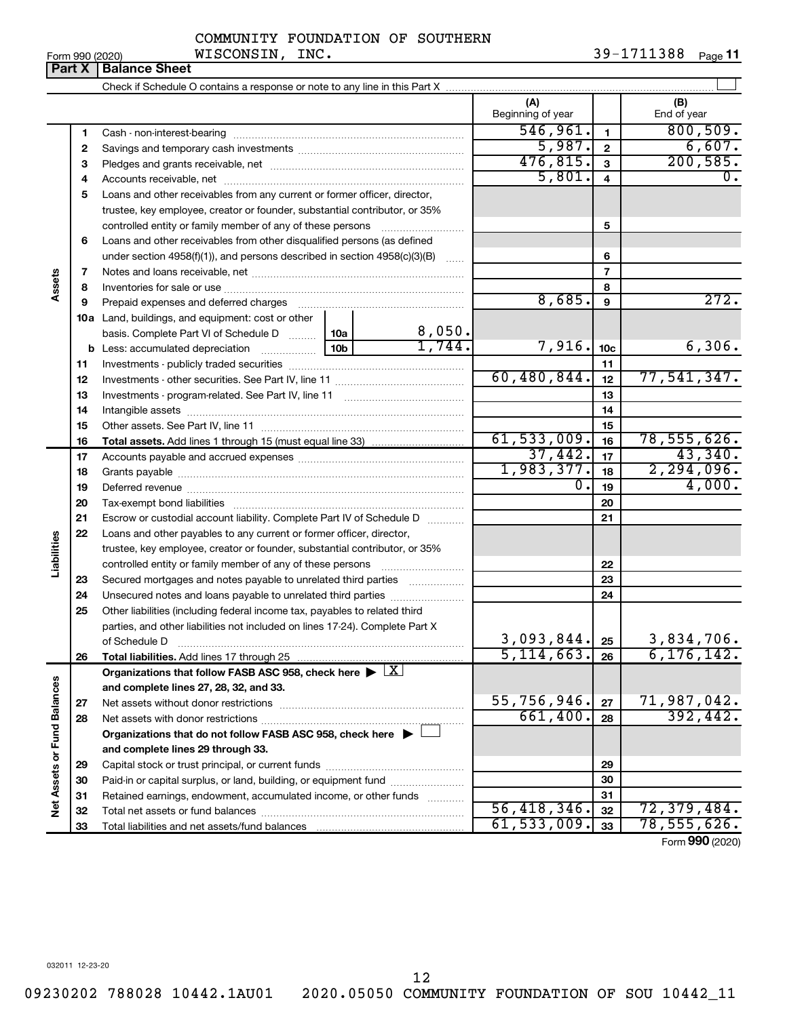**33**

Total liabilities and net assets/fund balances

|  | COMMUNITY FOUNDATION OF SOUTHERN |  |
|--|----------------------------------|--|
|  |                                  |  |

Form 990 (2020) **WISCONSIN, INC.** 39-1711388 <sub>Page</sub> 11

|                             | Part X | <b>Balance Sheet</b>                                                                                   |                              |                          |                         |                    |
|-----------------------------|--------|--------------------------------------------------------------------------------------------------------|------------------------------|--------------------------|-------------------------|--------------------|
|                             |        |                                                                                                        |                              |                          |                         |                    |
|                             |        |                                                                                                        |                              | (A)<br>Beginning of year |                         | (B)<br>End of year |
|                             | 1      |                                                                                                        |                              | 546,961.                 | $\mathbf{1}$            | 800, 509.          |
|                             | 2      |                                                                                                        |                              | 5,987.                   | $\overline{2}$          | 6,607.             |
|                             | З      |                                                                                                        |                              | 476,815.                 | $\mathbf{3}$            | 200, 585.          |
|                             | 4      |                                                                                                        |                              | 5,801.                   | $\overline{\mathbf{4}}$ | 0.                 |
|                             | 5      | Loans and other receivables from any current or former officer, director,                              |                              |                          |                         |                    |
|                             |        | trustee, key employee, creator or founder, substantial contributor, or 35%                             |                              |                          |                         |                    |
|                             |        | controlled entity or family member of any of these persons                                             |                              |                          | 5                       |                    |
|                             | 6      | Loans and other receivables from other disqualified persons (as defined                                |                              |                          |                         |                    |
|                             |        | under section $4958(f)(1)$ , and persons described in section $4958(c)(3)(B)$                          |                              |                          | 6                       |                    |
|                             | 7      |                                                                                                        |                              |                          | $\overline{7}$          |                    |
| Assets                      | 8      |                                                                                                        |                              |                          | 8                       |                    |
|                             | 9      | Prepaid expenses and deferred charges                                                                  |                              | 8,685.                   | 9                       | 272.               |
|                             |        | <b>10a</b> Land, buildings, and equipment: cost or other                                               |                              |                          |                         |                    |
|                             |        | basis. Complete Part VI of Schedule D                                                                  | $\frac{8,050}{1,744}$<br>10a |                          |                         |                    |
|                             |        | <b>b</b> Less: accumulated depreciation <i>mimimimini</i>                                              | 10 <sub>b</sub>              | 7,916.                   | 10 <sub>c</sub>         | 6,306.             |
|                             | 11     |                                                                                                        |                              |                          | 11                      |                    |
|                             | 12     |                                                                                                        |                              | 60,480,844.              | 12                      | 77,541,347.        |
|                             | 13     |                                                                                                        |                              |                          | 13                      |                    |
|                             | 14     |                                                                                                        |                              |                          | 14                      |                    |
|                             | 15     |                                                                                                        |                              |                          | 15                      |                    |
|                             | 16     |                                                                                                        |                              | 61, 533, 009.            | 16                      | 78, 555, 626.      |
|                             | 17     |                                                                                                        |                              | 37,442.                  | 17                      | 43,340.            |
|                             | 18     |                                                                                                        |                              | 1,983,377.               | 18                      | 2, 294, 096.       |
|                             | 19     |                                                                                                        |                              | $\overline{0}$ .         | 19                      | 4,000.             |
|                             | 20     |                                                                                                        |                              |                          | 20                      |                    |
|                             | 21     | Escrow or custodial account liability. Complete Part IV of Schedule D                                  |                              |                          | 21                      |                    |
|                             | 22     | Loans and other payables to any current or former officer, director,                                   |                              |                          |                         |                    |
| Liabilities                 |        | trustee, key employee, creator or founder, substantial contributor, or 35%                             |                              |                          |                         |                    |
|                             |        |                                                                                                        |                              |                          | 22                      |                    |
|                             | 23     | Secured mortgages and notes payable to unrelated third parties                                         |                              |                          | 23                      |                    |
|                             | 24     | Unsecured notes and loans payable to unrelated third parties                                           |                              |                          | 24                      |                    |
|                             | 25     | Other liabilities (including federal income tax, payables to related third                             |                              |                          |                         |                    |
|                             |        | parties, and other liabilities not included on lines 17-24). Complete Part X                           |                              |                          |                         |                    |
|                             |        | of Schedule D                                                                                          |                              | 3,093,844.               | 25                      | 3,834,706.         |
|                             | 26     | Total liabilities. Add lines 17 through 25                                                             |                              | 5, 114, 663.             | 26                      | 6, 176, 142.       |
|                             |        | Organizations that follow FASB ASC 958, check here $\blacktriangleright \lfloor \underline{X} \rfloor$ |                              |                          |                         |                    |
|                             |        | and complete lines 27, 28, 32, and 33.                                                                 |                              |                          |                         |                    |
|                             | 27     |                                                                                                        |                              | 55,756,946.              | 27                      | 71,987,042.        |
|                             | 28     |                                                                                                        |                              | 661,400.                 | 28                      | 392,442.           |
| Net Assets or Fund Balances |        | Organizations that do not follow FASB ASC 958, check here $\blacktriangleright$                        |                              |                          |                         |                    |
|                             |        | and complete lines 29 through 33.                                                                      |                              |                          |                         |                    |
|                             | 29     |                                                                                                        |                              |                          | 29                      |                    |
|                             | 30     | Paid-in or capital surplus, or land, building, or equipment fund                                       |                              |                          | 30                      |                    |
|                             | 31     | Retained earnings, endowment, accumulated income, or other funds                                       |                              | 56,418,346.              | 31                      |                    |
|                             | 32     |                                                                                                        |                              |                          | 32                      | 72,379,484.        |

Form (2020) **990**

**33**

 $61,533,009$ .  $33 \mid 78,555,626$ .

12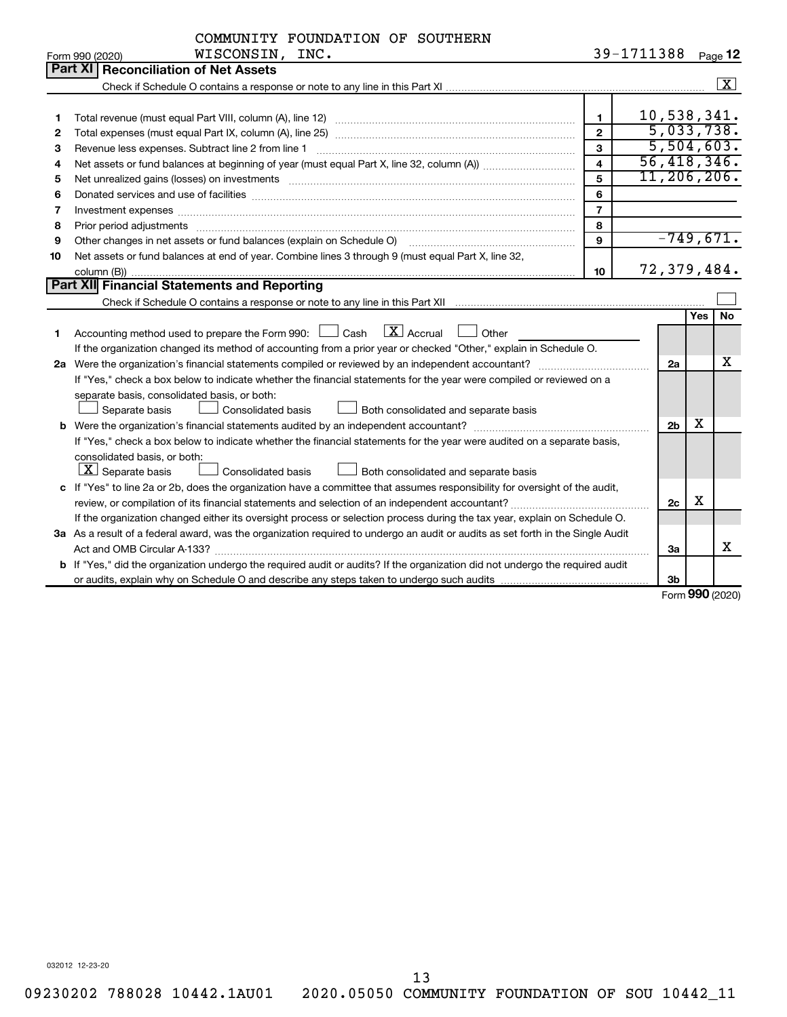|    | COMMUNITY FOUNDATION OF SOUTHERN                                                                                                                                                                                               |                         |             |                |   |                         |
|----|--------------------------------------------------------------------------------------------------------------------------------------------------------------------------------------------------------------------------------|-------------------------|-------------|----------------|---|-------------------------|
|    | WISCONSIN, INC.<br>Form 990 (2020)                                                                                                                                                                                             |                         | 39-1711388  |                |   | Page 12                 |
|    | Part XI   Reconciliation of Net Assets                                                                                                                                                                                         |                         |             |                |   |                         |
|    |                                                                                                                                                                                                                                |                         |             |                |   | $\overline{\mathbf{X}}$ |
|    |                                                                                                                                                                                                                                |                         |             |                |   |                         |
| 1  |                                                                                                                                                                                                                                | 1                       | 10,538,341. |                |   |                         |
| 2  |                                                                                                                                                                                                                                | $\mathbf{2}$            |             |                |   | 5,033,738.              |
| З  |                                                                                                                                                                                                                                | 3                       |             |                |   | 5,504,603.              |
| 4  |                                                                                                                                                                                                                                | $\overline{\mathbf{4}}$ |             |                |   | 56,418,346.             |
| 5  | Net unrealized gains (losses) on investments [111] www.martime.community.community.community.community.communi                                                                                                                 | 5                       |             |                |   | 11, 206, 206.           |
| 6  | Donated services and use of facilities [[111] non-manual content of the service and use of facilities [[11] no                                                                                                                 | 6                       |             |                |   |                         |
| 7  | Investment expenses [[11] has a series and a series of the series of the series and series and series and series and series and series and series and series and series and series and series and series and series and series | $\overline{7}$          |             |                |   |                         |
| 8  | Prior period adjustments www.communication.communication.com/news/communication.com/news/communication.com/new                                                                                                                 | 8                       |             |                |   |                         |
| 9  | Other changes in net assets or fund balances (explain on Schedule O)                                                                                                                                                           | 9                       |             |                |   | $-749,671.$             |
| 10 | Net assets or fund balances at end of year. Combine lines 3 through 9 (must equal Part X, line 32,                                                                                                                             |                         |             |                |   |                         |
|    |                                                                                                                                                                                                                                | 10                      |             |                |   | 72,379,484.             |
|    | Part XII Financial Statements and Reporting                                                                                                                                                                                    |                         |             |                |   |                         |
|    |                                                                                                                                                                                                                                |                         |             |                |   |                         |
|    |                                                                                                                                                                                                                                |                         |             |                |   | Yes   No                |
| 1  | $\boxed{\text{X}}$ Accrual<br>Accounting method used to prepare the Form 990: [16] Cash<br>  Other                                                                                                                             |                         |             |                |   |                         |
|    | If the organization changed its method of accounting from a prior year or checked "Other," explain in Schedule O.                                                                                                              |                         |             |                |   |                         |
|    |                                                                                                                                                                                                                                |                         |             | 2a             |   | х                       |
|    | If "Yes," check a box below to indicate whether the financial statements for the year were compiled or reviewed on a                                                                                                           |                         |             |                |   |                         |
|    | separate basis, consolidated basis, or both:                                                                                                                                                                                   |                         |             |                |   |                         |
|    | <b>Consolidated basis</b><br>Separate basis<br>Both consolidated and separate basis                                                                                                                                            |                         |             |                |   |                         |
|    | <b>b</b> Were the organization's financial statements audited by an independent accountant?                                                                                                                                    |                         |             | 2 <sub>b</sub> | x |                         |
|    | If "Yes," check a box below to indicate whether the financial statements for the year were audited on a separate basis,                                                                                                        |                         |             |                |   |                         |
|    | consolidated basis, or both:                                                                                                                                                                                                   |                         |             |                |   |                         |
|    | $\boxed{\mathbf{X}}$ Separate basis<br>Consolidated basis<br>Both consolidated and separate basis                                                                                                                              |                         |             |                |   |                         |
|    | c If "Yes" to line 2a or 2b, does the organization have a committee that assumes responsibility for oversight of the audit,                                                                                                    |                         |             |                |   |                         |
|    |                                                                                                                                                                                                                                |                         |             | 2c             | X |                         |
|    | If the organization changed either its oversight process or selection process during the tax year, explain on Schedule O.                                                                                                      |                         |             |                |   |                         |
|    | 3a As a result of a federal award, was the organization required to undergo an audit or audits as set forth in the Single Audit                                                                                                |                         |             |                |   |                         |
|    |                                                                                                                                                                                                                                |                         |             | 3a             |   | х                       |
|    | b If "Yes," did the organization undergo the required audit or audits? If the organization did not undergo the required audit                                                                                                  |                         |             |                |   |                         |
|    |                                                                                                                                                                                                                                |                         |             | 3 <sub>b</sub> |   |                         |

Form (2020) **990**

032012 12-23-20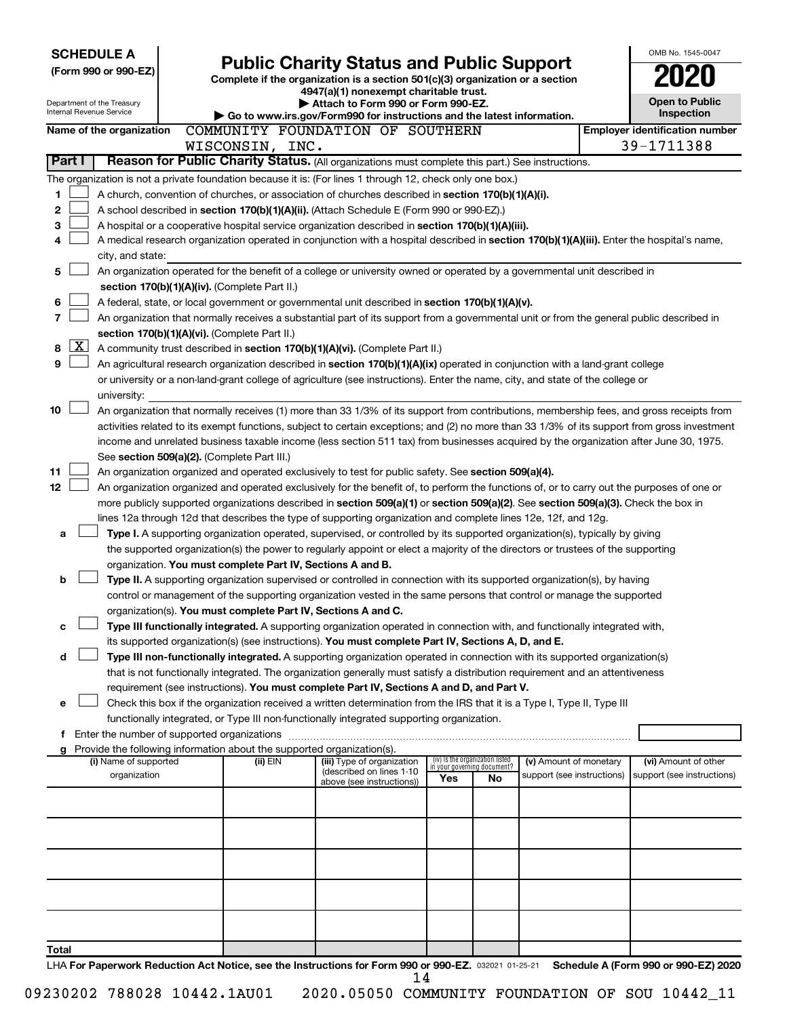| <b>SCHEDULE A</b>          |                                               |  |                                    |  |                                                                                                                                    |     |                                   |                            | OMB No. 1545-0047                                                                                                                            |
|----------------------------|-----------------------------------------------|--|------------------------------------|--|------------------------------------------------------------------------------------------------------------------------------------|-----|-----------------------------------|----------------------------|----------------------------------------------------------------------------------------------------------------------------------------------|
| (Form 990 or 990-EZ)       |                                               |  |                                    |  | <b>Public Charity Status and Public Support</b>                                                                                    |     |                                   |                            |                                                                                                                                              |
|                            |                                               |  |                                    |  | Complete if the organization is a section 501(c)(3) organization or a section<br>4947(a)(1) nonexempt charitable trust.            |     |                                   |                            |                                                                                                                                              |
| Department of the Treasury |                                               |  | Attach to Form 990 or Form 990-EZ. |  |                                                                                                                                    |     |                                   | <b>Open to Public</b>      |                                                                                                                                              |
| Internal Revenue Service   |                                               |  |                                    |  | Go to www.irs.gov/Form990 for instructions and the latest information.                                                             |     |                                   |                            | <b>Inspection</b>                                                                                                                            |
| Name of the organization   |                                               |  |                                    |  | COMMUNITY FOUNDATION OF SOUTHERN                                                                                                   |     |                                   |                            | <b>Employer identification number</b>                                                                                                        |
|                            |                                               |  | WISCONSIN, INC.                    |  |                                                                                                                                    |     |                                   |                            | 39-1711388                                                                                                                                   |
| Part I                     |                                               |  |                                    |  | Reason for Public Charity Status. (All organizations must complete this part.) See instructions.                                   |     |                                   |                            |                                                                                                                                              |
|                            |                                               |  |                                    |  | The organization is not a private foundation because it is: (For lines 1 through 12, check only one box.)                          |     |                                   |                            |                                                                                                                                              |
| 1                          |                                               |  |                                    |  | A church, convention of churches, or association of churches described in section 170(b)(1)(A)(i).                                 |     |                                   |                            |                                                                                                                                              |
| 2                          |                                               |  |                                    |  | A school described in section 170(b)(1)(A)(ii). (Attach Schedule E (Form 990 or 990-EZ).)                                          |     |                                   |                            |                                                                                                                                              |
| з                          |                                               |  |                                    |  | A hospital or a cooperative hospital service organization described in section 170(b)(1)(A)(iii).                                  |     |                                   |                            |                                                                                                                                              |
| 4                          |                                               |  |                                    |  |                                                                                                                                    |     |                                   |                            | A medical research organization operated in conjunction with a hospital described in section 170(b)(1)(A)(iii). Enter the hospital's name,   |
|                            | city, and state:                              |  |                                    |  |                                                                                                                                    |     |                                   |                            |                                                                                                                                              |
| 5                          |                                               |  |                                    |  | An organization operated for the benefit of a college or university owned or operated by a governmental unit described in          |     |                                   |                            |                                                                                                                                              |
|                            | section 170(b)(1)(A)(iv). (Complete Part II.) |  |                                    |  |                                                                                                                                    |     |                                   |                            |                                                                                                                                              |
| 6                          |                                               |  |                                    |  | A federal, state, or local government or governmental unit described in section 170(b)(1)(A)(v).                                   |     |                                   |                            |                                                                                                                                              |
| 7                          |                                               |  |                                    |  |                                                                                                                                    |     |                                   |                            | An organization that normally receives a substantial part of its support from a governmental unit or from the general public described in    |
| <u>  x</u>                 | section 170(b)(1)(A)(vi). (Complete Part II.) |  |                                    |  |                                                                                                                                    |     |                                   |                            |                                                                                                                                              |
| 8<br>9                     |                                               |  |                                    |  | A community trust described in section 170(b)(1)(A)(vi). (Complete Part II.)                                                       |     |                                   |                            |                                                                                                                                              |
|                            |                                               |  |                                    |  | An agricultural research organization described in section 170(b)(1)(A)(ix) operated in conjunction with a land-grant college      |     |                                   |                            |                                                                                                                                              |
|                            | university:                                   |  |                                    |  | or university or a non-land-grant college of agriculture (see instructions). Enter the name, city, and state of the college or     |     |                                   |                            |                                                                                                                                              |
| 10                         |                                               |  |                                    |  |                                                                                                                                    |     |                                   |                            | An organization that normally receives (1) more than 33 1/3% of its support from contributions, membership fees, and gross receipts from     |
|                            |                                               |  |                                    |  |                                                                                                                                    |     |                                   |                            | activities related to its exempt functions, subject to certain exceptions; and (2) no more than 33 1/3% of its support from gross investment |
|                            |                                               |  |                                    |  |                                                                                                                                    |     |                                   |                            | income and unrelated business taxable income (less section 511 tax) from businesses acquired by the organization after June 30, 1975.        |
|                            | See section 509(a)(2). (Complete Part III.)   |  |                                    |  |                                                                                                                                    |     |                                   |                            |                                                                                                                                              |
| 11                         |                                               |  |                                    |  | An organization organized and operated exclusively to test for public safety. See section 509(a)(4).                               |     |                                   |                            |                                                                                                                                              |
| 12                         |                                               |  |                                    |  |                                                                                                                                    |     |                                   |                            | An organization organized and operated exclusively for the benefit of, to perform the functions of, or to carry out the purposes of one or   |
|                            |                                               |  |                                    |  | more publicly supported organizations described in section 509(a)(1) or section 509(a)(2). See section 509(a)(3). Check the box in |     |                                   |                            |                                                                                                                                              |
|                            |                                               |  |                                    |  | lines 12a through 12d that describes the type of supporting organization and complete lines 12e, 12f, and 12g.                     |     |                                   |                            |                                                                                                                                              |
| a                          |                                               |  |                                    |  | Type I. A supporting organization operated, supervised, or controlled by its supported organization(s), typically by giving        |     |                                   |                            |                                                                                                                                              |
|                            |                                               |  |                                    |  | the supported organization(s) the power to regularly appoint or elect a majority of the directors or trustees of the supporting    |     |                                   |                            |                                                                                                                                              |
|                            |                                               |  |                                    |  | organization. You must complete Part IV, Sections A and B.                                                                         |     |                                   |                            |                                                                                                                                              |
| b                          |                                               |  |                                    |  | Type II. A supporting organization supervised or controlled in connection with its supported organization(s), by having            |     |                                   |                            |                                                                                                                                              |
|                            |                                               |  |                                    |  | control or management of the supporting organization vested in the same persons that control or manage the supported               |     |                                   |                            |                                                                                                                                              |
|                            |                                               |  |                                    |  | organization(s). You must complete Part IV, Sections A and C.                                                                      |     |                                   |                            |                                                                                                                                              |
| с                          |                                               |  |                                    |  | Type III functionally integrated. A supporting organization operated in connection with, and functionally integrated with,         |     |                                   |                            |                                                                                                                                              |
|                            |                                               |  |                                    |  | its supported organization(s) (see instructions). You must complete Part IV, Sections A, D, and E.                                 |     |                                   |                            |                                                                                                                                              |
| d                          |                                               |  |                                    |  | Type III non-functionally integrated. A supporting organization operated in connection with its supported organization(s)          |     |                                   |                            |                                                                                                                                              |
|                            |                                               |  |                                    |  | that is not functionally integrated. The organization generally must satisfy a distribution requirement and an attentiveness       |     |                                   |                            |                                                                                                                                              |
|                            |                                               |  |                                    |  | requirement (see instructions). You must complete Part IV, Sections A and D, and Part V.                                           |     |                                   |                            |                                                                                                                                              |
| e                          |                                               |  |                                    |  | Check this box if the organization received a written determination from the IRS that it is a Type I, Type II, Type III            |     |                                   |                            |                                                                                                                                              |
|                            |                                               |  |                                    |  | functionally integrated, or Type III non-functionally integrated supporting organization.                                          |     |                                   |                            |                                                                                                                                              |
|                            |                                               |  |                                    |  |                                                                                                                                    |     |                                   |                            |                                                                                                                                              |
| g                          | (i) Name of supported                         |  | (ii) EIN                           |  | Provide the following information about the supported organization(s).<br>(iii) Type of organization                               |     | (iv) Is the organization listed   | (v) Amount of monetary     | (vi) Amount of other                                                                                                                         |
|                            | organization                                  |  |                                    |  | (described on lines 1-10                                                                                                           | Yes | in your governing document?<br>No | support (see instructions) | support (see instructions)                                                                                                                   |
|                            |                                               |  |                                    |  | above (see instructions))                                                                                                          |     |                                   |                            |                                                                                                                                              |
|                            |                                               |  |                                    |  |                                                                                                                                    |     |                                   |                            |                                                                                                                                              |
|                            |                                               |  |                                    |  |                                                                                                                                    |     |                                   |                            |                                                                                                                                              |
|                            |                                               |  |                                    |  |                                                                                                                                    |     |                                   |                            |                                                                                                                                              |
|                            |                                               |  |                                    |  |                                                                                                                                    |     |                                   |                            |                                                                                                                                              |
|                            |                                               |  |                                    |  |                                                                                                                                    |     |                                   |                            |                                                                                                                                              |
|                            |                                               |  |                                    |  |                                                                                                                                    |     |                                   |                            |                                                                                                                                              |
|                            |                                               |  |                                    |  |                                                                                                                                    |     |                                   |                            |                                                                                                                                              |
|                            |                                               |  |                                    |  |                                                                                                                                    |     |                                   |                            |                                                                                                                                              |
|                            |                                               |  |                                    |  |                                                                                                                                    |     |                                   |                            |                                                                                                                                              |
| Total                      |                                               |  |                                    |  |                                                                                                                                    |     |                                   |                            |                                                                                                                                              |
|                            |                                               |  |                                    |  | LHA For Paperwork Reduction Act Notice, see the Instructions for Form 990 or 990-EZ. 032021 01-25-21                               |     |                                   |                            | Schedule A (Form 990 or 990-EZ) 2020                                                                                                         |
|                            |                                               |  |                                    |  |                                                                                                                                    | 14  |                                   |                            |                                                                                                                                              |

|  |  | j |
|--|--|---|
|  |  |   |
|  |  |   |
|  |  |   |
|  |  |   |
|  |  |   |
|  |  |   |
|  |  |   |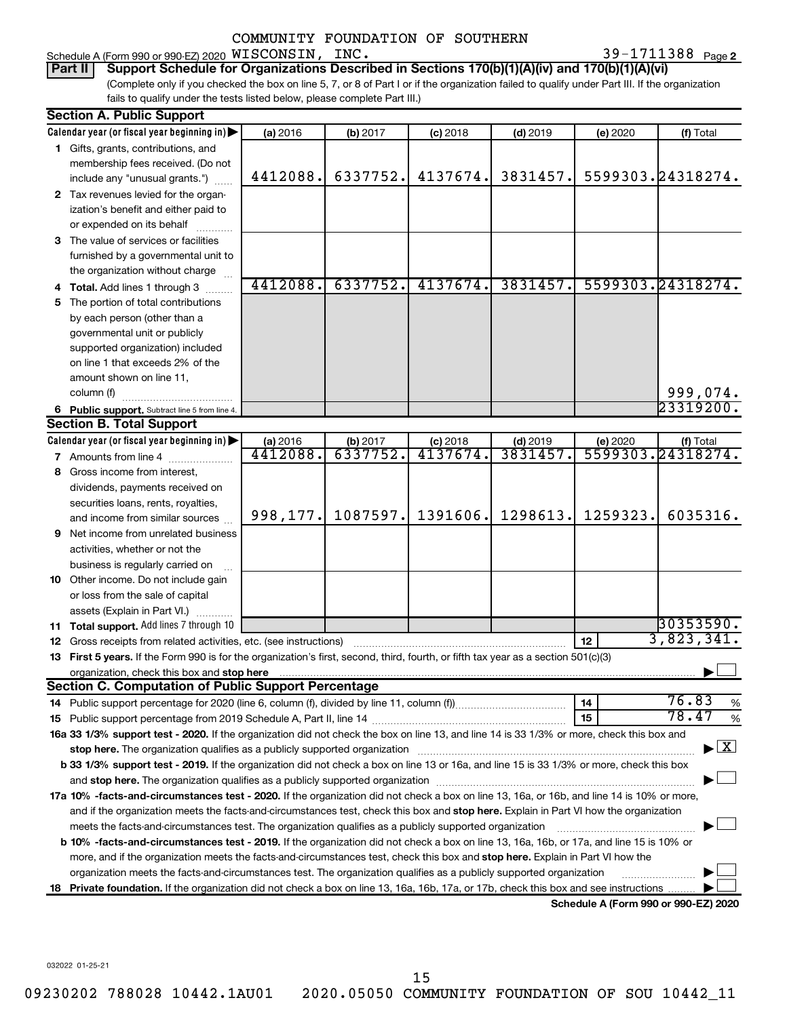Schedule A (Form 990 or 990-EZ) 2020  $\verb|WISCONSIN|, \verb|INC. 39-1711388 |$   $\verb|Page|$ 

39-1711388 Page 2

(Complete only if you checked the box on line 5, 7, or 8 of Part I or if the organization failed to qualify under Part III. If the organization fails to qualify under the tests listed below, please complete Part III.) **Part II Support Schedule for Organizations Described in Sections 170(b)(1)(A)(iv) and 170(b)(1)(A)(vi)**

| <b>Section A. Public Support</b>                                                                                                                                                                                              |           |                      |            |                       |          |                                      |
|-------------------------------------------------------------------------------------------------------------------------------------------------------------------------------------------------------------------------------|-----------|----------------------|------------|-----------------------|----------|--------------------------------------|
| Calendar year (or fiscal year beginning in)                                                                                                                                                                                   | (a) 2016  | (b) 2017             | $(c)$ 2018 | $(d)$ 2019            | (e) 2020 | (f) Total                            |
| 1 Gifts, grants, contributions, and                                                                                                                                                                                           |           |                      |            |                       |          |                                      |
| membership fees received. (Do not                                                                                                                                                                                             |           |                      |            |                       |          |                                      |
| include any "unusual grants.")                                                                                                                                                                                                | 4412088.  | 6337752.             | 4137674.   | 3831457.              |          | 5599303.24318274.                    |
| 2 Tax revenues levied for the organ-                                                                                                                                                                                          |           |                      |            |                       |          |                                      |
| ization's benefit and either paid to                                                                                                                                                                                          |           |                      |            |                       |          |                                      |
| or expended on its behalf                                                                                                                                                                                                     |           |                      |            |                       |          |                                      |
| 3 The value of services or facilities                                                                                                                                                                                         |           |                      |            |                       |          |                                      |
| furnished by a governmental unit to                                                                                                                                                                                           |           |                      |            |                       |          |                                      |
| the organization without charge                                                                                                                                                                                               |           |                      |            |                       |          |                                      |
| 4 Total. Add lines 1 through 3                                                                                                                                                                                                | 4412088.  | 6337752.             | 4137674.   | 3831457.              |          | 5599303.24318274.                    |
| 5 The portion of total contributions                                                                                                                                                                                          |           |                      |            |                       |          |                                      |
| by each person (other than a                                                                                                                                                                                                  |           |                      |            |                       |          |                                      |
| governmental unit or publicly                                                                                                                                                                                                 |           |                      |            |                       |          |                                      |
| supported organization) included                                                                                                                                                                                              |           |                      |            |                       |          |                                      |
| on line 1 that exceeds 2% of the                                                                                                                                                                                              |           |                      |            |                       |          |                                      |
| amount shown on line 11,                                                                                                                                                                                                      |           |                      |            |                       |          |                                      |
| column (f)                                                                                                                                                                                                                    |           |                      |            |                       |          | 999,074.                             |
| 6 Public support. Subtract line 5 from line 4.                                                                                                                                                                                |           |                      |            |                       |          | 23319200.                            |
| <b>Section B. Total Support</b>                                                                                                                                                                                               |           |                      |            |                       |          |                                      |
| Calendar year (or fiscal year beginning in)                                                                                                                                                                                   | (a) 2016  | (b) 2017<br>6337752. | $(c)$ 2018 | $(d)$ 2019<br>3831457 | (e) 2020 | (f) Total                            |
| <b>7</b> Amounts from line 4                                                                                                                                                                                                  | 4412088.  |                      | 4137674.   |                       |          | 5599303.24318274.                    |
| 8 Gross income from interest,                                                                                                                                                                                                 |           |                      |            |                       |          |                                      |
| dividends, payments received on                                                                                                                                                                                               |           |                      |            |                       |          |                                      |
| securities loans, rents, royalties,                                                                                                                                                                                           |           |                      |            | 1298613.              | 1259323. | 6035316.                             |
| and income from similar sources                                                                                                                                                                                               | 998, 177. | 1087597.             | 1391606.   |                       |          |                                      |
| <b>9</b> Net income from unrelated business                                                                                                                                                                                   |           |                      |            |                       |          |                                      |
| activities, whether or not the                                                                                                                                                                                                |           |                      |            |                       |          |                                      |
| business is regularly carried on                                                                                                                                                                                              |           |                      |            |                       |          |                                      |
| 10 Other income. Do not include gain                                                                                                                                                                                          |           |                      |            |                       |          |                                      |
| or loss from the sale of capital                                                                                                                                                                                              |           |                      |            |                       |          |                                      |
| assets (Explain in Part VI.)                                                                                                                                                                                                  |           |                      |            |                       |          | 30353590.                            |
| 11 Total support. Add lines 7 through 10                                                                                                                                                                                      |           |                      |            |                       |          | 3,823,341.                           |
| 12 Gross receipts from related activities, etc. (see instructions)                                                                                                                                                            |           |                      |            |                       | 12       |                                      |
| 13 First 5 years. If the Form 990 is for the organization's first, second, third, fourth, or fifth tax year as a section 501(c)(3)                                                                                            |           |                      |            |                       |          |                                      |
| <b>Section C. Computation of Public Support Percentage</b>                                                                                                                                                                    |           |                      |            |                       |          |                                      |
|                                                                                                                                                                                                                               |           |                      |            |                       | 14       | 76.83<br>%                           |
|                                                                                                                                                                                                                               |           |                      |            |                       | 15       | 78.47<br>%                           |
| 16a 33 1/3% support test - 2020. If the organization did not check the box on line 13, and line 14 is 33 1/3% or more, check this box and                                                                                     |           |                      |            |                       |          |                                      |
| stop here. The organization qualifies as a publicly supported organization manufactured content and the organization manufactured and the state of the state of the state of the state of the state of the state of the state |           |                      |            |                       |          | $\blacktriangleright$ $\mathbf{X}$   |
| b 33 1/3% support test - 2019. If the organization did not check a box on line 13 or 16a, and line 15 is 33 1/3% or more, check this box                                                                                      |           |                      |            |                       |          |                                      |
|                                                                                                                                                                                                                               |           |                      |            |                       |          |                                      |
| 17a 10% -facts-and-circumstances test - 2020. If the organization did not check a box on line 13, 16a, or 16b, and line 14 is 10% or more,                                                                                    |           |                      |            |                       |          |                                      |
| and if the organization meets the facts-and-circumstances test, check this box and stop here. Explain in Part VI how the organization                                                                                         |           |                      |            |                       |          |                                      |
| meets the facts-and-circumstances test. The organization qualifies as a publicly supported organization                                                                                                                       |           |                      |            |                       |          |                                      |
| <b>b 10%</b> -facts-and-circumstances test - 2019. If the organization did not check a box on line 13, 16a, 16b, or 17a, and line 15 is 10% or                                                                                |           |                      |            |                       |          |                                      |
| more, and if the organization meets the facts-and-circumstances test, check this box and stop here. Explain in Part VI how the                                                                                                |           |                      |            |                       |          |                                      |
| organization meets the facts-and-circumstances test. The organization qualifies as a publicly supported organization                                                                                                          |           |                      |            |                       |          |                                      |
| 18 Private foundation. If the organization did not check a box on line 13, 16a, 16b, 17a, or 17b, check this box and see instructions                                                                                         |           |                      |            |                       |          |                                      |
|                                                                                                                                                                                                                               |           |                      |            |                       |          | Schedule A (Form 990 or 990-F7) 2020 |

**Schedule A (Form 990 or 990-EZ) 2020**

032022 01-25-21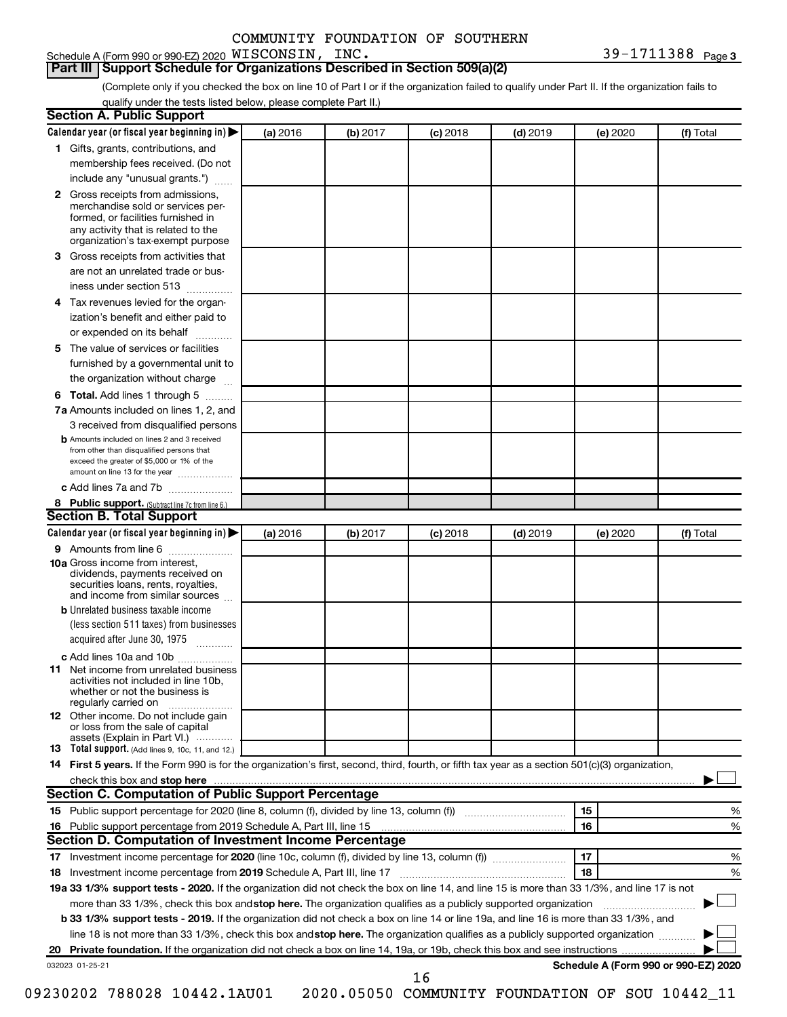Schedule A (Form 990 or 990-EZ) 2020 WISCONSIN, INC.

**3** WISCONSIN, INC. 39-1711388

**Part III Support Schedule for Organizations Described in Section 509(a)(2)** 

(Complete only if you checked the box on line 10 of Part I or if the organization failed to qualify under Part II. If the organization fails to qualify under the tests listed below, please complete Part II.)

| <b>Section A. Public Support</b>                                                                                                                                                                |          |          |            |            |          |                                      |
|-------------------------------------------------------------------------------------------------------------------------------------------------------------------------------------------------|----------|----------|------------|------------|----------|--------------------------------------|
| Calendar year (or fiscal year beginning in)                                                                                                                                                     | (a) 2016 | (b) 2017 | $(c)$ 2018 | $(d)$ 2019 | (e) 2020 | (f) Total                            |
| 1 Gifts, grants, contributions, and                                                                                                                                                             |          |          |            |            |          |                                      |
| membership fees received. (Do not                                                                                                                                                               |          |          |            |            |          |                                      |
| include any "unusual grants.")                                                                                                                                                                  |          |          |            |            |          |                                      |
| <b>2</b> Gross receipts from admissions,<br>merchandise sold or services per-<br>formed, or facilities furnished in<br>any activity that is related to the<br>organization's tax-exempt purpose |          |          |            |            |          |                                      |
| 3 Gross receipts from activities that                                                                                                                                                           |          |          |            |            |          |                                      |
| are not an unrelated trade or bus-                                                                                                                                                              |          |          |            |            |          |                                      |
|                                                                                                                                                                                                 |          |          |            |            |          |                                      |
| iness under section 513                                                                                                                                                                         |          |          |            |            |          |                                      |
| 4 Tax revenues levied for the organ-                                                                                                                                                            |          |          |            |            |          |                                      |
| ization's benefit and either paid to                                                                                                                                                            |          |          |            |            |          |                                      |
| or expended on its behalf                                                                                                                                                                       |          |          |            |            |          |                                      |
| 5 The value of services or facilities                                                                                                                                                           |          |          |            |            |          |                                      |
| furnished by a governmental unit to                                                                                                                                                             |          |          |            |            |          |                                      |
| the organization without charge                                                                                                                                                                 |          |          |            |            |          |                                      |
| 6 Total. Add lines 1 through 5                                                                                                                                                                  |          |          |            |            |          |                                      |
| 7a Amounts included on lines 1, 2, and                                                                                                                                                          |          |          |            |            |          |                                      |
| 3 received from disqualified persons                                                                                                                                                            |          |          |            |            |          |                                      |
| <b>b</b> Amounts included on lines 2 and 3 received<br>from other than disqualified persons that<br>exceed the greater of \$5,000 or 1% of the<br>amount on line 13 for the year                |          |          |            |            |          |                                      |
| c Add lines 7a and 7b                                                                                                                                                                           |          |          |            |            |          |                                      |
| 8 Public support. (Subtract line 7c from line 6.)                                                                                                                                               |          |          |            |            |          |                                      |
| <b>Section B. Total Support</b>                                                                                                                                                                 |          |          |            |            |          |                                      |
| Calendar year (or fiscal year beginning in)                                                                                                                                                     | (a) 2016 | (b) 2017 | $(c)$ 2018 | $(d)$ 2019 | (e) 2020 | (f) Total                            |
| 9 Amounts from line 6                                                                                                                                                                           |          |          |            |            |          |                                      |
| <b>10a</b> Gross income from interest,<br>dividends, payments received on<br>securities loans, rents, royalties,<br>and income from similar sources                                             |          |          |            |            |          |                                      |
| <b>b</b> Unrelated business taxable income                                                                                                                                                      |          |          |            |            |          |                                      |
| (less section 511 taxes) from businesses<br>acquired after June 30, 1975                                                                                                                        |          |          |            |            |          |                                      |
| c Add lines 10a and 10b                                                                                                                                                                         |          |          |            |            |          |                                      |
| <b>11</b> Net income from unrelated business<br>activities not included in line 10b.<br>whether or not the business is<br>regularly carried on                                                  |          |          |            |            |          |                                      |
| <b>12</b> Other income. Do not include gain<br>or loss from the sale of capital<br>assets (Explain in Part VI.)                                                                                 |          |          |            |            |          |                                      |
| <b>13</b> Total support. (Add lines 9, 10c, 11, and 12.)                                                                                                                                        |          |          |            |            |          |                                      |
| 14 First 5 years. If the Form 990 is for the organization's first, second, third, fourth, or fifth tax year as a section 501(c)(3) organization,                                                |          |          |            |            |          |                                      |
| check this box and stop here <b>contained and the contained and starting and stop here</b> check this box and stop here                                                                         |          |          |            |            |          |                                      |
| Section C. Computation of Public Support Percentage                                                                                                                                             |          |          |            |            |          |                                      |
| 15 Public support percentage for 2020 (line 8, column (f), divided by line 13, column (f) <i></i>                                                                                               |          |          |            |            | 15       | ℅                                    |
|                                                                                                                                                                                                 |          |          |            |            | 16       | %                                    |
| Section D. Computation of Investment Income Percentage                                                                                                                                          |          |          |            |            |          |                                      |
|                                                                                                                                                                                                 |          |          |            |            | 17       | %                                    |
| 18 Investment income percentage from 2019 Schedule A, Part III, line 17                                                                                                                         |          |          |            |            | 18       | %                                    |
| 19a 33 1/3% support tests - 2020. If the organization did not check the box on line 14, and line 15 is more than 33 1/3%, and line 17 is not                                                    |          |          |            |            |          |                                      |
| more than 33 1/3%, check this box and stop here. The organization qualifies as a publicly supported organization                                                                                |          |          |            |            |          |                                      |
|                                                                                                                                                                                                 |          |          |            |            |          |                                      |
| b 33 1/3% support tests - 2019. If the organization did not check a box on line 14 or line 19a, and line 16 is more than 33 1/3%, and                                                           |          |          |            |            |          |                                      |
| line 18 is not more than 33 1/3%, check this box and stop here. The organization qualifies as a publicly supported organization                                                                 |          |          |            |            |          |                                      |
|                                                                                                                                                                                                 |          |          |            |            |          |                                      |
| 032023 01-25-21                                                                                                                                                                                 |          |          | 16         |            |          | Schedule A (Form 990 or 990-EZ) 2020 |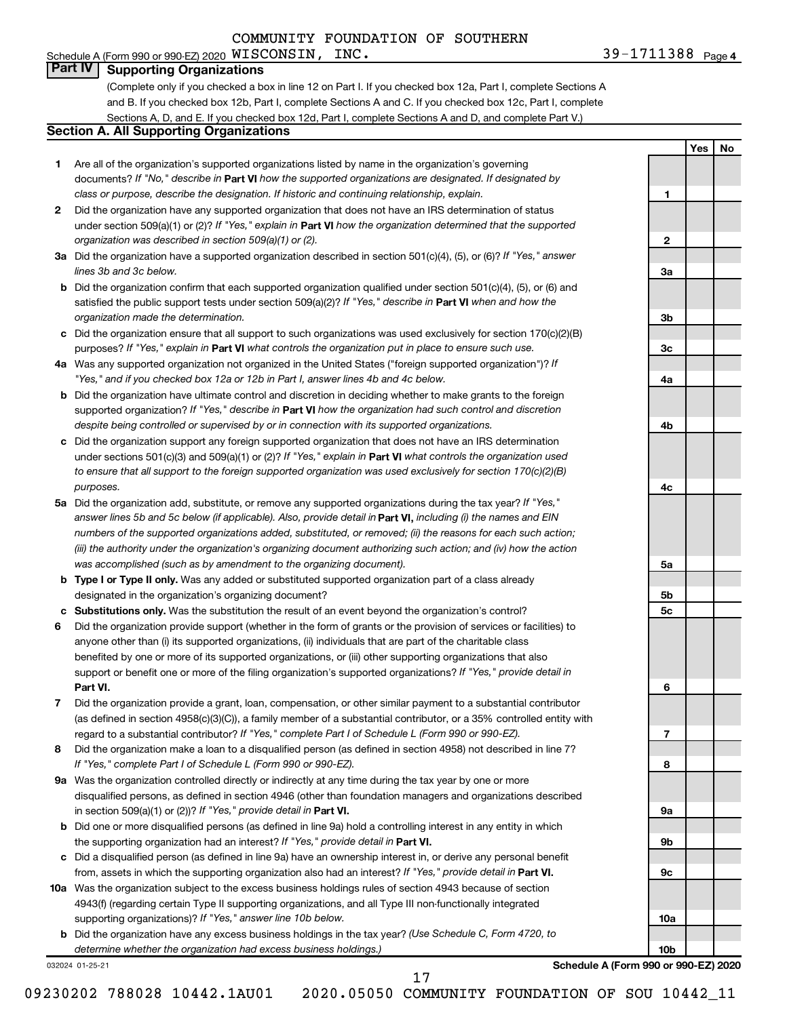#### 39-1711388 <sub>Page 4</sub> Schedule A (Form 990 or 990-EZ) 2020  $\verb|WISCONSIN|, \verb|INC. 39-1711388 |$   $\verb|Page|$

**1**

**2**

**3a**

**3b**

**3c**

**4a**

**4b**

**4c**

**5a**

**5b 5c**

**6**

**7**

**8**

**9a**

**9b**

**9c**

**10a**

**10b**

**Yes No**

# **Part IV Supporting Organizations**

(Complete only if you checked a box in line 12 on Part I. If you checked box 12a, Part I, complete Sections A and B. If you checked box 12b, Part I, complete Sections A and C. If you checked box 12c, Part I, complete Sections A, D, and E. If you checked box 12d, Part I, complete Sections A and D, and complete Part V.)

### **Section A. All Supporting Organizations**

- **1** Are all of the organization's supported organizations listed by name in the organization's governing documents? If "No," describe in Part VI how the supported organizations are designated. If designated by *class or purpose, describe the designation. If historic and continuing relationship, explain.*
- **2** Did the organization have any supported organization that does not have an IRS determination of status under section 509(a)(1) or (2)? If "Yes," explain in Part **VI** how the organization determined that the supported *organization was described in section 509(a)(1) or (2).*
- **3a** Did the organization have a supported organization described in section 501(c)(4), (5), or (6)? If "Yes," answer *lines 3b and 3c below.*
- **b** Did the organization confirm that each supported organization qualified under section 501(c)(4), (5), or (6) and satisfied the public support tests under section 509(a)(2)? If "Yes," describe in Part VI when and how the *organization made the determination.*
- **c** Did the organization ensure that all support to such organizations was used exclusively for section 170(c)(2)(B) purposes? If "Yes," explain in Part VI what controls the organization put in place to ensure such use.
- **4 a** *If* Was any supported organization not organized in the United States ("foreign supported organization")? *"Yes," and if you checked box 12a or 12b in Part I, answer lines 4b and 4c below.*
- **b** Did the organization have ultimate control and discretion in deciding whether to make grants to the foreign supported organization? If "Yes," describe in Part VI how the organization had such control and discretion *despite being controlled or supervised by or in connection with its supported organizations.*
- **c** Did the organization support any foreign supported organization that does not have an IRS determination under sections 501(c)(3) and 509(a)(1) or (2)? If "Yes," explain in Part VI what controls the organization used *to ensure that all support to the foreign supported organization was used exclusively for section 170(c)(2)(B) purposes.*
- **5a** Did the organization add, substitute, or remove any supported organizations during the tax year? If "Yes," answer lines 5b and 5c below (if applicable). Also, provide detail in **Part VI,** including (i) the names and EIN *numbers of the supported organizations added, substituted, or removed; (ii) the reasons for each such action; (iii) the authority under the organization's organizing document authorizing such action; and (iv) how the action was accomplished (such as by amendment to the organizing document).*
- **b Type I or Type II only.** Was any added or substituted supported organization part of a class already designated in the organization's organizing document?
- **c Substitutions only.**  Was the substitution the result of an event beyond the organization's control?
- **6** Did the organization provide support (whether in the form of grants or the provision of services or facilities) to **Part VI.** support or benefit one or more of the filing organization's supported organizations? If "Yes," provide detail in anyone other than (i) its supported organizations, (ii) individuals that are part of the charitable class benefited by one or more of its supported organizations, or (iii) other supporting organizations that also
- **7** Did the organization provide a grant, loan, compensation, or other similar payment to a substantial contributor regard to a substantial contributor? If "Yes," complete Part I of Schedule L (Form 990 or 990-EZ). (as defined in section 4958(c)(3)(C)), a family member of a substantial contributor, or a 35% controlled entity with
- **8** Did the organization make a loan to a disqualified person (as defined in section 4958) not described in line 7? *If "Yes," complete Part I of Schedule L (Form 990 or 990-EZ).*
- **9 a** Was the organization controlled directly or indirectly at any time during the tax year by one or more in section 509(a)(1) or (2))? If "Yes," provide detail in **Part VI.** disqualified persons, as defined in section 4946 (other than foundation managers and organizations described
- **b** Did one or more disqualified persons (as defined in line 9a) hold a controlling interest in any entity in which the supporting organization had an interest? If "Yes," provide detail in Part VI.
- **c** Did a disqualified person (as defined in line 9a) have an ownership interest in, or derive any personal benefit from, assets in which the supporting organization also had an interest? If "Yes," provide detail in Part VI.
- **10 a** Was the organization subject to the excess business holdings rules of section 4943 because of section supporting organizations)? If "Yes," answer line 10b below. 4943(f) (regarding certain Type II supporting organizations, and all Type III non-functionally integrated
	- **b** Did the organization have any excess business holdings in the tax year? (Use Schedule C, Form 4720, to *determine whether the organization had excess business holdings.)*

032024 01-25-21

**Schedule A (Form 990 or 990-EZ) 2020**

17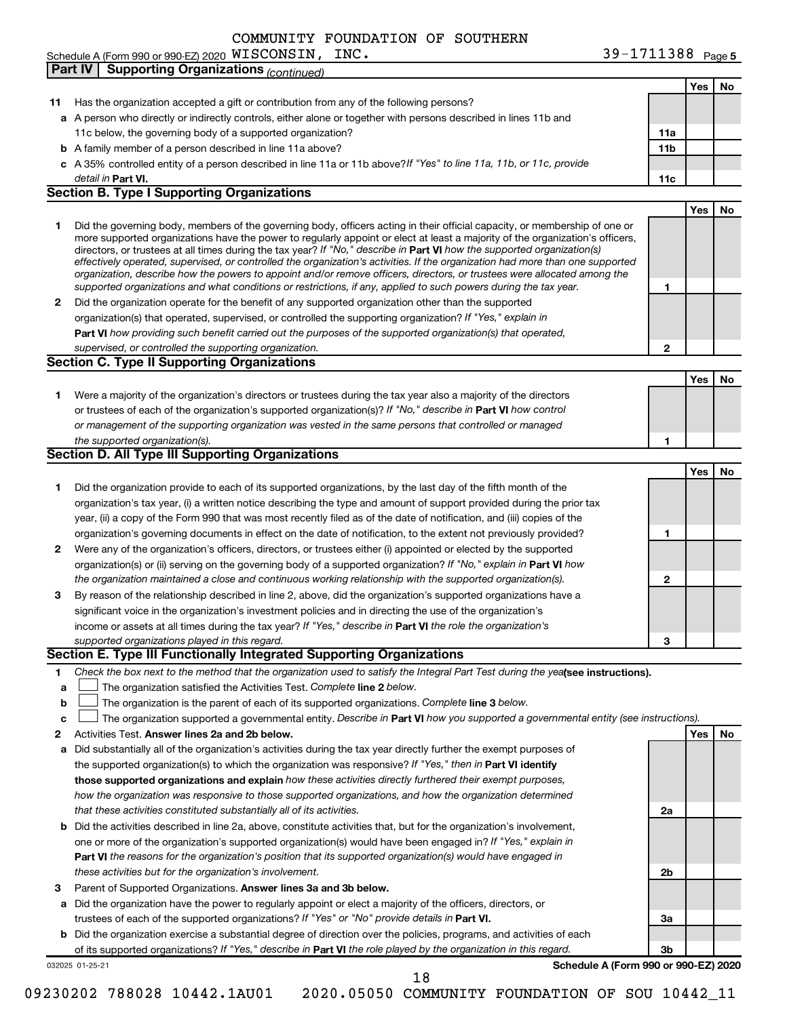11c below, the governing body of a supported organization?

**b** A family member of a person described in line 11a above?

Schedule A (Form 990 or 990-EZ) 2020  $MISCONSIM$ , INC.

**Part IV Supporting Organizations** *(continued)*

**11** Has the organization accepted a gift or contribution from any of the following persons?

**c** *If "Yes" to line 11a, 11b, or 11c, provide* A 35% controlled entity of a person described in line 11a or 11b above? **Part VI. 11c** detail in Part VI.

**a** A person who directly or indirectly controls, either alone or together with persons described in lines 11b and

### **Section B. Type I Supporting Organizations**

- **1** Did the governing body, members of the governing body, officers acting in their official capacity, or membership of one or directors, or trustees at all times during the tax year? If "No," describe in Part VI how the supported organization(s) *effectively operated, supervised, or controlled the organization's activities. If the organization had more than one supported organization, describe how the powers to appoint and/or remove officers, directors, or trustees were allocated among the supported organizations and what conditions or restrictions, if any, applied to such powers during the tax year.* more supported organizations have the power to regularly appoint or elect at least a majority of the organization's officers,
- **2** Did the organization operate for the benefit of any supported organization other than the supported **Part VI**  *how providing such benefit carried out the purposes of the supported organization(s) that operated,* organization(s) that operated, supervised, or controlled the supporting organization? If "Yes," explain in *supervised, or controlled the supporting organization.*

### **Section C. Type II Supporting Organizations**

**1** Were a majority of the organization's directors or trustees during the tax year also a majority of the directors or trustees of each of the organization's supported organization(s)? If "No," describe in Part VI how control *or management of the supporting organization was vested in the same persons that controlled or managed the supported organization(s).*

### **Section D. All Type III Supporting Organizations**

|              |                                                                                                                        |   | Yes | No |
|--------------|------------------------------------------------------------------------------------------------------------------------|---|-----|----|
|              | Did the organization provide to each of its supported organizations, by the last day of the fifth month of the         |   |     |    |
|              | organization's tax year, (i) a written notice describing the type and amount of support provided during the prior tax  |   |     |    |
|              | year, (ii) a copy of the Form 990 that was most recently filed as of the date of notification, and (iii) copies of the |   |     |    |
|              | organization's governing documents in effect on the date of notification, to the extent not previously provided?       |   |     |    |
| $\mathbf{2}$ | Were any of the organization's officers, directors, or trustees either (i) appointed or elected by the supported       |   |     |    |
|              | organization(s) or (ii) serving on the governing body of a supported organization? If "No," explain in Part VI how     |   |     |    |
|              | the organization maintained a close and continuous working relationship with the supported organization(s).            | 2 |     |    |
| 3            | By reason of the relationship described in line 2, above, did the organization's supported organizations have a        |   |     |    |
|              | significant voice in the organization's investment policies and in directing the use of the organization's             |   |     |    |
|              | income or assets at all times during the tax year? If "Yes," describe in Part VI the role the organization's           |   |     |    |
|              | supported organizations played in this regard.                                                                         | 3 |     |    |

### **Section E. Type III Functionally Integrated Supporting Organizations**

- **1** Check the box next to the method that the organization used to satisfy the Integral Part Test during the yealsee instructions).
- **a The organization satisfied the Activities Test. Complete line 2 below.**
- **b** The organization is the parent of each of its supported organizations. Complete line 3 below.  $\Box$
- **c** The organization supported a governmental entity. Describe in Part VI how you supported a governmental entity (see instructions).  $\Box$
- **2 Answer lines 2a and 2b below. Yes No** Activities Test.
- **a** Did substantially all of the organization's activities during the tax year directly further the exempt purposes of the supported organization(s) to which the organization was responsive? If "Yes," then in Part VI identify **those supported organizations and explain**  *how these activities directly furthered their exempt purposes, how the organization was responsive to those supported organizations, and how the organization determined that these activities constituted substantially all of its activities.*
- **b** Did the activities described in line 2a, above, constitute activities that, but for the organization's involvement, **Part VI**  *the reasons for the organization's position that its supported organization(s) would have engaged in* one or more of the organization's supported organization(s) would have been engaged in? If "Yes," explain in *these activities but for the organization's involvement.*
- 3 Parent of Supported Organizations. Answer lines 3a and 3b below.
- **a** Did the organization have the power to regularly appoint or elect a majority of the officers, directors, or trustees of each of the supported organizations? If "Yes" or "No" provide details in Part VI.
- **b** Did the organization exercise a substantial degree of direction over the policies, programs, and activities of each of its supported organizations? If "Yes," describe in Part VI the role played by the organization in this regard.

032025 01-25-21

**Schedule A (Form 990 or 990-EZ) 2020**

**2a**

**2b**

**3a**

**3b**

09230202 788028 10442.1AU01 2020.05050 COMMUNITY FOUNDATION OF SOU 10442\_11 18

|     | Yes | <b>No</b> |
|-----|-----|-----------|
|     |     |           |
|     |     |           |
| 11a |     |           |
| 11b |     |           |
|     |     |           |
| 11c |     |           |

**1**

**2**

**1**

**Yes No**

**Yes No**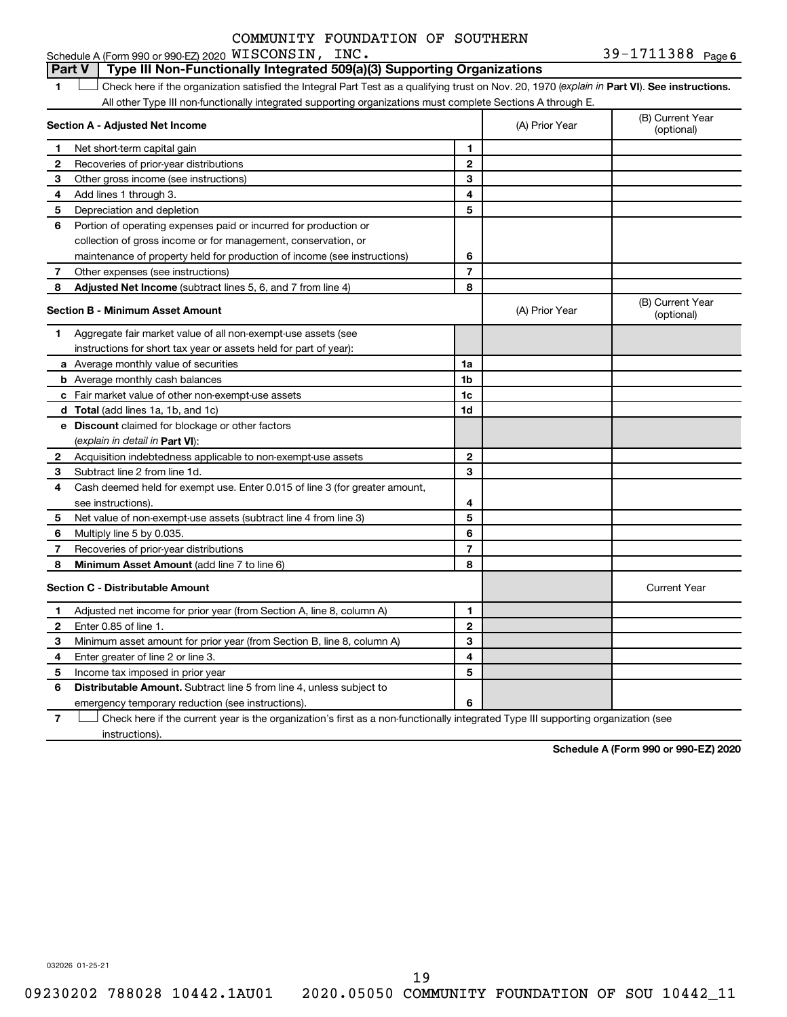**WISCONSIN, INC.** 39-1711388  $_{\text{Page 6}}$ 1 **Letter See instructions.** Check here if the organization satisfied the Integral Part Test as a qualifying trust on Nov. 20, 1970 (*explain in* Part **VI**). See instructions. **Section A - Adjusted Net Income 1 2 3 4 5 6 7 8 1 2 3 4 5 6 7 Adjusted Net Income** (subtract lines 5, 6, and 7 from line 4) **8 8 Section B - Minimum Asset Amount 1 2 3 4 5 6 7 8 a** Average monthly value of securities **b** Average monthly cash balances **c** Fair market value of other non-exempt-use assets **d Total**  (add lines 1a, 1b, and 1c) **e Discount** claimed for blockage or other factors **1a 1b 1c 1d 2 3 4 5 6 7 8** (explain in detail in Part VI): **Minimum Asset Amount**  (add line 7 to line 6) **Section C - Distributable Amount 1 2 3 4 5 6 1 2 3 4 5** Distributable Amount. Subtract line 5 from line 4, unless subject to Schedule A (Form 990 or 990-EZ) 2020  $MISCONSIM$ , INC. All other Type III non-functionally integrated supporting organizations must complete Sections A through E. (B) Current Year (A) Prior Year Net short-term capital gain Recoveries of prior-year distributions Other gross income (see instructions) Add lines 1 through 3. Depreciation and depletion Portion of operating expenses paid or incurred for production or collection of gross income or for management, conservation, or maintenance of property held for production of income (see instructions) Other expenses (see instructions) (B) Current Year  $(A)$  Prior Year  $\left\{\n\begin{array}{ccc}\n\end{array}\n\right\}$  (optional) Aggregate fair market value of all non-exempt-use assets (see instructions for short tax year or assets held for part of year): Acquisition indebtedness applicable to non-exempt-use assets Subtract line 2 from line 1d. Cash deemed held for exempt use. Enter 0.015 of line 3 (for greater amount, see instructions). Net value of non-exempt-use assets (subtract line 4 from line 3) Multiply line 5 by 0.035. Recoveries of prior-year distributions Current Year Adjusted net income for prior year (from Section A, line 8, column A) Enter 0.85 of line 1. Minimum asset amount for prior year (from Section B, line 8, column A) Enter greater of line 2 or line 3. Income tax imposed in prior year **Part V Type III Non-Functionally Integrated 509(a)(3) Supporting Organizations** 

emergency temporary reduction (see instructions).

**7** Check here if the current year is the organization's first as a non-functionally integrated Type III supporting organization (see † instructions).

**Schedule A (Form 990 or 990-EZ) 2020**

032026 01-25-21

**6**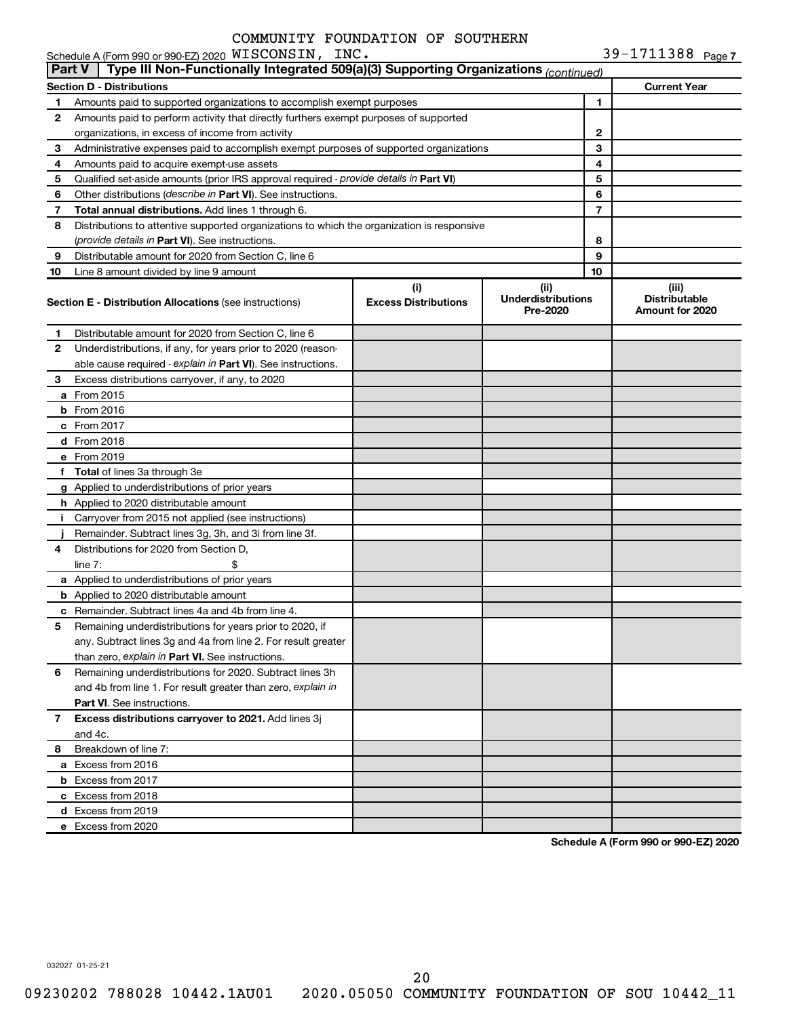| Schedule A (Form 990 or 990-EZ) 2020 $\,$ WISCONSIN, INC.                                         | 39-1711388 $_{\sf Page 7}$ |
|---------------------------------------------------------------------------------------------------|----------------------------|
| Part V   Type III Non-Functionally Integrated 509(a)(3) Supporting Organizations $_{(continued)}$ |                            |

|             | . <b>.</b><br>i ype in Non-r anoaonally integrated occiding oupperang organizations <i>(CONTINUEG)</i> |                                    |                                               |                     |                                                  |
|-------------|--------------------------------------------------------------------------------------------------------|------------------------------------|-----------------------------------------------|---------------------|--------------------------------------------------|
|             | Section D - Distributions                                                                              |                                    |                                               | <b>Current Year</b> |                                                  |
| 1.          | Amounts paid to supported organizations to accomplish exempt purposes                                  |                                    |                                               | 1                   |                                                  |
| 2           | Amounts paid to perform activity that directly furthers exempt purposes of supported                   |                                    |                                               |                     |                                                  |
|             | organizations, in excess of income from activity                                                       |                                    |                                               | $\mathbf{2}$        |                                                  |
| 3           | Administrative expenses paid to accomplish exempt purposes of supported organizations                  |                                    |                                               | 3                   |                                                  |
| 4           | Amounts paid to acquire exempt-use assets                                                              |                                    |                                               | 4                   |                                                  |
| 5           | Qualified set-aside amounts (prior IRS approval required - provide details in Part VI)                 |                                    | 5                                             |                     |                                                  |
| 6           | Other distributions (describe in Part VI). See instructions.                                           |                                    | 6                                             |                     |                                                  |
| 7           | Total annual distributions. Add lines 1 through 6.                                                     |                                    |                                               | $\overline{7}$      |                                                  |
| 8           | Distributions to attentive supported organizations to which the organization is responsive             |                                    |                                               |                     |                                                  |
|             | (provide details in Part VI). See instructions.                                                        |                                    |                                               | 8                   |                                                  |
| 9           | Distributable amount for 2020 from Section C, line 6                                                   |                                    |                                               | 9                   |                                                  |
| 10          | Line 8 amount divided by line 9 amount                                                                 |                                    |                                               | 10                  |                                                  |
|             | <b>Section E - Distribution Allocations</b> (see instructions)                                         | (i)<br><b>Excess Distributions</b> | (ii)<br><b>Underdistributions</b><br>Pre-2020 |                     | (iii)<br><b>Distributable</b><br>Amount for 2020 |
| 1.          | Distributable amount for 2020 from Section C, line 6                                                   |                                    |                                               |                     |                                                  |
| 2           | Underdistributions, if any, for years prior to 2020 (reason-                                           |                                    |                                               |                     |                                                  |
|             | able cause required - explain in Part VI). See instructions.                                           |                                    |                                               |                     |                                                  |
| 3           | Excess distributions carryover, if any, to 2020                                                        |                                    |                                               |                     |                                                  |
|             | <b>a</b> From 2015                                                                                     |                                    |                                               |                     |                                                  |
|             | $b$ From 2016                                                                                          |                                    |                                               |                     |                                                  |
|             | c From 2017                                                                                            |                                    |                                               |                     |                                                  |
|             | d From 2018                                                                                            |                                    |                                               |                     |                                                  |
|             | e From 2019                                                                                            |                                    |                                               |                     |                                                  |
|             | f Total of lines 3a through 3e                                                                         |                                    |                                               |                     |                                                  |
|             | g Applied to underdistributions of prior years                                                         |                                    |                                               |                     |                                                  |
|             | h Applied to 2020 distributable amount                                                                 |                                    |                                               |                     |                                                  |
| Ť.          | Carryover from 2015 not applied (see instructions)                                                     |                                    |                                               |                     |                                                  |
|             | Remainder. Subtract lines 3g, 3h, and 3i from line 3f.                                                 |                                    |                                               |                     |                                                  |
| 4           | Distributions for 2020 from Section D,                                                                 |                                    |                                               |                     |                                                  |
|             | \$<br>line $7:$                                                                                        |                                    |                                               |                     |                                                  |
|             | a Applied to underdistributions of prior years                                                         |                                    |                                               |                     |                                                  |
|             | <b>b</b> Applied to 2020 distributable amount                                                          |                                    |                                               |                     |                                                  |
|             | <b>c</b> Remainder. Subtract lines 4a and 4b from line 4.                                              |                                    |                                               |                     |                                                  |
| 5           | Remaining underdistributions for years prior to 2020, if                                               |                                    |                                               |                     |                                                  |
|             | any. Subtract lines 3g and 4a from line 2. For result greater                                          |                                    |                                               |                     |                                                  |
|             | than zero, explain in Part VI. See instructions.                                                       |                                    |                                               |                     |                                                  |
| 6           | Remaining underdistributions for 2020. Subtract lines 3h                                               |                                    |                                               |                     |                                                  |
|             | and 4b from line 1. For result greater than zero, explain in                                           |                                    |                                               |                     |                                                  |
|             | Part VI. See instructions.                                                                             |                                    |                                               |                     |                                                  |
| $7^{\circ}$ | Excess distributions carryover to 2021. Add lines 3j                                                   |                                    |                                               |                     |                                                  |
|             | and 4c.                                                                                                |                                    |                                               |                     |                                                  |
| 8           | Breakdown of line 7:                                                                                   |                                    |                                               |                     |                                                  |
|             | a Excess from 2016                                                                                     |                                    |                                               |                     |                                                  |
|             | <b>b</b> Excess from 2017                                                                              |                                    |                                               |                     |                                                  |
|             | c Excess from 2018                                                                                     |                                    |                                               |                     |                                                  |
|             | d Excess from 2019                                                                                     |                                    |                                               |                     |                                                  |
|             | e Excess from 2020                                                                                     |                                    |                                               |                     |                                                  |
|             |                                                                                                        |                                    |                                               |                     |                                                  |

**Schedule A (Form 990 or 990-EZ) 2020**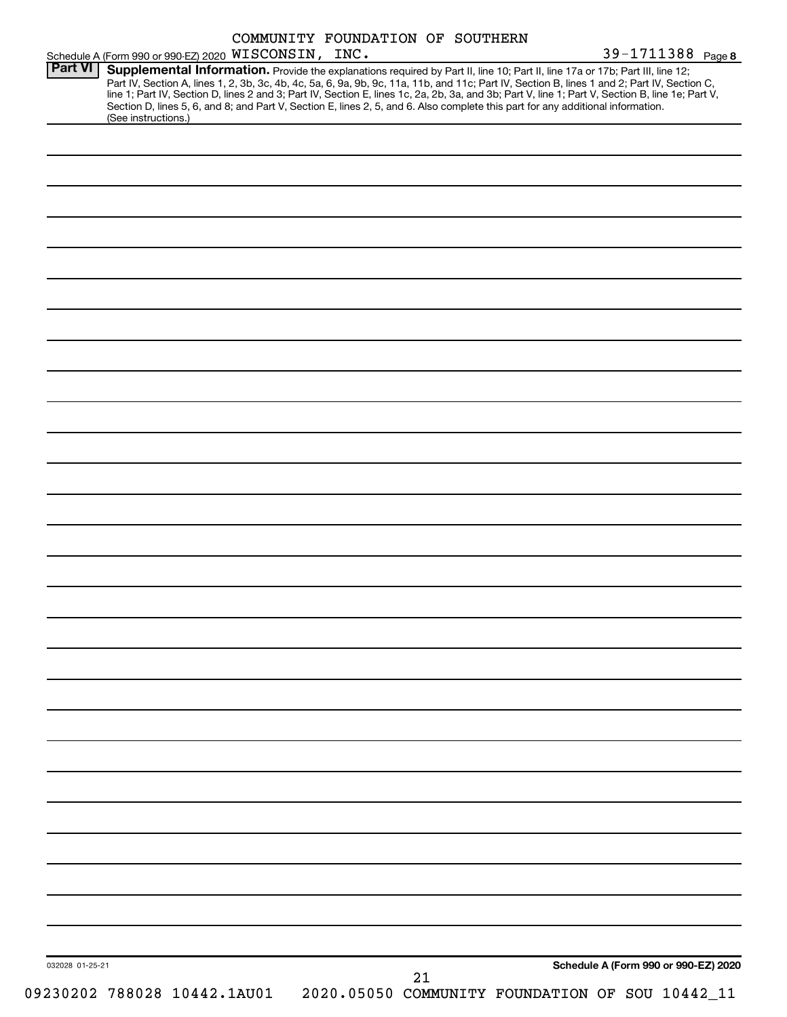|                 | Schedule A (Form 990 or 990-EZ) 2020 WISCONSIN, INC.                                                                                                                                                                                                                                                                                                                                                                                                                                                                                                                                        | COMMUNITY FOUNDATION OF SOUTHERN |    |  | 39-1711388 Page 8                               |  |
|-----------------|---------------------------------------------------------------------------------------------------------------------------------------------------------------------------------------------------------------------------------------------------------------------------------------------------------------------------------------------------------------------------------------------------------------------------------------------------------------------------------------------------------------------------------------------------------------------------------------------|----------------------------------|----|--|-------------------------------------------------|--|
| Part VI         | Supplemental Information. Provide the explanations required by Part II, line 10; Part II, line 17a or 17b; Part III, line 12;<br>Part IV, Section A, lines 1, 2, 3b, 3c, 4b, 4c, 5a, 6, 9a, 9b, 9c, 11a, 11b, and 11c; Part IV, Section B, lines 1 and 2; Part IV, Section C,<br>line 1; Part IV, Section D, lines 2 and 3; Part IV, Section E, lines 1c, 2a, 2b, 3a, and 3b; Part V, line 1; Part V, Section B, line 1e; Part V,<br>Section D, lines 5, 6, and 8; and Part V, Section E, lines 2, 5, and 6. Also complete this part for any additional information.<br>(See instructions.) |                                  |    |  |                                                 |  |
|                 |                                                                                                                                                                                                                                                                                                                                                                                                                                                                                                                                                                                             |                                  |    |  |                                                 |  |
|                 |                                                                                                                                                                                                                                                                                                                                                                                                                                                                                                                                                                                             |                                  |    |  |                                                 |  |
|                 |                                                                                                                                                                                                                                                                                                                                                                                                                                                                                                                                                                                             |                                  |    |  |                                                 |  |
|                 |                                                                                                                                                                                                                                                                                                                                                                                                                                                                                                                                                                                             |                                  |    |  |                                                 |  |
|                 |                                                                                                                                                                                                                                                                                                                                                                                                                                                                                                                                                                                             |                                  |    |  |                                                 |  |
|                 |                                                                                                                                                                                                                                                                                                                                                                                                                                                                                                                                                                                             |                                  |    |  |                                                 |  |
|                 |                                                                                                                                                                                                                                                                                                                                                                                                                                                                                                                                                                                             |                                  |    |  |                                                 |  |
|                 |                                                                                                                                                                                                                                                                                                                                                                                                                                                                                                                                                                                             |                                  |    |  |                                                 |  |
|                 |                                                                                                                                                                                                                                                                                                                                                                                                                                                                                                                                                                                             |                                  |    |  |                                                 |  |
|                 |                                                                                                                                                                                                                                                                                                                                                                                                                                                                                                                                                                                             |                                  |    |  |                                                 |  |
|                 |                                                                                                                                                                                                                                                                                                                                                                                                                                                                                                                                                                                             |                                  |    |  |                                                 |  |
|                 |                                                                                                                                                                                                                                                                                                                                                                                                                                                                                                                                                                                             |                                  |    |  |                                                 |  |
|                 |                                                                                                                                                                                                                                                                                                                                                                                                                                                                                                                                                                                             |                                  |    |  |                                                 |  |
|                 |                                                                                                                                                                                                                                                                                                                                                                                                                                                                                                                                                                                             |                                  |    |  |                                                 |  |
|                 |                                                                                                                                                                                                                                                                                                                                                                                                                                                                                                                                                                                             |                                  |    |  |                                                 |  |
|                 |                                                                                                                                                                                                                                                                                                                                                                                                                                                                                                                                                                                             |                                  |    |  |                                                 |  |
|                 |                                                                                                                                                                                                                                                                                                                                                                                                                                                                                                                                                                                             |                                  |    |  |                                                 |  |
|                 |                                                                                                                                                                                                                                                                                                                                                                                                                                                                                                                                                                                             |                                  |    |  |                                                 |  |
|                 |                                                                                                                                                                                                                                                                                                                                                                                                                                                                                                                                                                                             |                                  |    |  |                                                 |  |
|                 |                                                                                                                                                                                                                                                                                                                                                                                                                                                                                                                                                                                             |                                  |    |  |                                                 |  |
|                 |                                                                                                                                                                                                                                                                                                                                                                                                                                                                                                                                                                                             |                                  |    |  |                                                 |  |
|                 |                                                                                                                                                                                                                                                                                                                                                                                                                                                                                                                                                                                             |                                  |    |  |                                                 |  |
|                 |                                                                                                                                                                                                                                                                                                                                                                                                                                                                                                                                                                                             |                                  |    |  |                                                 |  |
|                 |                                                                                                                                                                                                                                                                                                                                                                                                                                                                                                                                                                                             |                                  |    |  |                                                 |  |
|                 |                                                                                                                                                                                                                                                                                                                                                                                                                                                                                                                                                                                             |                                  |    |  |                                                 |  |
|                 |                                                                                                                                                                                                                                                                                                                                                                                                                                                                                                                                                                                             |                                  |    |  |                                                 |  |
|                 |                                                                                                                                                                                                                                                                                                                                                                                                                                                                                                                                                                                             |                                  |    |  |                                                 |  |
|                 |                                                                                                                                                                                                                                                                                                                                                                                                                                                                                                                                                                                             |                                  |    |  |                                                 |  |
|                 |                                                                                                                                                                                                                                                                                                                                                                                                                                                                                                                                                                                             |                                  |    |  |                                                 |  |
|                 |                                                                                                                                                                                                                                                                                                                                                                                                                                                                                                                                                                                             |                                  |    |  |                                                 |  |
| 032028 01-25-21 |                                                                                                                                                                                                                                                                                                                                                                                                                                                                                                                                                                                             |                                  |    |  | Schedule A (Form 990 or 990-EZ) 2020            |  |
|                 | 09230202 788028 10442.1AU01                                                                                                                                                                                                                                                                                                                                                                                                                                                                                                                                                                 |                                  | 21 |  | 2020.05050 COMMUNITY FOUNDATION OF SOU 10442_11 |  |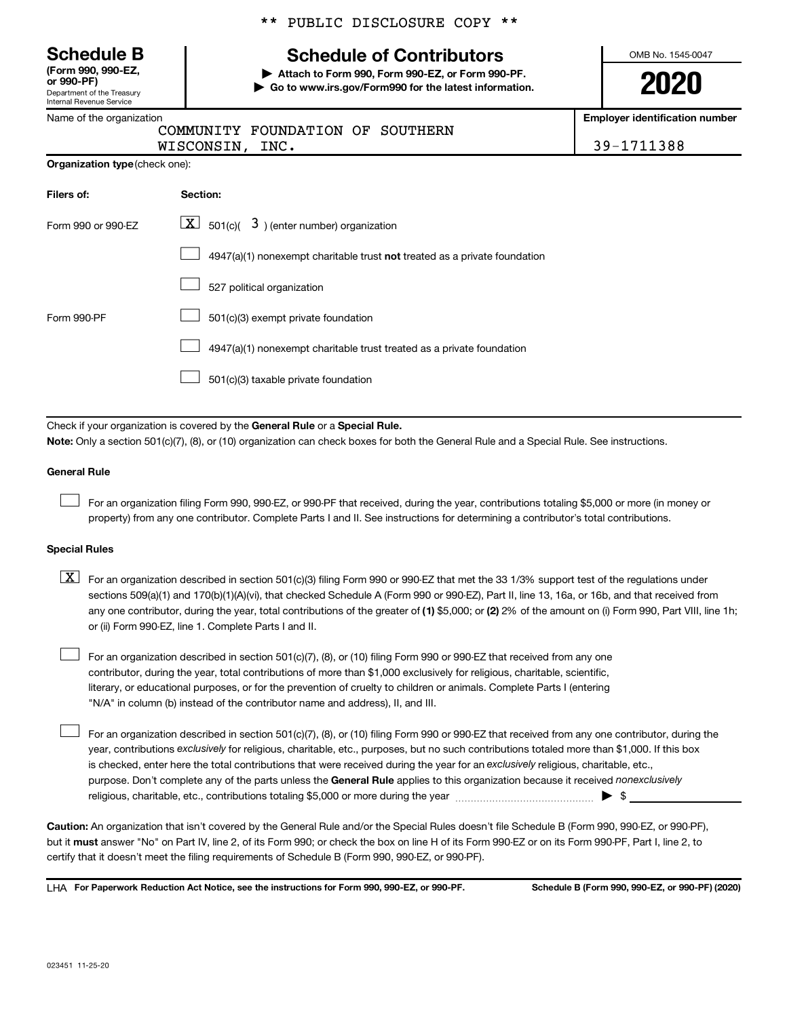Department of the Treasury Internal Revenue Service **(Form 990, 990-EZ,** \*\* PUBLIC DISCLOSURE COPY \*\*

# **Schedule B Schedule of Contributors**

**or 990-PF) | Attach to Form 990, Form 990-EZ, or Form 990-PF. | Go to www.irs.gov/Form990 for the latest information.** OMB No. 1545-0047

**2020**

**Employer identification number**

|  | Name of the organization |  |
|--|--------------------------|--|
|  |                          |  |

|               | COMMUNITY FOUNDATION OF SOUTHERN |  |
|---------------|----------------------------------|--|
| ------------- |                                  |  |

WISCONSIN, INC. 2008 2012 12:39 12:39 12:388

| <b>Organization type (check one):</b> |          |  |  |  |
|---------------------------------------|----------|--|--|--|
| Filers of:                            | Section: |  |  |  |

| Form 990 or 990-FZ | $\lfloor \underline{X} \rfloor$ 501(c)( 3) (enter number) organization             |  |  |  |  |
|--------------------|------------------------------------------------------------------------------------|--|--|--|--|
|                    | $4947(a)(1)$ nonexempt charitable trust <b>not</b> treated as a private foundation |  |  |  |  |
|                    | 527 political organization                                                         |  |  |  |  |
| Form 990-PF        | 501(c)(3) exempt private foundation                                                |  |  |  |  |
|                    | 4947(a)(1) nonexempt charitable trust treated as a private foundation              |  |  |  |  |
|                    | 501(c)(3) taxable private foundation                                               |  |  |  |  |

Check if your organization is covered by the General Rule or a Special Rule.

**Note:**  Only a section 501(c)(7), (8), or (10) organization can check boxes for both the General Rule and a Special Rule. See instructions.

### **General Rule**

 $\Box$ 

 $\Box$ 

For an organization filing Form 990, 990-EZ, or 990-PF that received, during the year, contributions totaling \$5,000 or more (in money or property) from any one contributor. Complete Parts I and II. See instructions for determining a contributor's total contributions.

#### **Special Rules**

any one contributor, during the year, total contributions of the greater of (1) \$5,000; or (2) 2% of the amount on (i) Form 990, Part VIII, line 1h;  $\boxed{\text{X}}$  For an organization described in section 501(c)(3) filing Form 990 or 990-EZ that met the 33 1/3% support test of the regulations under sections 509(a)(1) and 170(b)(1)(A)(vi), that checked Schedule A (Form 990 or 990-EZ), Part II, line 13, 16a, or 16b, and that received from or (ii) Form 990-EZ, line 1. Complete Parts I and II.

For an organization described in section 501(c)(7), (8), or (10) filing Form 990 or 990-EZ that received from any one contributor, during the year, total contributions of more than \$1,000 exclusively for religious, charitable, scientific, literary, or educational purposes, or for the prevention of cruelty to children or animals. Complete Parts I (entering "N/A" in column (b) instead of the contributor name and address), II, and III.  $\Box$ 

purpose. Don't complete any of the parts unless the General Rule applies to this organization because it received nonexclusively year, contributions exclusively for religious, charitable, etc., purposes, but no such contributions totaled more than \$1,000. If this box is checked, enter here the total contributions that were received during the year for an exclusively religious, charitable, etc., For an organization described in section 501(c)(7), (8), or (10) filing Form 990 or 990-EZ that received from any one contributor, during the religious, charitable, etc., contributions totaling \$5,000 or more during the year  $~\ldots\ldots\ldots\ldots\ldots\ldots\ldots\ldots\blacktriangleright~$ \$

**Caution:**  An organization that isn't covered by the General Rule and/or the Special Rules doesn't file Schedule B (Form 990, 990-EZ, or 990-PF),  **must** but it answer "No" on Part IV, line 2, of its Form 990; or check the box on line H of its Form 990-EZ or on its Form 990-PF, Part I, line 2, to certify that it doesn't meet the filing requirements of Schedule B (Form 990, 990-EZ, or 990-PF).

**For Paperwork Reduction Act Notice, see the instructions for Form 990, 990-EZ, or 990-PF. Schedule B (Form 990, 990-EZ, or 990-PF) (2020)** LHA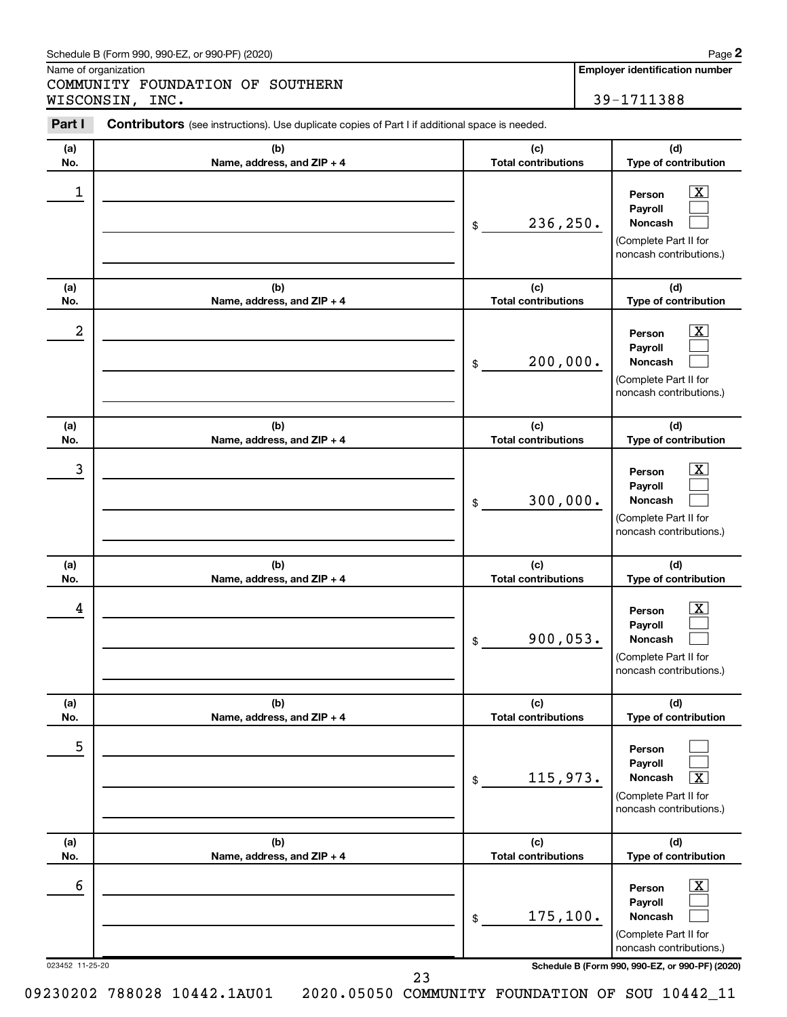### Schedule B (Form 990, 990-EZ, or 990-PF) (2020)

Name of organization

COMMUNITY FOUNDATION OF SOUTHERN WISCONSIN, INC. 29-1711388 **2**

| Part I               | <b>Contributors</b> (see instructions). Use duplicate copies of Part I if additional space is needed. |                                   |                                                                                                                                                                    |
|----------------------|-------------------------------------------------------------------------------------------------------|-----------------------------------|--------------------------------------------------------------------------------------------------------------------------------------------------------------------|
| (a)<br>No.           | (b)<br>Name, address, and ZIP + 4                                                                     | (c)<br><b>Total contributions</b> | (d)<br>Type of contribution                                                                                                                                        |
| 1                    |                                                                                                       | 236,250.<br>\$                    | $\mathbf{X}$<br>Person<br>Payroll<br>Noncash<br>(Complete Part II for<br>noncash contributions.)                                                                   |
| (a)<br>No.           | (b)<br>Name, address, and ZIP + 4                                                                     | (c)<br><b>Total contributions</b> | (d)<br>Type of contribution                                                                                                                                        |
| 2                    |                                                                                                       | 200,000.<br>\$                    | $\boxed{\mathbf{X}}$<br>Person<br>Payroll<br>Noncash<br>(Complete Part II for<br>noncash contributions.)                                                           |
| (a)<br>No.           | (b)<br>Name, address, and ZIP + 4                                                                     | (c)<br><b>Total contributions</b> | (d)<br>Type of contribution                                                                                                                                        |
| 3                    |                                                                                                       | 300,000.<br>\$                    | $\mathbf{X}$<br>Person<br>Payroll<br>Noncash<br>(Complete Part II for<br>noncash contributions.)                                                                   |
| (a)<br>No.           | (b)<br>Name, address, and ZIP + 4                                                                     | (c)<br><b>Total contributions</b> | (d)<br>Type of contribution                                                                                                                                        |
| 4                    |                                                                                                       | 900,053.<br>\$                    | $\mathbf{X}$<br>Person<br>Payroll<br>Noncash<br>(Complete Part II for<br>noncash contributions.)                                                                   |
| (a)<br>No.           | (b)<br>Name, address, and ZIP + 4                                                                     | (c)<br><b>Total contributions</b> | (d)<br>Type of contribution                                                                                                                                        |
| 5                    |                                                                                                       | 115,973.<br>\$                    | Person<br>Payroll<br>$\overline{\mathbf{X}}$<br><b>Noncash</b><br>(Complete Part II for<br>noncash contributions.)                                                 |
| (a)<br>No.           | (b)<br>Name, address, and ZIP + 4                                                                     | (c)<br><b>Total contributions</b> | (d)<br>Type of contribution                                                                                                                                        |
| 6<br>023452 11-25-20 |                                                                                                       | 175, 100.<br>\$                   | $\boxed{\mathbf{X}}$<br>Person<br>Payroll<br><b>Noncash</b><br>(Complete Part II for<br>noncash contributions.)<br>Schedule B (Form 990, 990-EZ, or 990-PF) (2020) |

23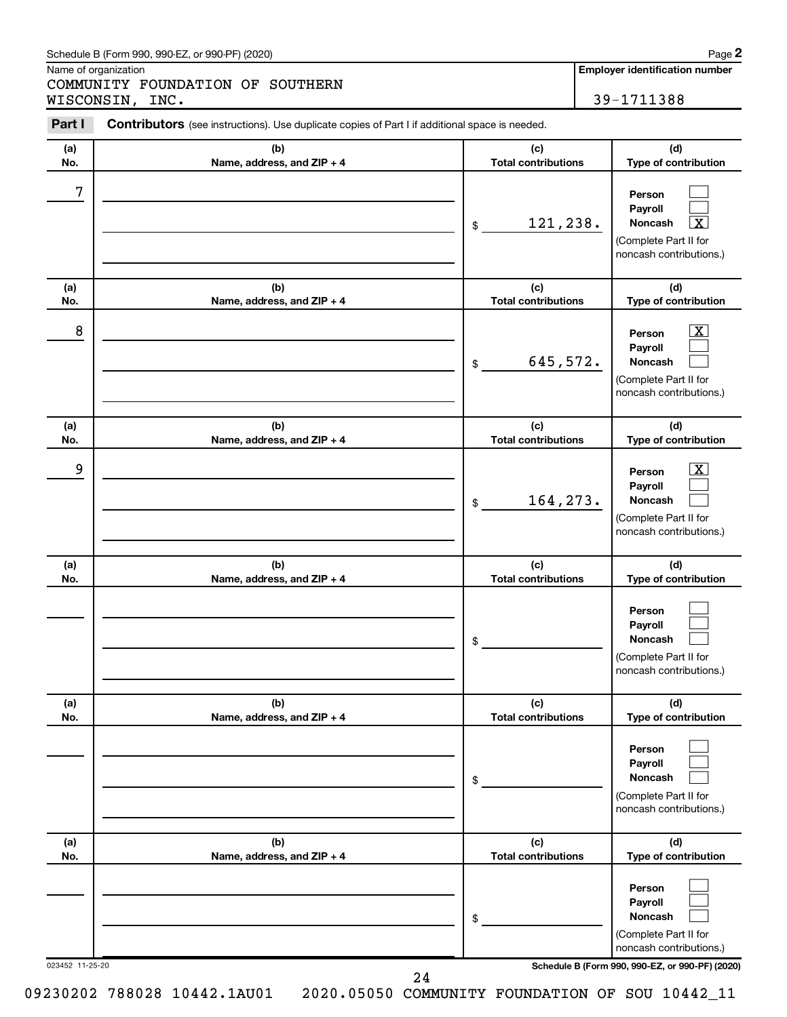### Schedule B (Form 990, 990-EZ, or 990-PF) (2020)

Name of organization

COMMUNITY FOUNDATION OF SOUTHERN WISCONSIN, INC. 29-1711388 **2**

| Part I          | <b>Contributors</b> (see instructions). Use duplicate copies of Part I if additional space is needed. |                                   |                                                                                                                                     |  |  |  |  |  |
|-----------------|-------------------------------------------------------------------------------------------------------|-----------------------------------|-------------------------------------------------------------------------------------------------------------------------------------|--|--|--|--|--|
| (a)<br>No.      | (b)<br>Name, address, and ZIP + 4                                                                     | (c)<br><b>Total contributions</b> | (d)<br>Type of contribution                                                                                                         |  |  |  |  |  |
| 7               |                                                                                                       | 121,238.<br>\$                    | Person<br>Payroll<br>$\overline{\mathbf{x}}$<br>Noncash<br>(Complete Part II for<br>noncash contributions.)                         |  |  |  |  |  |
| (a)<br>No.      | (b)<br>Name, address, and ZIP + 4                                                                     | (c)<br><b>Total contributions</b> | (d)<br>Type of contribution                                                                                                         |  |  |  |  |  |
| 8               |                                                                                                       | 645,572.<br>\$                    | $\boxed{\mathbf{X}}$<br>Person<br>Payroll<br>Noncash<br>(Complete Part II for<br>noncash contributions.)                            |  |  |  |  |  |
| (a)<br>No.      | (b)<br>Name, address, and ZIP + 4                                                                     | (c)<br><b>Total contributions</b> | (d)<br>Type of contribution                                                                                                         |  |  |  |  |  |
| 9               |                                                                                                       | 164, 273.<br>\$                   | $\overline{\mathbf{X}}$<br>Person<br>Payroll<br>Noncash<br>(Complete Part II for<br>noncash contributions.)                         |  |  |  |  |  |
| (a)<br>No.      | (b)<br>Name, address, and ZIP + 4                                                                     | (c)<br><b>Total contributions</b> | (d)<br>Type of contribution                                                                                                         |  |  |  |  |  |
|                 |                                                                                                       | \$                                | Person<br>Payroll<br>Noncash<br>(Complete Part II for<br>noncash contributions.)                                                    |  |  |  |  |  |
| (a)<br>No.      | (b)<br>Name, address, and ZIP + 4                                                                     | (c)<br><b>Total contributions</b> | (d)<br>Type of contribution                                                                                                         |  |  |  |  |  |
|                 |                                                                                                       | \$                                | Person<br>Payroll<br><b>Noncash</b><br>(Complete Part II for<br>noncash contributions.)                                             |  |  |  |  |  |
| (a)<br>No.      | (b)<br>Name, address, and ZIP + 4                                                                     | (c)<br><b>Total contributions</b> | (d)<br>Type of contribution                                                                                                         |  |  |  |  |  |
| 023452 11-25-20 |                                                                                                       | \$                                | Person<br>Payroll<br>Noncash<br>(Complete Part II for<br>noncash contributions.)<br>Schedule B (Form 990, 990-EZ, or 990-PF) (2020) |  |  |  |  |  |

24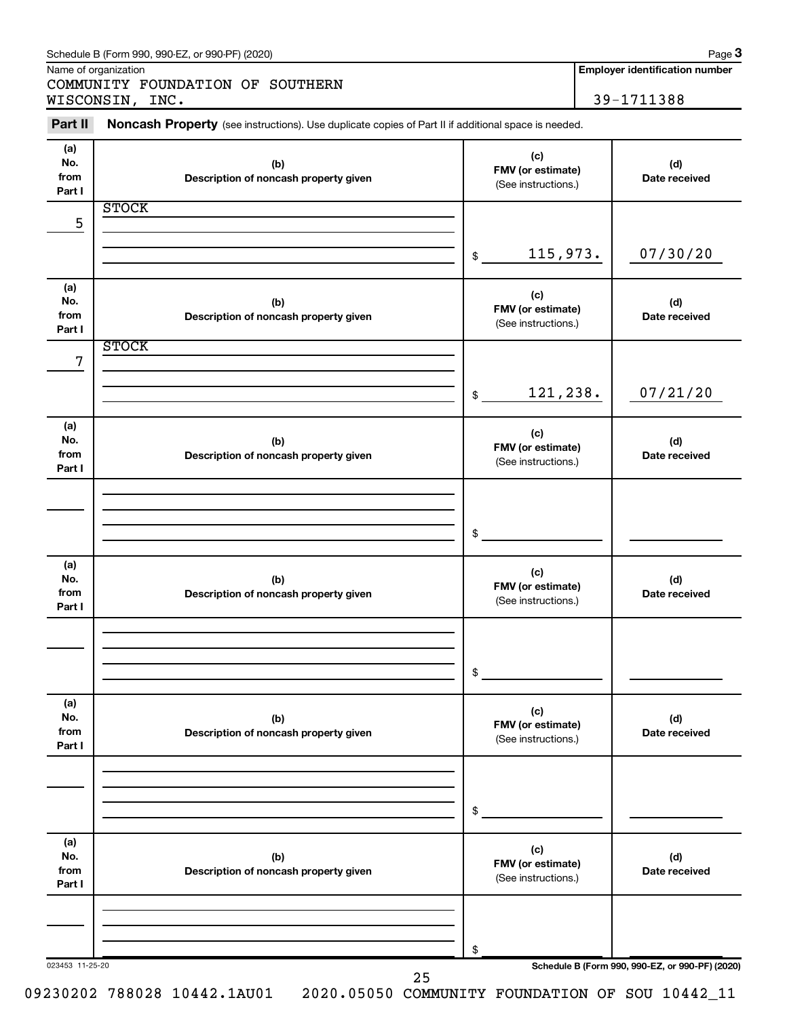|                              | Schedule B (Form 990, 990-EZ, or 990-PF) (2020)<br>Name of organization                             |                                                       |          | Page 3<br><b>Employer identification number</b> |
|------------------------------|-----------------------------------------------------------------------------------------------------|-------------------------------------------------------|----------|-------------------------------------------------|
|                              | COMMUNITY FOUNDATION OF SOUTHERN                                                                    |                                                       |          |                                                 |
|                              | WISCONSIN, INC.                                                                                     |                                                       |          | 39-1711388                                      |
| Part II                      | Noncash Property (see instructions). Use duplicate copies of Part II if additional space is needed. |                                                       |          |                                                 |
| (a)<br>No.<br>from<br>Part I | (b)<br>Description of noncash property given                                                        | (c)<br>FMV (or estimate)<br>(See instructions.)       |          | (d)<br>Date received                            |
|                              | <b>STOCK</b>                                                                                        |                                                       |          |                                                 |
| 5                            |                                                                                                     |                                                       |          |                                                 |
|                              |                                                                                                     | \$                                                    | 115,973. | 07/30/20                                        |
| (a)<br>No.<br>from<br>Part I | (b)<br>Description of noncash property given                                                        | (c)<br>FMV (or estimate)<br>(See instructions.)       |          | (d)<br>Date received                            |
|                              | <b>STOCK</b>                                                                                        |                                                       |          |                                                 |
| 7                            |                                                                                                     | \$                                                    | 121,238. | 07/21/20                                        |
| (a)<br>No.<br>from<br>Part I | (b)<br>Description of noncash property given                                                        | (c)<br>FMV (or estimate)<br>(See instructions.)       |          | (d)<br>Date received                            |
|                              |                                                                                                     |                                                       |          |                                                 |
| (a)<br>No.<br>from<br>Part I | (b)<br>Description of noncash property given                                                        | \$<br>(c)<br>FMV (or estimate)<br>(See instructions.) |          | (d)<br>Date received                            |
|                              |                                                                                                     | \$                                                    |          |                                                 |
| (a)<br>No.<br>from<br>Part I | (b)<br>Description of noncash property given                                                        | (c)<br>FMV (or estimate)<br>(See instructions.)       |          | (d)<br>Date received                            |
|                              |                                                                                                     | \$                                                    |          |                                                 |
| (a)<br>No.<br>from<br>Part I | (b)<br>Description of noncash property given                                                        | (c)<br>FMV (or estimate)<br>(See instructions.)       |          | (d)<br>Date received                            |
|                              |                                                                                                     | \$                                                    |          |                                                 |
| 023453 11-25-20              | 25                                                                                                  |                                                       |          | Schedule B (Form 990, 990-EZ, or 990-PF) (2020) |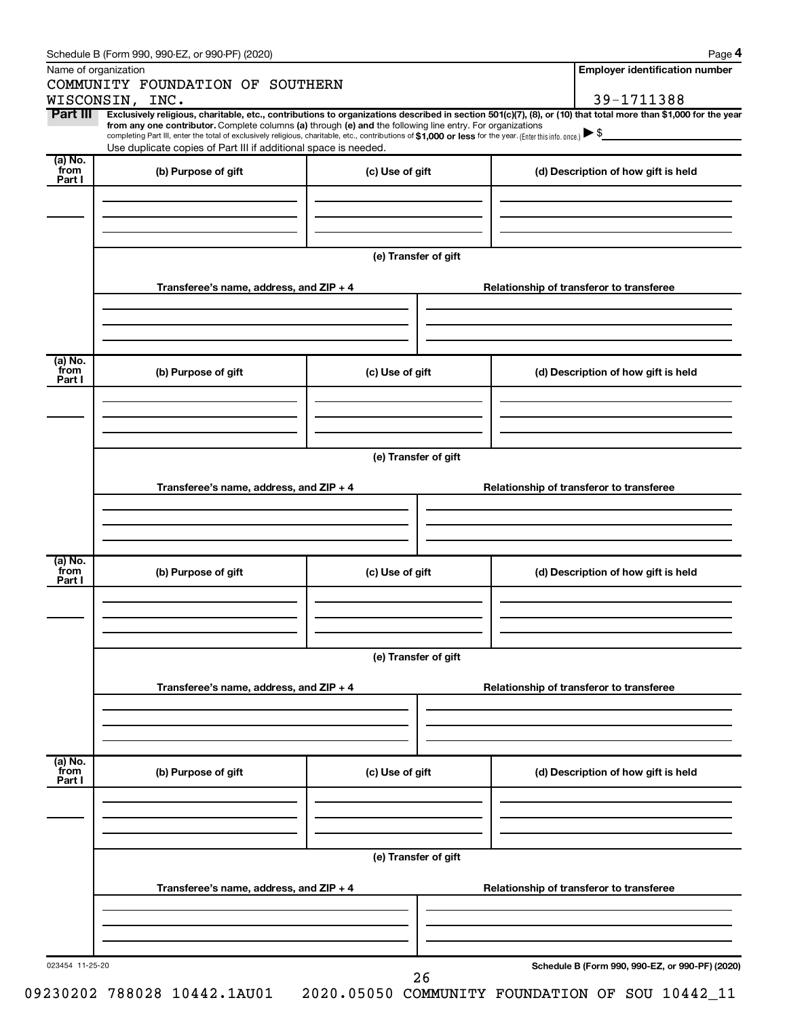|                 | Schedule B (Form 990, 990-EZ, or 990-PF) (2020)                                                                                                                                                                                                                              |                      |                                          | Page 4                                          |  |  |  |  |  |
|-----------------|------------------------------------------------------------------------------------------------------------------------------------------------------------------------------------------------------------------------------------------------------------------------------|----------------------|------------------------------------------|-------------------------------------------------|--|--|--|--|--|
|                 | Name of organization                                                                                                                                                                                                                                                         |                      |                                          | <b>Employer identification number</b>           |  |  |  |  |  |
|                 | COMMUNITY FOUNDATION OF SOUTHERN                                                                                                                                                                                                                                             |                      |                                          |                                                 |  |  |  |  |  |
|                 | WISCONSIN, INC.                                                                                                                                                                                                                                                              |                      |                                          | 39-1711388                                      |  |  |  |  |  |
| Part III        | Exclusively religious, charitable, etc., contributions to organizations described in section 501(c)(7), (8), or (10) that total more than \$1,000 for the year<br>from any one contributor. Complete columns (a) through (e) and the following line entry. For organizations |                      |                                          |                                                 |  |  |  |  |  |
|                 | completing Part III, enter the total of exclusively religious, charitable, etc., contributions of \$1,000 or less for the year. (Enter this info. once.)                                                                                                                     |                      |                                          |                                                 |  |  |  |  |  |
|                 | Use duplicate copies of Part III if additional space is needed.                                                                                                                                                                                                              |                      |                                          |                                                 |  |  |  |  |  |
| (a) No.<br>from | (b) Purpose of gift                                                                                                                                                                                                                                                          | (c) Use of gift      |                                          | (d) Description of how gift is held             |  |  |  |  |  |
| Part I          |                                                                                                                                                                                                                                                                              |                      |                                          |                                                 |  |  |  |  |  |
|                 |                                                                                                                                                                                                                                                                              |                      |                                          |                                                 |  |  |  |  |  |
|                 |                                                                                                                                                                                                                                                                              |                      |                                          |                                                 |  |  |  |  |  |
|                 |                                                                                                                                                                                                                                                                              |                      |                                          |                                                 |  |  |  |  |  |
|                 |                                                                                                                                                                                                                                                                              | (e) Transfer of gift |                                          |                                                 |  |  |  |  |  |
|                 |                                                                                                                                                                                                                                                                              |                      |                                          |                                                 |  |  |  |  |  |
|                 | Transferee's name, address, and ZIP + 4                                                                                                                                                                                                                                      |                      |                                          | Relationship of transferor to transferee        |  |  |  |  |  |
|                 |                                                                                                                                                                                                                                                                              |                      |                                          |                                                 |  |  |  |  |  |
|                 |                                                                                                                                                                                                                                                                              |                      |                                          |                                                 |  |  |  |  |  |
|                 |                                                                                                                                                                                                                                                                              |                      |                                          |                                                 |  |  |  |  |  |
|                 |                                                                                                                                                                                                                                                                              |                      |                                          |                                                 |  |  |  |  |  |
| (a) No.<br>from | (b) Purpose of gift                                                                                                                                                                                                                                                          | (c) Use of gift      |                                          | (d) Description of how gift is held             |  |  |  |  |  |
| Part I          |                                                                                                                                                                                                                                                                              |                      |                                          |                                                 |  |  |  |  |  |
|                 |                                                                                                                                                                                                                                                                              |                      |                                          |                                                 |  |  |  |  |  |
|                 |                                                                                                                                                                                                                                                                              |                      |                                          |                                                 |  |  |  |  |  |
|                 |                                                                                                                                                                                                                                                                              |                      |                                          |                                                 |  |  |  |  |  |
|                 |                                                                                                                                                                                                                                                                              |                      |                                          |                                                 |  |  |  |  |  |
|                 | (e) Transfer of gift                                                                                                                                                                                                                                                         |                      |                                          |                                                 |  |  |  |  |  |
|                 | Transferee's name, address, and ZIP + 4                                                                                                                                                                                                                                      |                      | Relationship of transferor to transferee |                                                 |  |  |  |  |  |
|                 |                                                                                                                                                                                                                                                                              |                      |                                          |                                                 |  |  |  |  |  |
|                 |                                                                                                                                                                                                                                                                              |                      |                                          |                                                 |  |  |  |  |  |
|                 |                                                                                                                                                                                                                                                                              |                      |                                          |                                                 |  |  |  |  |  |
|                 |                                                                                                                                                                                                                                                                              |                      |                                          |                                                 |  |  |  |  |  |
| (a) No.<br>from | (b) Purpose of gift                                                                                                                                                                                                                                                          | (c) Use of gift      |                                          | (d) Description of how gift is held             |  |  |  |  |  |
| Part I          |                                                                                                                                                                                                                                                                              |                      |                                          |                                                 |  |  |  |  |  |
|                 |                                                                                                                                                                                                                                                                              |                      |                                          |                                                 |  |  |  |  |  |
|                 |                                                                                                                                                                                                                                                                              |                      |                                          |                                                 |  |  |  |  |  |
|                 |                                                                                                                                                                                                                                                                              |                      |                                          |                                                 |  |  |  |  |  |
|                 |                                                                                                                                                                                                                                                                              |                      |                                          |                                                 |  |  |  |  |  |
|                 | (e) Transfer of gift                                                                                                                                                                                                                                                         |                      |                                          |                                                 |  |  |  |  |  |
|                 | Transferee's name, address, and ZIP + 4                                                                                                                                                                                                                                      |                      |                                          | Relationship of transferor to transferee        |  |  |  |  |  |
|                 |                                                                                                                                                                                                                                                                              |                      |                                          |                                                 |  |  |  |  |  |
|                 |                                                                                                                                                                                                                                                                              |                      |                                          |                                                 |  |  |  |  |  |
|                 |                                                                                                                                                                                                                                                                              |                      |                                          |                                                 |  |  |  |  |  |
|                 |                                                                                                                                                                                                                                                                              |                      |                                          |                                                 |  |  |  |  |  |
| (a) No.<br>from | (b) Purpose of gift                                                                                                                                                                                                                                                          | (c) Use of gift      |                                          | (d) Description of how gift is held             |  |  |  |  |  |
| Part I          |                                                                                                                                                                                                                                                                              |                      |                                          |                                                 |  |  |  |  |  |
|                 |                                                                                                                                                                                                                                                                              |                      |                                          |                                                 |  |  |  |  |  |
|                 |                                                                                                                                                                                                                                                                              |                      |                                          |                                                 |  |  |  |  |  |
|                 |                                                                                                                                                                                                                                                                              |                      |                                          |                                                 |  |  |  |  |  |
|                 |                                                                                                                                                                                                                                                                              |                      |                                          |                                                 |  |  |  |  |  |
|                 |                                                                                                                                                                                                                                                                              | (e) Transfer of gift |                                          |                                                 |  |  |  |  |  |
|                 | Transferee's name, address, and ZIP + 4                                                                                                                                                                                                                                      |                      |                                          | Relationship of transferor to transferee        |  |  |  |  |  |
|                 |                                                                                                                                                                                                                                                                              |                      |                                          |                                                 |  |  |  |  |  |
|                 |                                                                                                                                                                                                                                                                              |                      |                                          |                                                 |  |  |  |  |  |
|                 |                                                                                                                                                                                                                                                                              |                      |                                          |                                                 |  |  |  |  |  |
|                 |                                                                                                                                                                                                                                                                              |                      |                                          |                                                 |  |  |  |  |  |
| 023454 11-25-20 |                                                                                                                                                                                                                                                                              |                      |                                          | Schedule B (Form 990, 990-EZ, or 990-PF) (2020) |  |  |  |  |  |
|                 |                                                                                                                                                                                                                                                                              | 26                   |                                          |                                                 |  |  |  |  |  |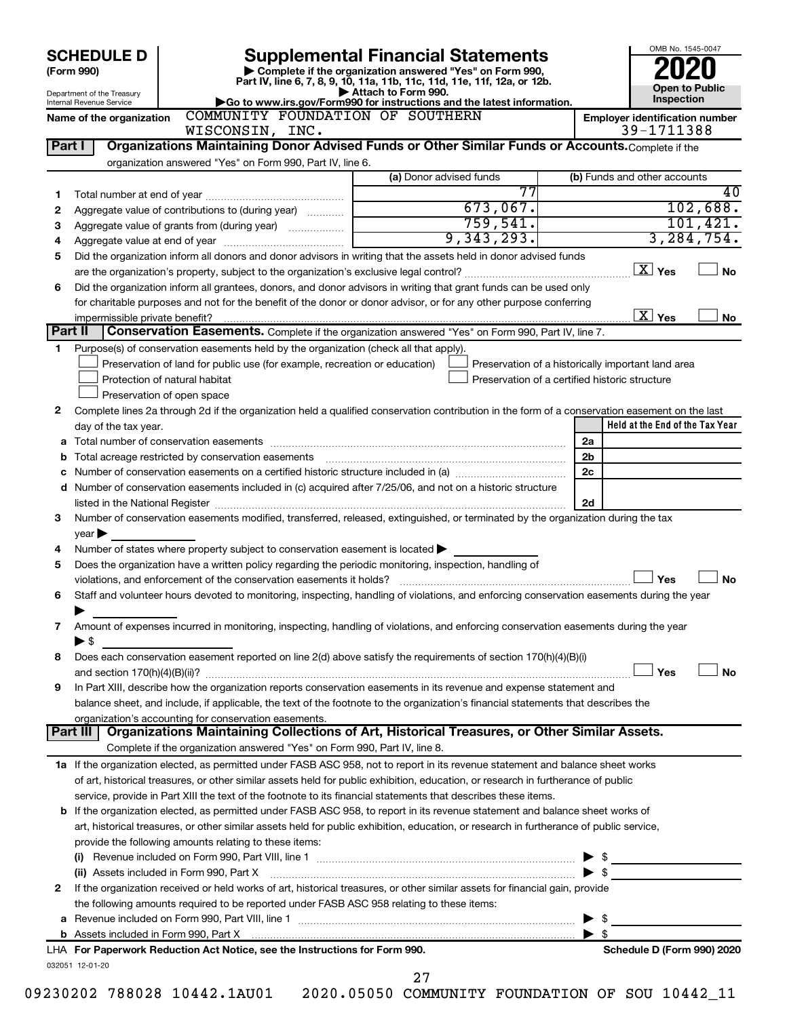| <b>SCHEDULE D</b> |                                                      |                                                                                                                                                                                                             | <b>Supplemental Financial Statements</b>                                                                                                                                                                                                | OMB No. 1545-0047                                  |
|-------------------|------------------------------------------------------|-------------------------------------------------------------------------------------------------------------------------------------------------------------------------------------------------------------|-----------------------------------------------------------------------------------------------------------------------------------------------------------------------------------------------------------------------------------------|----------------------------------------------------|
|                   | (Form 990)                                           |                                                                                                                                                                                                             | Complete if the organization answered "Yes" on Form 990,<br>Part IV, line 6, 7, 8, 9, 10, 11a, 11b, 11c, 11d, 11e, 11f, 12a, or 12b.                                                                                                    |                                                    |
|                   | Department of the Treasury                           |                                                                                                                                                                                                             | Attach to Form 990.                                                                                                                                                                                                                     | <b>Open to Public</b><br>Inspection                |
|                   | Internal Revenue Service<br>Name of the organization | COMMUNITY FOUNDATION OF SOUTHERN                                                                                                                                                                            | Go to www.irs.gov/Form990 for instructions and the latest information.                                                                                                                                                                  | <b>Employer identification number</b>              |
|                   |                                                      | WISCONSIN, INC.                                                                                                                                                                                             |                                                                                                                                                                                                                                         | 39-1711388                                         |
| Part I            |                                                      |                                                                                                                                                                                                             | Organizations Maintaining Donor Advised Funds or Other Similar Funds or Accounts. Complete if the                                                                                                                                       |                                                    |
|                   |                                                      | organization answered "Yes" on Form 990, Part IV, line 6.                                                                                                                                                   |                                                                                                                                                                                                                                         |                                                    |
|                   |                                                      |                                                                                                                                                                                                             | (a) Donor advised funds                                                                                                                                                                                                                 | (b) Funds and other accounts                       |
| 1                 |                                                      |                                                                                                                                                                                                             | 77                                                                                                                                                                                                                                      | $\overline{40}$                                    |
| 2                 |                                                      | Aggregate value of contributions to (during year)                                                                                                                                                           | 673,067.                                                                                                                                                                                                                                | 102,688.                                           |
| З                 |                                                      |                                                                                                                                                                                                             | 759,541.                                                                                                                                                                                                                                | 101,421.                                           |
| 4                 |                                                      |                                                                                                                                                                                                             | 9,343,293.                                                                                                                                                                                                                              | 3, 284, 754.                                       |
| 5                 |                                                      |                                                                                                                                                                                                             | Did the organization inform all donors and donor advisors in writing that the assets held in donor advised funds                                                                                                                        | $\boxed{\text{X}}$ Yes                             |
|                   |                                                      |                                                                                                                                                                                                             | <b>No</b>                                                                                                                                                                                                                               |                                                    |
| 6                 |                                                      |                                                                                                                                                                                                             | Did the organization inform all grantees, donors, and donor advisors in writing that grant funds can be used only<br>for charitable purposes and not for the benefit of the donor or donor advisor, or for any other purpose conferring |                                                    |
|                   | impermissible private benefit?                       |                                                                                                                                                                                                             |                                                                                                                                                                                                                                         | $\overline{X}$ Yes<br>No                           |
| Part II           |                                                      |                                                                                                                                                                                                             | Conservation Easements. Complete if the organization answered "Yes" on Form 990, Part IV, line 7.                                                                                                                                       |                                                    |
| 1.                |                                                      | Purpose(s) of conservation easements held by the organization (check all that apply).                                                                                                                       |                                                                                                                                                                                                                                         |                                                    |
|                   |                                                      | Preservation of land for public use (for example, recreation or education)                                                                                                                                  |                                                                                                                                                                                                                                         | Preservation of a historically important land area |
|                   |                                                      | Protection of natural habitat                                                                                                                                                                               | Preservation of a certified historic structure                                                                                                                                                                                          |                                                    |
|                   |                                                      | Preservation of open space                                                                                                                                                                                  |                                                                                                                                                                                                                                         |                                                    |
| 2                 |                                                      |                                                                                                                                                                                                             | Complete lines 2a through 2d if the organization held a qualified conservation contribution in the form of a conservation easement on the last                                                                                          |                                                    |
|                   | day of the tax year.                                 |                                                                                                                                                                                                             |                                                                                                                                                                                                                                         | Held at the End of the Tax Year                    |
|                   |                                                      |                                                                                                                                                                                                             |                                                                                                                                                                                                                                         | 2a                                                 |
| b                 |                                                      |                                                                                                                                                                                                             | Total acreage restricted by conservation easements [111] [12] matter conservation conservation of the set of the set of the set of the set of the set of the set of the set of the set of the set of the set of the set of the          | 2 <sub>b</sub>                                     |
| с                 |                                                      |                                                                                                                                                                                                             |                                                                                                                                                                                                                                         | 2c                                                 |
|                   |                                                      |                                                                                                                                                                                                             | d Number of conservation easements included in (c) acquired after 7/25/06, and not on a historic structure                                                                                                                              |                                                    |
|                   |                                                      |                                                                                                                                                                                                             |                                                                                                                                                                                                                                         | 2d                                                 |
| З                 |                                                      |                                                                                                                                                                                                             | Number of conservation easements modified, transferred, released, extinguished, or terminated by the organization during the tax                                                                                                        |                                                    |
|                   | $year \blacktriangleright$                           |                                                                                                                                                                                                             |                                                                                                                                                                                                                                         |                                                    |
| 4<br>5            |                                                      | Number of states where property subject to conservation easement is located $\blacktriangleright$<br>Does the organization have a written policy regarding the periodic monitoring, inspection, handling of |                                                                                                                                                                                                                                         |                                                    |
|                   |                                                      |                                                                                                                                                                                                             |                                                                                                                                                                                                                                         | Yes<br><b>No</b>                                   |
| 6                 |                                                      |                                                                                                                                                                                                             | Staff and volunteer hours devoted to monitoring, inspecting, handling of violations, and enforcing conservation easements during the year                                                                                               |                                                    |
|                   |                                                      |                                                                                                                                                                                                             |                                                                                                                                                                                                                                         |                                                    |
| 7                 |                                                      |                                                                                                                                                                                                             | Amount of expenses incurred in monitoring, inspecting, handling of violations, and enforcing conservation easements during the year                                                                                                     |                                                    |
|                   | $\blacktriangleright$ \$                             |                                                                                                                                                                                                             |                                                                                                                                                                                                                                         |                                                    |
| 8                 |                                                      |                                                                                                                                                                                                             | Does each conservation easement reported on line 2(d) above satisfy the requirements of section 170(h)(4)(B)(i)                                                                                                                         |                                                    |
|                   |                                                      |                                                                                                                                                                                                             |                                                                                                                                                                                                                                         | Yes<br><b>No</b>                                   |
| 9                 |                                                      |                                                                                                                                                                                                             | In Part XIII, describe how the organization reports conservation easements in its revenue and expense statement and                                                                                                                     |                                                    |
|                   |                                                      |                                                                                                                                                                                                             | balance sheet, and include, if applicable, the text of the footnote to the organization's financial statements that describes the                                                                                                       |                                                    |
|                   |                                                      | organization's accounting for conservation easements.                                                                                                                                                       |                                                                                                                                                                                                                                         |                                                    |
|                   | Part III                                             |                                                                                                                                                                                                             | Organizations Maintaining Collections of Art, Historical Treasures, or Other Similar Assets.                                                                                                                                            |                                                    |
|                   |                                                      | Complete if the organization answered "Yes" on Form 990, Part IV, line 8.                                                                                                                                   |                                                                                                                                                                                                                                         |                                                    |
|                   |                                                      |                                                                                                                                                                                                             | 1a If the organization elected, as permitted under FASB ASC 958, not to report in its revenue statement and balance sheet works                                                                                                         |                                                    |
|                   |                                                      |                                                                                                                                                                                                             | of art, historical treasures, or other similar assets held for public exhibition, education, or research in furtherance of public                                                                                                       |                                                    |
|                   |                                                      |                                                                                                                                                                                                             | service, provide in Part XIII the text of the footnote to its financial statements that describes these items.                                                                                                                          |                                                    |
|                   |                                                      |                                                                                                                                                                                                             | <b>b</b> If the organization elected, as permitted under FASB ASC 958, to report in its revenue statement and balance sheet works of                                                                                                    |                                                    |
|                   |                                                      | provide the following amounts relating to these items:                                                                                                                                                      | art, historical treasures, or other similar assets held for public exhibition, education, or research in furtherance of public service,                                                                                                 |                                                    |
|                   |                                                      |                                                                                                                                                                                                             |                                                                                                                                                                                                                                         | $\blacktriangleright$ s                            |
|                   |                                                      | (ii) Assets included in Form 990, Part X                                                                                                                                                                    |                                                                                                                                                                                                                                         | $\blacktriangleright$ \$                           |
| 2                 |                                                      |                                                                                                                                                                                                             | If the organization received or held works of art, historical treasures, or other similar assets for financial gain, provide                                                                                                            |                                                    |
|                   |                                                      | the following amounts required to be reported under FASB ASC 958 relating to these items:                                                                                                                   |                                                                                                                                                                                                                                         |                                                    |
|                   |                                                      |                                                                                                                                                                                                             |                                                                                                                                                                                                                                         | $\blacktriangleright$ \$                           |
|                   |                                                      |                                                                                                                                                                                                             |                                                                                                                                                                                                                                         | $\blacktriangleright$ s                            |
|                   |                                                      | LHA For Paperwork Reduction Act Notice, see the Instructions for Form 990.                                                                                                                                  |                                                                                                                                                                                                                                         | Schedule D (Form 990) 2020                         |
|                   | 032051 12-01-20                                      |                                                                                                                                                                                                             |                                                                                                                                                                                                                                         |                                                    |
|                   |                                                      |                                                                                                                                                                                                             | 27                                                                                                                                                                                                                                      |                                                    |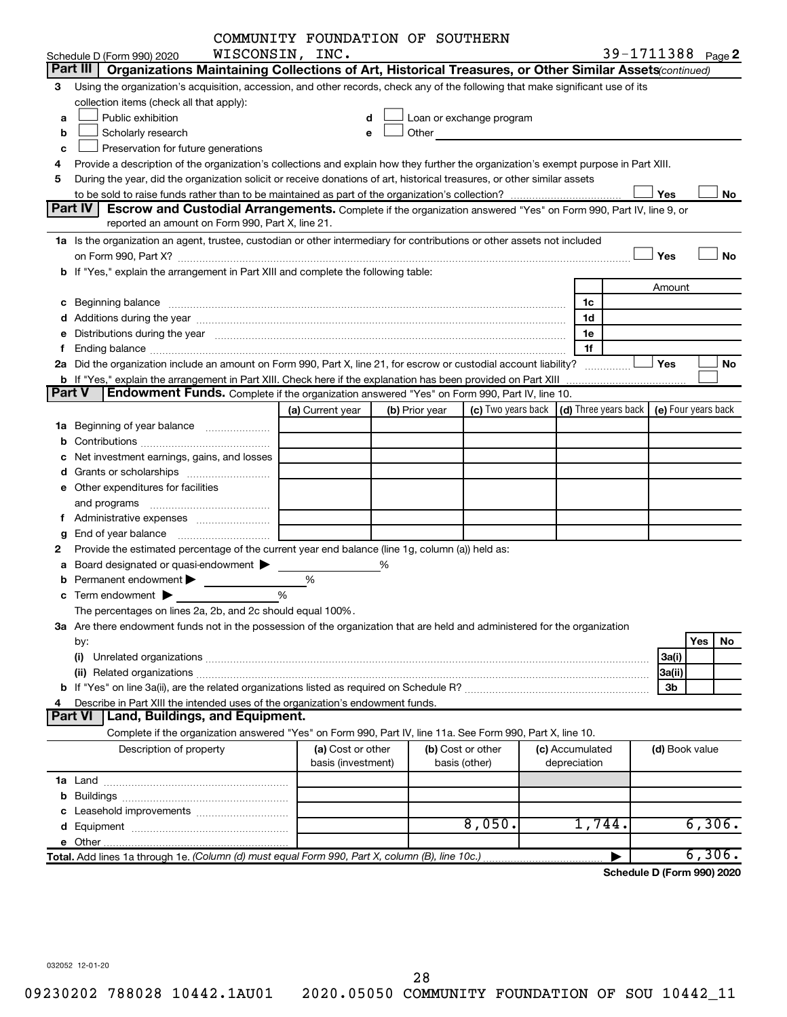|        |                                                                                                                                                                                                                                | COMMUNITY FOUNDATION OF SOUTHERN |   |                |                                                                                                                                                                                                                               |                 |                            |        |        |
|--------|--------------------------------------------------------------------------------------------------------------------------------------------------------------------------------------------------------------------------------|----------------------------------|---|----------------|-------------------------------------------------------------------------------------------------------------------------------------------------------------------------------------------------------------------------------|-----------------|----------------------------|--------|--------|
|        | Schedule D (Form 990) 2020                                                                                                                                                                                                     | WISCONSIN, INC.                  |   |                |                                                                                                                                                                                                                               |                 | 39-1711388 Page 2          |        |        |
|        | Part III   Organizations Maintaining Collections of Art, Historical Treasures, or Other Similar Assets (continued)                                                                                                             |                                  |   |                |                                                                                                                                                                                                                               |                 |                            |        |        |
| 3      | Using the organization's acquisition, accession, and other records, check any of the following that make significant use of its                                                                                                |                                  |   |                |                                                                                                                                                                                                                               |                 |                            |        |        |
|        | collection items (check all that apply):                                                                                                                                                                                       |                                  |   |                |                                                                                                                                                                                                                               |                 |                            |        |        |
| a      | Public exhibition                                                                                                                                                                                                              | d                                |   |                | Loan or exchange program                                                                                                                                                                                                      |                 |                            |        |        |
| b      | Scholarly research                                                                                                                                                                                                             | e                                |   |                | Other and the contract of the contract of the contract of the contract of the contract of the contract of the contract of the contract of the contract of the contract of the contract of the contract of the contract of the |                 |                            |        |        |
| с      | Preservation for future generations                                                                                                                                                                                            |                                  |   |                |                                                                                                                                                                                                                               |                 |                            |        |        |
|        | Provide a description of the organization's collections and explain how they further the organization's exempt purpose in Part XIII.                                                                                           |                                  |   |                |                                                                                                                                                                                                                               |                 |                            |        |        |
| 5      | During the year, did the organization solicit or receive donations of art, historical treasures, or other similar assets                                                                                                       |                                  |   |                |                                                                                                                                                                                                                               |                 |                            |        |        |
|        |                                                                                                                                                                                                                                |                                  |   |                |                                                                                                                                                                                                                               |                 | Yes                        |        | No     |
|        | <b>Part IV</b><br><b>Escrow and Custodial Arrangements.</b> Complete if the organization answered "Yes" on Form 990, Part IV, line 9, or                                                                                       |                                  |   |                |                                                                                                                                                                                                                               |                 |                            |        |        |
|        | reported an amount on Form 990, Part X, line 21.                                                                                                                                                                               |                                  |   |                |                                                                                                                                                                                                                               |                 |                            |        |        |
|        | 1a Is the organization an agent, trustee, custodian or other intermediary for contributions or other assets not included                                                                                                       |                                  |   |                |                                                                                                                                                                                                                               |                 |                            |        |        |
|        |                                                                                                                                                                                                                                |                                  |   |                |                                                                                                                                                                                                                               |                 | Yes                        |        | No     |
|        | b If "Yes," explain the arrangement in Part XIII and complete the following table:                                                                                                                                             |                                  |   |                |                                                                                                                                                                                                                               |                 |                            |        |        |
|        |                                                                                                                                                                                                                                |                                  |   |                |                                                                                                                                                                                                                               |                 | Amount                     |        |        |
|        |                                                                                                                                                                                                                                |                                  |   |                |                                                                                                                                                                                                                               | 1c              |                            |        |        |
|        |                                                                                                                                                                                                                                |                                  |   |                |                                                                                                                                                                                                                               | 1d              |                            |        |        |
|        | e Distributions during the year manufactured and contain an account of the year manufactured and the year manufactured and the year manufactured and the year manufactured and the year manufactured and the year manufactured |                                  |   |                |                                                                                                                                                                                                                               | 1е              |                            |        |        |
|        |                                                                                                                                                                                                                                |                                  |   |                |                                                                                                                                                                                                                               | 1f              |                            |        |        |
|        | 2a Did the organization include an amount on Form 990, Part X, line 21, for escrow or custodial account liability?                                                                                                             |                                  |   |                |                                                                                                                                                                                                                               |                 | Yes                        |        | No     |
|        | <b>b</b> If "Yes," explain the arrangement in Part XIII. Check here if the explanation has been provided on Part XIII                                                                                                          |                                  |   |                |                                                                                                                                                                                                                               |                 |                            |        |        |
| Part V | Endowment Funds. Complete if the organization answered "Yes" on Form 990, Part IV, line 10.                                                                                                                                    |                                  |   |                |                                                                                                                                                                                                                               |                 |                            |        |        |
|        |                                                                                                                                                                                                                                | (a) Current year                 |   | (b) Prior year | (c) Two years back $\vert$ (d) Three years back $\vert$ (e) Four years back                                                                                                                                                   |                 |                            |        |        |
|        |                                                                                                                                                                                                                                |                                  |   |                |                                                                                                                                                                                                                               |                 |                            |        |        |
|        |                                                                                                                                                                                                                                |                                  |   |                |                                                                                                                                                                                                                               |                 |                            |        |        |
|        | Net investment earnings, gains, and losses                                                                                                                                                                                     |                                  |   |                |                                                                                                                                                                                                                               |                 |                            |        |        |
|        |                                                                                                                                                                                                                                |                                  |   |                |                                                                                                                                                                                                                               |                 |                            |        |        |
|        | e Other expenditures for facilities                                                                                                                                                                                            |                                  |   |                |                                                                                                                                                                                                                               |                 |                            |        |        |
|        |                                                                                                                                                                                                                                |                                  |   |                |                                                                                                                                                                                                                               |                 |                            |        |        |
|        |                                                                                                                                                                                                                                |                                  |   |                |                                                                                                                                                                                                                               |                 |                            |        |        |
| g      |                                                                                                                                                                                                                                |                                  |   |                |                                                                                                                                                                                                                               |                 |                            |        |        |
|        | Provide the estimated percentage of the current year end balance (line 1g, column (a)) held as:                                                                                                                                |                                  |   |                |                                                                                                                                                                                                                               |                 |                            |        |        |
|        | a Board designated or quasi-endowment >                                                                                                                                                                                        |                                  | % |                |                                                                                                                                                                                                                               |                 |                            |        |        |
|        | Permanent endowment $\blacktriangleright$                                                                                                                                                                                      | %                                |   |                |                                                                                                                                                                                                                               |                 |                            |        |        |
|        | <b>c</b> Term endowment $\blacktriangleright$                                                                                                                                                                                  | %                                |   |                |                                                                                                                                                                                                                               |                 |                            |        |        |
|        | The percentages on lines 2a, 2b, and 2c should equal 100%.                                                                                                                                                                     |                                  |   |                |                                                                                                                                                                                                                               |                 |                            |        |        |
|        | 3a Are there endowment funds not in the possession of the organization that are held and administered for the organization                                                                                                     |                                  |   |                |                                                                                                                                                                                                                               |                 |                            |        |        |
|        | by:                                                                                                                                                                                                                            |                                  |   |                |                                                                                                                                                                                                                               |                 |                            | Yes    | No     |
|        | (i)                                                                                                                                                                                                                            |                                  |   |                |                                                                                                                                                                                                                               |                 | 3a(i)                      |        |        |
|        |                                                                                                                                                                                                                                |                                  |   |                |                                                                                                                                                                                                                               |                 | 3a(ii)                     |        |        |
|        |                                                                                                                                                                                                                                |                                  |   |                |                                                                                                                                                                                                                               |                 | 3b                         |        |        |
|        | Describe in Part XIII the intended uses of the organization's endowment funds.                                                                                                                                                 |                                  |   |                |                                                                                                                                                                                                                               |                 |                            |        |        |
|        | Land, Buildings, and Equipment.<br><b>Part VI</b>                                                                                                                                                                              |                                  |   |                |                                                                                                                                                                                                                               |                 |                            |        |        |
|        | Complete if the organization answered "Yes" on Form 990, Part IV, line 11a. See Form 990, Part X, line 10.                                                                                                                     |                                  |   |                |                                                                                                                                                                                                                               |                 |                            |        |        |
|        | Description of property                                                                                                                                                                                                        | (a) Cost or other                |   |                | (b) Cost or other                                                                                                                                                                                                             | (c) Accumulated | (d) Book value             |        |        |
|        |                                                                                                                                                                                                                                | basis (investment)               |   |                | basis (other)                                                                                                                                                                                                                 | depreciation    |                            |        |        |
|        |                                                                                                                                                                                                                                |                                  |   |                |                                                                                                                                                                                                                               |                 |                            |        |        |
|        |                                                                                                                                                                                                                                |                                  |   |                |                                                                                                                                                                                                                               |                 |                            |        |        |
|        |                                                                                                                                                                                                                                |                                  |   |                |                                                                                                                                                                                                                               |                 |                            |        |        |
|        |                                                                                                                                                                                                                                |                                  |   |                | 8,050.                                                                                                                                                                                                                        | 1,744.          |                            |        | 6,306. |
|        |                                                                                                                                                                                                                                |                                  |   |                |                                                                                                                                                                                                                               |                 |                            |        |        |
|        | Total. Add lines 1a through 1e. (Column (d) must equal Form 990, Part X, column (B), line 10c.)                                                                                                                                |                                  |   |                |                                                                                                                                                                                                                               |                 |                            | 6,306. |        |
|        |                                                                                                                                                                                                                                |                                  |   |                |                                                                                                                                                                                                                               |                 | Schedule D (Form 990) 2020 |        |        |

032052 12-01-20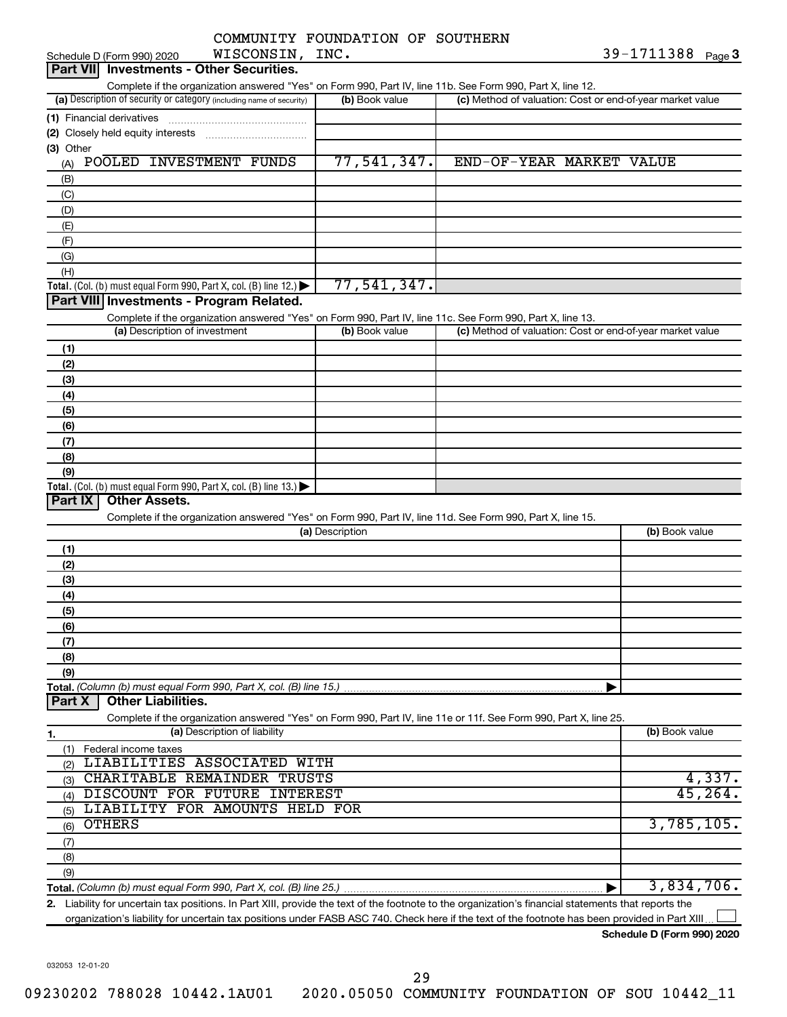|           |                                          |                                                                                               | COMMUNITY FOUNDATION OF SOUTHERN                                                                                                                     |                                                           |                   |
|-----------|------------------------------------------|-----------------------------------------------------------------------------------------------|------------------------------------------------------------------------------------------------------------------------------------------------------|-----------------------------------------------------------|-------------------|
|           | Schedule D (Form 990) 2020               | WISCONSIN, INC.                                                                               |                                                                                                                                                      |                                                           | 39-1711388 Page 3 |
|           | Part VII Investments - Other Securities. |                                                                                               |                                                                                                                                                      |                                                           |                   |
|           |                                          |                                                                                               | Complete if the organization answered "Yes" on Form 990, Part IV, line 11b. See Form 990, Part X, line 12.                                           |                                                           |                   |
|           |                                          | (a) Description of security or category (including name of security)                          | (b) Book value                                                                                                                                       | (c) Method of valuation: Cost or end-of-year market value |                   |
|           | (1) Financial derivatives                |                                                                                               |                                                                                                                                                      |                                                           |                   |
|           |                                          |                                                                                               |                                                                                                                                                      |                                                           |                   |
| (3) Other |                                          |                                                                                               |                                                                                                                                                      |                                                           |                   |
| (A)       | POOLED INVESTMENT FUNDS                  |                                                                                               | 77,541,347.                                                                                                                                          | END-OF-YEAR MARKET VALUE                                  |                   |
| (B)       |                                          |                                                                                               |                                                                                                                                                      |                                                           |                   |
| (C)       |                                          |                                                                                               |                                                                                                                                                      |                                                           |                   |
| (D)       |                                          |                                                                                               |                                                                                                                                                      |                                                           |                   |
| (E)       |                                          |                                                                                               |                                                                                                                                                      |                                                           |                   |
| (F)       |                                          |                                                                                               |                                                                                                                                                      |                                                           |                   |
| (G)       |                                          |                                                                                               |                                                                                                                                                      |                                                           |                   |
| (H)       |                                          |                                                                                               |                                                                                                                                                      |                                                           |                   |
|           |                                          | <b>Total.</b> (Col. (b) must equal Form 990, Part X, col. (B) line 12.) $\blacktriangleright$ | 77,541,347.                                                                                                                                          |                                                           |                   |
|           |                                          | Part VIII Investments - Program Related.                                                      |                                                                                                                                                      |                                                           |                   |
|           |                                          |                                                                                               | Complete if the organization answered "Yes" on Form 990, Part IV, line 11c. See Form 990, Part X, line 13.                                           |                                                           |                   |
|           | (a) Description of investment            |                                                                                               | (b) Book value                                                                                                                                       | (c) Method of valuation: Cost or end-of-year market value |                   |
| (1)       |                                          |                                                                                               |                                                                                                                                                      |                                                           |                   |
| (2)       |                                          |                                                                                               |                                                                                                                                                      |                                                           |                   |
| (3)       |                                          |                                                                                               |                                                                                                                                                      |                                                           |                   |
| (4)       |                                          |                                                                                               |                                                                                                                                                      |                                                           |                   |
| (5)       |                                          |                                                                                               |                                                                                                                                                      |                                                           |                   |
| (6)       |                                          |                                                                                               |                                                                                                                                                      |                                                           |                   |
| (7)       |                                          |                                                                                               |                                                                                                                                                      |                                                           |                   |
| (8)       |                                          |                                                                                               |                                                                                                                                                      |                                                           |                   |
| (9)       |                                          |                                                                                               |                                                                                                                                                      |                                                           |                   |
|           |                                          | Total. (Col. (b) must equal Form 990, Part X, col. (B) line $13.$ )                           |                                                                                                                                                      |                                                           |                   |
| Part IX   | <b>Other Assets.</b>                     |                                                                                               |                                                                                                                                                      |                                                           |                   |
|           |                                          |                                                                                               | Complete if the organization answered "Yes" on Form 990, Part IV, line 11d. See Form 990, Part X, line 15.                                           |                                                           |                   |
|           |                                          |                                                                                               | (a) Description                                                                                                                                      |                                                           | (b) Book value    |
| (1)       |                                          |                                                                                               |                                                                                                                                                      |                                                           |                   |
| (2)       |                                          |                                                                                               |                                                                                                                                                      |                                                           |                   |
| (3)       |                                          |                                                                                               |                                                                                                                                                      |                                                           |                   |
| (4)       |                                          |                                                                                               |                                                                                                                                                      |                                                           |                   |
| (5)       |                                          |                                                                                               |                                                                                                                                                      |                                                           |                   |
| (6)       |                                          |                                                                                               |                                                                                                                                                      |                                                           |                   |
| (7)       |                                          |                                                                                               |                                                                                                                                                      |                                                           |                   |
| (8)       |                                          |                                                                                               |                                                                                                                                                      |                                                           |                   |
| (9)       |                                          |                                                                                               |                                                                                                                                                      |                                                           |                   |
|           |                                          | Total, (Column (b) must equal Form 990, Part X, col. (B) line 15.)                            |                                                                                                                                                      |                                                           |                   |
| Part X    | <b>Other Liabilities.</b>                |                                                                                               |                                                                                                                                                      |                                                           |                   |
|           |                                          |                                                                                               | Complete if the organization answered "Yes" on Form 990, Part IV, line 11e or 11f. See Form 990, Part X, line 25.                                    |                                                           |                   |
| 1.        |                                          | (a) Description of liability                                                                  |                                                                                                                                                      |                                                           | (b) Book value    |
|           | (1) Federal income taxes                 |                                                                                               |                                                                                                                                                      |                                                           |                   |
| (2)       |                                          | LIABILITIES ASSOCIATED WITH                                                                   |                                                                                                                                                      |                                                           |                   |
| (3)       |                                          | CHARITABLE REMAINDER TRUSTS                                                                   |                                                                                                                                                      |                                                           | 4,337.            |
| (4)       |                                          | DISCOUNT FOR FUTURE INTEREST                                                                  |                                                                                                                                                      |                                                           | 45, 264.          |
| (5)       |                                          | LIABILITY FOR AMOUNTS HELD FOR                                                                |                                                                                                                                                      |                                                           |                   |
| (6)       | <b>OTHERS</b>                            |                                                                                               |                                                                                                                                                      |                                                           | 3,785,105.        |
| (7)       |                                          |                                                                                               |                                                                                                                                                      |                                                           |                   |
| (8)       |                                          |                                                                                               |                                                                                                                                                      |                                                           |                   |
| (9)       |                                          |                                                                                               |                                                                                                                                                      |                                                           |                   |
|           |                                          |                                                                                               |                                                                                                                                                      |                                                           | 3,834,706.        |
|           |                                          |                                                                                               | 2. Liability for uncertain tax positions. In Part XIII, provide the text of the footnote to the organization's financial statements that reports the |                                                           |                   |
|           |                                          |                                                                                               | organization's liability for uncertain tax positions under FASB ASC 740. Check here if the text of the footnote has been provided in Part XIII       |                                                           |                   |

**Schedule D (Form 990) 2020**

032053 12-01-20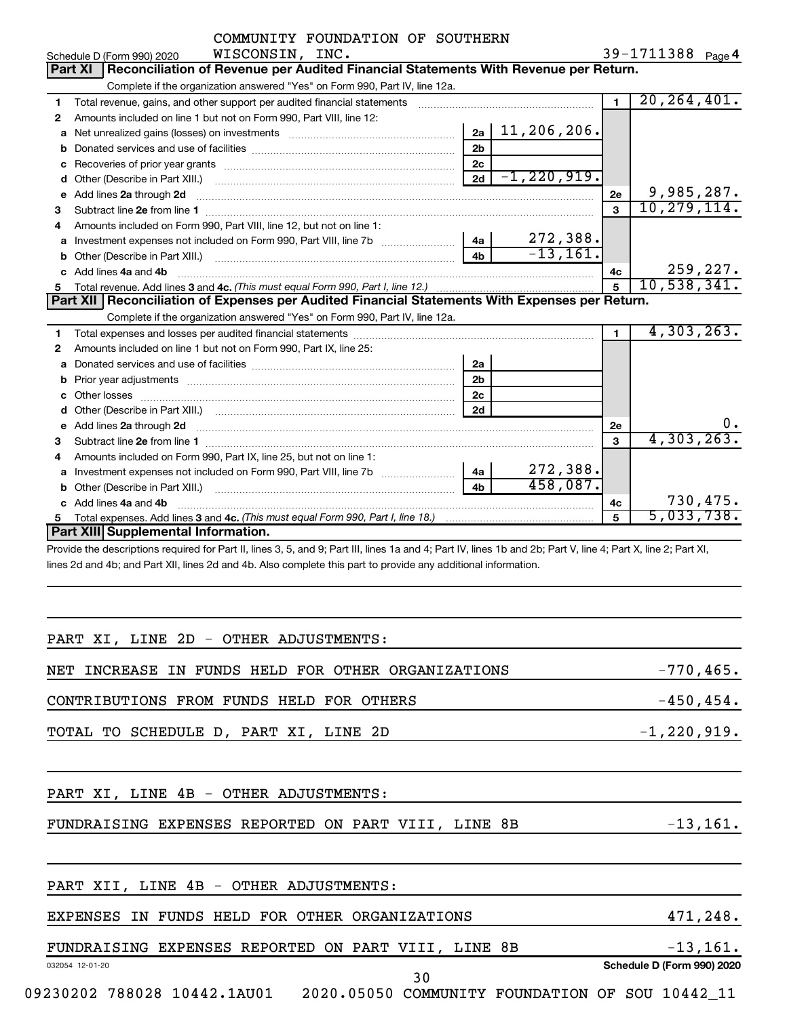|              | COMMUNITY FOUNDATION OF SOUTHERN                                                                                                                             |                |                         |                |                   |          |
|--------------|--------------------------------------------------------------------------------------------------------------------------------------------------------------|----------------|-------------------------|----------------|-------------------|----------|
|              | WISCONSIN, INC.<br>Schedule D (Form 990) 2020                                                                                                                |                |                         |                | 39-1711388 Page 4 |          |
|              | Reconciliation of Revenue per Audited Financial Statements With Revenue per Return.<br><b>Part XI</b>                                                        |                |                         |                |                   |          |
|              | Complete if the organization answered "Yes" on Form 990, Part IV, line 12a.                                                                                  |                |                         |                |                   |          |
| 1            | Total revenue, gains, and other support per audited financial statements [111] [11] Total revenue, gains, and other support per audited financial statements |                |                         | $\blacksquare$ | 20, 264, 401.     |          |
| $\mathbf{2}$ | Amounts included on line 1 but not on Form 990, Part VIII, line 12:                                                                                          |                |                         |                |                   |          |
| a            |                                                                                                                                                              |                | $2a \mid 11, 206, 206.$ |                |                   |          |
|              |                                                                                                                                                              | 2 <sub>b</sub> |                         |                |                   |          |
|              |                                                                                                                                                              | 2c             |                         |                |                   |          |
|              |                                                                                                                                                              | 2d             | $-1, 220, 919.$         |                |                   |          |
| e            | Add lines 2a through 2d                                                                                                                                      |                |                         | 2e             | 9,985,287.        |          |
| 3            |                                                                                                                                                              |                |                         | $\mathbf{a}$   | 10, 279, 114.     |          |
| 4            | Amounts included on Form 990, Part VIII, line 12, but not on line 1:                                                                                         |                |                         |                |                   |          |
|              | a Investment expenses not included on Form 990, Part VIII, line 7b [11, 11, 11, 11, 11]                                                                      | 4a             | 272,388.                |                |                   |          |
|              |                                                                                                                                                              | 4 <sub>h</sub> | $-13, 161.$             |                |                   |          |
|              | c Add lines 4a and 4b                                                                                                                                        |                |                         | 4c             |                   | 259,227. |
| 5            |                                                                                                                                                              |                |                         | $\overline{5}$ | 10,538,341.       |          |
|              | Part XII   Reconciliation of Expenses per Audited Financial Statements With Expenses per Return.                                                             |                |                         |                |                   |          |
|              | Complete if the organization answered "Yes" on Form 990, Part IV, line 12a.                                                                                  |                |                         |                |                   |          |
| 1            |                                                                                                                                                              |                |                         | $\blacksquare$ | 4,303,263.        |          |
| 2            | Amounts included on line 1 but not on Form 990, Part IX, line 25:                                                                                            |                |                         |                |                   |          |
| a            |                                                                                                                                                              | 2a             |                         |                |                   |          |
| b            |                                                                                                                                                              | 2 <sub>b</sub> |                         |                |                   |          |
|              |                                                                                                                                                              | 2 <sub>c</sub> |                         |                |                   |          |
|              |                                                                                                                                                              | 2d             |                         |                |                   |          |
|              |                                                                                                                                                              |                |                         | <b>2e</b>      |                   |          |
| 3            |                                                                                                                                                              |                |                         | $\mathbf{a}$   | 4, 303, 263.      |          |
| 4            | Amounts included on Form 990, Part IX, line 25, but not on line 1:                                                                                           |                |                         |                |                   |          |
|              | a Investment expenses not included on Form 990, Part VIII, line 7b [11, 11, 11, 11]                                                                          | 4a             | 272,388.                |                |                   |          |
|              |                                                                                                                                                              | 4 <sub>h</sub> | 458,087.                |                |                   |          |
|              | c Add lines 4a and 4b                                                                                                                                        |                |                         | 4c             |                   | 730,475. |
|              |                                                                                                                                                              |                |                         | 5              | 5,033,738.        |          |
|              | Part XIII Supplemental Information.                                                                                                                          |                |                         |                |                   |          |

Provide the descriptions required for Part II, lines 3, 5, and 9; Part III, lines 1a and 4; Part IV, lines 1b and 2b; Part V, line 4; Part X, line 2; Part XI, lines 2d and 4b; and Part XII, lines 2d and 4b. Also complete this part to provide any additional information.

| PART XI, LINE 2D - OTHER ADJUSTMENTS:               |                            |
|-----------------------------------------------------|----------------------------|
| NET INCREASE IN FUNDS HELD FOR OTHER ORGANIZATIONS  | $-770, 465.$               |
| CONTRIBUTIONS FROM FUNDS HELD FOR OTHERS            | $-450, 454.$               |
| TOTAL TO SCHEDULE D, PART XI, LINE 2D               | $-1, 220, 919.$            |
|                                                     |                            |
| PART XI, LINE 4B - OTHER ADJUSTMENTS:               |                            |
| FUNDRAISING EXPENSES REPORTED ON PART VIII, LINE 8B | $-13,161.$                 |
|                                                     |                            |
| PART XII, LINE 4B - OTHER ADJUSTMENTS:              |                            |
| EXPENSES IN FUNDS HELD FOR OTHER ORGANIZATIONS      | 471,248.                   |
| FUNDRAISING EXPENSES REPORTED ON PART VIII, LINE 8B | $-13,161.$                 |
| 032054 12-01-20<br>30                               | Schedule D (Form 990) 2020 |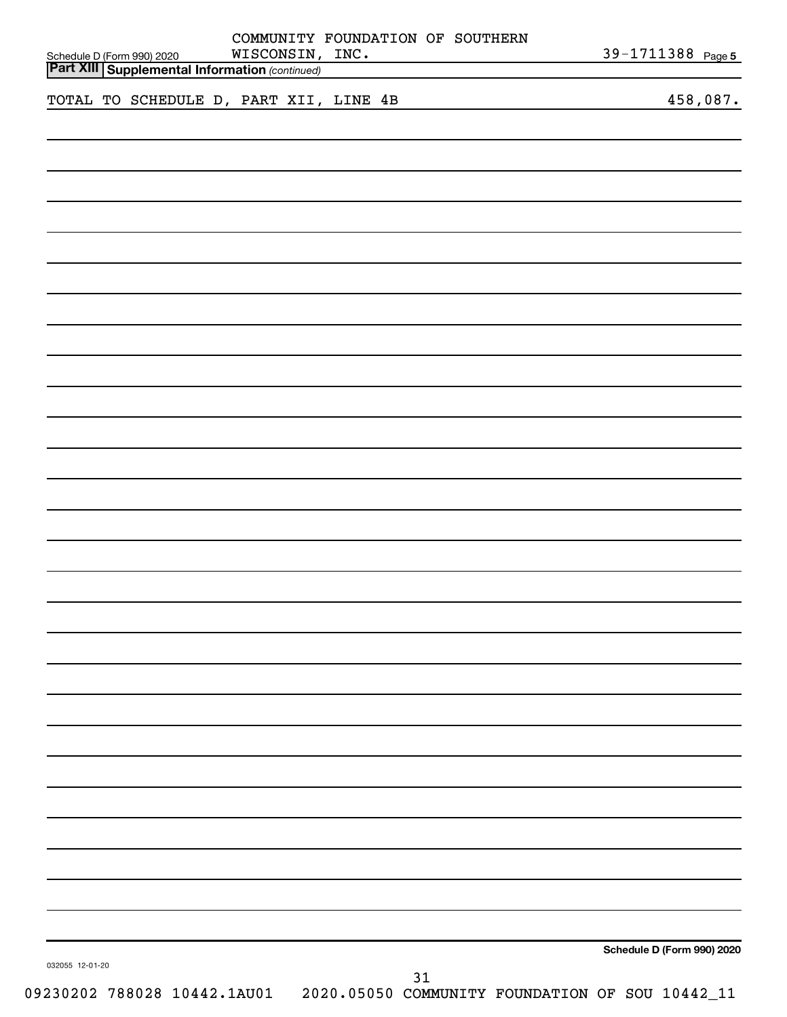| Schedule D (Form 990) 2020<br><b>Part XIII Supplemental Information (continued)</b> |  |  |                             | COMMUNITY FOUNDATION OF SOUTHERN<br>WISCONSIN, INC. |    | <u> 1989 - Johann Barn, mars ann an t-Amhair an t-A</u> |  | 39-1711388 Page 5          |
|-------------------------------------------------------------------------------------|--|--|-----------------------------|-----------------------------------------------------|----|---------------------------------------------------------|--|----------------------------|
|                                                                                     |  |  |                             | TOTAL TO SCHEDULE D, PART XII, LINE 4B              |    | <u> 1989 - Andrea Station Barbara, amerikan per</u>     |  | 458,087.                   |
|                                                                                     |  |  |                             |                                                     |    |                                                         |  |                            |
|                                                                                     |  |  |                             |                                                     |    |                                                         |  |                            |
|                                                                                     |  |  |                             |                                                     |    |                                                         |  |                            |
|                                                                                     |  |  |                             |                                                     |    |                                                         |  |                            |
|                                                                                     |  |  |                             |                                                     |    |                                                         |  |                            |
|                                                                                     |  |  |                             |                                                     |    |                                                         |  |                            |
|                                                                                     |  |  |                             |                                                     |    |                                                         |  |                            |
|                                                                                     |  |  |                             |                                                     |    |                                                         |  |                            |
|                                                                                     |  |  |                             |                                                     |    |                                                         |  |                            |
|                                                                                     |  |  |                             |                                                     |    |                                                         |  |                            |
|                                                                                     |  |  |                             |                                                     |    |                                                         |  |                            |
|                                                                                     |  |  |                             |                                                     |    |                                                         |  |                            |
|                                                                                     |  |  |                             |                                                     |    |                                                         |  |                            |
|                                                                                     |  |  |                             |                                                     |    |                                                         |  |                            |
|                                                                                     |  |  |                             |                                                     |    |                                                         |  |                            |
|                                                                                     |  |  |                             |                                                     |    |                                                         |  |                            |
|                                                                                     |  |  |                             |                                                     |    |                                                         |  |                            |
|                                                                                     |  |  |                             |                                                     |    |                                                         |  |                            |
|                                                                                     |  |  |                             |                                                     |    |                                                         |  |                            |
|                                                                                     |  |  |                             |                                                     |    |                                                         |  |                            |
|                                                                                     |  |  |                             |                                                     |    |                                                         |  |                            |
|                                                                                     |  |  |                             |                                                     |    |                                                         |  |                            |
|                                                                                     |  |  |                             |                                                     |    |                                                         |  |                            |
|                                                                                     |  |  |                             |                                                     |    |                                                         |  |                            |
|                                                                                     |  |  |                             |                                                     |    |                                                         |  |                            |
|                                                                                     |  |  |                             |                                                     |    |                                                         |  |                            |
|                                                                                     |  |  |                             |                                                     |    |                                                         |  |                            |
|                                                                                     |  |  |                             |                                                     |    |                                                         |  |                            |
|                                                                                     |  |  |                             |                                                     |    |                                                         |  |                            |
|                                                                                     |  |  |                             |                                                     |    |                                                         |  |                            |
|                                                                                     |  |  |                             |                                                     |    |                                                         |  | Schedule D (Form 990) 2020 |
| 032055 12-01-20                                                                     |  |  | 09230202 788028 10442.1AU01 |                                                     | 31 | 2020.05050 COMMUNITY FOUNDATION OF SOU 10442_11         |  |                            |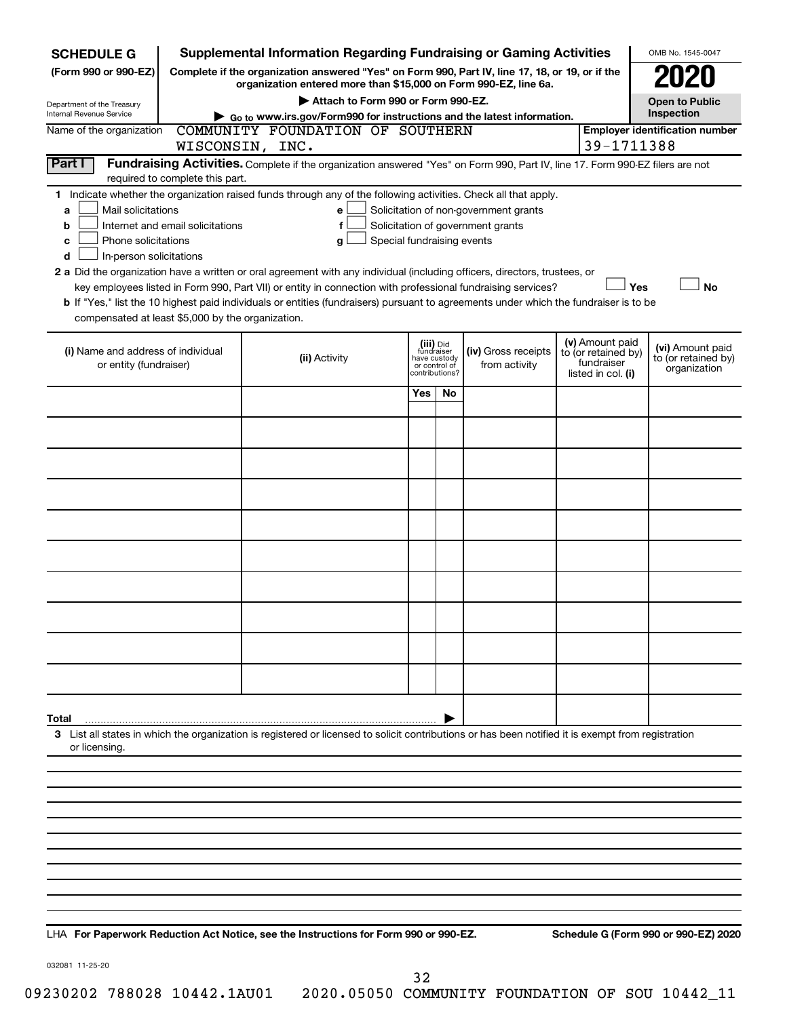| <b>SCHEDULE G</b>                                                                                                                                                                          | <b>Supplemental Information Regarding Fundraising or Gaming Activities</b>                                                                                          |                |                                      |                                                                            |            |                                                         | OMB No. 1545-0047                     |  |  |  |  |  |
|--------------------------------------------------------------------------------------------------------------------------------------------------------------------------------------------|---------------------------------------------------------------------------------------------------------------------------------------------------------------------|----------------|--------------------------------------|----------------------------------------------------------------------------|------------|---------------------------------------------------------|---------------------------------------|--|--|--|--|--|
| (Form 990 or 990-EZ)                                                                                                                                                                       | Complete if the organization answered "Yes" on Form 990, Part IV, line 17, 18, or 19, or if the<br>organization entered more than \$15,000 on Form 990-EZ, line 6a. |                |                                      |                                                                            |            |                                                         |                                       |  |  |  |  |  |
| Department of the Treasury                                                                                                                                                                 | Attach to Form 990 or Form 990-EZ.                                                                                                                                  |                |                                      |                                                                            |            |                                                         | <b>Open to Public</b>                 |  |  |  |  |  |
| Internal Revenue Service                                                                                                                                                                   | $\triangleright$ Go to www.irs.gov/Form990 for instructions and the latest information.                                                                             |                |                                      |                                                                            |            |                                                         | Inspection                            |  |  |  |  |  |
| Name of the organization                                                                                                                                                                   | COMMUNITY FOUNDATION OF SOUTHERN<br>WISCONSIN, INC.                                                                                                                 |                |                                      |                                                                            | 39-1711388 |                                                         | <b>Employer identification number</b> |  |  |  |  |  |
| <b>Part I</b>                                                                                                                                                                              | Fundraising Activities. Complete if the organization answered "Yes" on Form 990, Part IV, line 17. Form 990-EZ filers are not                                       |                |                                      |                                                                            |            |                                                         |                                       |  |  |  |  |  |
| required to complete this part.                                                                                                                                                            |                                                                                                                                                                     |                |                                      |                                                                            |            |                                                         |                                       |  |  |  |  |  |
| 1.<br>Mail solicitations<br>a<br>Internet and email solicitations<br>b<br>Phone solicitations<br>с                                                                                         | Indicate whether the organization raised funds through any of the following activities. Check all that apply.<br>e<br>f<br>Special fundraising events<br>g          |                |                                      | Solicitation of non-government grants<br>Solicitation of government grants |            |                                                         |                                       |  |  |  |  |  |
| In-person solicitations<br>d<br>2 a Did the organization have a written or oral agreement with any individual (including officers, directors, trustees, or                                 |                                                                                                                                                                     |                |                                      |                                                                            |            |                                                         |                                       |  |  |  |  |  |
| <b>No</b><br>key employees listed in Form 990, Part VII) or entity in connection with professional fundraising services?<br>Yes                                                            |                                                                                                                                                                     |                |                                      |                                                                            |            |                                                         |                                       |  |  |  |  |  |
| b If "Yes," list the 10 highest paid individuals or entities (fundraisers) pursuant to agreements under which the fundraiser is to be<br>compensated at least \$5,000 by the organization. |                                                                                                                                                                     |                |                                      |                                                                            |            |                                                         |                                       |  |  |  |  |  |
|                                                                                                                                                                                            |                                                                                                                                                                     |                |                                      |                                                                            |            |                                                         |                                       |  |  |  |  |  |
| (i) Name and address of individual<br>or entity (fundraiser)                                                                                                                               | (iii) Did<br>fundraiser<br>have custody<br>or control of                                                                                                            | contributions? | (iv) Gross receipts<br>from activity | (v) Amount paid<br>to (or retained by)<br>fundraiser<br>listed in col. (i) |            | (vi) Amount paid<br>to (or retained by)<br>organization |                                       |  |  |  |  |  |
|                                                                                                                                                                                            |                                                                                                                                                                     | Yes            | No                                   |                                                                            |            |                                                         |                                       |  |  |  |  |  |
|                                                                                                                                                                                            |                                                                                                                                                                     |                |                                      |                                                                            |            |                                                         |                                       |  |  |  |  |  |
|                                                                                                                                                                                            |                                                                                                                                                                     |                |                                      |                                                                            |            |                                                         |                                       |  |  |  |  |  |
|                                                                                                                                                                                            |                                                                                                                                                                     |                |                                      |                                                                            |            |                                                         |                                       |  |  |  |  |  |
|                                                                                                                                                                                            |                                                                                                                                                                     |                |                                      |                                                                            |            |                                                         |                                       |  |  |  |  |  |
|                                                                                                                                                                                            |                                                                                                                                                                     |                |                                      |                                                                            |            |                                                         |                                       |  |  |  |  |  |
|                                                                                                                                                                                            |                                                                                                                                                                     |                |                                      |                                                                            |            |                                                         |                                       |  |  |  |  |  |
|                                                                                                                                                                                            |                                                                                                                                                                     |                |                                      |                                                                            |            |                                                         |                                       |  |  |  |  |  |
|                                                                                                                                                                                            |                                                                                                                                                                     |                |                                      |                                                                            |            |                                                         |                                       |  |  |  |  |  |
|                                                                                                                                                                                            |                                                                                                                                                                     |                |                                      |                                                                            |            |                                                         |                                       |  |  |  |  |  |
|                                                                                                                                                                                            |                                                                                                                                                                     |                |                                      |                                                                            |            |                                                         |                                       |  |  |  |  |  |
| Total<br>3 List all states in which the organization is registered or licensed to solicit contributions or has been notified it is exempt from registration                                |                                                                                                                                                                     |                |                                      |                                                                            |            |                                                         |                                       |  |  |  |  |  |
| or licensing.                                                                                                                                                                              |                                                                                                                                                                     |                |                                      |                                                                            |            |                                                         |                                       |  |  |  |  |  |
|                                                                                                                                                                                            |                                                                                                                                                                     |                |                                      |                                                                            |            |                                                         |                                       |  |  |  |  |  |
|                                                                                                                                                                                            |                                                                                                                                                                     |                |                                      |                                                                            |            |                                                         |                                       |  |  |  |  |  |
|                                                                                                                                                                                            |                                                                                                                                                                     |                |                                      |                                                                            |            |                                                         |                                       |  |  |  |  |  |
|                                                                                                                                                                                            |                                                                                                                                                                     |                |                                      |                                                                            |            |                                                         |                                       |  |  |  |  |  |
|                                                                                                                                                                                            |                                                                                                                                                                     |                |                                      |                                                                            |            |                                                         |                                       |  |  |  |  |  |
|                                                                                                                                                                                            |                                                                                                                                                                     |                |                                      |                                                                            |            |                                                         |                                       |  |  |  |  |  |
|                                                                                                                                                                                            |                                                                                                                                                                     |                |                                      |                                                                            |            |                                                         |                                       |  |  |  |  |  |

**For Paperwork Reduction Act Notice, see the Instructions for Form 990 or 990-EZ. Schedule G (Form 990 or 990-EZ) 2020** LHA

032081 11-25-20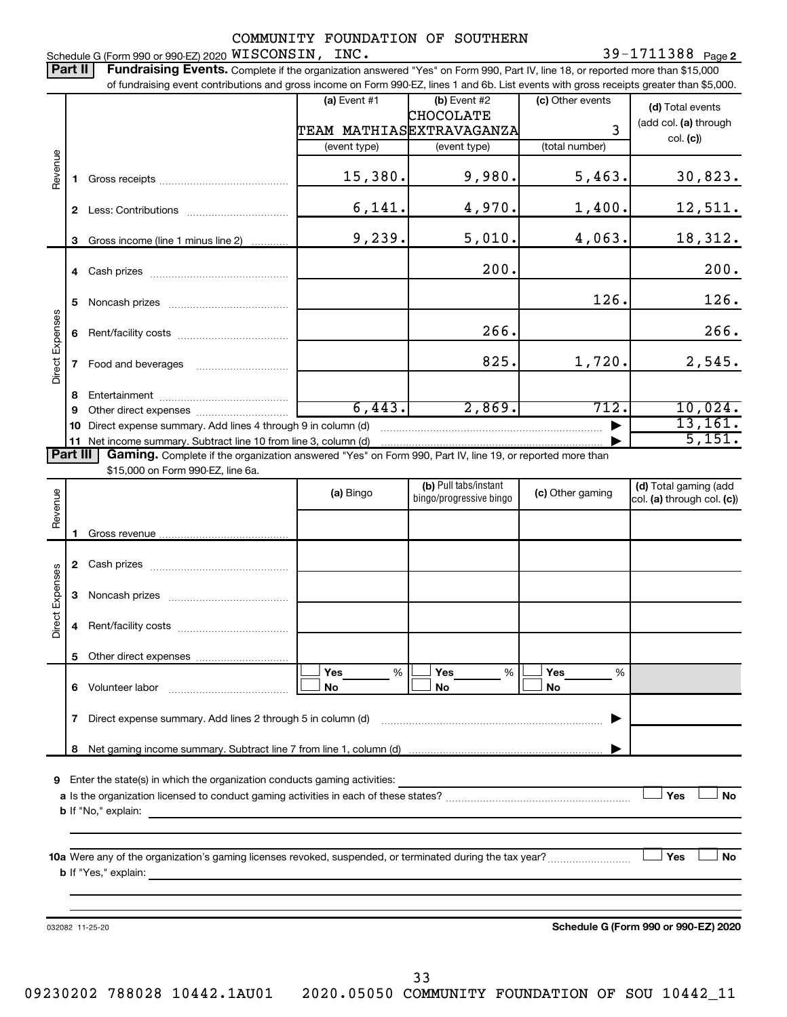COMMUNITY FOUNDATION OF SOUTHERN 39-1711388 Page 2 Schedule G (Form 990 or 990-EZ) 2020  ${\tt WISCONSIM}$ ,  ${\tt INC.}$  39  $-1711388$  Page Part II | Fundraising Events. Complete if the organization answered "Yes" on Form 990, Part IV, line 18, or reported more than \$15,000 of fundraising event contributions and gross income on Form 990-EZ, lines 1 and 6b. List events with gross receipts greater than \$5,000. **(a)** Event  $#1$  **(b)** Event  $#2$ (c) Other events **(d)**  Total events CHOCOLATE (add col. (a) through TEAM MATHIAS EXTRAVAGANZA 3 col. **(c)**) (event type) (event type) (total number) Revenue 15,380. 9,980. 5,463. 30,823. **1** Gross receipts ~~~~~~~~~~~~~~  $6,141.$   $4,970.$   $1,400.$   $12,511.$ **2** Less: Contributions ~~~~~~~~~~~  $9,239.$   $5,010.$   $4,063.$   $18,312.$ **3** Gross income (line 1 minus line 2) . . . . . . . . . . . . 200. 200. **4** Cash prizes ~~~~~~~~~~~~~~~ 126. 126. **5** Noncash prizes ~~~~~~~~~~~~~ Direct Expenses Direct Expenses 266. 266. **6** Rent/facility costs ~~~~~~~~~~~~ 825. 1,720. 2,545. **7** Food and beverages ~~~~~~~~~~ **8** Entertainment ~~~~~~~~~~~~~~  $6,443.$  2,869.  $712.$  10,024. **9** Other direct expenses  $\ldots$  **............................** 13,161. **10** Direct expense summary. Add lines 4 through 9 in column (d) ~~~~~~~~~~~~~~~~~~~~~~~~ | 5,151. **11** Net income summary. Subtract line 10 from line 3, column (d) | Part III Gaming. Complete if the organization answered "Yes" on Form 990, Part IV, line 19, or reported more than \$15,000 on Form 990-EZ, line 6a. (b) Pull tabs/instant (d) Total gaming (add Revenue **(a)** Bingo **a b**ingo/progressive bingo **(c)** Other gaming bingo/progressive bingo col. (a) through col. (c)) Gross revenue **1 2** Cash prizes ~~~~~~~~~~~~~~~ Direct Expenses Direct Expenses **3** Noncash prizes ~~~~~~~~~~~~~ **4** Rent/facility costs ~~~~~~~~~~~~ **5** Other direct expenses  $|\Box$  Yes  $\qquad \%$   $|\Box$  Yes  $\qquad \%$   $|\Box$ **Yes Yes Yes** % % %  $|\Box$  No  $|\Box$  No  $|\Box$ **6** Volunteer labor ~~~~~~~~~~~~~ **No No No 7** Direct expense summary. Add lines 2 through 5 in column (d) ~~~~~~~~~~~~~~~~~~~~~~~~ | Net gaming income summary. Subtract line 7 from line 1, column (d) **8** | **9** Enter the state(s) in which the organization conducts gaming activities:  $|$  Yes **Yes No a** Is the organization licensed to conduct gaming activities in each of these states? ~~~~~~~~~~~~~~~~~~~~ **b** If "No," explain: **10 a** Were any of the organization's gaming licenses revoked, suspended, or terminated during the tax year? ~~~~~~~~~ † † **Yes No b** If "Yes," explain: **Schedule G (Form 990 or 990-EZ) 2020** 032082 11-25-20

33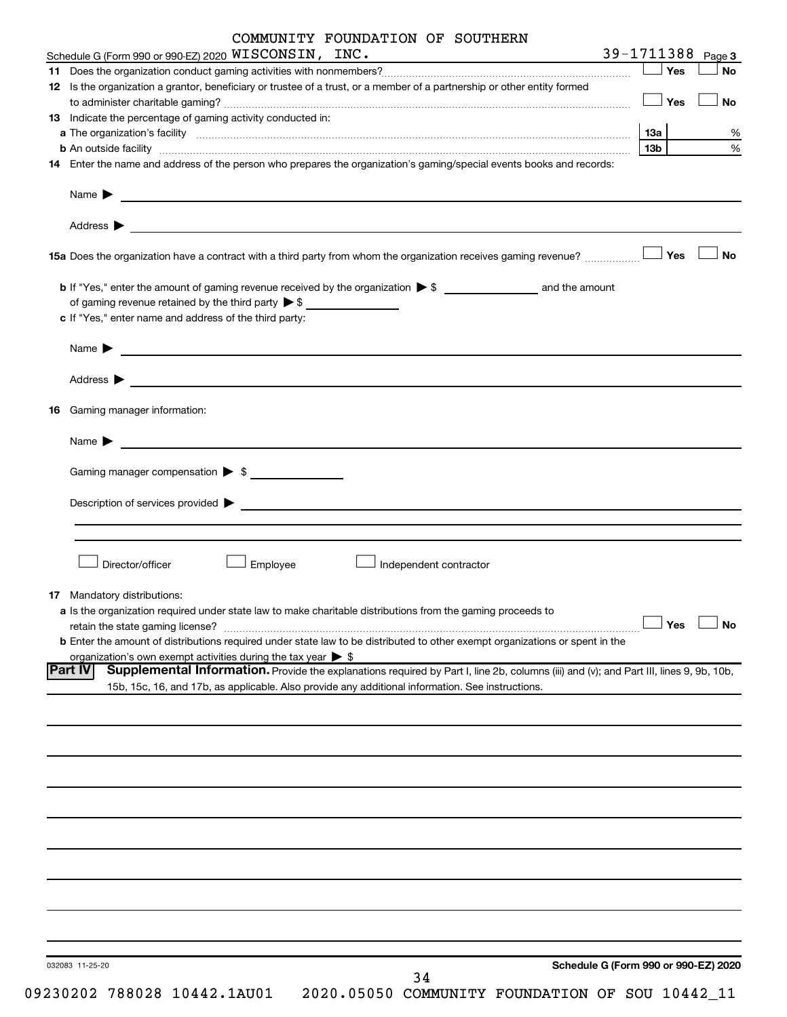|    | COMMUNITY FOUNDATION OF SOUTHERN                                                                                                                                                                                                                             |                   |           |
|----|--------------------------------------------------------------------------------------------------------------------------------------------------------------------------------------------------------------------------------------------------------------|-------------------|-----------|
|    | Schedule G (Form 990 or 990-EZ) 2020 WISCONSIN, INC.                                                                                                                                                                                                         | 39-1711388 Page 3 |           |
|    |                                                                                                                                                                                                                                                              | $\Box$ Yes        | No        |
|    | 12 Is the organization a grantor, beneficiary or trustee of a trust, or a member of a partnership or other entity formed                                                                                                                                     |                   |           |
|    |                                                                                                                                                                                                                                                              | $\Box$ Yes        | No        |
|    | 13 Indicate the percentage of gaming activity conducted in:                                                                                                                                                                                                  |                   |           |
|    | a The organization's facility encourance and contain an account of the control of the container and the container of the container and the container of the container and the container of the container and container and con                               | 13a               | %         |
|    |                                                                                                                                                                                                                                                              | 13b l             | $\%$      |
|    | 14 Enter the name and address of the person who prepares the organization's gaming/special events books and records:                                                                                                                                         |                   |           |
|    | Name $\blacktriangleright$<br><u> 1989 - Johann Barn, mars et al. (b. 1989)</u>                                                                                                                                                                              |                   |           |
|    |                                                                                                                                                                                                                                                              |                   |           |
|    |                                                                                                                                                                                                                                                              | Yes               | <b>No</b> |
|    | of gaming revenue retained by the third party $\triangleright$ \$                                                                                                                                                                                            |                   |           |
|    | c If "Yes," enter name and address of the third party:                                                                                                                                                                                                       |                   |           |
|    | Name $\blacktriangleright$<br><u> 1989 - Johann Barbara, martin da basar a shekara tsara a shekara tsa a shekara tsara a shekara tsara tsara</u>                                                                                                             |                   |           |
|    | Address > <u>Address &gt; Address &gt; Address + Address + Address + Address + Address + Address + Address + Address + Address + Address + Address + Address + Address + Address + Address + Address + Address + Address + Address + A</u>                   |                   |           |
| 16 | Gaming manager information:                                                                                                                                                                                                                                  |                   |           |
|    | Name $\blacktriangleright$<br><u>and the contract of the contract of the contract of the contract of the contract of the contract of the contract of</u>                                                                                                     |                   |           |
|    | Gaming manager compensation > \$                                                                                                                                                                                                                             |                   |           |
|    | Description of services provided states and the contract of the contract of the contract of the contract of the contract of the contract of the contract of the contract of the contract of the contract of the contract of th                               |                   |           |
|    |                                                                                                                                                                                                                                                              |                   |           |
|    | Director/officer<br>Employee<br>Independent contractor                                                                                                                                                                                                       |                   |           |
|    |                                                                                                                                                                                                                                                              |                   |           |
|    | 17 Mandatory distributions:                                                                                                                                                                                                                                  |                   |           |
|    | a Is the organization required under state law to make charitable distributions from the gaming proceeds to<br>retain the state gaming license?                                                                                                              | Yes               | <b>No</b> |
|    | <b>b</b> Enter the amount of distributions required under state law to be distributed to other exempt organizations or spent in the                                                                                                                          |                   |           |
|    | organization's own exempt activities during the tax year $\triangleright$ \$                                                                                                                                                                                 |                   |           |
|    | <b>Part IV</b><br>Supplemental Information. Provide the explanations required by Part I, line 2b, columns (iii) and (v); and Part III, lines 9, 9b, 10b,<br>15b, 15c, 16, and 17b, as applicable. Also provide any additional information. See instructions. |                   |           |
|    |                                                                                                                                                                                                                                                              |                   |           |
|    |                                                                                                                                                                                                                                                              |                   |           |
|    |                                                                                                                                                                                                                                                              |                   |           |
|    |                                                                                                                                                                                                                                                              |                   |           |
|    |                                                                                                                                                                                                                                                              |                   |           |
|    |                                                                                                                                                                                                                                                              |                   |           |
|    |                                                                                                                                                                                                                                                              |                   |           |
|    |                                                                                                                                                                                                                                                              |                   |           |
|    |                                                                                                                                                                                                                                                              |                   |           |
|    | Schedule G (Form 990 or 990-EZ) 2020<br>032083 11-25-20<br>34                                                                                                                                                                                                |                   |           |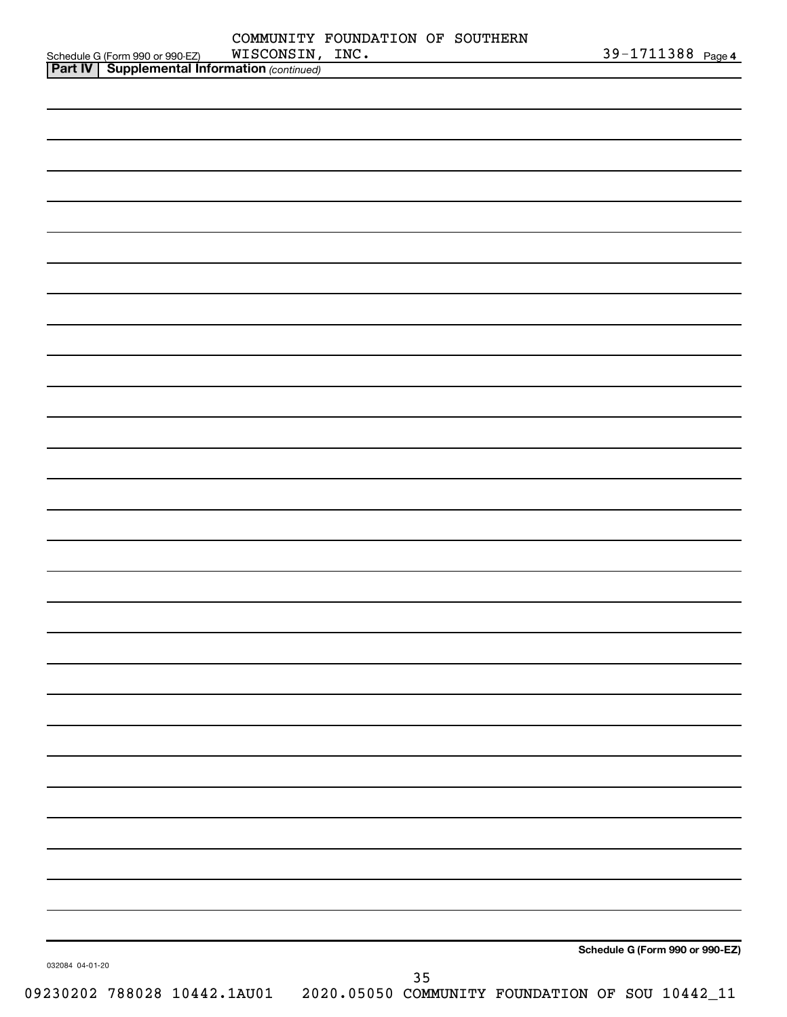|                 | WISCONSIN, INC.                                                                                   |    |                                 | 39-1711388 Page 4 |
|-----------------|---------------------------------------------------------------------------------------------------|----|---------------------------------|-------------------|
|                 | Schedule G (Form 990 or 990-EZ) WISCONSIN,<br><b>Part IV</b> Supplemental Information (continued) |    |                                 |                   |
|                 |                                                                                                   |    |                                 |                   |
|                 |                                                                                                   |    |                                 |                   |
|                 |                                                                                                   |    |                                 |                   |
|                 |                                                                                                   |    |                                 |                   |
|                 |                                                                                                   |    |                                 |                   |
|                 |                                                                                                   |    |                                 |                   |
|                 |                                                                                                   |    |                                 |                   |
|                 |                                                                                                   |    |                                 |                   |
|                 |                                                                                                   |    |                                 |                   |
|                 |                                                                                                   |    |                                 |                   |
|                 |                                                                                                   |    |                                 |                   |
|                 |                                                                                                   |    |                                 |                   |
|                 |                                                                                                   |    |                                 |                   |
|                 |                                                                                                   |    |                                 |                   |
|                 |                                                                                                   |    |                                 |                   |
|                 |                                                                                                   |    |                                 |                   |
|                 |                                                                                                   |    |                                 |                   |
|                 |                                                                                                   |    |                                 |                   |
|                 |                                                                                                   |    |                                 |                   |
|                 |                                                                                                   |    |                                 |                   |
|                 |                                                                                                   |    |                                 |                   |
|                 |                                                                                                   |    |                                 |                   |
|                 |                                                                                                   |    |                                 |                   |
|                 |                                                                                                   |    |                                 |                   |
|                 |                                                                                                   |    |                                 |                   |
|                 |                                                                                                   |    |                                 |                   |
|                 |                                                                                                   |    |                                 |                   |
|                 |                                                                                                   |    |                                 |                   |
|                 |                                                                                                   |    |                                 |                   |
|                 |                                                                                                   |    |                                 |                   |
|                 |                                                                                                   |    |                                 |                   |
|                 |                                                                                                   |    |                                 |                   |
|                 |                                                                                                   |    |                                 |                   |
|                 |                                                                                                   |    |                                 |                   |
|                 |                                                                                                   |    |                                 |                   |
|                 |                                                                                                   |    |                                 |                   |
|                 |                                                                                                   |    |                                 |                   |
|                 |                                                                                                   |    |                                 |                   |
|                 |                                                                                                   |    |                                 |                   |
|                 |                                                                                                   |    |                                 |                   |
|                 |                                                                                                   |    |                                 |                   |
|                 |                                                                                                   |    |                                 |                   |
|                 |                                                                                                   |    |                                 |                   |
|                 |                                                                                                   |    |                                 |                   |
|                 |                                                                                                   |    |                                 |                   |
|                 |                                                                                                   |    |                                 |                   |
|                 |                                                                                                   |    |                                 |                   |
|                 |                                                                                                   |    |                                 |                   |
|                 |                                                                                                   |    |                                 |                   |
|                 |                                                                                                   |    |                                 |                   |
|                 |                                                                                                   |    |                                 |                   |
|                 |                                                                                                   |    | Schedule G (Form 990 or 990-EZ) |                   |
| 032084 04-01-20 |                                                                                                   |    |                                 |                   |
|                 |                                                                                                   | 35 |                                 |                   |
|                 | 09230202 788028 10442.1AU01  2020.05050 COMMUNITY FOUNDATION OF SOU 10442_11                      |    |                                 |                   |
|                 |                                                                                                   |    |                                 |                   |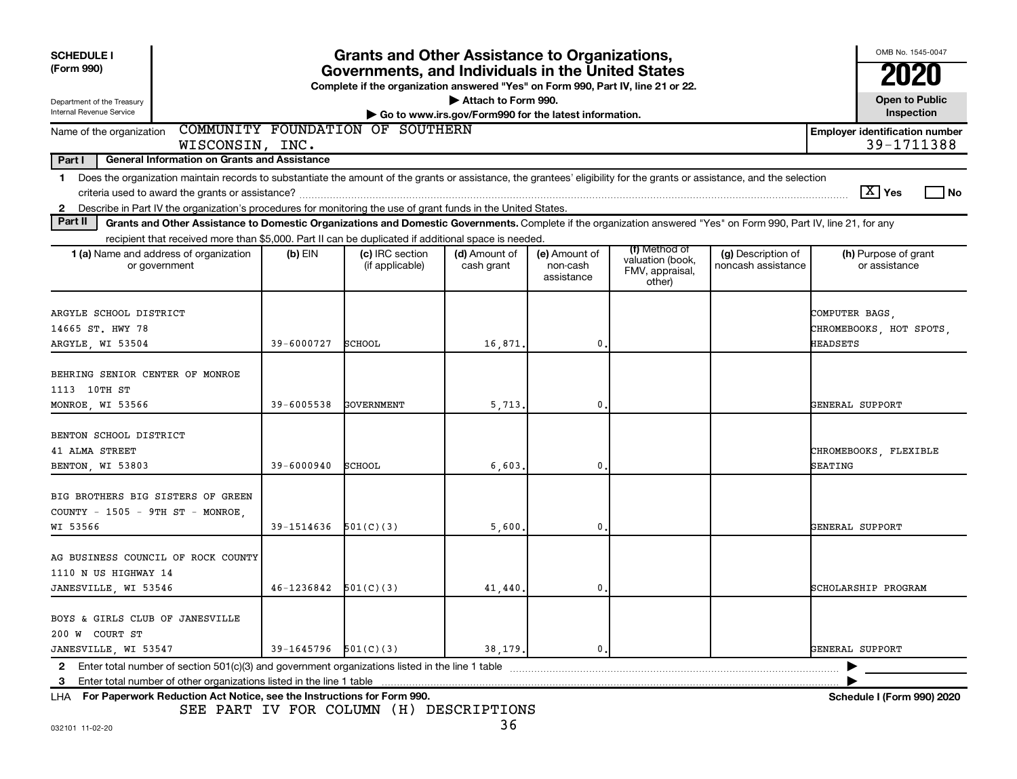| <b>SCHEDULE I</b><br>(Form 990)                                                                                                                                                                                                                                                                     | <b>Grants and Other Assistance to Organizations,</b><br>Governments, and Individuals in the United States<br>Complete if the organization answered "Yes" on Form 990, Part IV, line 21 or 22.<br>Attach to Form 990. |                                    |                                                       |                                         |                                               |                                          |                                                      |  |  |  |  |  |
|-----------------------------------------------------------------------------------------------------------------------------------------------------------------------------------------------------------------------------------------------------------------------------------------------------|----------------------------------------------------------------------------------------------------------------------------------------------------------------------------------------------------------------------|------------------------------------|-------------------------------------------------------|-----------------------------------------|-----------------------------------------------|------------------------------------------|------------------------------------------------------|--|--|--|--|--|
| Department of the Treasury<br><b>Internal Revenue Service</b>                                                                                                                                                                                                                                       |                                                                                                                                                                                                                      |                                    | Go to www.irs.gov/Form990 for the latest information. |                                         |                                               |                                          | <b>Open to Public</b><br>Inspection                  |  |  |  |  |  |
| Name of the organization                                                                                                                                                                                                                                                                            | COMMUNITY FOUNDATION OF SOUTHERN<br>WISCONSIN, INC.                                                                                                                                                                  |                                    |                                                       |                                         |                                               |                                          | <b>Employer identification number</b><br>39-1711388  |  |  |  |  |  |
| Part I<br><b>General Information on Grants and Assistance</b>                                                                                                                                                                                                                                       |                                                                                                                                                                                                                      |                                    |                                                       |                                         |                                               |                                          |                                                      |  |  |  |  |  |
| Does the organization maintain records to substantiate the amount of the grants or assistance, the grantees' eligibility for the grants or assistance, and the selection<br>$\mathbf 1$                                                                                                             |                                                                                                                                                                                                                      |                                    |                                                       |                                         |                                               |                                          |                                                      |  |  |  |  |  |
| $X$ Yes<br>l No<br>criteria used to award the grants or assistance?                                                                                                                                                                                                                                 |                                                                                                                                                                                                                      |                                    |                                                       |                                         |                                               |                                          |                                                      |  |  |  |  |  |
| Describe in Part IV the organization's procedures for monitoring the use of grant funds in the United States.<br>$\mathbf{2}$<br>Grants and Other Assistance to Domestic Organizations and Domestic Governments. Complete if the organization answered "Yes" on Form 990, Part IV, line 21, for any |                                                                                                                                                                                                                      |                                    |                                                       |                                         |                                               |                                          |                                                      |  |  |  |  |  |
| Part II                                                                                                                                                                                                                                                                                             |                                                                                                                                                                                                                      |                                    |                                                       |                                         |                                               |                                          |                                                      |  |  |  |  |  |
|                                                                                                                                                                                                                                                                                                     | recipient that received more than \$5,000. Part II can be duplicated if additional space is needed                                                                                                                   |                                    |                                                       |                                         | (f) Method of                                 |                                          |                                                      |  |  |  |  |  |
| <b>1 (a)</b> Name and address of organization<br>or government                                                                                                                                                                                                                                      | $(b)$ EIN                                                                                                                                                                                                            | (c) IRC section<br>(if applicable) | (d) Amount of<br>cash grant                           | (e) Amount of<br>non-cash<br>assistance | valuation (book,<br>FMV, appraisal,<br>other) | (g) Description of<br>noncash assistance | (h) Purpose of grant<br>or assistance                |  |  |  |  |  |
| ARGYLE SCHOOL DISTRICT<br>14665 ST. HWY 78<br>ARGYLE, WI 53504                                                                                                                                                                                                                                      | 39-6000727                                                                                                                                                                                                           | SCHOOL                             | 16,871                                                | $\mathbf{0}$                            |                                               |                                          | COMPUTER BAGS<br>CHROMEBOOKS, HOT SPOTS,<br>HEADSETS |  |  |  |  |  |
|                                                                                                                                                                                                                                                                                                     |                                                                                                                                                                                                                      |                                    |                                                       |                                         |                                               |                                          |                                                      |  |  |  |  |  |
| BEHRING SENIOR CENTER OF MONROE                                                                                                                                                                                                                                                                     |                                                                                                                                                                                                                      |                                    |                                                       |                                         |                                               |                                          |                                                      |  |  |  |  |  |
| 1113 10TH ST                                                                                                                                                                                                                                                                                        |                                                                                                                                                                                                                      |                                    |                                                       |                                         |                                               |                                          |                                                      |  |  |  |  |  |
| MONROE, WI 53566                                                                                                                                                                                                                                                                                    | 39-6005538                                                                                                                                                                                                           | GOVERNMENT                         | 5,713                                                 | $\mathbf{0}$                            |                                               |                                          | GENERAL SUPPORT                                      |  |  |  |  |  |
| BENTON SCHOOL DISTRICT<br>41 ALMA STREET<br>BENTON, WI 53803                                                                                                                                                                                                                                        | $39 - 6000940$                                                                                                                                                                                                       | SCHOOL                             | 6,603                                                 | 0.                                      |                                               |                                          | CHROMEBOOKS, FLEXIBLE<br>SEATING                     |  |  |  |  |  |
| BIG BROTHERS BIG SISTERS OF GREEN<br>COUNTY - $1505$ - $9THST$ - MONROE,<br>WI 53566                                                                                                                                                                                                                | $39-1514636$ $501(C)(3)$                                                                                                                                                                                             |                                    | 5,600                                                 | 0                                       |                                               |                                          | GENERAL SUPPORT                                      |  |  |  |  |  |
|                                                                                                                                                                                                                                                                                                     |                                                                                                                                                                                                                      |                                    |                                                       |                                         |                                               |                                          |                                                      |  |  |  |  |  |
| AG BUSINESS COUNCIL OF ROCK COUNTY<br>1110 N US HIGHWAY 14                                                                                                                                                                                                                                          |                                                                                                                                                                                                                      |                                    |                                                       |                                         |                                               |                                          |                                                      |  |  |  |  |  |
| JANESVILLE, WI 53546                                                                                                                                                                                                                                                                                | $46-1236842$ $501(C)(3)$                                                                                                                                                                                             |                                    | 41,440                                                | $\mathbf 0$                             |                                               |                                          | SCHOLARSHIP PROGRAM                                  |  |  |  |  |  |
| BOYS & GIRLS CLUB OF JANESVILLE<br>200 W COURT ST                                                                                                                                                                                                                                                   |                                                                                                                                                                                                                      |                                    |                                                       |                                         |                                               |                                          |                                                      |  |  |  |  |  |
| JANESVILLE, WI 53547                                                                                                                                                                                                                                                                                | $39-1645796$ $501(C)(3)$                                                                                                                                                                                             |                                    | 38,179.                                               | 0.                                      |                                               |                                          | GENERAL SUPPORT                                      |  |  |  |  |  |
| $2^{\circ}$                                                                                                                                                                                                                                                                                         |                                                                                                                                                                                                                      |                                    |                                                       |                                         |                                               |                                          |                                                      |  |  |  |  |  |
| Enter total number of other organizations listed in the line 1 table<br>3                                                                                                                                                                                                                           |                                                                                                                                                                                                                      |                                    |                                                       |                                         |                                               |                                          |                                                      |  |  |  |  |  |
| LHA For Paperwork Reduction Act Notice, see the Instructions for Form 990.                                                                                                                                                                                                                          |                                                                                                                                                                                                                      |                                    |                                                       |                                         |                                               |                                          | <b>Schedule I (Form 990) 2020</b>                    |  |  |  |  |  |

SEE PART IV FOR COLUMN (H) DESCRIPTIONS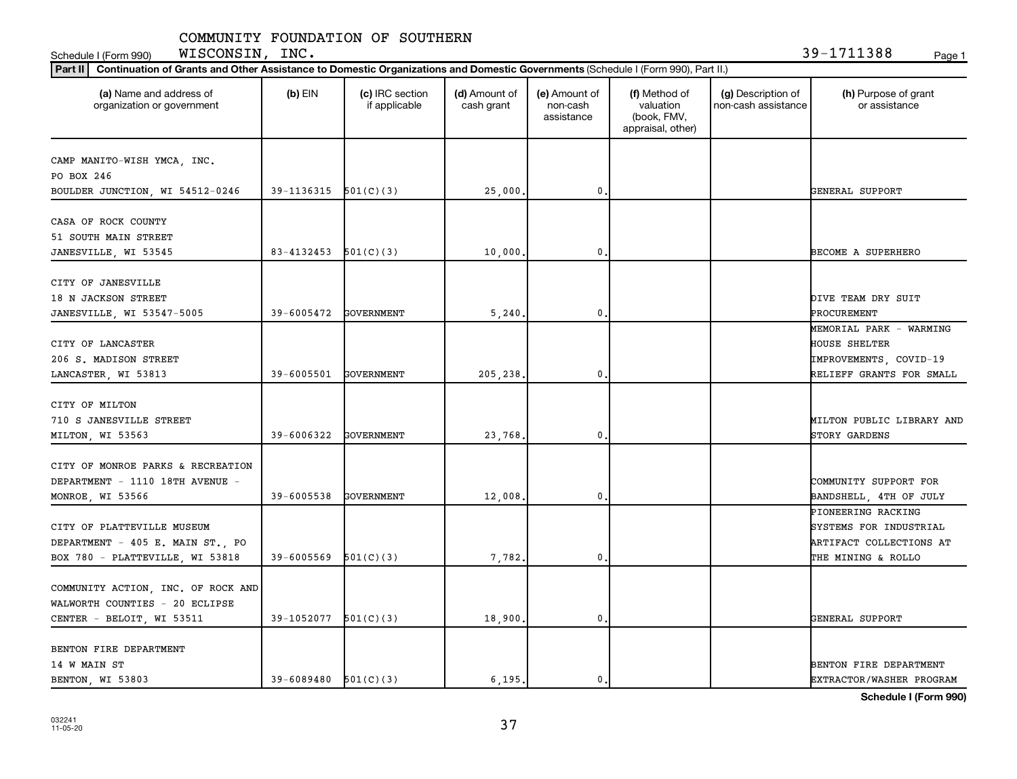Schedule I (Form 990) Page 1 WISCONSIN, INC. 39-1711388

| Part II   Continuation of Grants and Other Assistance to Domestic Organizations and Domestic Governments (Schedule I (Form 990), Part II.) |                            |                                  |                             |                                         |                                                                |                                           |                                       |  |  |  |
|--------------------------------------------------------------------------------------------------------------------------------------------|----------------------------|----------------------------------|-----------------------------|-----------------------------------------|----------------------------------------------------------------|-------------------------------------------|---------------------------------------|--|--|--|
| (a) Name and address of<br>organization or government                                                                                      | $(b)$ EIN                  | (c) IRC section<br>if applicable | (d) Amount of<br>cash grant | (e) Amount of<br>non-cash<br>assistance | (f) Method of<br>valuation<br>(book, FMV,<br>appraisal, other) | (g) Description of<br>non-cash assistance | (h) Purpose of grant<br>or assistance |  |  |  |
|                                                                                                                                            |                            |                                  |                             |                                         |                                                                |                                           |                                       |  |  |  |
| CAMP MANITO-WISH YMCA, INC.<br>PO BOX 246                                                                                                  |                            |                                  |                             |                                         |                                                                |                                           |                                       |  |  |  |
| BOULDER JUNCTION, WI 54512-0246                                                                                                            | $39-1136315$ $501(C)(3)$   |                                  | 25,000.                     | 0.                                      |                                                                |                                           | GENERAL SUPPORT                       |  |  |  |
|                                                                                                                                            |                            |                                  |                             |                                         |                                                                |                                           |                                       |  |  |  |
| CASA OF ROCK COUNTY                                                                                                                        |                            |                                  |                             |                                         |                                                                |                                           |                                       |  |  |  |
| 51 SOUTH MAIN STREET                                                                                                                       |                            |                                  |                             |                                         |                                                                |                                           |                                       |  |  |  |
| JANESVILLE, WI 53545                                                                                                                       | 83-4132453                 | 501(C)(3)                        | 10,000                      | $\mathbf 0$                             |                                                                |                                           | BECOME A SUPERHERO                    |  |  |  |
|                                                                                                                                            |                            |                                  |                             |                                         |                                                                |                                           |                                       |  |  |  |
| CITY OF JANESVILLE                                                                                                                         |                            |                                  |                             |                                         |                                                                |                                           |                                       |  |  |  |
| 18 N JACKSON STREET                                                                                                                        |                            |                                  |                             |                                         |                                                                |                                           | DIVE TEAM DRY SUIT                    |  |  |  |
| JANESVILLE, WI 53547-5005                                                                                                                  | 39-6005472                 | GOVERNMENT                       | 5,240                       | 0.                                      |                                                                |                                           | PROCUREMENT                           |  |  |  |
|                                                                                                                                            |                            |                                  |                             |                                         |                                                                |                                           | MEMORIAL PARK - WARMING               |  |  |  |
| CITY OF LANCASTER                                                                                                                          |                            |                                  |                             |                                         |                                                                |                                           | HOUSE SHELTER                         |  |  |  |
| 206 S. MADISON STREET                                                                                                                      |                            |                                  |                             |                                         |                                                                |                                           | IMPROVEMENTS, COVID-19                |  |  |  |
| LANCASTER, WI 53813                                                                                                                        | 39-6005501                 | GOVERNMENT                       | 205,238.                    | $\mathbf{0}$                            |                                                                |                                           | RELIEFF GRANTS FOR SMALL              |  |  |  |
|                                                                                                                                            |                            |                                  |                             |                                         |                                                                |                                           |                                       |  |  |  |
| CITY OF MILTON                                                                                                                             |                            |                                  |                             |                                         |                                                                |                                           |                                       |  |  |  |
| 710 S JANESVILLE STREET                                                                                                                    |                            |                                  |                             |                                         |                                                                |                                           | MILTON PUBLIC LIBRARY AND             |  |  |  |
| MILTON, WI 53563                                                                                                                           | 39-6006322                 | GOVERNMENT                       | 23,768,                     | $\mathbf 0$                             |                                                                |                                           | STORY GARDENS                         |  |  |  |
|                                                                                                                                            |                            |                                  |                             |                                         |                                                                |                                           |                                       |  |  |  |
| CITY OF MONROE PARKS & RECREATION                                                                                                          |                            |                                  |                             |                                         |                                                                |                                           |                                       |  |  |  |
| DEPARTMENT - 1110 18TH AVENUE -                                                                                                            |                            |                                  |                             |                                         |                                                                |                                           | COMMUNITY SUPPORT FOR                 |  |  |  |
| MONROE, WI 53566                                                                                                                           | 39-6005538                 | GOVERNMENT                       | 12,008                      | 0.                                      |                                                                |                                           | BANDSHELL, 4TH OF JULY                |  |  |  |
|                                                                                                                                            |                            |                                  |                             |                                         |                                                                |                                           | PIONEERING RACKING                    |  |  |  |
| CITY OF PLATTEVILLE MUSEUM                                                                                                                 |                            |                                  |                             |                                         |                                                                |                                           | SYSTEMS FOR INDUSTRIAL                |  |  |  |
| DEPARTMENT - 405 E. MAIN ST., PO                                                                                                           |                            |                                  |                             |                                         |                                                                |                                           | ARTIFACT COLLECTIONS AT               |  |  |  |
| BOX 780 - PLATTEVILLE, WI 53818                                                                                                            | 39-6005569                 | 501(C)(3)                        | 7,782.                      | $\mathbf 0$                             |                                                                |                                           | THE MINING & ROLLO                    |  |  |  |
|                                                                                                                                            |                            |                                  |                             |                                         |                                                                |                                           |                                       |  |  |  |
| COMMUNITY ACTION, INC. OF ROCK AND                                                                                                         |                            |                                  |                             |                                         |                                                                |                                           |                                       |  |  |  |
| WALWORTH COUNTIES - 20 ECLIPSE                                                                                                             |                            |                                  |                             |                                         |                                                                |                                           |                                       |  |  |  |
| CENTER - BELOIT, WI 53511                                                                                                                  | 39-1052077                 | 501(C)(3)                        | 18,900.                     | 0.                                      |                                                                |                                           | GENERAL SUPPORT                       |  |  |  |
|                                                                                                                                            |                            |                                  |                             |                                         |                                                                |                                           |                                       |  |  |  |
| BENTON FIRE DEPARTMENT                                                                                                                     |                            |                                  |                             |                                         |                                                                |                                           |                                       |  |  |  |
| 14 W MAIN ST                                                                                                                               |                            |                                  |                             |                                         |                                                                |                                           | BENTON FIRE DEPARTMENT                |  |  |  |
| BENTON, WI 53803                                                                                                                           | $39 - 6089480$ $501(C)(3)$ |                                  | 6,195.                      | 0.                                      |                                                                |                                           | EXTRACTOR/WASHER PROGRAM              |  |  |  |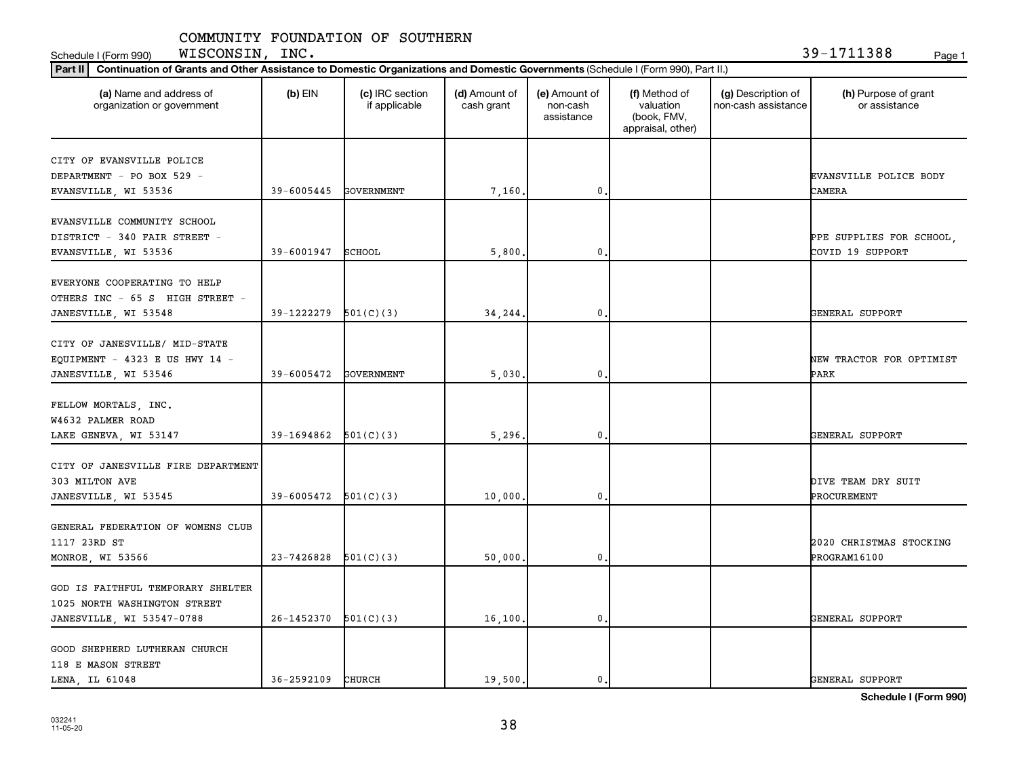**Part III Continuation of Grants and Other Assistance to Domestic Organizations and Domestic Governments** Schedule I (Form 990) Page 1 WISCONSIN, INC. 39-1711388

| Continuation of Grants and Other Assistance to Domestic Organizations and Domestic Governments (Schedule I (Form 990), Part II.)<br>Part II |                            |                                  |                             |                                         |                                                                |                                           |                                              |  |  |  |
|---------------------------------------------------------------------------------------------------------------------------------------------|----------------------------|----------------------------------|-----------------------------|-----------------------------------------|----------------------------------------------------------------|-------------------------------------------|----------------------------------------------|--|--|--|
| (a) Name and address of<br>organization or government                                                                                       | $(b)$ EIN                  | (c) IRC section<br>if applicable | (d) Amount of<br>cash grant | (e) Amount of<br>non-cash<br>assistance | (f) Method of<br>valuation<br>(book, FMV,<br>appraisal, other) | (g) Description of<br>non-cash assistance | (h) Purpose of grant<br>or assistance        |  |  |  |
| CITY OF EVANSVILLE POLICE<br>DEPARTMENT - PO BOX 529 -<br>EVANSVILLE, WI 53536                                                              | 39-6005445                 | GOVERNMENT                       | 7,160                       | 0.                                      |                                                                |                                           | EVANSVILLE POLICE BODY<br>CAMERA             |  |  |  |
| EVANSVILLE COMMUNITY SCHOOL<br>DISTRICT - 340 FAIR STREET -<br>EVANSVILLE, WI 53536                                                         | 39-6001947 SCHOOL          |                                  | 5,800                       | $\mathbf 0$                             |                                                                |                                           | PPE SUPPLIES FOR SCHOOL,<br>COVID 19 SUPPORT |  |  |  |
| EVERYONE COOPERATING TO HELP<br>OTHERS INC - 65 S HIGH STREET -<br>JANESVILLE, WI 53548                                                     | 39-1222279                 | 501(C)(3)                        | 34,244                      | $\mathbf 0$                             |                                                                |                                           | GENERAL SUPPORT                              |  |  |  |
| CITY OF JANESVILLE/ MID-STATE<br>EQUIPMENT - $4323$ E US HWY 14 -<br>JANESVILLE, WI 53546                                                   | 39-6005472                 | GOVERNMENT                       | 5,030                       | 0.                                      |                                                                |                                           | NEW TRACTOR FOR OPTIMIST<br>PARK             |  |  |  |
| FELLOW MORTALS, INC.<br>W4632 PALMER ROAD<br>LAKE GENEVA, WI 53147                                                                          | $39-1694862$ $501(C)(3)$   |                                  | 5.296.                      | $\mathbf 0$                             |                                                                |                                           | GENERAL SUPPORT                              |  |  |  |
| CITY OF JANESVILLE FIRE DEPARTMENT<br>303 MILTON AVE<br>JANESVILLE, WI 53545                                                                | 39-6005472                 | 501(C)(3)                        | 10,000                      | 0.                                      |                                                                |                                           | DIVE TEAM DRY SUIT<br>PROCUREMENT            |  |  |  |
| GENERAL FEDERATION OF WOMENS CLUB<br>1117 23RD ST<br>MONROE, WI 53566                                                                       | $23 - 7426828$ $501(C)(3)$ |                                  | 50,000.                     | 0,                                      |                                                                |                                           | 2020 CHRISTMAS STOCKING<br>PROGRAM16100      |  |  |  |
| GOD IS FAITHFUL TEMPORARY SHELTER<br>1025 NORTH WASHINGTON STREET<br>JANESVILLE, WI 53547-0788                                              | 26-1452370                 | 501(C)(3)                        | 16,100.                     | $\mathbf 0$                             |                                                                |                                           | GENERAL SUPPORT                              |  |  |  |
| GOOD SHEPHERD LUTHERAN CHURCH<br>118 E MASON STREET<br>LENA, IL 61048                                                                       | 36-2592109                 | CHURCH                           | 19,500.                     | 0.                                      |                                                                |                                           | GENERAL SUPPORT                              |  |  |  |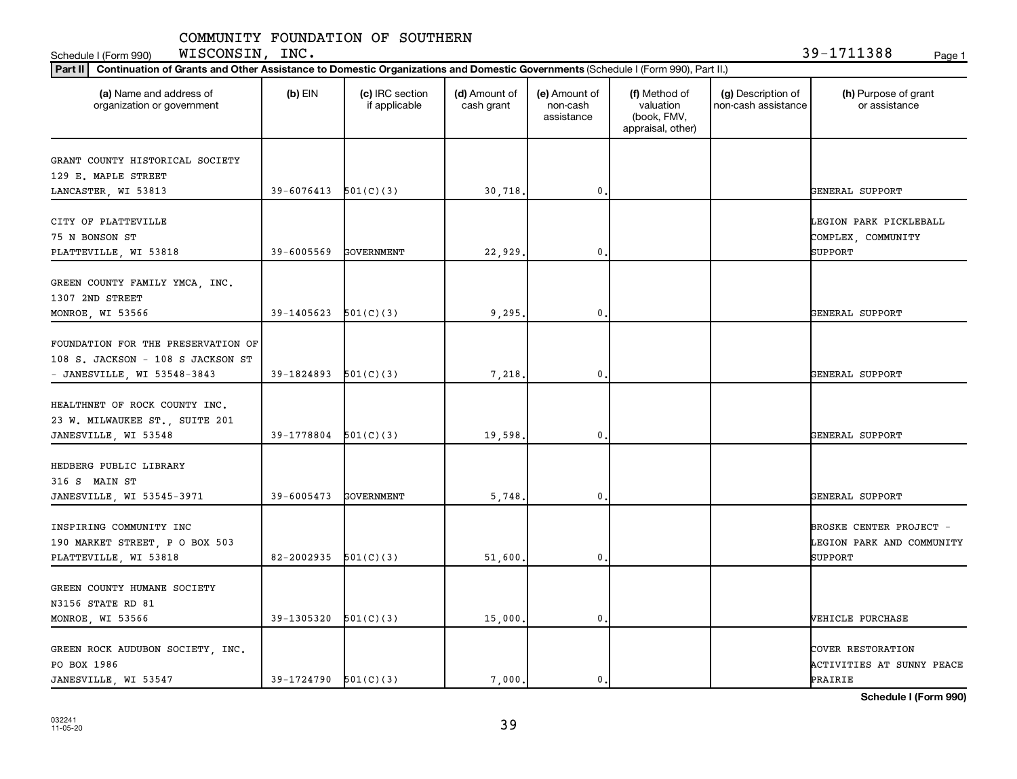Schedule I (Form 990) Page 1 WISCONSIN, INC. 39-1711388

| Part II   Continuation of Grants and Other Assistance to Domestic Organizations and Domestic Governments (Schedule I (Form 990), Part II.) |                            |                                  |                             |                                         |                                                                |                                           |                                                                        |  |  |  |
|--------------------------------------------------------------------------------------------------------------------------------------------|----------------------------|----------------------------------|-----------------------------|-----------------------------------------|----------------------------------------------------------------|-------------------------------------------|------------------------------------------------------------------------|--|--|--|
| (a) Name and address of<br>organization or government                                                                                      | $(b)$ EIN                  | (c) IRC section<br>if applicable | (d) Amount of<br>cash grant | (e) Amount of<br>non-cash<br>assistance | (f) Method of<br>valuation<br>(book, FMV,<br>appraisal, other) | (g) Description of<br>non-cash assistance | (h) Purpose of grant<br>or assistance                                  |  |  |  |
| GRANT COUNTY HISTORICAL SOCIETY                                                                                                            |                            |                                  |                             |                                         |                                                                |                                           |                                                                        |  |  |  |
| 129 E. MAPLE STREET                                                                                                                        |                            |                                  |                             |                                         |                                                                |                                           |                                                                        |  |  |  |
| LANCASTER, WI 53813                                                                                                                        | $39-6076413$ $501(C)(3)$   |                                  | 30,718.                     | $\pmb{0}$                               |                                                                |                                           | GENERAL SUPPORT                                                        |  |  |  |
| CITY OF PLATTEVILLE<br>75 N BONSON ST<br>PLATTEVILLE, WI 53818                                                                             | 39-6005569                 | GOVERNMENT                       | 22,929.                     | 0                                       |                                                                |                                           | LEGION PARK PICKLEBALL<br>COMPLEX, COMMUNITY<br><b>SUPPORT</b>         |  |  |  |
|                                                                                                                                            |                            |                                  |                             |                                         |                                                                |                                           |                                                                        |  |  |  |
| GREEN COUNTY FAMILY YMCA, INC.<br>1307 2ND STREET                                                                                          |                            |                                  |                             |                                         |                                                                |                                           |                                                                        |  |  |  |
| MONROE, WI 53566                                                                                                                           | 39-1405623                 | 501(C)(3)                        | 9,295.                      | 0.                                      |                                                                |                                           | GENERAL SUPPORT                                                        |  |  |  |
| FOUNDATION FOR THE PRESERVATION OF<br>108 S. JACKSON - 108 S JACKSON ST<br>- JANESVILLE, WI 53548-3843                                     | 39-1824893                 | 501(C)(3)                        | 7,218                       | $\mathbf 0$                             |                                                                |                                           | GENERAL SUPPORT                                                        |  |  |  |
|                                                                                                                                            |                            |                                  |                             |                                         |                                                                |                                           |                                                                        |  |  |  |
| HEALTHNET OF ROCK COUNTY INC.<br>23 W. MILWAUKEE ST., SUITE 201<br>JANESVILLE, WI 53548                                                    | 39-1778804                 | 501(C)(3)                        | 19,598.                     | 0                                       |                                                                |                                           | GENERAL SUPPORT                                                        |  |  |  |
|                                                                                                                                            |                            |                                  |                             |                                         |                                                                |                                           |                                                                        |  |  |  |
| HEDBERG PUBLIC LIBRARY<br>316 S MAIN ST                                                                                                    |                            |                                  |                             |                                         |                                                                |                                           |                                                                        |  |  |  |
| JANESVILLE, WI 53545-3971                                                                                                                  | 39-6005473                 | GOVERNMENT                       | 5,748.                      | $\mathbf 0$                             |                                                                |                                           | GENERAL SUPPORT                                                        |  |  |  |
| INSPIRING COMMUNITY INC<br>190 MARKET STREET, P O BOX 503<br>PLATTEVILLE, WI 53818                                                         | $82 - 2002935$ $501(C)(3)$ |                                  | 51,600                      | $\mathbf 0$                             |                                                                |                                           | BROSKE CENTER PROJECT -<br>LEGION PARK AND COMMUNITY<br><b>SUPPORT</b> |  |  |  |
|                                                                                                                                            |                            |                                  |                             |                                         |                                                                |                                           |                                                                        |  |  |  |
| GREEN COUNTY HUMANE SOCIETY                                                                                                                |                            |                                  |                             |                                         |                                                                |                                           |                                                                        |  |  |  |
| N3156 STATE RD 81                                                                                                                          |                            |                                  |                             |                                         |                                                                |                                           |                                                                        |  |  |  |
| MONROE, WI 53566                                                                                                                           | 39-1305320                 | 501(C)(3)                        | 15,000.                     | $\pmb{0}$                               |                                                                |                                           | <b>VEHICLE PURCHASE</b>                                                |  |  |  |
| GREEN ROCK AUDUBON SOCIETY, INC.<br>PO BOX 1986<br>JANESVILLE, WI 53547                                                                    | $39-1724790$ $501(C)(3)$   |                                  | 7,000.                      | 0.                                      |                                                                |                                           | COVER RESTORATION<br>ACTIVITIES AT SUNNY PEACE<br>PRAIRIE              |  |  |  |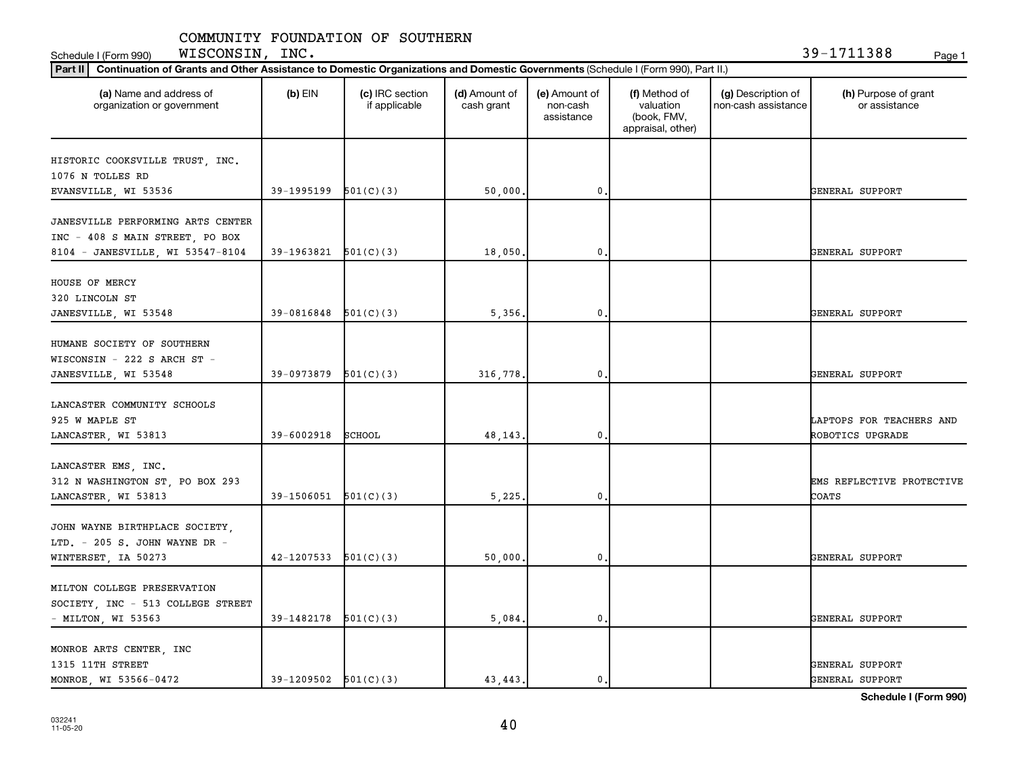Schedule I (Form 990) Page 1 WISCONSIN, INC. 39-1711388

| Part II   Continuation of Grants and Other Assistance to Domestic Organizations and Domestic Governments (Schedule I (Form 990), Part II.) |                          |                                  |                             |                                         |                                                                |                                           |                                       |  |  |  |
|--------------------------------------------------------------------------------------------------------------------------------------------|--------------------------|----------------------------------|-----------------------------|-----------------------------------------|----------------------------------------------------------------|-------------------------------------------|---------------------------------------|--|--|--|
| (a) Name and address of<br>organization or government                                                                                      | $(b)$ EIN                | (c) IRC section<br>if applicable | (d) Amount of<br>cash grant | (e) Amount of<br>non-cash<br>assistance | (f) Method of<br>valuation<br>(book, FMV,<br>appraisal, other) | (g) Description of<br>non-cash assistance | (h) Purpose of grant<br>or assistance |  |  |  |
|                                                                                                                                            |                          |                                  |                             |                                         |                                                                |                                           |                                       |  |  |  |
| HISTORIC COOKSVILLE TRUST, INC.<br>1076 N TOLLES RD                                                                                        |                          |                                  |                             |                                         |                                                                |                                           |                                       |  |  |  |
| EVANSVILLE, WI 53536                                                                                                                       | 39-1995199 501(C)(3)     |                                  | 50,000.                     | 0                                       |                                                                |                                           | GENERAL SUPPORT                       |  |  |  |
| JANESVILLE PERFORMING ARTS CENTER<br>INC - 408 S MAIN STREET, PO BOX                                                                       |                          |                                  |                             |                                         |                                                                |                                           |                                       |  |  |  |
| 8104 - JANESVILLE, WI 53547-8104                                                                                                           | $39-1963821$ $501(C)(3)$ |                                  | 18,050                      | 0                                       |                                                                |                                           | GENERAL SUPPORT                       |  |  |  |
| HOUSE OF MERCY<br>320 LINCOLN ST<br>JANESVILLE, WI 53548                                                                                   | $39-0816848$ $501(C)(3)$ |                                  | 5,356,                      | $\mathbf{0}$                            |                                                                |                                           | GENERAL SUPPORT                       |  |  |  |
|                                                                                                                                            |                          |                                  |                             |                                         |                                                                |                                           |                                       |  |  |  |
| HUMANE SOCIETY OF SOUTHERN<br>WISCONSIN - 222 S ARCH ST -<br>JANESVILLE, WI 53548                                                          | 39-0973879               | 501(C)(3)                        | 316,778.                    | 0                                       |                                                                |                                           | GENERAL SUPPORT                       |  |  |  |
|                                                                                                                                            |                          |                                  |                             |                                         |                                                                |                                           |                                       |  |  |  |
| LANCASTER COMMUNITY SCHOOLS<br>925 W MAPLE ST                                                                                              |                          |                                  |                             |                                         |                                                                |                                           | LAPTOPS FOR TEACHERS AND              |  |  |  |
| LANCASTER, WI 53813                                                                                                                        | 39-6002918               | SCHOOL                           | 48,143                      | 0                                       |                                                                |                                           | ROBOTICS UPGRADE                      |  |  |  |
| LANCASTER EMS, INC.<br>312 N WASHINGTON ST, PO BOX 293<br>LANCASTER, WI 53813                                                              | $39-1506051$ $501(C)(3)$ |                                  | 5,225                       | $\mathbf{0}$                            |                                                                |                                           | EMS REFLECTIVE PROTECTIVE<br>COATS    |  |  |  |
| JOHN WAYNE BIRTHPLACE SOCIETY,<br>LTD. - 205 S. JOHN WAYNE DR -                                                                            |                          |                                  |                             |                                         |                                                                |                                           |                                       |  |  |  |
| WINTERSET, IA 50273                                                                                                                        | $42-1207533$ $501(C)(3)$ |                                  | 50,000                      | 0                                       |                                                                |                                           | GENERAL SUPPORT                       |  |  |  |
| MILTON COLLEGE PRESERVATION<br>SOCIETY, INC - 513 COLLEGE STREET                                                                           |                          |                                  |                             |                                         |                                                                |                                           |                                       |  |  |  |
| - MILTON, WI 53563                                                                                                                         | $39-1482178$ $501(C)(3)$ |                                  | 5,084.                      | 0                                       |                                                                |                                           | GENERAL SUPPORT                       |  |  |  |
| MONROE ARTS CENTER, INC<br>1315 11TH STREET                                                                                                | $39-1209502$ $501(C)(3)$ |                                  | 43, 443.                    | 0.                                      |                                                                |                                           | GENERAL SUPPORT                       |  |  |  |
| MONROE, WI 53566-0472                                                                                                                      |                          |                                  |                             |                                         |                                                                |                                           | GENERAL SUPPORT                       |  |  |  |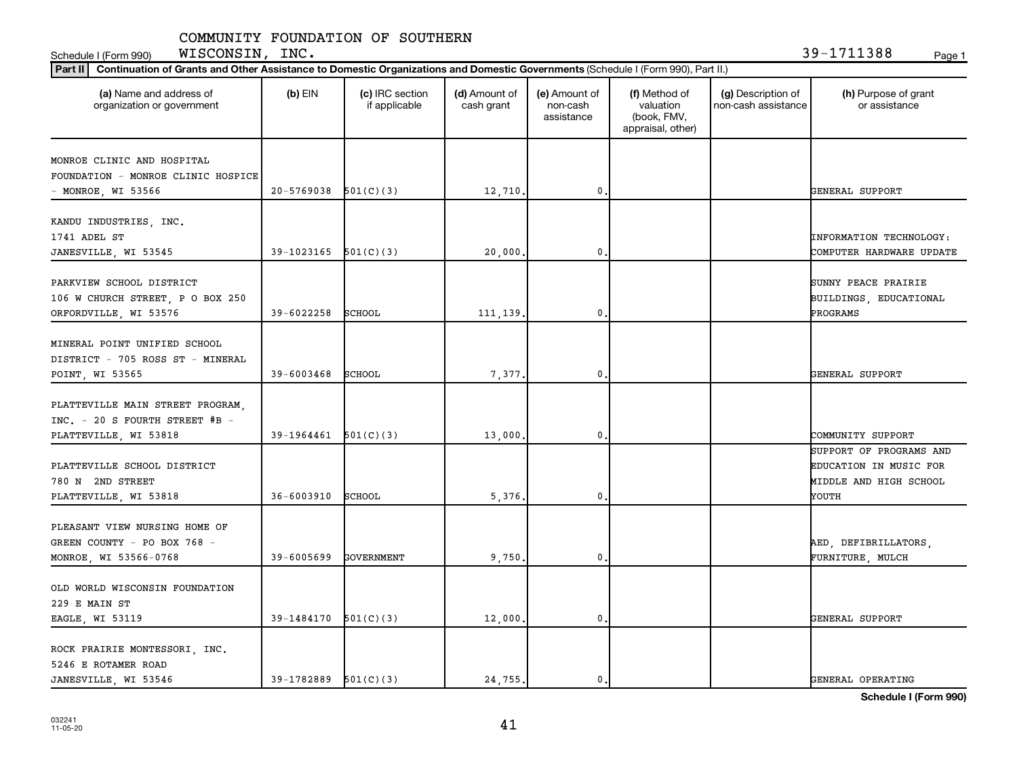**Part III Continuation of Grants and Other Assistance to Domestic Organizations and Domestic Governments** Schedule I (Form 990) Page 1 WISCONSIN, INC. 39-1711388

| Part II<br>Continuation of Grants and Other Assistance to Domestic Organizations and Domestic Governments (Schedule I (Form 990), Part II.) |                          |                                  |                             |                                         |                                                                |                                           |                                                                                      |
|---------------------------------------------------------------------------------------------------------------------------------------------|--------------------------|----------------------------------|-----------------------------|-----------------------------------------|----------------------------------------------------------------|-------------------------------------------|--------------------------------------------------------------------------------------|
| (a) Name and address of<br>organization or government                                                                                       | $(b)$ EIN                | (c) IRC section<br>if applicable | (d) Amount of<br>cash grant | (e) Amount of<br>non-cash<br>assistance | (f) Method of<br>valuation<br>(book, FMV,<br>appraisal, other) | (g) Description of<br>non-cash assistance | (h) Purpose of grant<br>or assistance                                                |
| MONROE CLINIC AND HOSPITAL<br>FOUNDATION - MONROE CLINIC HOSPICE<br>- MONROE, WI 53566                                                      | $20-5769038$ $501(C)(3)$ |                                  | 12,710.                     | 0.                                      |                                                                |                                           | GENERAL SUPPORT                                                                      |
| KANDU INDUSTRIES, INC.<br>1741 ADEL ST<br>JANESVILLE, WI 53545                                                                              | $39-1023165$ $501(C)(3)$ |                                  | 20,000                      | 0                                       |                                                                |                                           | INFORMATION TECHNOLOGY:<br>COMPUTER HARDWARE UPDATE                                  |
| PARKVIEW SCHOOL DISTRICT<br>106 W CHURCH STREET, P O BOX 250<br>ORFORDVILLE, WI 53576                                                       | 39-6022258               | SCHOOL                           | 111, 139.                   | 0.                                      |                                                                |                                           | SUNNY PEACE PRAIRIE<br>BUILDINGS, EDUCATIONAL<br>PROGRAMS                            |
| MINERAL POINT UNIFIED SCHOOL<br>DISTRICT - 705 ROSS ST - MINERAL<br>POINT, WI 53565                                                         | 39-6003468               | SCHOOL                           | 7,377.                      | 0                                       |                                                                |                                           | GENERAL SUPPORT                                                                      |
| PLATTEVILLE MAIN STREET PROGRAM,<br>INC. - 20 S FOURTH STREET #B -<br>PLATTEVILLE, WI 53818                                                 | $39-1964461$ $501(C)(3)$ |                                  | 13,000                      | $\mathbf{0}$                            |                                                                |                                           | COMMUNITY SUPPORT                                                                    |
| PLATTEVILLE SCHOOL DISTRICT<br>780 N 2ND STREET<br>PLATTEVILLE, WI 53818                                                                    | $36 - 6003910$           | SCHOOL                           | 5,376                       | 0                                       |                                                                |                                           | SUPPORT OF PROGRAMS AND<br>EDUCATION IN MUSIC FOR<br>MIDDLE AND HIGH SCHOOL<br>YOUTH |
| PLEASANT VIEW NURSING HOME OF<br>GREEN COUNTY - PO BOX 768 -<br>MONROE, WI 53566-0768                                                       | 39-6005699               | GOVERNMENT                       | 9,750,                      | 0.                                      |                                                                |                                           | AED, DEFIBRILLATORS,<br>FURNITURE, MULCH                                             |
| OLD WORLD WISCONSIN FOUNDATION<br>229 E MAIN ST<br>EAGLE, WI 53119                                                                          | 39-1484170               | 501(C)(3)                        | 12,000.                     | 0.                                      |                                                                |                                           | GENERAL SUPPORT                                                                      |
| ROCK PRAIRIE MONTESSORI, INC.<br>5246 E ROTAMER ROAD<br>JANESVILLE, WI 53546                                                                | $39-1782889$ $501(C)(3)$ |                                  | 24,755.                     | 0.                                      |                                                                |                                           | GENERAL OPERATING                                                                    |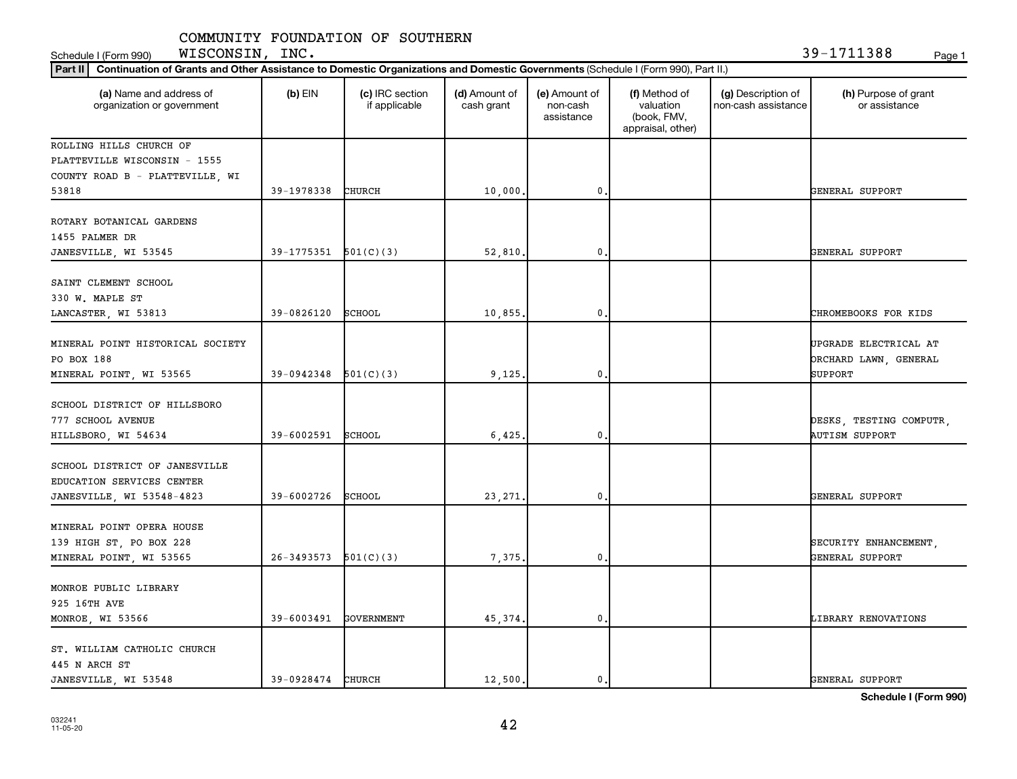Schedule I (Form 990) Page 1 WISCONSIN, INC. 39-1711388

| Part II   Continuation of Grants and Other Assistance to Domestic Organizations and Domestic Governments (Schedule I (Form 990), Part II.) |                          |                                  |                             |                                         |                                                                |                                           |                                                                         |
|--------------------------------------------------------------------------------------------------------------------------------------------|--------------------------|----------------------------------|-----------------------------|-----------------------------------------|----------------------------------------------------------------|-------------------------------------------|-------------------------------------------------------------------------|
| (a) Name and address of<br>organization or government                                                                                      | $(b)$ EIN                | (c) IRC section<br>if applicable | (d) Amount of<br>cash grant | (e) Amount of<br>non-cash<br>assistance | (f) Method of<br>valuation<br>(book, FMV,<br>appraisal, other) | (g) Description of<br>non-cash assistance | (h) Purpose of grant<br>or assistance                                   |
| ROLLING HILLS CHURCH OF                                                                                                                    |                          |                                  |                             |                                         |                                                                |                                           |                                                                         |
| PLATTEVILLE WISCONSIN - 1555                                                                                                               |                          |                                  |                             |                                         |                                                                |                                           |                                                                         |
| COUNTY ROAD B - PLATTEVILLE, WI                                                                                                            |                          |                                  |                             |                                         |                                                                |                                           |                                                                         |
| 53818                                                                                                                                      | 39-1978338               | <b>CHURCH</b>                    | 10,000.                     | 0                                       |                                                                |                                           | GENERAL SUPPORT                                                         |
| ROTARY BOTANICAL GARDENS<br>1455 PALMER DR                                                                                                 |                          |                                  |                             |                                         |                                                                |                                           |                                                                         |
| JANESVILLE, WI 53545                                                                                                                       | $39-1775351$ $501(C)(3)$ |                                  | 52,810                      | 0                                       |                                                                |                                           | GENERAL SUPPORT                                                         |
| SAINT CLEMENT SCHOOL<br>330 W. MAPLE ST                                                                                                    |                          |                                  |                             |                                         |                                                                |                                           |                                                                         |
| LANCASTER, WI 53813                                                                                                                        | 39-0826120               | SCHOOL                           | 10,855                      | $\mathbf{0}$                            |                                                                |                                           | CHROMEBOOKS FOR KIDS                                                    |
| MINERAL POINT HISTORICAL SOCIETY<br>PO BOX 188<br>MINERAL POINT, WI 53565                                                                  | 39-0942348               | 501(C)(3)                        | 9,125                       | 0                                       |                                                                |                                           | UPGRADE ELECTRICAL AT<br><b>DRCHARD LAWN, GENERAL</b><br><b>SUPPORT</b> |
| SCHOOL DISTRICT OF HILLSBORO<br>777 SCHOOL AVENUE<br>HILLSBORO, WI 54634                                                                   | 39-6002591               | SCHOOL                           | 6,425                       | 0                                       |                                                                |                                           | DESKS, TESTING COMPUTR,<br><b>AUTISM SUPPORT</b>                        |
| SCHOOL DISTRICT OF JANESVILLE<br>EDUCATION SERVICES CENTER<br>JANESVILLE, WI 53548-4823                                                    | 39-6002726               | SCHOOL                           | 23, 271                     | $\mathbf{0}$                            |                                                                |                                           | GENERAL SUPPORT                                                         |
| MINERAL POINT OPERA HOUSE<br>139 HIGH ST, PO BOX 228<br>MINERAL POINT, WI 53565                                                            | 26-3493573               | 501(C)(3)                        | 7,375                       | 0                                       |                                                                |                                           | SECURITY ENHANCEMENT,<br>GENERAL SUPPORT                                |
| MONROE PUBLIC LIBRARY<br>925 16TH AVE<br>MONROE, WI 53566                                                                                  | 39-6003491               | <b>GOVERNMENT</b>                | 45,374                      | 0                                       |                                                                |                                           | LIBRARY RENOVATIONS                                                     |
| ST. WILLIAM CATHOLIC CHURCH<br>445 N ARCH ST<br>JANESVILLE, WI 53548                                                                       | 39-0928474 CHURCH        |                                  | 12,500.                     | 0.                                      |                                                                |                                           | GENERAL SUPPORT                                                         |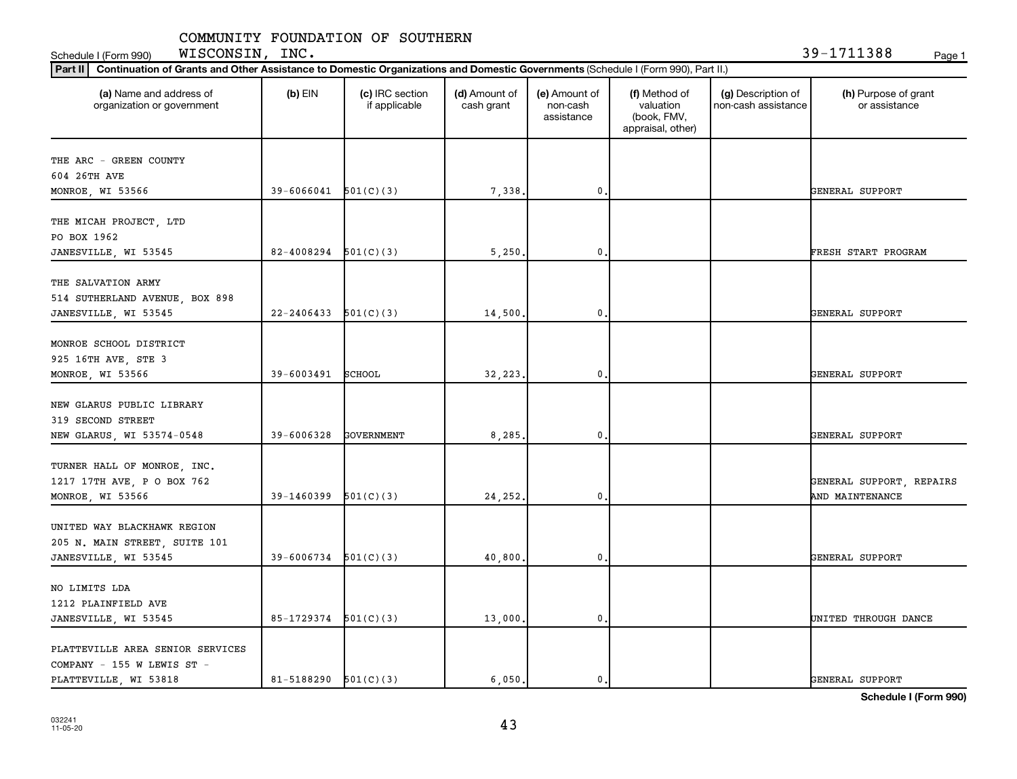Schedule I (Form 990) Page 1 WISCONSIN, INC. 39-1711388

| Part II   Continuation of Grants and Other Assistance to Domestic Organizations and Domestic Governments (Schedule I (Form 990), Part II.) |                            |                                  |                             |                                         |                                                                |                                           |                                       |
|--------------------------------------------------------------------------------------------------------------------------------------------|----------------------------|----------------------------------|-----------------------------|-----------------------------------------|----------------------------------------------------------------|-------------------------------------------|---------------------------------------|
| (a) Name and address of<br>organization or government                                                                                      | $(b)$ EIN                  | (c) IRC section<br>if applicable | (d) Amount of<br>cash grant | (e) Amount of<br>non-cash<br>assistance | (f) Method of<br>valuation<br>(book, FMV,<br>appraisal, other) | (g) Description of<br>non-cash assistance | (h) Purpose of grant<br>or assistance |
| THE ARC - GREEN COUNTY                                                                                                                     |                            |                                  |                             |                                         |                                                                |                                           |                                       |
| 604 26TH AVE                                                                                                                               |                            |                                  |                             |                                         |                                                                |                                           |                                       |
| MONROE, WI 53566                                                                                                                           | 39-6066041                 | 501(C)(3)                        | 7,338                       | $\mathbf{0}$ .                          |                                                                |                                           | GENERAL SUPPORT                       |
| THE MICAH PROJECT, LTD                                                                                                                     |                            |                                  |                             |                                         |                                                                |                                           |                                       |
| PO BOX 1962                                                                                                                                |                            |                                  |                             |                                         |                                                                |                                           |                                       |
| JANESVILLE, WI 53545                                                                                                                       | 82-4008294                 | 501(C)(3)                        | 5,250                       | 0.                                      |                                                                |                                           | FRESH START PROGRAM                   |
|                                                                                                                                            |                            |                                  |                             |                                         |                                                                |                                           |                                       |
| THE SALVATION ARMY<br>514 SUTHERLAND AVENUE, BOX 898                                                                                       |                            |                                  |                             |                                         |                                                                |                                           |                                       |
| JANESVILLE, WI 53545                                                                                                                       | 22-2406433                 | 501(C)(3)                        | 14,500                      | $\mathbf{0}$                            |                                                                |                                           | GENERAL SUPPORT                       |
|                                                                                                                                            |                            |                                  |                             |                                         |                                                                |                                           |                                       |
| MONROE SCHOOL DISTRICT                                                                                                                     |                            |                                  |                             |                                         |                                                                |                                           |                                       |
| 925 16TH AVE, STE 3                                                                                                                        |                            |                                  |                             |                                         |                                                                |                                           |                                       |
| MONROE, WI 53566                                                                                                                           | 39-6003491                 | SCHOOL                           | 32,223                      | $\mathbf{0}$ .                          |                                                                |                                           | GENERAL SUPPORT                       |
|                                                                                                                                            |                            |                                  |                             |                                         |                                                                |                                           |                                       |
| NEW GLARUS PUBLIC LIBRARY                                                                                                                  |                            |                                  |                             |                                         |                                                                |                                           |                                       |
| 319 SECOND STREET                                                                                                                          |                            |                                  |                             |                                         |                                                                |                                           |                                       |
| NEW GLARUS, WI 53574-0548                                                                                                                  | 39-6006328                 | <b>GOVERNMENT</b>                | 8,285                       | $\mathbf{0}$ .                          |                                                                |                                           | GENERAL SUPPORT                       |
| TURNER HALL OF MONROE, INC.                                                                                                                |                            |                                  |                             |                                         |                                                                |                                           |                                       |
| 1217 17TH AVE, P O BOX 762                                                                                                                 |                            |                                  |                             |                                         |                                                                |                                           | GENERAL SUPPORT, REPAIRS              |
| MONROE, WI 53566                                                                                                                           | 39-1460399                 | 501(C)(3)                        | 24,252                      | $\mathbf{0}$                            |                                                                |                                           | AND MAINTENANCE                       |
|                                                                                                                                            |                            |                                  |                             |                                         |                                                                |                                           |                                       |
| UNITED WAY BLACKHAWK REGION                                                                                                                |                            |                                  |                             |                                         |                                                                |                                           |                                       |
| 205 N. MAIN STREET, SUITE 101                                                                                                              |                            |                                  |                             |                                         |                                                                |                                           |                                       |
| JANESVILLE, WI 53545                                                                                                                       | 39-6006734                 | 501(C)(3)                        | 40,800                      | $\mathbf{0}$ .                          |                                                                |                                           | GENERAL SUPPORT                       |
|                                                                                                                                            |                            |                                  |                             |                                         |                                                                |                                           |                                       |
| NO LIMITS LDA                                                                                                                              |                            |                                  |                             |                                         |                                                                |                                           |                                       |
| 1212 PLAINFIELD AVE                                                                                                                        |                            |                                  |                             |                                         |                                                                |                                           |                                       |
| JANESVILLE, WI 53545                                                                                                                       | 85-1729374                 | 501(C)(3)                        | 13,000                      | $\mathbf{0}$ .                          |                                                                |                                           | UNITED THROUGH DANCE                  |
| PLATTEVILLE AREA SENIOR SERVICES                                                                                                           |                            |                                  |                             |                                         |                                                                |                                           |                                       |
| COMPANY - 155 W LEWIS ST -                                                                                                                 |                            |                                  |                             |                                         |                                                                |                                           |                                       |
| PLATTEVILLE, WI 53818                                                                                                                      | $81 - 5188290$ $501(C)(3)$ |                                  | 6,050.                      | $\mathbf{0}$ .                          |                                                                |                                           | GENERAL SUPPORT                       |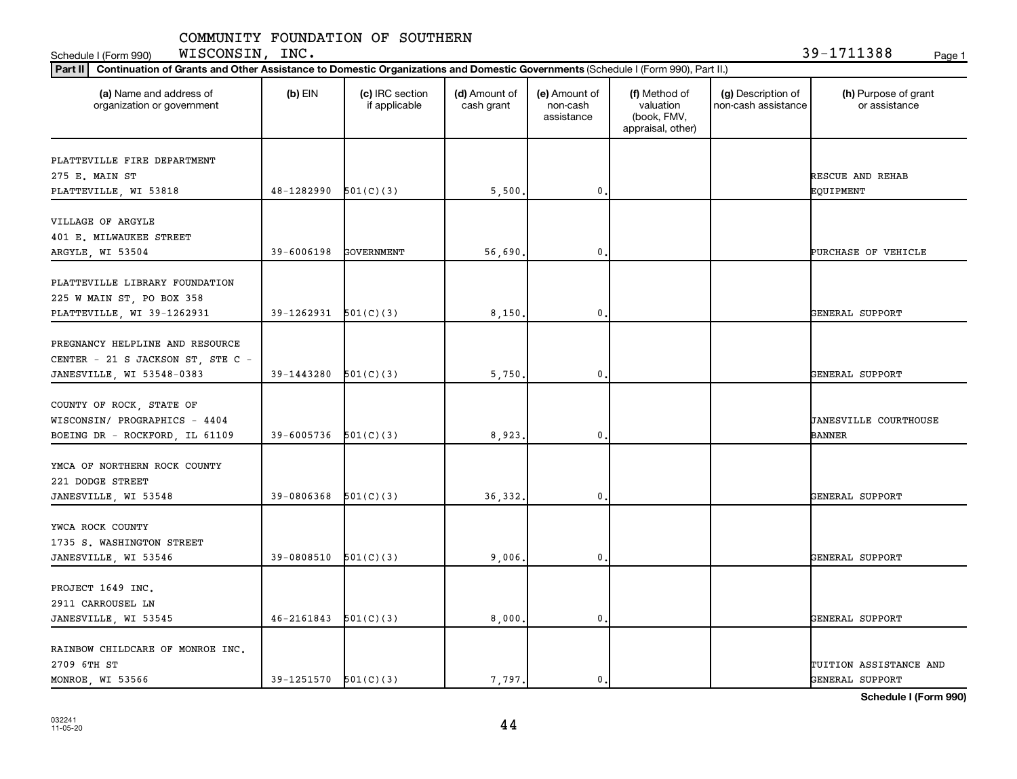**Part III Continuation of Grants and Other Assistance to Domestic Organizations and Domestic Governments** Schedule I (Form 990) Page 1 WISCONSIN, INC. 39-1711388

| Continuation of Grants and Other Assistance to Domestic Organizations and Domestic Governments (Schedule I (Form 990), Part II.)<br>Part II |                          |                                  |                             |                                         |                                                                |                                           |                                               |
|---------------------------------------------------------------------------------------------------------------------------------------------|--------------------------|----------------------------------|-----------------------------|-----------------------------------------|----------------------------------------------------------------|-------------------------------------------|-----------------------------------------------|
| (a) Name and address of<br>organization or government                                                                                       | $(b)$ EIN                | (c) IRC section<br>if applicable | (d) Amount of<br>cash grant | (e) Amount of<br>non-cash<br>assistance | (f) Method of<br>valuation<br>(book, FMV,<br>appraisal, other) | (g) Description of<br>non-cash assistance | (h) Purpose of grant<br>or assistance         |
| PLATTEVILLE FIRE DEPARTMENT<br>275 E. MAIN ST<br>PLATTEVILLE, WI 53818                                                                      | 48-1282990               | 501(C)(3)                        | 5,500.                      | 0.                                      |                                                                |                                           | RESCUE AND REHAB<br>EQUIPMENT                 |
| VILLAGE OF ARGYLE<br>401 E. MILWAUKEE STREET<br>ARGYLE, WI 53504                                                                            | 39-6006198               | <b>GOVERNMENT</b>                | 56,690                      | $\mathbf{0}$ .                          |                                                                |                                           | PURCHASE OF VEHICLE                           |
| PLATTEVILLE LIBRARY FOUNDATION<br>225 W MAIN ST, PO BOX 358<br>PLATTEVILLE, WI 39-1262931                                                   | 39-1262931               | 501(C)(3)                        | 8,150.                      | $\mathbf{0}$                            |                                                                |                                           | GENERAL SUPPORT                               |
| PREGNANCY HELPLINE AND RESOURCE<br>CENTER - 21 S JACKSON ST, STE C -<br>JANESVILLE, WI 53548-0383                                           | 39-1443280               | 501(C)(3)                        | 5,750.                      | 0.                                      |                                                                |                                           | GENERAL SUPPORT                               |
| COUNTY OF ROCK, STATE OF<br>WISCONSIN/ PROGRAPHICS - 4404<br>BOEING DR - ROCKFORD, IL 61109                                                 | 39-6005736               | 501(C)(3)                        | 8,923.                      | $\mathbf{0}$                            |                                                                |                                           | <b>JANESVILLE COURTHOUSE</b><br><b>BANNER</b> |
| YMCA OF NORTHERN ROCK COUNTY<br>221 DODGE STREET<br>JANESVILLE, WI 53548                                                                    | 39-0806368               | 501(C)(3)                        | 36, 332.                    | $\pmb{0}$                               |                                                                |                                           | GENERAL SUPPORT                               |
| YWCA ROCK COUNTY<br>1735 S. WASHINGTON STREET<br>JANESVILLE, WI 53546                                                                       | 39-0808510               | 501(C)(3)                        | 9,006.                      | 0.                                      |                                                                |                                           | GENERAL SUPPORT                               |
| PROJECT 1649 INC.<br>2911 CARROUSEL LN<br>JANESVILLE, WI 53545                                                                              | 46-2161843               | 501(C)(3)                        | 8,000,                      | $\mathbf 0$                             |                                                                |                                           | GENERAL SUPPORT                               |
| RAINBOW CHILDCARE OF MONROE INC.<br>2709 6TH ST<br>MONROE, WI 53566                                                                         | $39-1251570$ $501(C)(3)$ |                                  | 7,797.                      | 0.                                      |                                                                |                                           | TUITION ASSISTANCE AND<br>GENERAL SUPPORT     |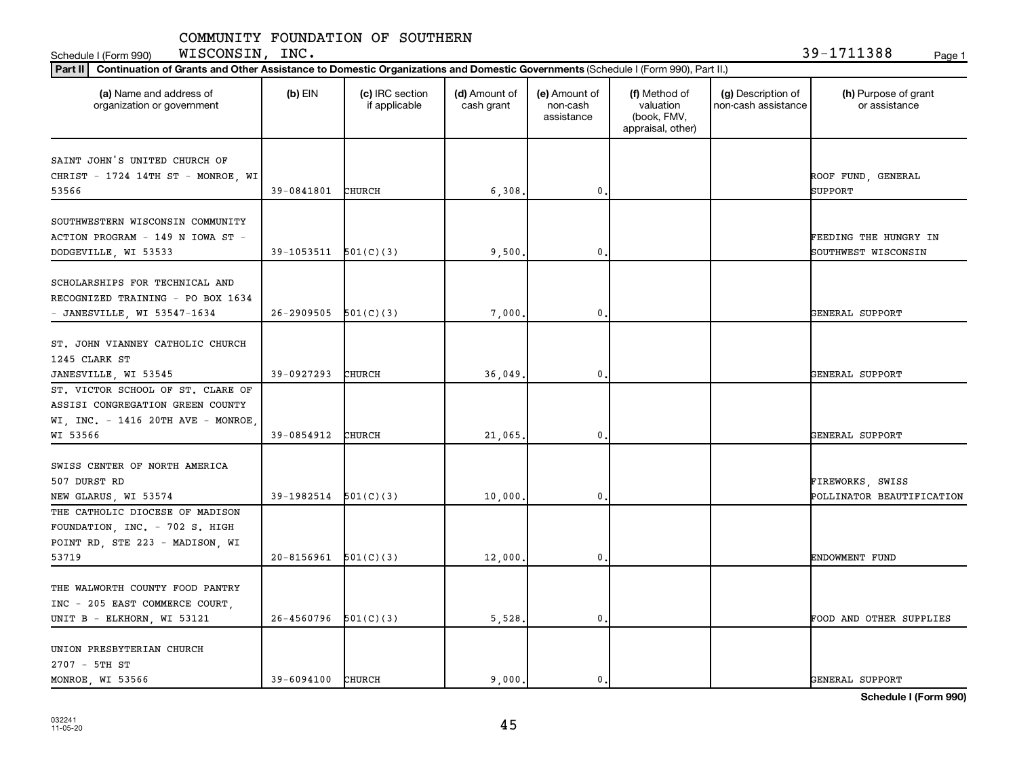**Part III Continuation of Grants and Other Assistance to Domestic Organizations and Domestic Governments** Schedule I (Form 990) Page 1 WISCONSIN, INC. 39-1711388

| Continuation of Grants and Other Assistance to Domestic Organizations and Domestic Governments (Schedule I (Form 990), Part II.)<br>Part II |                          |                                  |                             |                                         |                                                                |                                           |                                                     |
|---------------------------------------------------------------------------------------------------------------------------------------------|--------------------------|----------------------------------|-----------------------------|-----------------------------------------|----------------------------------------------------------------|-------------------------------------------|-----------------------------------------------------|
| (a) Name and address of<br>organization or government                                                                                       | $(b)$ EIN                | (c) IRC section<br>if applicable | (d) Amount of<br>cash grant | (e) Amount of<br>non-cash<br>assistance | (f) Method of<br>valuation<br>(book, FMV,<br>appraisal, other) | (g) Description of<br>non-cash assistance | (h) Purpose of grant<br>or assistance               |
| SAINT JOHN'S UNITED CHURCH OF<br>CHRIST - 1724 14TH ST - MONROE, WI<br>53566                                                                | 39-0841801               | CHURCH                           | 6,308                       | $\mathbf 0$                             |                                                                |                                           | ROOF FUND, GENERAL<br><b>SUPPORT</b>                |
| SOUTHWESTERN WISCONSIN COMMUNITY<br>ACTION PROGRAM - 149 N IOWA ST -<br>DODGEVILLE, WI 53533                                                | $39-1053511$ $501(C)(3)$ |                                  | 9,500.                      | $\mathbf{0}$                            |                                                                |                                           | <b>FEEDING THE HUNGRY IN</b><br>SOUTHWEST WISCONSIN |
| SCHOLARSHIPS FOR TECHNICAL AND<br>RECOGNIZED TRAINING - PO BOX 1634<br>- JANESVILLE, WI 53547-1634                                          | 26-2909505               | 501(C)(3)                        | 7,000                       | $\mathbf 0$                             |                                                                |                                           | GENERAL SUPPORT                                     |
| ST. JOHN VIANNEY CATHOLIC CHURCH<br>1245 CLARK ST<br>JANESVILLE, WI 53545                                                                   | 39-0927293               | CHURCH                           | 36,049                      | $\mathbf 0$                             |                                                                |                                           | GENERAL SUPPORT                                     |
| ST. VICTOR SCHOOL OF ST. CLARE OF<br>ASSISI CONGREGATION GREEN COUNTY<br>WI, INC. - 1416 20TH AVE - MONROE,<br>WI 53566                     | 39-0854912               | <b>CHURCH</b>                    | 21,065                      | 0.                                      |                                                                |                                           | GENERAL SUPPORT                                     |
| SWISS CENTER OF NORTH AMERICA<br>507 DURST RD<br>NEW GLARUS, WI 53574                                                                       | 39-1982514               | 501(C)(3)                        | 10,000                      | 0                                       |                                                                |                                           | FIREWORKS, SWISS<br>POLLINATOR BEAUTIFICATION       |
| THE CATHOLIC DIOCESE OF MADISON<br>FOUNDATION, INC. - 702 S. HIGH<br>POINT RD, STE 223 - MADISON, WI<br>53719                               | 20-8156961               | 501(C)(3)                        | 12,000                      | $\mathbf 0$                             |                                                                |                                           | ENDOWMENT FUND                                      |
| THE WALWORTH COUNTY FOOD PANTRY<br>INC - 205 EAST COMMERCE COURT,<br>UNIT B - ELKHORN, WI 53121                                             | 26-4560796               | 501(C)(3)                        | 5,528.                      | 0.                                      |                                                                |                                           | FOOD AND OTHER SUPPLIES                             |
| UNION PRESBYTERIAN CHURCH<br>2707 - 5TH ST<br>MONROE, WI 53566                                                                              | $39 - 6094100$           | CHURCH                           | 9.000.                      | 0.                                      |                                                                |                                           | GENERAL SUPPORT                                     |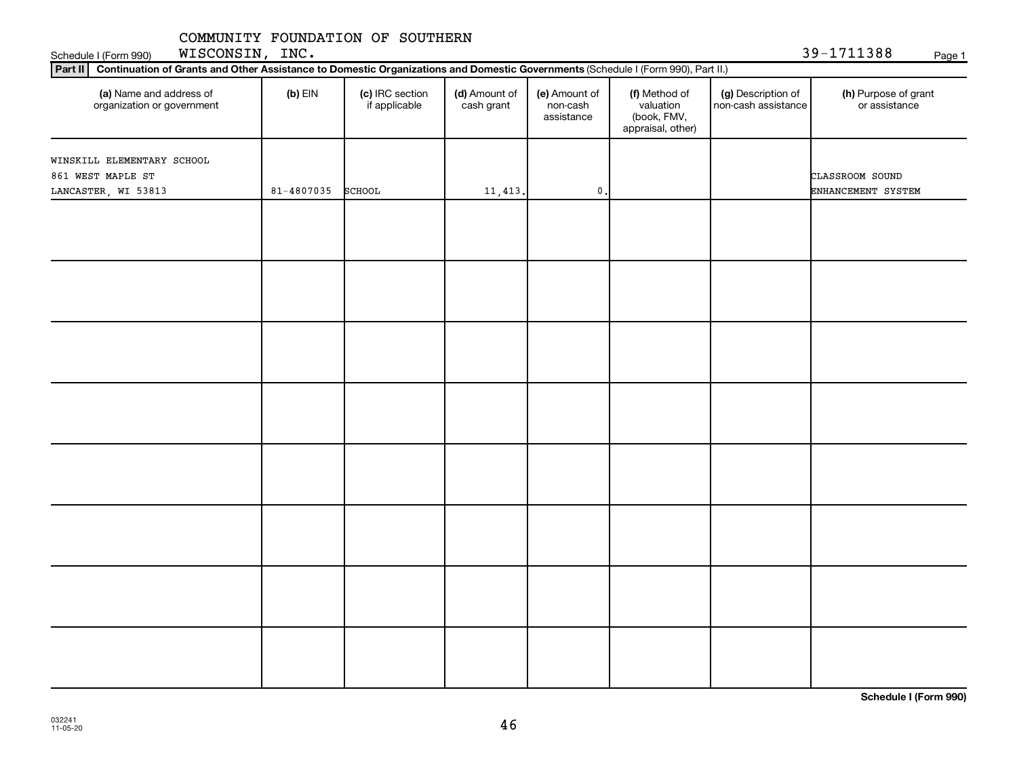**Part II Continuation of Grants and Other Assistance to Domestic Organizations and Domestic Governments** 

Schedule I (Form 990) Page 1 WISCONSIN, INC. 39-1711388

| (a) Name and address of<br>organization or government                  | $(b)$ EIN  | (c) IRC section<br>if applicable | (d) Amount of<br>cash grant | (e) Amount of<br>non-cash<br>assistance | (f) Method of<br>valuation<br>(book, FMV,<br>appraisal, other) | (g) Description of<br>non-cash assistance | (h) Purpose of grant<br>or assistance |
|------------------------------------------------------------------------|------------|----------------------------------|-----------------------------|-----------------------------------------|----------------------------------------------------------------|-------------------------------------------|---------------------------------------|
| WINSKILL ELEMENTARY SCHOOL<br>861 WEST MAPLE ST<br>LANCASTER, WI 53813 | 81-4807035 | <b>SCHOOL</b>                    | 11, 413.                    | $\mathbf{0}$                            |                                                                |                                           | CLASSROOM SOUND<br>ENHANCEMENT SYSTEM |
|                                                                        |            |                                  |                             |                                         |                                                                |                                           |                                       |
|                                                                        |            |                                  |                             |                                         |                                                                |                                           |                                       |
|                                                                        |            |                                  |                             |                                         |                                                                |                                           |                                       |
|                                                                        |            |                                  |                             |                                         |                                                                |                                           |                                       |
|                                                                        |            |                                  |                             |                                         |                                                                |                                           |                                       |
|                                                                        |            |                                  |                             |                                         |                                                                |                                           |                                       |
|                                                                        |            |                                  |                             |                                         |                                                                |                                           |                                       |
|                                                                        |            |                                  |                             |                                         |                                                                |                                           |                                       |

(Schedule I (Form 990), Part II.)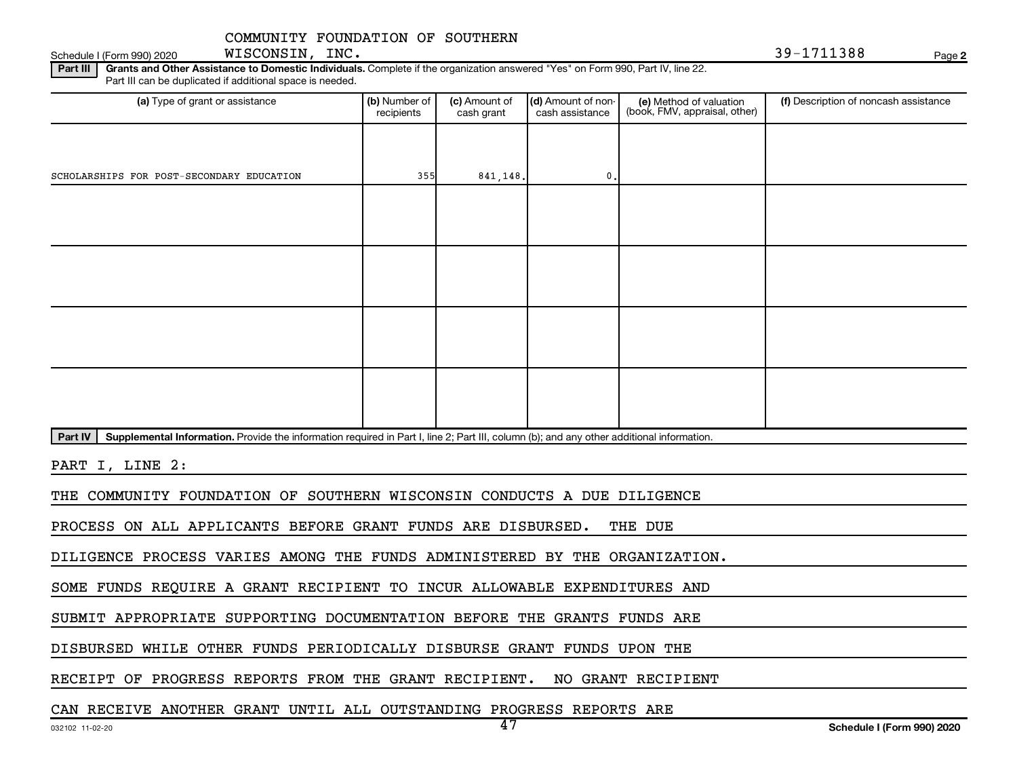Schedule I (Form 990) 2020  $MISCONSIM$ ,  $INC.$ WISCONSIN, INC.

**2**

Part III | Grants and Other Assistance to Domestic Individuals. Complete if the organization answered "Yes" on Form 990, Part IV, line 22. Part III can be duplicated if additional space is needed.

| (a) Type of grant or assistance                                                                                                                      | (b) Number of<br>recipients | (c) Amount of<br>cash grant | (d) Amount of non-<br>cash assistance | (e) Method of valuation<br>(book, FMV, appraisal, other) | (f) Description of noncash assistance |
|------------------------------------------------------------------------------------------------------------------------------------------------------|-----------------------------|-----------------------------|---------------------------------------|----------------------------------------------------------|---------------------------------------|
|                                                                                                                                                      |                             |                             |                                       |                                                          |                                       |
| SCHOLARSHIPS FOR POST-SECONDARY EDUCATION                                                                                                            | 355                         | 841,148.                    | $0$ .                                 |                                                          |                                       |
|                                                                                                                                                      |                             |                             |                                       |                                                          |                                       |
|                                                                                                                                                      |                             |                             |                                       |                                                          |                                       |
|                                                                                                                                                      |                             |                             |                                       |                                                          |                                       |
|                                                                                                                                                      |                             |                             |                                       |                                                          |                                       |
|                                                                                                                                                      |                             |                             |                                       |                                                          |                                       |
|                                                                                                                                                      |                             |                             |                                       |                                                          |                                       |
|                                                                                                                                                      |                             |                             |                                       |                                                          |                                       |
|                                                                                                                                                      |                             |                             |                                       |                                                          |                                       |
| Supplemental Information. Provide the information required in Part I, line 2; Part III, column (b); and any other additional information.<br>Part IV |                             |                             |                                       |                                                          |                                       |

PART I, LINE 2:

THE COMMUNITY FOUNDATION OF SOUTHERN WISCONSIN CONDUCTS A DUE DILIGENCE

PROCESS ON ALL APPLICANTS BEFORE GRANT FUNDS ARE DISBURSED. THE DUE

DILIGENCE PROCESS VARIES AMONG THE FUNDS ADMINISTERED BY THE ORGANIZATION.

SOME FUNDS REQUIRE A GRANT RECIPIENT TO INCUR ALLOWABLE EXPENDITURES AND

SUBMIT APPROPRIATE SUPPORTING DOCUMENTATION BEFORE THE GRANTS FUNDS ARE

DISBURSED WHILE OTHER FUNDS PERIODICALLY DISBURSE GRANT FUNDS UPON THE

RECEIPT OF PROGRESS REPORTS FROM THE GRANT RECIPIENT. NO GRANT RECIPIENT

CAN RECEIVE ANOTHER GRANT UNTIL ALL OUTSTANDING PROGRESS REPORTS ARE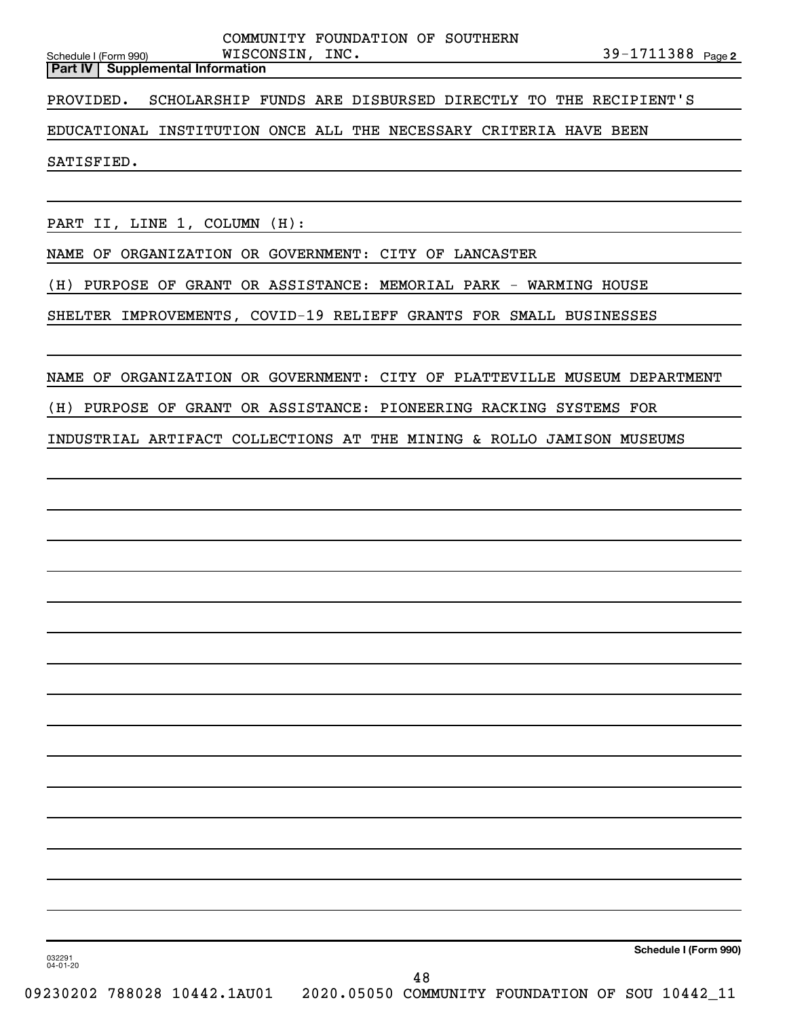|                       | <b>Part IV   Supplemental Information</b> |                 |                                  |  |                        |  |
|-----------------------|-------------------------------------------|-----------------|----------------------------------|--|------------------------|--|
| Schedule I (Form 990) |                                           | WISCONSIN, INC. |                                  |  | 39-1711388 $_{Page 2}$ |  |
|                       |                                           |                 | COMMUNIII FOUNDAIION OF SOUIHERN |  |                        |  |

PROVIDED. SCHOLARSHIP FUNDS ARE DISBURSED DIRECTLY TO THE RECIPIENT'S

### EDUCATIONAL INSTITUTION ONCE ALL THE NECESSARY CRITERIA HAVE BEEN

SATISFIED.

PART II, LINE 1, COLUMN (H):

NAME OF ORGANIZATION OR GOVERNMENT: CITY OF LANCASTER

(H) PURPOSE OF GRANT OR ASSISTANCE: MEMORIAL PARK - WARMING HOUSE

SHELTER IMPROVEMENTS, COVID-19 RELIEFF GRANTS FOR SMALL BUSINESSES

### NAME OF ORGANIZATION OR GOVERNMENT: CITY OF PLATTEVILLE MUSEUM DEPARTMENT

(H) PURPOSE OF GRANT OR ASSISTANCE: PIONEERING RACKING SYSTEMS FOR

### INDUSTRIAL ARTIFACT COLLECTIONS AT THE MINING & ROLLO JAMISON MUSEUMS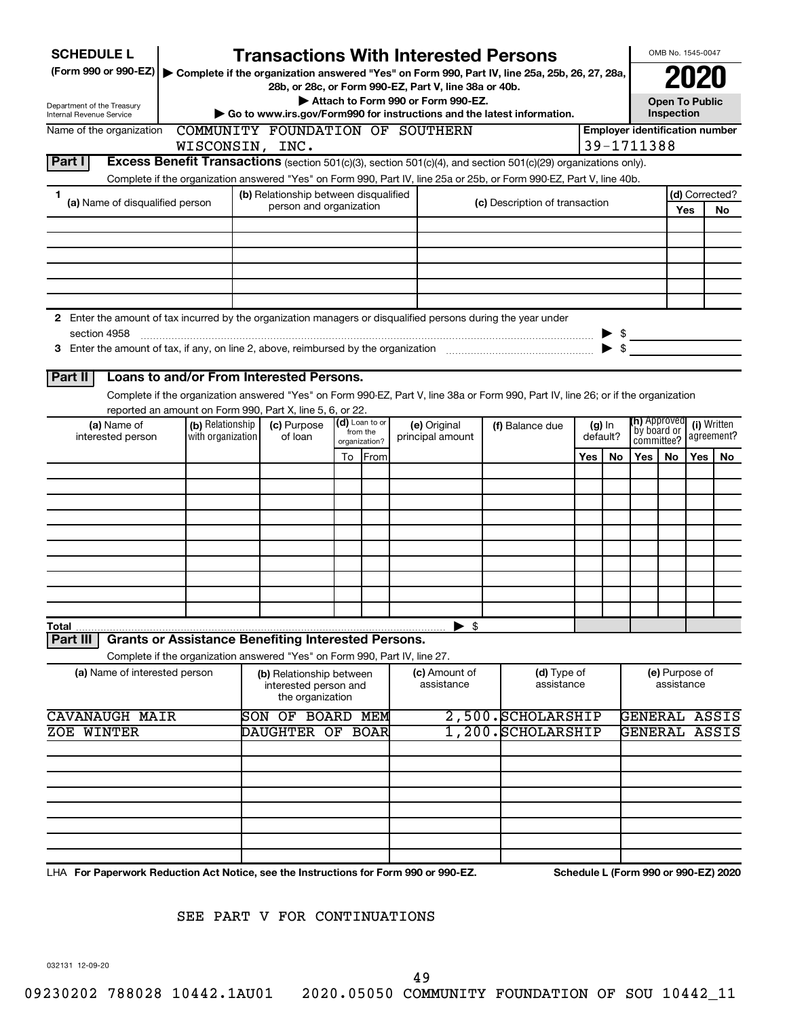| <b>SCHEDULE L</b><br>(Form 990 or 990-EZ)                                                                     |                                                                            |                                                      |                                                   |                                  |    |                 |  | <b>Transactions With Interested Persons</b>           |                                    |                                                                                                                                    |     |                           |                                                 | OMB No. 1545-0047                   |            |                                      |
|---------------------------------------------------------------------------------------------------------------|----------------------------------------------------------------------------|------------------------------------------------------|---------------------------------------------------|----------------------------------|----|-----------------|--|-------------------------------------------------------|------------------------------------|------------------------------------------------------------------------------------------------------------------------------------|-----|---------------------------|-------------------------------------------------|-------------------------------------|------------|--------------------------------------|
|                                                                                                               |                                                                            |                                                      |                                                   |                                  |    |                 |  | 28b, or 28c, or Form 990-EZ, Part V, line 38a or 40b. |                                    | Complete if the organization answered "Yes" on Form 990, Part IV, line 25a, 25b, 26, 27, 28a,                                      |     |                           |                                                 |                                     |            |                                      |
| Department of the Treasury<br><b>Internal Revenue Service</b>                                                 |                                                                            |                                                      |                                                   |                                  |    |                 |  | Attach to Form 990 or Form 990-EZ.                    |                                    | Go to www.irs.gov/Form990 for instructions and the latest information.                                                             |     |                           |                                                 | <b>Open To Public</b><br>Inspection |            |                                      |
| Name of the organization                                                                                      | COMMUNITY FOUNDATION OF SOUTHERN                                           |                                                      |                                                   |                                  |    |                 |  |                                                       |                                    |                                                                                                                                    |     |                           | <b>Employer identification number</b>           |                                     |            |                                      |
|                                                                                                               | WISCONSIN, INC.                                                            |                                                      |                                                   |                                  |    |                 |  |                                                       |                                    |                                                                                                                                    |     |                           | 39-1711388                                      |                                     |            |                                      |
| Part I                                                                                                        |                                                                            |                                                      |                                                   |                                  |    |                 |  |                                                       |                                    | Excess Benefit Transactions (section 501(c)(3), section 501(c)(4), and section 501(c)(29) organizations only).                     |     |                           |                                                 |                                     |            |                                      |
|                                                                                                               |                                                                            |                                                      |                                                   |                                  |    |                 |  |                                                       |                                    | Complete if the organization answered "Yes" on Form 990, Part IV, line 25a or 25b, or Form 990-EZ, Part V, line 40b.               |     |                           |                                                 |                                     |            |                                      |
| 1<br>(a) Name of disqualified person                                                                          |                                                                            |                                                      | (b) Relationship between disqualified             |                                  |    |                 |  |                                                       |                                    | (c) Description of transaction                                                                                                     |     |                           |                                                 |                                     |            | (d) Corrected?                       |
|                                                                                                               |                                                                            |                                                      | person and organization                           |                                  |    |                 |  |                                                       |                                    |                                                                                                                                    |     |                           |                                                 |                                     | Yes        | No                                   |
|                                                                                                               |                                                                            |                                                      |                                                   |                                  |    |                 |  |                                                       |                                    |                                                                                                                                    |     |                           |                                                 |                                     |            |                                      |
|                                                                                                               |                                                                            |                                                      |                                                   |                                  |    |                 |  |                                                       |                                    |                                                                                                                                    |     |                           |                                                 |                                     |            |                                      |
|                                                                                                               |                                                                            |                                                      |                                                   |                                  |    |                 |  |                                                       |                                    |                                                                                                                                    |     |                           |                                                 |                                     |            |                                      |
|                                                                                                               |                                                                            |                                                      |                                                   |                                  |    |                 |  |                                                       |                                    |                                                                                                                                    |     |                           |                                                 |                                     |            |                                      |
|                                                                                                               |                                                                            |                                                      |                                                   |                                  |    |                 |  |                                                       |                                    |                                                                                                                                    |     |                           |                                                 |                                     |            |                                      |
| 2 Enter the amount of tax incurred by the organization managers or disqualified persons during the year under |                                                                            |                                                      |                                                   |                                  |    |                 |  |                                                       |                                    |                                                                                                                                    |     |                           |                                                 |                                     |            |                                      |
| section 4958                                                                                                  |                                                                            |                                                      |                                                   |                                  |    |                 |  |                                                       |                                    |                                                                                                                                    |     |                           | $\triangleright$ \$<br>$\blacktriangleright$ \$ |                                     |            |                                      |
|                                                                                                               |                                                                            |                                                      |                                                   |                                  |    |                 |  |                                                       |                                    |                                                                                                                                    |     |                           |                                                 |                                     |            |                                      |
| Part II                                                                                                       | Loans to and/or From Interested Persons.                                   |                                                      |                                                   |                                  |    |                 |  |                                                       |                                    |                                                                                                                                    |     |                           |                                                 |                                     |            |                                      |
|                                                                                                               |                                                                            |                                                      |                                                   |                                  |    |                 |  |                                                       |                                    | Complete if the organization answered "Yes" on Form 990-EZ, Part V, line 38a or Form 990, Part IV, line 26; or if the organization |     |                           |                                                 |                                     |            |                                      |
|                                                                                                               | reported an amount on Form 990, Part X, line 5, 6, or 22.                  |                                                      |                                                   |                                  |    |                 |  |                                                       |                                    |                                                                                                                                    |     |                           |                                                 |                                     |            |                                      |
| (a) Name of<br>interested person                                                                              | (b) Relationship<br>with organization                                      | (d) Loan to or<br>(c) Purpose<br>from the<br>of loan |                                                   | (e) Original<br>principal amount |    | (f) Balance due |  | $(g)$ In<br>default?                                  | <b>(h)</b> Approved<br>by board or |                                                                                                                                    |     | (i) Written<br>agreement? |                                                 |                                     |            |                                      |
|                                                                                                               |                                                                            |                                                      |                                                   |                                  |    | organization?   |  |                                                       |                                    |                                                                                                                                    |     |                           | committee?                                      |                                     |            |                                      |
|                                                                                                               |                                                                            |                                                      |                                                   |                                  | To | <b>IFrom</b>    |  |                                                       |                                    |                                                                                                                                    | Yes | <b>No</b>                 | Yes                                             | No.                                 | <b>Yes</b> | No.                                  |
|                                                                                                               |                                                                            |                                                      |                                                   |                                  |    |                 |  |                                                       |                                    |                                                                                                                                    |     |                           |                                                 |                                     |            |                                      |
|                                                                                                               |                                                                            |                                                      |                                                   |                                  |    |                 |  |                                                       |                                    |                                                                                                                                    |     |                           |                                                 |                                     |            |                                      |
|                                                                                                               |                                                                            |                                                      |                                                   |                                  |    |                 |  |                                                       |                                    |                                                                                                                                    |     |                           |                                                 |                                     |            |                                      |
|                                                                                                               |                                                                            |                                                      |                                                   |                                  |    |                 |  |                                                       |                                    |                                                                                                                                    |     |                           |                                                 |                                     |            |                                      |
|                                                                                                               |                                                                            |                                                      |                                                   |                                  |    |                 |  |                                                       |                                    |                                                                                                                                    |     |                           |                                                 |                                     |            |                                      |
|                                                                                                               |                                                                            |                                                      |                                                   |                                  |    |                 |  |                                                       |                                    |                                                                                                                                    |     |                           |                                                 |                                     |            |                                      |
|                                                                                                               |                                                                            |                                                      |                                                   |                                  |    |                 |  |                                                       |                                    |                                                                                                                                    |     |                           |                                                 |                                     |            |                                      |
|                                                                                                               |                                                                            |                                                      |                                                   |                                  |    |                 |  |                                                       |                                    |                                                                                                                                    |     |                           |                                                 |                                     |            |                                      |
| Total                                                                                                         |                                                                            |                                                      |                                                   |                                  |    |                 |  | $\blacktriangleright$ \$                              |                                    |                                                                                                                                    |     |                           |                                                 |                                     |            |                                      |
| Part II                                                                                                       | <b>Grants or Assistance Benefiting Interested Persons.</b>                 |                                                      |                                                   |                                  |    |                 |  |                                                       |                                    |                                                                                                                                    |     |                           |                                                 |                                     |            |                                      |
|                                                                                                               | Complete if the organization answered "Yes" on Form 990, Part IV, line 27. |                                                      |                                                   |                                  |    |                 |  |                                                       |                                    |                                                                                                                                    |     |                           |                                                 |                                     |            |                                      |
| (a) Name of interested person                                                                                 |                                                                            |                                                      | (b) Relationship between<br>interested person and | the organization                 |    |                 |  | (c) Amount of<br>assistance                           |                                    | (d) Type of<br>assistance                                                                                                          |     |                           |                                                 | (e) Purpose of<br>assistance        |            |                                      |
| <b>CAVANAUGH MAIR</b>                                                                                         |                                                                            |                                                      | <b>SON OF BOARD MEM</b>                           |                                  |    |                 |  |                                                       |                                    | 2,500. SCHOLARSHIP                                                                                                                 |     |                           |                                                 |                                     |            | GENERAL ASSIS                        |
| <b>ZOE WINTER</b>                                                                                             |                                                                            |                                                      | DAUGHTER OF BOAR                                  |                                  |    |                 |  |                                                       |                                    | 1,200. SCHOLARSHIP                                                                                                                 |     |                           |                                                 |                                     |            | GENERAL ASSIS                        |
|                                                                                                               |                                                                            |                                                      |                                                   |                                  |    |                 |  |                                                       |                                    |                                                                                                                                    |     |                           |                                                 |                                     |            |                                      |
|                                                                                                               |                                                                            |                                                      |                                                   |                                  |    |                 |  |                                                       |                                    |                                                                                                                                    |     |                           |                                                 |                                     |            |                                      |
|                                                                                                               |                                                                            |                                                      |                                                   |                                  |    |                 |  |                                                       |                                    |                                                                                                                                    |     |                           |                                                 |                                     |            |                                      |
|                                                                                                               |                                                                            |                                                      |                                                   |                                  |    |                 |  |                                                       |                                    |                                                                                                                                    |     |                           |                                                 |                                     |            |                                      |
|                                                                                                               |                                                                            |                                                      |                                                   |                                  |    |                 |  |                                                       |                                    |                                                                                                                                    |     |                           |                                                 |                                     |            |                                      |
|                                                                                                               |                                                                            |                                                      |                                                   |                                  |    |                 |  |                                                       |                                    |                                                                                                                                    |     |                           |                                                 |                                     |            |                                      |
|                                                                                                               |                                                                            |                                                      |                                                   |                                  |    |                 |  |                                                       |                                    |                                                                                                                                    |     |                           |                                                 |                                     |            |                                      |
| LHA For Paperwork Reduction Act Notice, see the Instructions for Form 990 or 990-EZ.                          |                                                                            |                                                      |                                                   |                                  |    |                 |  |                                                       |                                    |                                                                                                                                    |     |                           |                                                 |                                     |            | Schedule L (Form 990 or 990-EZ) 2020 |

SEE PART V FOR CONTINUATIONS

032131 12-09-20

49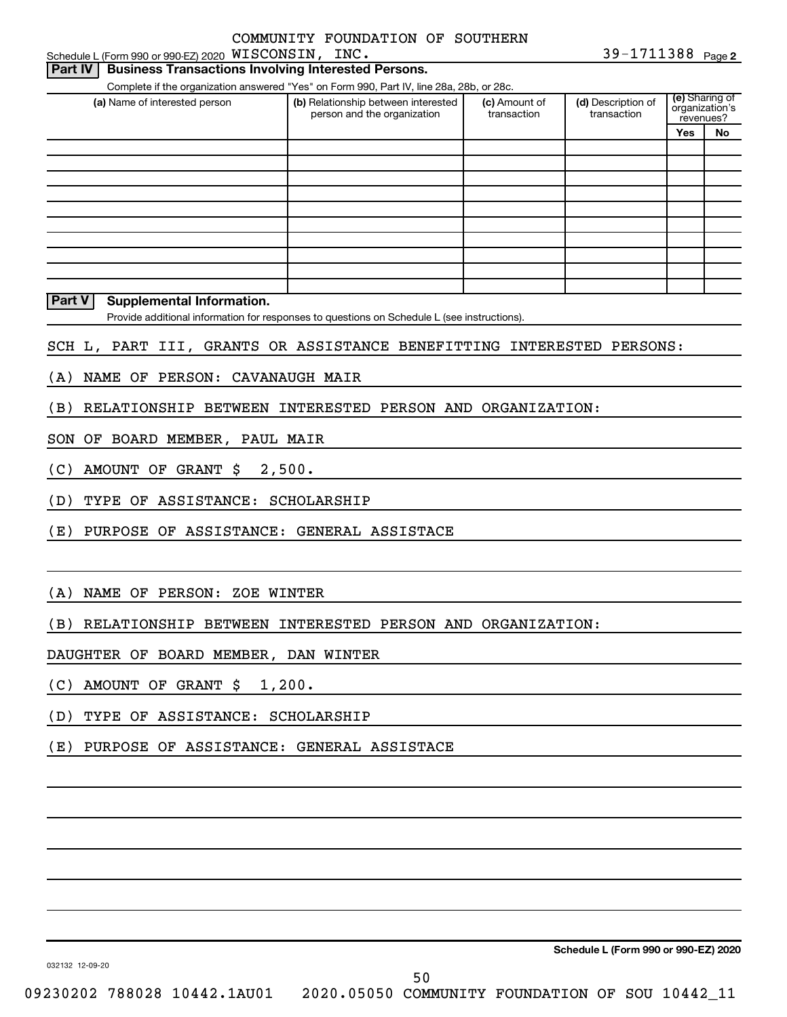| Schedule L (Form 990 or 990-EZ) 2020 $\,$ <code>WISCONSIN</code> , $\,$ <code>INC</code> .<br>Part IV<br><b>Business Transactions Involving Interested Persons.</b> |                                     |                                                                                                                                                                                                                                                                                                                                                         |                                                                                                                                                                                         |                                                                                                                          | 39-1711388 Page 2                                                                                                             |
|---------------------------------------------------------------------------------------------------------------------------------------------------------------------|-------------------------------------|---------------------------------------------------------------------------------------------------------------------------------------------------------------------------------------------------------------------------------------------------------------------------------------------------------------------------------------------------------|-----------------------------------------------------------------------------------------------------------------------------------------------------------------------------------------|--------------------------------------------------------------------------------------------------------------------------|-------------------------------------------------------------------------------------------------------------------------------|
|                                                                                                                                                                     |                                     |                                                                                                                                                                                                                                                                                                                                                         |                                                                                                                                                                                         |                                                                                                                          |                                                                                                                               |
| (a) Name of interested person                                                                                                                                       | (b) Relationship between interested | (c) Amount of                                                                                                                                                                                                                                                                                                                                           | (d) Description of                                                                                                                                                                      |                                                                                                                          |                                                                                                                               |
|                                                                                                                                                                     | person and the organization         | transaction                                                                                                                                                                                                                                                                                                                                             | transaction                                                                                                                                                                             |                                                                                                                          |                                                                                                                               |
|                                                                                                                                                                     |                                     |                                                                                                                                                                                                                                                                                                                                                         |                                                                                                                                                                                         |                                                                                                                          | No                                                                                                                            |
|                                                                                                                                                                     |                                     |                                                                                                                                                                                                                                                                                                                                                         |                                                                                                                                                                                         |                                                                                                                          |                                                                                                                               |
|                                                                                                                                                                     |                                     |                                                                                                                                                                                                                                                                                                                                                         |                                                                                                                                                                                         |                                                                                                                          |                                                                                                                               |
|                                                                                                                                                                     |                                     |                                                                                                                                                                                                                                                                                                                                                         |                                                                                                                                                                                         |                                                                                                                          |                                                                                                                               |
|                                                                                                                                                                     |                                     |                                                                                                                                                                                                                                                                                                                                                         |                                                                                                                                                                                         |                                                                                                                          |                                                                                                                               |
|                                                                                                                                                                     |                                     |                                                                                                                                                                                                                                                                                                                                                         |                                                                                                                                                                                         |                                                                                                                          |                                                                                                                               |
|                                                                                                                                                                     |                                     |                                                                                                                                                                                                                                                                                                                                                         |                                                                                                                                                                                         |                                                                                                                          |                                                                                                                               |
|                                                                                                                                                                     |                                     |                                                                                                                                                                                                                                                                                                                                                         |                                                                                                                                                                                         |                                                                                                                          |                                                                                                                               |
|                                                                                                                                                                     |                                     |                                                                                                                                                                                                                                                                                                                                                         |                                                                                                                                                                                         |                                                                                                                          |                                                                                                                               |
|                                                                                                                                                                     |                                     |                                                                                                                                                                                                                                                                                                                                                         |                                                                                                                                                                                         |                                                                                                                          |                                                                                                                               |
|                                                                                                                                                                     |                                     |                                                                                                                                                                                                                                                                                                                                                         |                                                                                                                                                                                         |                                                                                                                          |                                                                                                                               |
|                                                                                                                                                                     |                                     |                                                                                                                                                                                                                                                                                                                                                         |                                                                                                                                                                                         |                                                                                                                          |                                                                                                                               |
|                                                                                                                                                                     |                                     |                                                                                                                                                                                                                                                                                                                                                         |                                                                                                                                                                                         |                                                                                                                          |                                                                                                                               |
| AMOUNT OF GRANT \$                                                                                                                                                  |                                     |                                                                                                                                                                                                                                                                                                                                                         |                                                                                                                                                                                         |                                                                                                                          |                                                                                                                               |
|                                                                                                                                                                     |                                     |                                                                                                                                                                                                                                                                                                                                                         |                                                                                                                                                                                         |                                                                                                                          |                                                                                                                               |
|                                                                                                                                                                     |                                     |                                                                                                                                                                                                                                                                                                                                                         |                                                                                                                                                                                         |                                                                                                                          |                                                                                                                               |
|                                                                                                                                                                     |                                     |                                                                                                                                                                                                                                                                                                                                                         |                                                                                                                                                                                         |                                                                                                                          |                                                                                                                               |
|                                                                                                                                                                     |                                     |                                                                                                                                                                                                                                                                                                                                                         |                                                                                                                                                                                         |                                                                                                                          |                                                                                                                               |
|                                                                                                                                                                     |                                     |                                                                                                                                                                                                                                                                                                                                                         |                                                                                                                                                                                         |                                                                                                                          |                                                                                                                               |
|                                                                                                                                                                     |                                     |                                                                                                                                                                                                                                                                                                                                                         |                                                                                                                                                                                         |                                                                                                                          |                                                                                                                               |
|                                                                                                                                                                     |                                     |                                                                                                                                                                                                                                                                                                                                                         |                                                                                                                                                                                         |                                                                                                                          |                                                                                                                               |
|                                                                                                                                                                     |                                     |                                                                                                                                                                                                                                                                                                                                                         |                                                                                                                                                                                         |                                                                                                                          |                                                                                                                               |
|                                                                                                                                                                     |                                     |                                                                                                                                                                                                                                                                                                                                                         |                                                                                                                                                                                         |                                                                                                                          |                                                                                                                               |
|                                                                                                                                                                     |                                     |                                                                                                                                                                                                                                                                                                                                                         |                                                                                                                                                                                         |                                                                                                                          |                                                                                                                               |
|                                                                                                                                                                     |                                     |                                                                                                                                                                                                                                                                                                                                                         |                                                                                                                                                                                         |                                                                                                                          |                                                                                                                               |
|                                                                                                                                                                     | Supplemental Information.           | NAME OF PERSON: CAVANAUGH MAIR<br>SON OF BOARD MEMBER, PAUL MAIR<br>2,500.<br>TYPE OF ASSISTANCE: SCHOLARSHIP<br>PURPOSE OF ASSISTANCE: GENERAL ASSISTACE<br>NAME OF PERSON: ZOE WINTER<br>DAUGHTER OF BOARD MEMBER, DAN WINTER<br>(C) AMOUNT OF GRANT \$ 1,200.<br>(D) TYPE OF ASSISTANCE: SCHOLARSHIP<br>(E) PURPOSE OF ASSISTANCE: GENERAL ASSISTACE | Complete if the organization answered "Yes" on Form 990, Part IV, line 28a, 28b, or 28c.<br>Provide additional information for responses to questions on Schedule L (see instructions). | RELATIONSHIP BETWEEN INTERESTED PERSON AND ORGANIZATION:<br>(B) RELATIONSHIP BETWEEN INTERESTED PERSON AND ORGANIZATION: | (e) Sharing of<br>organization's<br>revenues?<br>Yes<br>SCH L, PART III, GRANTS OR ASSISTANCE BENEFITTING INTERESTED PERSONS: |

**Schedule L (Form 990 or 990-EZ) 2020**

032132 12-09-20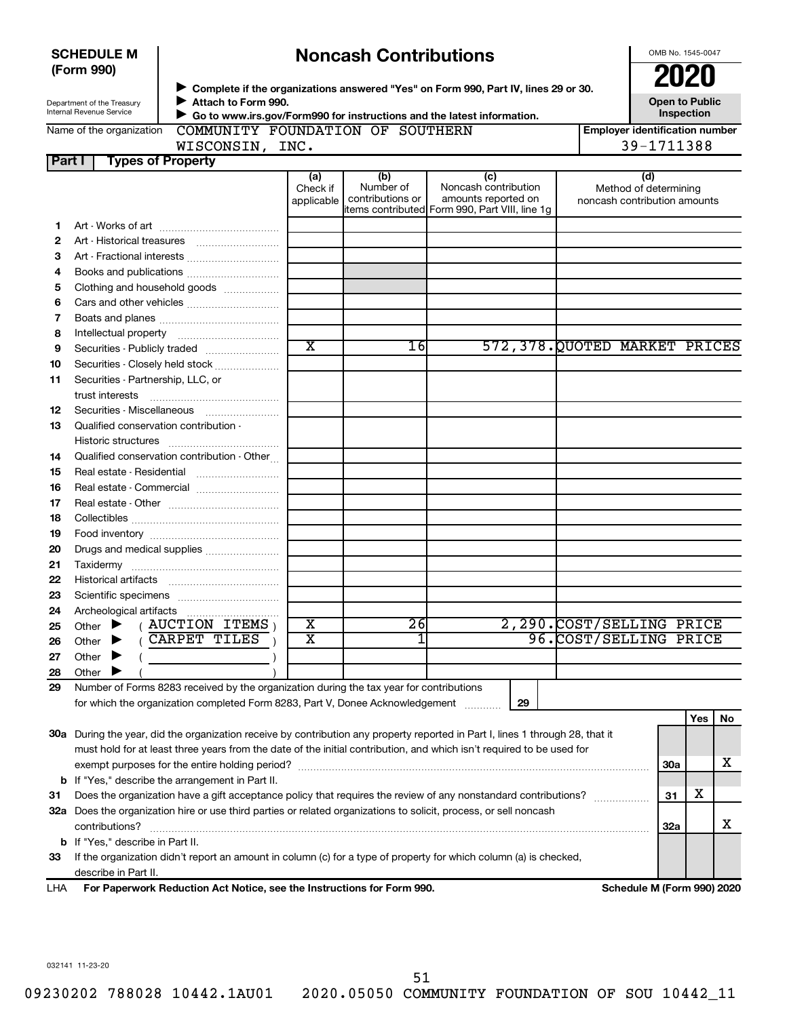|        | (Form 990)                                             |                                                                                         |                               |                                      | Complete if the organizations answered "Yes" on Form 990, Part IV, lines 29 or 30.                                             |                          | 2020                                                         |            |    |
|--------|--------------------------------------------------------|-----------------------------------------------------------------------------------------|-------------------------------|--------------------------------------|--------------------------------------------------------------------------------------------------------------------------------|--------------------------|--------------------------------------------------------------|------------|----|
|        | Department of the Treasury<br>Internal Revenue Service | Attach to Form 990.                                                                     |                               |                                      | Go to www.irs.gov/Form990 for instructions and the latest information.                                                         |                          | <b>Open to Public</b>                                        | Inspection |    |
|        | Name of the organization                               | COMMUNITY FOUNDATION OF SOUTHERN<br>WISCONSIN, INC.                                     |                               |                                      |                                                                                                                                |                          | <b>Employer identification number</b><br>39-1711388          |            |    |
| Part I |                                                        | <b>Types of Property</b>                                                                |                               |                                      |                                                                                                                                |                          |                                                              |            |    |
|        |                                                        |                                                                                         | (a)<br>Check if<br>applicable | (b)<br>Number of<br>contributions or | (c)<br>Noncash contribution<br>amounts reported on<br>items contributed Form 990, Part VIII, line 1g                           |                          | (d)<br>Method of determining<br>noncash contribution amounts |            |    |
| 1      |                                                        |                                                                                         |                               |                                      |                                                                                                                                |                          |                                                              |            |    |
| 2      |                                                        |                                                                                         |                               |                                      |                                                                                                                                |                          |                                                              |            |    |
| 3      |                                                        |                                                                                         |                               |                                      |                                                                                                                                |                          |                                                              |            |    |
| 4      |                                                        | Books and publications                                                                  |                               |                                      |                                                                                                                                |                          |                                                              |            |    |
| 5      |                                                        | Clothing and household goods                                                            |                               |                                      |                                                                                                                                |                          |                                                              |            |    |
| 6      |                                                        | Cars and other vehicles                                                                 |                               |                                      |                                                                                                                                |                          |                                                              |            |    |
| 7      |                                                        |                                                                                         |                               |                                      |                                                                                                                                |                          |                                                              |            |    |
| 8      |                                                        |                                                                                         |                               |                                      |                                                                                                                                |                          |                                                              |            |    |
| 9      |                                                        | Securities - Publicly traded                                                            | $\overline{\texttt{x}}$       | 16                                   | 572,378.QUOTED MARKET PRICES                                                                                                   |                          |                                                              |            |    |
| 10     |                                                        | Securities - Closely held stock                                                         |                               |                                      |                                                                                                                                |                          |                                                              |            |    |
| 11     | Securities - Partnership, LLC, or                      |                                                                                         |                               |                                      |                                                                                                                                |                          |                                                              |            |    |
|        | trust interests                                        |                                                                                         |                               |                                      |                                                                                                                                |                          |                                                              |            |    |
| 12     |                                                        | Securities - Miscellaneous                                                              |                               |                                      |                                                                                                                                |                          |                                                              |            |    |
| 13     | Qualified conservation contribution -                  |                                                                                         |                               |                                      |                                                                                                                                |                          |                                                              |            |    |
|        |                                                        |                                                                                         |                               |                                      |                                                                                                                                |                          |                                                              |            |    |
| 14     |                                                        | Qualified conservation contribution - Other                                             |                               |                                      |                                                                                                                                |                          |                                                              |            |    |
| 15     |                                                        | Real estate - Residential                                                               |                               |                                      |                                                                                                                                |                          |                                                              |            |    |
| 16     |                                                        | Real estate - Commercial                                                                |                               |                                      |                                                                                                                                |                          |                                                              |            |    |
| 17     |                                                        |                                                                                         |                               |                                      |                                                                                                                                |                          |                                                              |            |    |
| 18     |                                                        |                                                                                         |                               |                                      |                                                                                                                                |                          |                                                              |            |    |
| 19     |                                                        |                                                                                         |                               |                                      |                                                                                                                                |                          |                                                              |            |    |
| 20     |                                                        | Drugs and medical supplies                                                              |                               |                                      |                                                                                                                                |                          |                                                              |            |    |
| 21     |                                                        |                                                                                         |                               |                                      |                                                                                                                                |                          |                                                              |            |    |
| 22     |                                                        |                                                                                         |                               |                                      |                                                                                                                                |                          |                                                              |            |    |
| 23     |                                                        |                                                                                         |                               |                                      |                                                                                                                                |                          |                                                              |            |    |
| 24     |                                                        |                                                                                         |                               |                                      |                                                                                                                                |                          |                                                              |            |    |
| 25     |                                                        | Other $\blacktriangleright$ ( AUCTION ITEMS )                                           | X                             | $\overline{2}6$                      |                                                                                                                                | 2,290.COST/SELLING PRICE |                                                              |            |    |
| 26     | Other                                                  | (CARPET TILES                                                                           | $\overline{\mathtt{x}}$       |                                      |                                                                                                                                | 96.COST/SELLING PRICE    |                                                              |            |    |
| 27     | Other                                                  |                                                                                         |                               |                                      |                                                                                                                                |                          |                                                              |            |    |
| 28     | Other                                                  |                                                                                         |                               |                                      |                                                                                                                                |                          |                                                              |            |    |
| 29     |                                                        | Number of Forms 8283 received by the organization during the tax year for contributions |                               |                                      |                                                                                                                                |                          |                                                              |            |    |
|        |                                                        | for which the organization completed Form 8283, Part V, Donee Acknowledgement           |                               |                                      | 29                                                                                                                             |                          |                                                              |            |    |
|        |                                                        |                                                                                         |                               |                                      |                                                                                                                                |                          |                                                              | Yes        | No |
|        |                                                        |                                                                                         |                               |                                      | 30a During the year, did the organization receive by contribution any property reported in Part I, lines 1 through 28, that it |                          |                                                              |            |    |
|        |                                                        |                                                                                         |                               |                                      | must hold for at least three years from the date of the initial contribution, and which isn't required to be used for          |                          |                                                              |            |    |
|        |                                                        | exempt purposes for the entire holding period?                                          |                               |                                      |                                                                                                                                |                          | <b>30a</b>                                                   |            | х  |
|        |                                                        | <b>b</b> If "Yes," describe the arrangement in Part II.                                 |                               |                                      |                                                                                                                                |                          |                                                              |            |    |
| 31     |                                                        |                                                                                         |                               |                                      | Does the organization have a gift acceptance policy that requires the review of any nonstandard contributions?                 |                          | 31<br>.                                                      | x          |    |
|        |                                                        |                                                                                         |                               |                                      | 32a Does the organization hire or use third parties or related organizations to solicit, process, or sell noncash              |                          |                                                              |            |    |

**Noncash Contributions**

**33** If the organization didn't report an amount in column (c) for a type of property for which column (a) is checked, **b** If "Yes," describe in Part II. describe in Part II.

 $\text{contributions?}$   $\ldots$   $\ldots$   $\ldots$   $\ldots$   $\ldots$   $\ldots$   $\ldots$   $\ldots$   $\ldots$   $\ldots$   $\ldots$   $\ldots$   $\ldots$   $\ldots$   $\ldots$   $\ldots$   $\ldots$   $\ldots$   $\ldots$ 

**For Paperwork Reduction Act Notice, see the Instructions for Form 990. Schedule M (Form 990) 2020** LHA

**32a**

X

OMB No. 1545-0047

032141 11-23-20

**SCHEDULE M**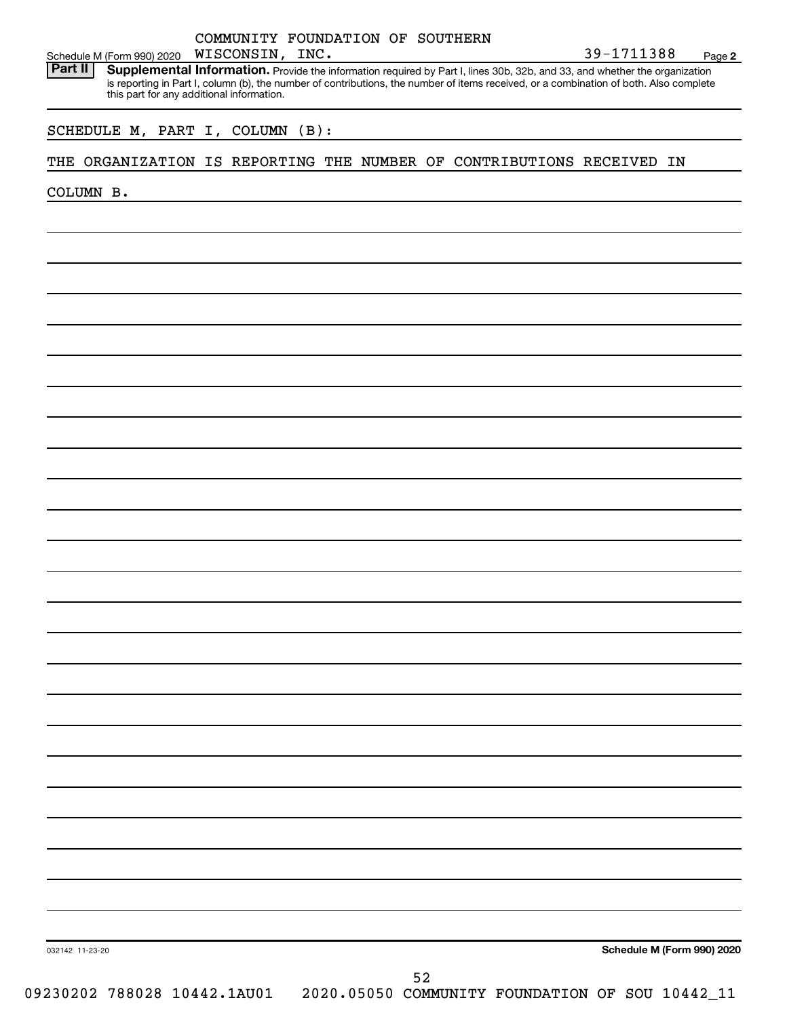| COMMUNITY FOUNDATION OF SOUTHERN<br>WISCONSIN, INC.<br>Schedule M (Form 990) 2020                                                                                                                                                                                                                                            | 39-1711388 | Page 2 |
|------------------------------------------------------------------------------------------------------------------------------------------------------------------------------------------------------------------------------------------------------------------------------------------------------------------------------|------------|--------|
| Part II<br>Supplemental Information. Provide the information required by Part I, lines 30b, 32b, and 33, and whether the organization<br>is reporting in Part I, column (b), the number of contributions, the number of items received, or a combination of both. Also complete<br>this part for any additional information. |            |        |
| SCHEDULE M, PART I, COLUMN (B):                                                                                                                                                                                                                                                                                              |            |        |
| ORGANIZATION IS REPORTING THE NUMBER OF CONTRIBUTIONS RECEIVED IN<br>THE                                                                                                                                                                                                                                                     |            |        |
| COLUMN B.                                                                                                                                                                                                                                                                                                                    |            |        |
|                                                                                                                                                                                                                                                                                                                              |            |        |
|                                                                                                                                                                                                                                                                                                                              |            |        |
|                                                                                                                                                                                                                                                                                                                              |            |        |
|                                                                                                                                                                                                                                                                                                                              |            |        |
|                                                                                                                                                                                                                                                                                                                              |            |        |
|                                                                                                                                                                                                                                                                                                                              |            |        |
|                                                                                                                                                                                                                                                                                                                              |            |        |
|                                                                                                                                                                                                                                                                                                                              |            |        |
|                                                                                                                                                                                                                                                                                                                              |            |        |
|                                                                                                                                                                                                                                                                                                                              |            |        |
|                                                                                                                                                                                                                                                                                                                              |            |        |
|                                                                                                                                                                                                                                                                                                                              |            |        |
|                                                                                                                                                                                                                                                                                                                              |            |        |
|                                                                                                                                                                                                                                                                                                                              |            |        |
|                                                                                                                                                                                                                                                                                                                              |            |        |

032142 11-23-20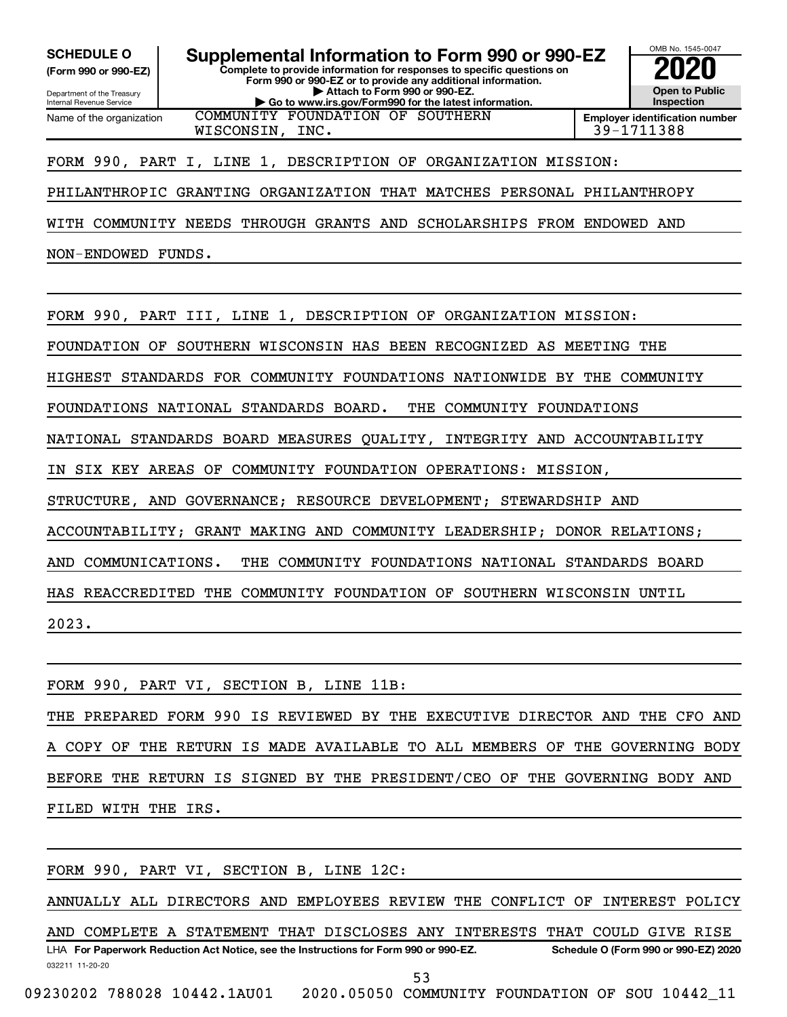**(Form 990 or 990-EZ)**

Department of the Treasury Internal Revenue Service Name of the organization

**Complete to provide information for responses to specific questions on Form 990 or 990-EZ or to provide any additional information. | Attach to Form 990 or 990-EZ. | Go to www.irs.gov/Form990 for the latest information. SCHEDULE O Supplemental Information to Form 990 or 990-EZ 2020**<br>(Form 990 or 990-EZ) **2020** 



WISCONSIN, INC. 29-1711388

### FORM 990, PART I, LINE 1, DESCRIPTION OF ORGANIZATION MISSION:

COMMUNITY FOUNDATION OF SOUTHERN

PHILANTHROPIC GRANTING ORGANIZATION THAT MATCHES PERSONAL PHILANTHROPY

WITH COMMUNITY NEEDS THROUGH GRANTS AND SCHOLARSHIPS FROM ENDOWED AND

NON-ENDOWED FUNDS.

FORM 990, PART III, LINE 1, DESCRIPTION OF ORGANIZATION MISSION: FOUNDATION OF SOUTHERN WISCONSIN HAS BEEN RECOGNIZED AS MEETING THE HIGHEST STANDARDS FOR COMMUNITY FOUNDATIONS NATIONWIDE BY THE COMMUNITY FOUNDATIONS NATIONAL STANDARDS BOARD. THE COMMUNITY FOUNDATIONS NATIONAL STANDARDS BOARD MEASURES QUALITY, INTEGRITY AND ACCOUNTABILITY IN SIX KEY AREAS OF COMMUNITY FOUNDATION OPERATIONS: MISSION, STRUCTURE, AND GOVERNANCE; RESOURCE DEVELOPMENT; STEWARDSHIP AND ACCOUNTABILITY; GRANT MAKING AND COMMUNITY LEADERSHIP; DONOR RELATIONS; AND COMMUNICATIONS. THE COMMUNITY FOUNDATIONS NATIONAL STANDARDS BOARD HAS REACCREDITED THE COMMUNITY FOUNDATION OF SOUTHERN WISCONSIN UNTIL 2023.

|  |  | FORM 990, PART VI, SECTION B, LINE 11B:                                     |  |  |  |  |  |  |  |  |  |
|--|--|-----------------------------------------------------------------------------|--|--|--|--|--|--|--|--|--|
|  |  | THE PREPARED FORM 990 IS REVIEWED BY THE EXECUTIVE DIRECTOR AND THE CFO AND |  |  |  |  |  |  |  |  |  |
|  |  | A COPY OF THE RETURN IS MADE AVAILABLE TO ALL MEMBERS OF THE GOVERNING BODY |  |  |  |  |  |  |  |  |  |
|  |  | BEFORE THE RETURN IS SIGNED BY THE PRESIDENT/CEO OF THE GOVERNING BODY AND  |  |  |  |  |  |  |  |  |  |
|  |  | FILED WITH THE IRS.                                                         |  |  |  |  |  |  |  |  |  |

FORM 990, PART VI, SECTION B, LINE 12C:

ANNUALLY ALL DIRECTORS AND EMPLOYEES REVIEW THE CONFLICT OF INTEREST POLICY

032211 11-20-20 **For Paperwork Reduction Act Notice, see the Instructions for Form 990 or 990-EZ. Schedule O (Form 990 or 990-EZ) 2020** LHA AND COMPLETE A STATEMENT THAT DISCLOSES ANY INTERESTS THAT COULD GIVE RISE